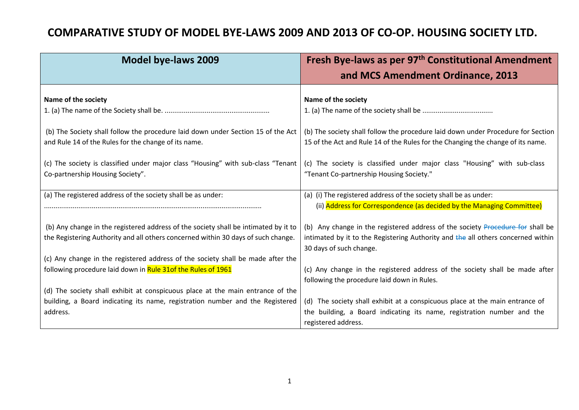## **COMPARATIVE STUDY OF MODEL BYE-LAWS 2009 AND 2013 OF CO-OP. HOUSING SOCIETY LTD.**

| <b>Model bye-laws 2009</b>                                                                                                               | Fresh Bye-laws as per 97 <sup>th</sup> Constitutional Amendment                                                                                                     |
|------------------------------------------------------------------------------------------------------------------------------------------|---------------------------------------------------------------------------------------------------------------------------------------------------------------------|
|                                                                                                                                          | and MCS Amendment Ordinance, 2013                                                                                                                                   |
| Name of the society                                                                                                                      | Name of the society                                                                                                                                                 |
|                                                                                                                                          |                                                                                                                                                                     |
| (b) The Society shall follow the procedure laid down under Section 15 of the Act<br>and Rule 14 of the Rules for the change of its name. | (b) The society shall follow the procedure laid down under Procedure for Section<br>15 of the Act and Rule 14 of the Rules for the Changing the change of its name. |
| (c) The society is classified under major class "Housing" with sub-class "Tenant                                                         | (c) The society is classified under major class "Housing" with sub-class                                                                                            |
| Co-partnership Housing Society".                                                                                                         | "Tenant Co-partnership Housing Society."                                                                                                                            |
| (a) The registered address of the society shall be as under:                                                                             | (a) (i) The registered address of the society shall be as under:                                                                                                    |
|                                                                                                                                          | (ii) Address for Correspondence (as decided by the Managing Committee)                                                                                              |
| (b) Any change in the registered address of the society shall be intimated by it to                                                      | (b) Any change in the registered address of the society Procedure for shall be                                                                                      |
| the Registering Authority and all others concerned within 30 days of such change.                                                        | intimated by it to the Registering Authority and the all others concerned within                                                                                    |
|                                                                                                                                          | 30 days of such change.                                                                                                                                             |
| (c) Any change in the registered address of the society shall be made after the                                                          |                                                                                                                                                                     |
| following procedure laid down in Rule 31of the Rules of 1961                                                                             | (c) Any change in the registered address of the society shall be made after                                                                                         |
|                                                                                                                                          | following the procedure laid down in Rules.                                                                                                                         |
| (d) The society shall exhibit at conspicuous place at the main entrance of the                                                           |                                                                                                                                                                     |
| building, a Board indicating its name, registration number and the Registered                                                            | (d) The society shall exhibit at a conspicuous place at the main entrance of                                                                                        |
| address.                                                                                                                                 | the building, a Board indicating its name, registration number and the                                                                                              |
|                                                                                                                                          | registered address.                                                                                                                                                 |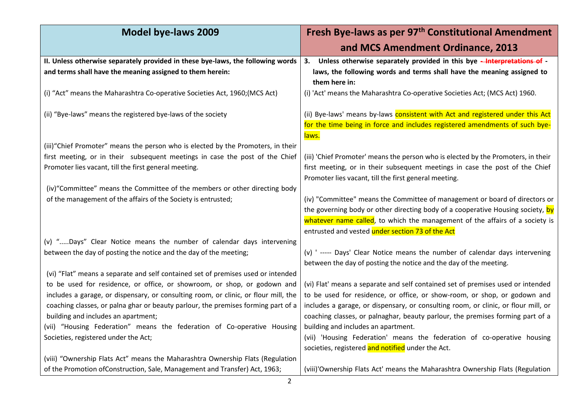| <b>Model bye-laws 2009</b>                                                                                                                                                                                                                                                                  | Fresh Bye-laws as per 97 <sup>th</sup> Constitutional Amendment                                                                                                                                                                                                                                                                      |
|---------------------------------------------------------------------------------------------------------------------------------------------------------------------------------------------------------------------------------------------------------------------------------------------|--------------------------------------------------------------------------------------------------------------------------------------------------------------------------------------------------------------------------------------------------------------------------------------------------------------------------------------|
|                                                                                                                                                                                                                                                                                             | and MCS Amendment Ordinance, 2013                                                                                                                                                                                                                                                                                                    |
| II. Unless otherwise separately provided in these bye-laws, the following words<br>and terms shall have the meaning assigned to them herein:                                                                                                                                                | Unless otherwise separately provided in this bye -Interpretations of -<br>3.<br>laws, the following words and terms shall have the meaning assigned to<br>them here in:                                                                                                                                                              |
| (i) "Act" means the Maharashtra Co-operative Societies Act, 1960; (MCS Act)                                                                                                                                                                                                                 | (i) 'Act' means the Maharashtra Co-operative Societies Act; (MCS Act) 1960.                                                                                                                                                                                                                                                          |
| (ii) "Bye-laws" means the registered bye-laws of the society                                                                                                                                                                                                                                | (ii) Bye-laws' means by-laws consistent with Act and registered under this Act<br>for the time being in force and includes registered amendments of such bye-<br>laws.                                                                                                                                                               |
| (iii) "Chief Promoter" means the person who is elected by the Promoters, in their                                                                                                                                                                                                           |                                                                                                                                                                                                                                                                                                                                      |
| first meeting, or in their subsequent meetings in case the post of the Chief<br>Promoter lies vacant, till the first general meeting.                                                                                                                                                       | (iii) 'Chief Promoter' means the person who is elected by the Promoters, in their<br>first meeting, or in their subsequent meetings in case the post of the Chief<br>Promoter lies vacant, till the first general meeting.                                                                                                           |
| (iv) "Committee" means the Committee of the members or other directing body                                                                                                                                                                                                                 |                                                                                                                                                                                                                                                                                                                                      |
| of the management of the affairs of the Society is entrusted;                                                                                                                                                                                                                               | (iv) "Committee" means the Committee of management or board of directors or<br>the governing body or other directing body of a cooperative Housing society, by<br>whatever name called, to which the management of the affairs of a society is<br>entrusted and vested under section 73 of the Act                                   |
| (v) "Days" Clear Notice means the number of calendar days intervening                                                                                                                                                                                                                       |                                                                                                                                                                                                                                                                                                                                      |
| between the day of posting the notice and the day of the meeting;                                                                                                                                                                                                                           | (v) '----- Days' Clear Notice means the number of calendar days intervening<br>between the day of posting the notice and the day of the meeting.                                                                                                                                                                                     |
| (vi) "Flat" means a separate and self contained set of premises used or intended                                                                                                                                                                                                            |                                                                                                                                                                                                                                                                                                                                      |
| to be used for residence, or office, or showroom, or shop, or godown and<br>includes a garage, or dispensary, or consulting room, or clinic, or flour mill, the<br>coaching classes, or palna ghar or beauty parlour, the premises forming part of a<br>building and includes an apartment; | (vi) Flat' means a separate and self contained set of premises used or intended<br>to be used for residence, or office, or show-room, or shop, or godown and<br>includes a garage, or dispensary, or consulting room, or clinic, or flour mill, or<br>coaching classes, or palnaghar, beauty parlour, the premises forming part of a |
| (vii) "Housing Federation" means the federation of Co-operative Housing                                                                                                                                                                                                                     | building and includes an apartment.                                                                                                                                                                                                                                                                                                  |
| Societies, registered under the Act;                                                                                                                                                                                                                                                        | (vii) 'Housing Federation' means the federation of co-operative housing<br>societies, registered and notified under the Act.                                                                                                                                                                                                         |
| (viii) "Ownership Flats Act" means the Maharashtra Ownership Flats (Regulation                                                                                                                                                                                                              |                                                                                                                                                                                                                                                                                                                                      |
| of the Promotion of Construction, Sale, Management and Transfer) Act, 1963;                                                                                                                                                                                                                 | (viii)'Ownership Flats Act' means the Maharashtra Ownership Flats (Regulation                                                                                                                                                                                                                                                        |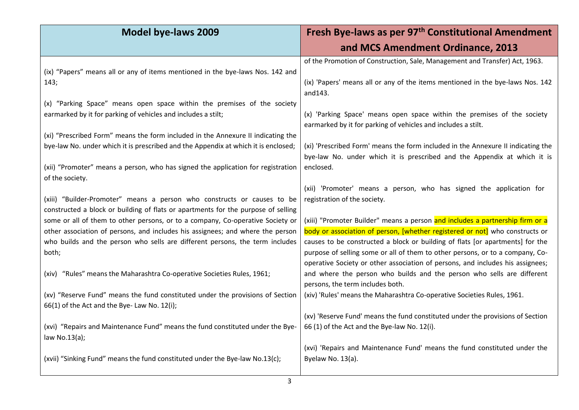| <b>Model bye-laws 2009</b>                                                            | Fresh Bye-laws as per 97 <sup>th</sup> Constitutional Amendment                                                                                                |
|---------------------------------------------------------------------------------------|----------------------------------------------------------------------------------------------------------------------------------------------------------------|
|                                                                                       | and MCS Amendment Ordinance, 2013                                                                                                                              |
|                                                                                       | of the Promotion of Construction, Sale, Management and Transfer) Act, 1963.                                                                                    |
| (ix) "Papers" means all or any of items mentioned in the bye-laws Nos. 142 and        |                                                                                                                                                                |
| 143;                                                                                  | (ix) 'Papers' means all or any of the items mentioned in the bye-laws Nos. 142<br>and143.                                                                      |
| (x) "Parking Space" means open space within the premises of the society               |                                                                                                                                                                |
| earmarked by it for parking of vehicles and includes a stilt;                         | (x) 'Parking Space' means open space within the premises of the society                                                                                        |
|                                                                                       | earmarked by it for parking of vehicles and includes a stilt.                                                                                                  |
| (xi) "Prescribed Form" means the form included in the Annexure II indicating the      |                                                                                                                                                                |
| bye-law No. under which it is prescribed and the Appendix at which it is enclosed;    | (xi) 'Prescribed Form' means the form included in the Annexure II indicating the<br>bye-law No. under which it is prescribed and the Appendix at which it is   |
| (xii) "Promoter" means a person, who has signed the application for registration      | enclosed.                                                                                                                                                      |
| of the society.                                                                       |                                                                                                                                                                |
|                                                                                       | (xii) 'Promoter' means a person, who has signed the application for                                                                                            |
| (xiii) "Builder-Promoter" means a person who constructs or causes to be               | registration of the society.                                                                                                                                   |
| constructed a block or building of flats or apartments for the purpose of selling     |                                                                                                                                                                |
| some or all of them to other persons, or to a company, Co-operative Society or        | (xiii) "Promoter Builder" means a person and includes a partnership firm or a                                                                                  |
| other association of persons, and includes his assignees; and where the person        | body or association of person, [whether registered or not] who constructs or                                                                                   |
| who builds and the person who sells are different persons, the term includes<br>both; | causes to be constructed a block or building of flats [or apartments] for the<br>purpose of selling some or all of them to other persons, or to a company, Co- |
|                                                                                       | operative Society or other association of persons, and includes his assignees;                                                                                 |
| (xiv) "Rules" means the Maharashtra Co-operative Societies Rules, 1961;               | and where the person who builds and the person who sells are different                                                                                         |
|                                                                                       | persons, the term includes both.                                                                                                                               |
| (xv) "Reserve Fund" means the fund constituted under the provisions of Section        | (xiv) 'Rules' means the Maharashtra Co-operative Societies Rules, 1961.                                                                                        |
| 66(1) of the Act and the Bye-Law No. 12(i);                                           |                                                                                                                                                                |
|                                                                                       | (xv) 'Reserve Fund' means the fund constituted under the provisions of Section                                                                                 |
| (xvi) "Repairs and Maintenance Fund" means the fund constituted under the Bye-        | 66 (1) of the Act and the Bye-law No. 12(i).                                                                                                                   |
| law No.13(a);                                                                         | (xvi) 'Repairs and Maintenance Fund' means the fund constituted under the                                                                                      |
| (xvii) "Sinking Fund" means the fund constituted under the Bye-law No.13(c);          | Byelaw No. 13(a).                                                                                                                                              |
|                                                                                       |                                                                                                                                                                |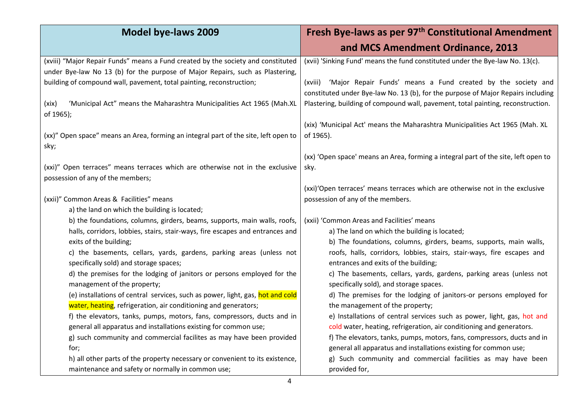| <b>Model bye-laws 2009</b>                                                                                         | Fresh Bye-laws as per 97 <sup>th</sup> Constitutional Amendment                                                                                             |
|--------------------------------------------------------------------------------------------------------------------|-------------------------------------------------------------------------------------------------------------------------------------------------------------|
|                                                                                                                    | and MCS Amendment Ordinance, 2013                                                                                                                           |
| (xviii) "Major Repair Funds" means a Fund created by the society and constituted                                   | (xvii) 'Sinking Fund' means the fund constituted under the Bye-law No. 13(c).                                                                               |
| under Bye-law No 13 (b) for the purpose of Major Repairs, such as Plastering,                                      |                                                                                                                                                             |
| building of compound wall, pavement, total painting, reconstruction;                                               | 'Major Repair Funds' means a Fund created by the society and<br>(xviii)<br>constituted under Bye-law No. 13 (b), for the purpose of Major Repairs including |
| 'Municipal Act" means the Maharashtra Municipalities Act 1965 (Mah.XL<br>(xix)<br>of 1965);                        | Plastering, building of compound wall, pavement, total painting, reconstruction.                                                                            |
|                                                                                                                    | (xix) 'Municipal Act' means the Maharashtra Municipalities Act 1965 (Mah. XL                                                                                |
| (xx)" Open space" means an Area, forming an integral part of the site, left open to<br>sky;                        | of 1965).                                                                                                                                                   |
|                                                                                                                    | (xx) 'Open space' means an Area, forming a integral part of the site, left open to                                                                          |
| (xxi)" Open terraces" means terraces which are otherwise not in the exclusive<br>possession of any of the members; | sky.                                                                                                                                                        |
|                                                                                                                    | (xxi)'Open terraces' means terraces which are otherwise not in the exclusive                                                                                |
| (xxii)" Common Areas & Facilities" means                                                                           | possession of any of the members.                                                                                                                           |
| a) the land on which the building is located;                                                                      |                                                                                                                                                             |
| b) the foundations, columns, girders, beams, supports, main walls, roofs,                                          | (xxii) 'Common Areas and Facilities' means                                                                                                                  |
| halls, corridors, lobbies, stairs, stair-ways, fire escapes and entrances and                                      | a) The land on which the building is located;                                                                                                               |
| exits of the building;                                                                                             | b) The foundations, columns, girders, beams, supports, main walls,                                                                                          |
| c) the basements, cellars, yards, gardens, parking areas (unless not<br>specifically sold) and storage spaces;     | roofs, halls, corridors, lobbies, stairs, stair-ways, fire escapes and<br>entrances and exits of the building;                                              |
| d) the premises for the lodging of janitors or persons employed for the                                            | c) The basements, cellars, yards, gardens, parking areas (unless not                                                                                        |
| management of the property;                                                                                        | specifically sold), and storage spaces.                                                                                                                     |
| (e) installations of central services, such as power, light, gas, hot and cold                                     | d) The premises for the lodging of janitors-or persons employed for                                                                                         |
| water, heating, refrigeration, air conditioning and generators;                                                    | the management of the property;                                                                                                                             |
| f) the elevators, tanks, pumps, motors, fans, compressors, ducts and in                                            | e) Installations of central services such as power, light, gas, hot and                                                                                     |
| general all apparatus and installations existing for common use;                                                   | cold water, heating, refrigeration, air conditioning and generators.                                                                                        |
| g) such community and commercial facilites as may have been provided                                               | f) The elevators, tanks, pumps, motors, fans, compressors, ducts and in                                                                                     |
| for;                                                                                                               | general all apparatus and installations existing for common use;                                                                                            |
| h) all other parts of the property necessary or convenient to its existence,                                       | g) Such community and commercial facilities as may have been                                                                                                |
| maintenance and safety or normally in common use;                                                                  | provided for,                                                                                                                                               |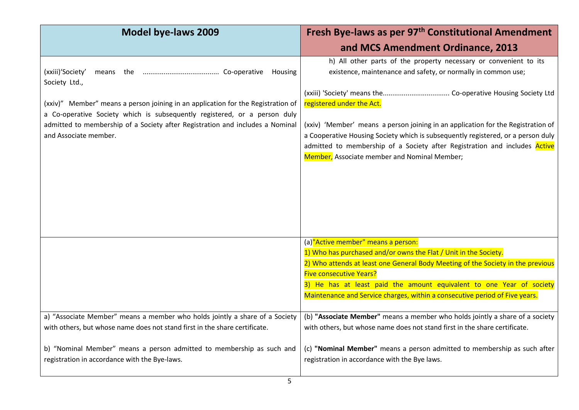| <b>Model bye-laws 2009</b>                                                                                                                                                                                                                                                                                   | Fresh Bye-laws as per 97 <sup>th</sup> Constitutional Amendment                                                                                                                                                                                                                                                                                                                                                                                                                                                                                  |
|--------------------------------------------------------------------------------------------------------------------------------------------------------------------------------------------------------------------------------------------------------------------------------------------------------------|--------------------------------------------------------------------------------------------------------------------------------------------------------------------------------------------------------------------------------------------------------------------------------------------------------------------------------------------------------------------------------------------------------------------------------------------------------------------------------------------------------------------------------------------------|
|                                                                                                                                                                                                                                                                                                              | and MCS Amendment Ordinance, 2013                                                                                                                                                                                                                                                                                                                                                                                                                                                                                                                |
| (xxiii)'Society'<br>Society Ltd.,<br>(xxiv)" Member" means a person joining in an application for the Registration of<br>a Co-operative Society which is subsequently registered, or a person duly<br>admitted to membership of a Society after Registration and includes a Nominal<br>and Associate member. | h) All other parts of the property necessary or convenient to its<br>existence, maintenance and safety, or normally in common use;<br>registered under the Act.<br>(xxiv) 'Member' means a person joining in an application for the Registration of<br>a Cooperative Housing Society which is subsequently registered, or a person duly<br>admitted to membership of a Society after Registration and includes Active<br>Member, Associate member and Nominal Member;                                                                            |
| a) "Associate Member" means a member who holds jointly a share of a Society<br>with others, but whose name does not stand first in the share certificate.                                                                                                                                                    | (a)"Active member" means a person:<br>1) Who has purchased and/or owns the Flat / Unit in the Society.<br>2) Who attends at least one General Body Meeting of the Society in the previous<br><b>Five consecutive Years?</b><br>3) He has at least paid the amount equivalent to one Year of society<br>Maintenance and Service charges, within a consecutive period of Five years.<br>(b) "Associate Member" means a member who holds jointly a share of a society<br>with others, but whose name does not stand first in the share certificate. |
| b) "Nominal Member" means a person admitted to membership as such and<br>registration in accordance with the Bye-laws.<br>5                                                                                                                                                                                  | (c) "Nominal Member" means a person admitted to membership as such after<br>registration in accordance with the Bye laws.                                                                                                                                                                                                                                                                                                                                                                                                                        |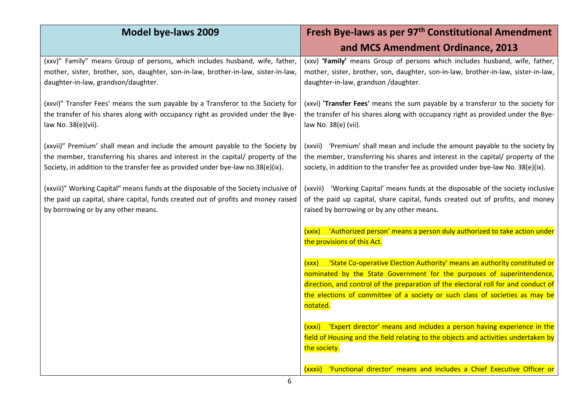| <b>Model bye-laws 2009</b>                                                                                                                                                                                                                            | Fresh Bye-laws as per 97 <sup>th</sup> Constitutional Amendment                                                                                                                                                                                        |
|-------------------------------------------------------------------------------------------------------------------------------------------------------------------------------------------------------------------------------------------------------|--------------------------------------------------------------------------------------------------------------------------------------------------------------------------------------------------------------------------------------------------------|
|                                                                                                                                                                                                                                                       | and MCS Amendment Ordinance, 2013                                                                                                                                                                                                                      |
| (xxv)" Family" means Group of persons, which includes husband, wife, father,<br>mother, sister, brother, son, daughter, son-in-law, brother-in-law, sister-in-law,<br>daughter-in-law, grandson/daughter.                                             | (xxv) 'Family' means Group of persons which includes husband, wife, father,<br>mother, sister, brother, son, daughter, son-in-law, brother-in-law, sister-in-law,<br>daughter-in-law, grandson /daughter.                                              |
| (xxvi)" Transfer Fees' means the sum payable by a Transferor to the Society for<br>the transfer of his shares along with occupancy right as provided under the Bye-<br>law No. 38(e)(vii).                                                            | (xxvi) 'Transfer Fees' means the sum payable by a transferor to the society for<br>the transfer of his shares along with occupancy right as provided under the Bye-<br>law No. 38(e) (vii).                                                            |
| (xxvii)" Premium' shall mean and include the amount payable to the Society by<br>the member, transferring his shares and interest in the capital/ property of the<br>Society, in addition to the transfer fee as provided under bye-law no.38(e)(ix). | (xxvii) 'Premium' shall mean and include the amount payable to the society by<br>the member, transferring his shares and interest in the capital/ property of the<br>society, in addition to the transfer fee as provided under bye-law No. 38(e)(ix). |
| (xxviii)" Working Capital" means funds at the disposable of the Society inclusive of<br>the paid up capital, share capital, funds created out of profits and money raised<br>by borrowing or by any other means.                                      | (xxviii) 'Working Capital' means funds at the disposable of the society inclusive<br>of the paid up capital, share capital, funds created out of profits, and money<br>raised by borrowing or by any other means.                                      |
|                                                                                                                                                                                                                                                       | (xxix) 'Authorized person' means a person duly authorized to take action under<br>the provisions of this Act.                                                                                                                                          |
|                                                                                                                                                                                                                                                       | 'State Co-operative Election Authority' means an authority constituted or<br>(xxx)                                                                                                                                                                     |
|                                                                                                                                                                                                                                                       | nominated by the State Government for the purposes of superintendence,<br>direction, and control of the preparation of the electoral roll for and conduct of                                                                                           |
|                                                                                                                                                                                                                                                       | the elections of committee of a society or such class of societies as may be                                                                                                                                                                           |
|                                                                                                                                                                                                                                                       | notated.                                                                                                                                                                                                                                               |
|                                                                                                                                                                                                                                                       | 'Expert director' means and includes a person having experience in the<br>(xxxi)                                                                                                                                                                       |
|                                                                                                                                                                                                                                                       | field of Housing and the field relating to the objects and activities undertaken by<br>the society.                                                                                                                                                    |
|                                                                                                                                                                                                                                                       |                                                                                                                                                                                                                                                        |
|                                                                                                                                                                                                                                                       | 'Functional director' means and includes a Chief Executive Officer or<br><u>(xxxii)</u>                                                                                                                                                                |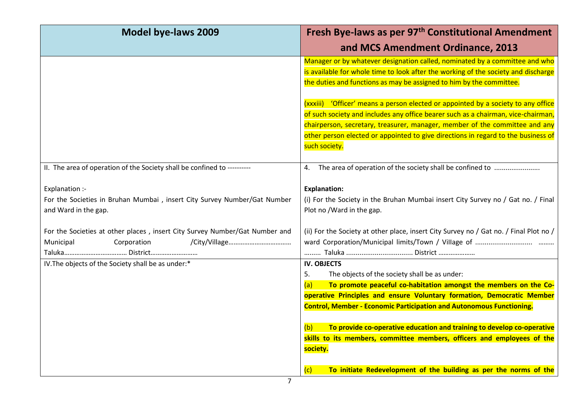| <b>Model bye-laws 2009</b>                                                  | Fresh Bye-laws as per 97 <sup>th</sup> Constitutional Amendment                                                                                                                                                                                                                                       |
|-----------------------------------------------------------------------------|-------------------------------------------------------------------------------------------------------------------------------------------------------------------------------------------------------------------------------------------------------------------------------------------------------|
|                                                                             | and MCS Amendment Ordinance, 2013                                                                                                                                                                                                                                                                     |
|                                                                             | Manager or by whatever designation called, nominated by a committee and who                                                                                                                                                                                                                           |
|                                                                             | is available for whole time to look after the working of the society and discharge                                                                                                                                                                                                                    |
|                                                                             | the duties and functions as may be assigned to him by the committee.                                                                                                                                                                                                                                  |
|                                                                             | (xxxiii) 'Officer' means a person elected or appointed by a society to any office                                                                                                                                                                                                                     |
|                                                                             | of such society and includes any office bearer such as a chairman, vice-chairman,                                                                                                                                                                                                                     |
|                                                                             | chairperson, secretary, treasurer, manager, member of the committee and any                                                                                                                                                                                                                           |
|                                                                             | other person elected or appointed to give directions in regard to the business of                                                                                                                                                                                                                     |
|                                                                             | such society.                                                                                                                                                                                                                                                                                         |
| II. The area of operation of the Society shall be confined to ---------     | 4. The area of operation of the society shall be confined to                                                                                                                                                                                                                                          |
| Explanation :-                                                              | <b>Explanation:</b>                                                                                                                                                                                                                                                                                   |
| For the Societies in Bruhan Mumbai, insert City Survey Number/Gat Number    | (i) For the Society in the Bruhan Mumbai insert City Survey no / Gat no. / Final                                                                                                                                                                                                                      |
| and Ward in the gap.                                                        | Plot no /Ward in the gap.                                                                                                                                                                                                                                                                             |
| For the Societies at other places, insert City Survey Number/Gat Number and | (ii) For the Society at other place, insert City Survey no / Gat no. / Final Plot no /                                                                                                                                                                                                                |
| Municipal<br>Corporation                                                    |                                                                                                                                                                                                                                                                                                       |
|                                                                             | Taluka  District                                                                                                                                                                                                                                                                                      |
| IV. The objects of the Society shall be as under:*                          | <b>IV. OBJECTS</b>                                                                                                                                                                                                                                                                                    |
|                                                                             | The objects of the society shall be as under:<br>5.                                                                                                                                                                                                                                                   |
|                                                                             | (a)                                                                                                                                                                                                                                                                                                   |
|                                                                             |                                                                                                                                                                                                                                                                                                       |
|                                                                             |                                                                                                                                                                                                                                                                                                       |
|                                                                             | To provide co-operative education and training to develop co-operative<br>(b)                                                                                                                                                                                                                         |
|                                                                             | skills to its members, committee members, officers and employees of the                                                                                                                                                                                                                               |
|                                                                             | society.                                                                                                                                                                                                                                                                                              |
|                                                                             |                                                                                                                                                                                                                                                                                                       |
|                                                                             | To promote peaceful co-habitation amongst the members on the Co-<br>operative Principles and ensure Voluntary formation, Democratic Member<br><b>Control, Member - Economic Participation and Autonomous Functioning.</b><br>To initiate Redevelopment of the building as per the norms of the<br>(c) |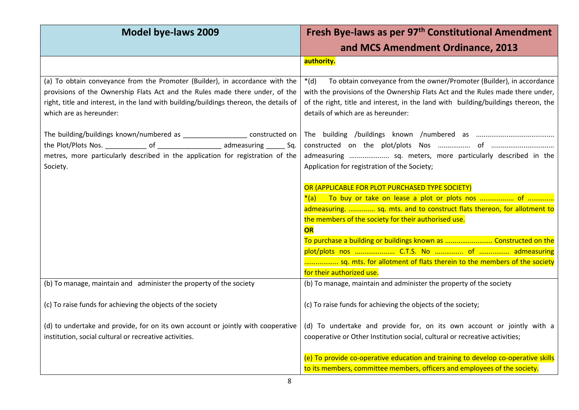| <b>Model bye-laws 2009</b>                                                                                                                                                                                                                                                        | Fresh Bye-laws as per 97 <sup>th</sup> Constitutional Amendment                                                                                                                                                                                                                               |
|-----------------------------------------------------------------------------------------------------------------------------------------------------------------------------------------------------------------------------------------------------------------------------------|-----------------------------------------------------------------------------------------------------------------------------------------------------------------------------------------------------------------------------------------------------------------------------------------------|
|                                                                                                                                                                                                                                                                                   | and MCS Amendment Ordinance, 2013                                                                                                                                                                                                                                                             |
|                                                                                                                                                                                                                                                                                   | authority.                                                                                                                                                                                                                                                                                    |
| (a) To obtain conveyance from the Promoter (Builder), in accordance with the<br>provisions of the Ownership Flats Act and the Rules made there under, of the<br>right, title and interest, in the land with building/buildings thereon, the details of<br>which are as hereunder: | To obtain conveyance from the owner/Promoter (Builder), in accordance<br>$*(d)$<br>with the provisions of the Ownership Flats Act and the Rules made there under,<br>of the right, title and interest, in the land with building/buildings thereon, the<br>details of which are as hereunder: |
| The building/buildings known/numbered as ____________________ constructed on<br>metres, more particularly described in the application for registration of the<br>Society.                                                                                                        | admeasuring  sq. meters, more particularly described in the<br>Application for registration of the Society;                                                                                                                                                                                   |
|                                                                                                                                                                                                                                                                                   | OR (APPLICABLE FOR PLOT PURCHASED TYPE SOCIETY)<br>admeasuring.  sq. mts. and to construct flats thereon, for allotment to<br>the members of the society for their authorised use.<br>OR                                                                                                      |
|                                                                                                                                                                                                                                                                                   | To purchase a building or buildings known as  Constructed on the<br>sq. mts. for allotment of flats therein to the members of the society<br>for their authorized use.                                                                                                                        |
| (b) To manage, maintain and administer the property of the society                                                                                                                                                                                                                | (b) To manage, maintain and administer the property of the society                                                                                                                                                                                                                            |
| (c) To raise funds for achieving the objects of the society                                                                                                                                                                                                                       | (c) To raise funds for achieving the objects of the society;                                                                                                                                                                                                                                  |
| (d) to undertake and provide, for on its own account or jointly with cooperative<br>institution, social cultural or recreative activities.                                                                                                                                        | (d) To undertake and provide for, on its own account or jointly with a<br>cooperative or Other Institution social, cultural or recreative activities;                                                                                                                                         |
|                                                                                                                                                                                                                                                                                   | (e) To provide co-operative education and training to develop co-operative skills<br>to its members, committee members, officers and employees of the society.                                                                                                                                |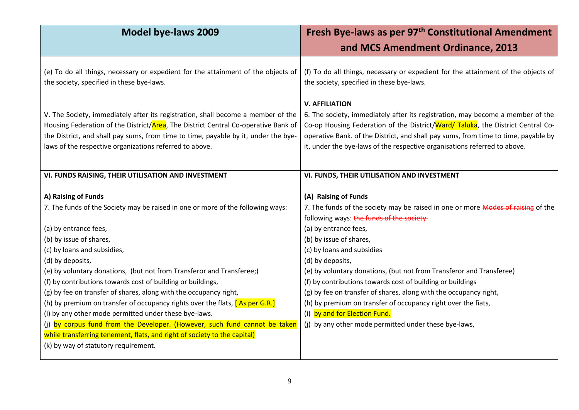| <b>Model bye-laws 2009</b>                                                                                                                                                                                                                                                                                              | Fresh Bye-laws as per 97 <sup>th</sup> Constitutional Amendment<br>and MCS Amendment Ordinance, 2013                                                                                                                                                                                                                                                          |
|-------------------------------------------------------------------------------------------------------------------------------------------------------------------------------------------------------------------------------------------------------------------------------------------------------------------------|---------------------------------------------------------------------------------------------------------------------------------------------------------------------------------------------------------------------------------------------------------------------------------------------------------------------------------------------------------------|
|                                                                                                                                                                                                                                                                                                                         |                                                                                                                                                                                                                                                                                                                                                               |
| (e) To do all things, necessary or expedient for the attainment of the objects of<br>the society, specified in these bye-laws.                                                                                                                                                                                          | (f) To do all things, necessary or expedient for the attainment of the objects of<br>the society, specified in these bye-laws.                                                                                                                                                                                                                                |
| V. The Society, immediately after its registration, shall become a member of the<br>Housing Federation of the District/Area, The District Central Co-operative Bank of<br>the District, and shall pay sums, from time to time, payable by it, under the bye-<br>laws of the respective organizations referred to above. | <b>V. AFFILIATION</b><br>6. The society, immediately after its registration, may become a member of the<br>Co-op Housing Federation of the District/Ward/ Taluka, the District Central Co-<br>operative Bank. of the District, and shall pay sums, from time to time, payable by<br>it, under the bye-laws of the respective organisations referred to above. |
| VI. FUNDS RAISING, THEIR UTILISATION AND INVESTMENT                                                                                                                                                                                                                                                                     | VI. FUNDS, THEIR UTILISATION AND INVESTMENT                                                                                                                                                                                                                                                                                                                   |
| A) Raising of Funds<br>7. The funds of the Society may be raised in one or more of the following ways:                                                                                                                                                                                                                  | (A) Raising of Funds<br>7. The funds of the society may be raised in one or more Modes of raising of the<br>following ways: the funds of the society.                                                                                                                                                                                                         |
| (a) by entrance fees,                                                                                                                                                                                                                                                                                                   | (a) by entrance fees,                                                                                                                                                                                                                                                                                                                                         |
| (b) by issue of shares,                                                                                                                                                                                                                                                                                                 | (b) by issue of shares,                                                                                                                                                                                                                                                                                                                                       |
| (c) by loans and subsidies,                                                                                                                                                                                                                                                                                             | (c) by loans and subsidies                                                                                                                                                                                                                                                                                                                                    |
| (d) by deposits,                                                                                                                                                                                                                                                                                                        | (d) by deposits,                                                                                                                                                                                                                                                                                                                                              |
| (e) by voluntary donations, (but not from Transferor and Transferee;)                                                                                                                                                                                                                                                   | (e) by voluntary donations, (but not from Transferor and Transferee)                                                                                                                                                                                                                                                                                          |
| (f) by contributions towards cost of building or buildings,                                                                                                                                                                                                                                                             | (f) by contributions towards cost of building or buildings                                                                                                                                                                                                                                                                                                    |
| (g) by fee on transfer of shares, along with the occupancy right,                                                                                                                                                                                                                                                       | (g) by fee on transfer of shares, along with the occupancy right,                                                                                                                                                                                                                                                                                             |
| (h) by premium on transfer of occupancy rights over the flats, [As per G.R.]                                                                                                                                                                                                                                            | (h) by premium on transfer of occupancy right over the fiats,                                                                                                                                                                                                                                                                                                 |
| (i) by any other mode permitted under these bye-laws.                                                                                                                                                                                                                                                                   | (i) by and for Election Fund.                                                                                                                                                                                                                                                                                                                                 |
| (j) by corpus fund from the Developer. (However, such fund cannot be taken                                                                                                                                                                                                                                              | (j) by any other mode permitted under these bye-laws,                                                                                                                                                                                                                                                                                                         |
| while transferring tenement, flats, and right of society to the capital)                                                                                                                                                                                                                                                |                                                                                                                                                                                                                                                                                                                                                               |
| (k) by way of statutory requirement.                                                                                                                                                                                                                                                                                    |                                                                                                                                                                                                                                                                                                                                                               |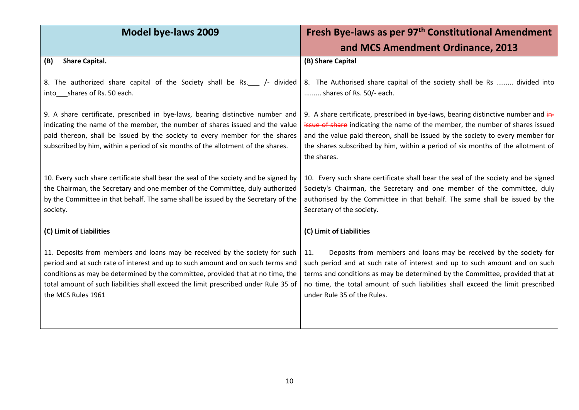| <b>Model bye-laws 2009</b>                                                                                                                                                                                                                                                                                                                                     | Fresh Bye-laws as per 97 <sup>th</sup> Constitutional Amendment                                                                                                                                                                                                                                                                                           |
|----------------------------------------------------------------------------------------------------------------------------------------------------------------------------------------------------------------------------------------------------------------------------------------------------------------------------------------------------------------|-----------------------------------------------------------------------------------------------------------------------------------------------------------------------------------------------------------------------------------------------------------------------------------------------------------------------------------------------------------|
|                                                                                                                                                                                                                                                                                                                                                                | and MCS Amendment Ordinance, 2013                                                                                                                                                                                                                                                                                                                         |
| <b>Share Capital.</b><br>(B)                                                                                                                                                                                                                                                                                                                                   | (B) Share Capital                                                                                                                                                                                                                                                                                                                                         |
| 8. The authorized share capital of the Society shall be Rs. __ /- divided<br>into____shares of Rs. 50 each.                                                                                                                                                                                                                                                    | 8. The Authorised share capital of the society shall be Rs  divided into<br>shares of Rs. 50/- each.                                                                                                                                                                                                                                                      |
| 9. A share certificate, prescribed in bye-laws, bearing distinctive number and<br>indicating the name of the member, the number of shares issued and the value<br>paid thereon, shall be issued by the society to every member for the shares<br>subscribed by him, within a period of six months of the allotment of the shares.                              | 9. A share certificate, prescribed in bye-laws, bearing distinctive number and in-<br>issue of share indicating the name of the member, the number of shares issued<br>and the value paid thereon, shall be issued by the society to every member for<br>the shares subscribed by him, within a period of six months of the allotment of<br>the shares.   |
| 10. Every such share certificate shall bear the seal of the society and be signed by<br>the Chairman, the Secretary and one member of the Committee, duly authorized<br>by the Committee in that behalf. The same shall be issued by the Secretary of the<br>society.                                                                                          | 10. Every such share certificate shall bear the seal of the society and be signed<br>Society's Chairman, the Secretary and one member of the committee, duly<br>authorised by the Committee in that behalf. The same shall be issued by the<br>Secretary of the society.                                                                                  |
| (C) Limit of Liabilities                                                                                                                                                                                                                                                                                                                                       | (C) Limit of Liabilities                                                                                                                                                                                                                                                                                                                                  |
| 11. Deposits from members and loans may be received by the society for such<br>period and at such rate of interest and up to such amount and on such terms and<br>conditions as may be determined by the committee, provided that at no time, the<br>total amount of such liabilities shall exceed the limit prescribed under Rule 35 of<br>the MCS Rules 1961 | Deposits from members and loans may be received by the society for<br>11.<br>such period and at such rate of interest and up to such amount and on such<br>terms and conditions as may be determined by the Committee, provided that at<br>no time, the total amount of such liabilities shall exceed the limit prescribed<br>under Rule 35 of the Rules. |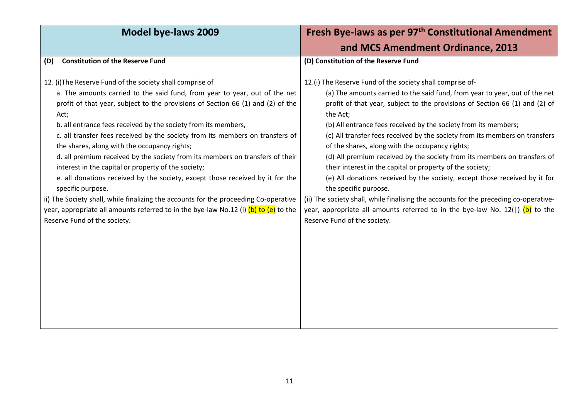| <b>Model bye-laws 2009</b>                                                                                                                                                                                                                                                                                                                                                                                                                                                                                                                                                                                                                                                                                                                                                                                                                                                                          | Fresh Bye-laws as per 97 <sup>th</sup> Constitutional Amendment                                                                                                                                                                                                                                                                                                                                                                                                                                                                                                                                                                                                                                                                                                                                                                                                                                      |
|-----------------------------------------------------------------------------------------------------------------------------------------------------------------------------------------------------------------------------------------------------------------------------------------------------------------------------------------------------------------------------------------------------------------------------------------------------------------------------------------------------------------------------------------------------------------------------------------------------------------------------------------------------------------------------------------------------------------------------------------------------------------------------------------------------------------------------------------------------------------------------------------------------|------------------------------------------------------------------------------------------------------------------------------------------------------------------------------------------------------------------------------------------------------------------------------------------------------------------------------------------------------------------------------------------------------------------------------------------------------------------------------------------------------------------------------------------------------------------------------------------------------------------------------------------------------------------------------------------------------------------------------------------------------------------------------------------------------------------------------------------------------------------------------------------------------|
|                                                                                                                                                                                                                                                                                                                                                                                                                                                                                                                                                                                                                                                                                                                                                                                                                                                                                                     | and MCS Amendment Ordinance, 2013                                                                                                                                                                                                                                                                                                                                                                                                                                                                                                                                                                                                                                                                                                                                                                                                                                                                    |
| <b>Constitution of the Reserve Fund</b><br>(D)                                                                                                                                                                                                                                                                                                                                                                                                                                                                                                                                                                                                                                                                                                                                                                                                                                                      | (D) Constitution of the Reserve Fund                                                                                                                                                                                                                                                                                                                                                                                                                                                                                                                                                                                                                                                                                                                                                                                                                                                                 |
| 12. (i) The Reserve Fund of the society shall comprise of<br>a. The amounts carried to the said fund, from year to year, out of the net<br>profit of that year, subject to the provisions of Section 66 (1) and (2) of the<br>Act;<br>b. all entrance fees received by the society from its members,<br>c. all transfer fees received by the society from its members on transfers of<br>the shares, along with the occupancy rights;<br>d. all premium received by the society from its members on transfers of their<br>interest in the capital or property of the society;<br>e. all donations received by the society, except those received by it for the<br>specific purpose.<br>ii) The Society shall, while finalizing the accounts for the proceeding Co-operative<br>year, appropriate all amounts referred to in the bye-law No.12 (i) (b) to (e) to the<br>Reserve Fund of the society. | 12.(i) The Reserve Fund of the society shall comprise of-<br>(a) The amounts carried to the said fund, from year to year, out of the net<br>profit of that year, subject to the provisions of Section 66 (1) and (2) of<br>the Act;<br>(b) All entrance fees received by the society from its members;<br>(c) All transfer fees received by the society from its members on transfers<br>of the shares, along with the occupancy rights;<br>(d) All premium received by the society from its members on transfers of<br>their interest in the capital or property of the society;<br>(e) All donations received by the society, except those received by it for<br>the specific purpose.<br>(ii) The society shall, while finalising the accounts for the preceding co-operative-<br>year, appropriate all amounts referred to in the bye-law No. $12($ ) (b) to the<br>Reserve Fund of the society. |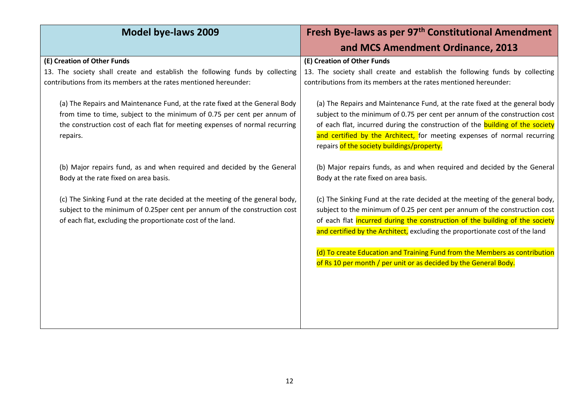| <b>Model bye-laws 2009</b>                                                                                                                                                                                                                                     | Fresh Bye-laws as per 97 <sup>th</sup> Constitutional Amendment                                                                                                                                                                                                                                                            |
|----------------------------------------------------------------------------------------------------------------------------------------------------------------------------------------------------------------------------------------------------------------|----------------------------------------------------------------------------------------------------------------------------------------------------------------------------------------------------------------------------------------------------------------------------------------------------------------------------|
|                                                                                                                                                                                                                                                                | and MCS Amendment Ordinance, 2013                                                                                                                                                                                                                                                                                          |
| (E) Creation of Other Funds<br>13. The society shall create and establish the following funds by collecting<br>contributions from its members at the rates mentioned hereunder:<br>(a) The Repairs and Maintenance Fund, at the rate fixed at the General Body | (E) Creation of Other Funds<br>13. The society shall create and establish the following funds by collecting<br>contributions from its members at the rates mentioned hereunder:<br>(a) The Repairs and Maintenance Fund, at the rate fixed at the general body                                                             |
| from time to time, subject to the minimum of 0.75 per cent per annum of<br>the construction cost of each flat for meeting expenses of normal recurring<br>repairs.                                                                                             | subject to the minimum of 0.75 per cent per annum of the construction cost<br>of each flat, incurred during the construction of the building of the society<br>and certified by the Architect, for meeting expenses of normal recurring<br>repairs of the society buildings/property.                                      |
| (b) Major repairs fund, as and when required and decided by the General<br>Body at the rate fixed on area basis.                                                                                                                                               | (b) Major repairs funds, as and when required and decided by the General<br>Body at the rate fixed on area basis.                                                                                                                                                                                                          |
| (c) The Sinking Fund at the rate decided at the meeting of the general body,<br>subject to the minimum of 0.25per cent per annum of the construction cost<br>of each flat, excluding the proportionate cost of the land.                                       | (c) The Sinking Fund at the rate decided at the meeting of the general body,<br>subject to the minimum of 0.25 per cent per annum of the construction cost<br>of each flat incurred during the construction of the building of the society<br>and certified by the Architect, excluding the proportionate cost of the land |
|                                                                                                                                                                                                                                                                | (d) To create Education and Training Fund from the Members as contribution<br>of Rs 10 per month / per unit or as decided by the General Body.                                                                                                                                                                             |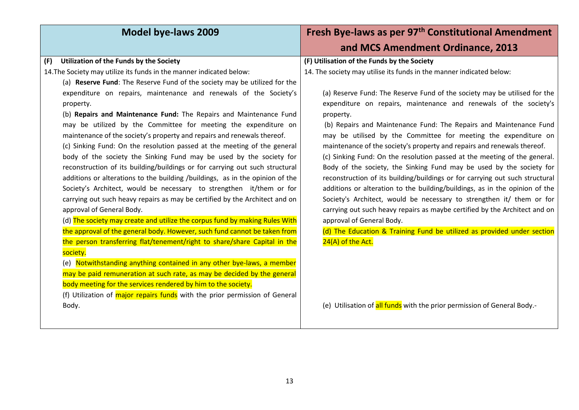| Model bye-laws 2009                                                                                                                                                                                                                                                                                                                                                                                                                                                                                                                                                                                                                                                                                                                                                                                                                                                                                                                                                                                                                                                                              | Fresh Bye-laws as per 97 <sup>th</sup> Constitutional Amendment                                                                                                                                                                                                                                                                                                                                                                                                                                                                                                                                                                                                                                                                                                                                                                                                                                                                                                                                                |
|--------------------------------------------------------------------------------------------------------------------------------------------------------------------------------------------------------------------------------------------------------------------------------------------------------------------------------------------------------------------------------------------------------------------------------------------------------------------------------------------------------------------------------------------------------------------------------------------------------------------------------------------------------------------------------------------------------------------------------------------------------------------------------------------------------------------------------------------------------------------------------------------------------------------------------------------------------------------------------------------------------------------------------------------------------------------------------------------------|----------------------------------------------------------------------------------------------------------------------------------------------------------------------------------------------------------------------------------------------------------------------------------------------------------------------------------------------------------------------------------------------------------------------------------------------------------------------------------------------------------------------------------------------------------------------------------------------------------------------------------------------------------------------------------------------------------------------------------------------------------------------------------------------------------------------------------------------------------------------------------------------------------------------------------------------------------------------------------------------------------------|
|                                                                                                                                                                                                                                                                                                                                                                                                                                                                                                                                                                                                                                                                                                                                                                                                                                                                                                                                                                                                                                                                                                  | and MCS Amendment Ordinance, 2013                                                                                                                                                                                                                                                                                                                                                                                                                                                                                                                                                                                                                                                                                                                                                                                                                                                                                                                                                                              |
| Utilization of the Funds by the Society<br>(F)<br>14. The Society may utilize its funds in the manner indicated below:<br>(a) Reserve Fund: The Reserve Fund of the society may be utilized for the<br>expenditure on repairs, maintenance and renewals of the Society's<br>property.<br>(b) Repairs and Maintenance Fund: The Repairs and Maintenance Fund<br>may be utilized by the Committee for meeting the expenditure on<br>maintenance of the society's property and repairs and renewals thereof.<br>(c) Sinking Fund: On the resolution passed at the meeting of the general<br>body of the society the Sinking Fund may be used by the society for<br>reconstruction of its building/buildings or for carrying out such structural<br>additions or alterations to the building /buildings, as in the opinion of the<br>Society's Architect, would be necessary to strengthen it/them or for<br>carrying out such heavy repairs as may be certified by the Architect and on<br>approval of General Body.<br>(d) The society may create and utilize the corpus fund by making Rules With | (F) Utilisation of the Funds by the Society<br>14. The society may utilise its funds in the manner indicated below:<br>(a) Reserve Fund: The Reserve Fund of the society may be utilised for the<br>expenditure on repairs, maintenance and renewals of the society's<br>property.<br>(b) Repairs and Maintenance Fund: The Repairs and Maintenance Fund<br>may be utilised by the Committee for meeting the expenditure on<br>maintenance of the society's property and repairs and renewals thereof.<br>(c) Sinking Fund: On the resolution passed at the meeting of the general.<br>Body of the society, the Sinking Fund may be used by the society for<br>reconstruction of its building/buildings or for carrying out such structural<br>additions or alteration to the building/buildings, as in the opinion of the<br>Society's Architect, would be necessary to strengthen it/ them or for<br>carrying out such heavy repairs as maybe certified by the Architect and on<br>approval of General Body. |
| the approval of the general body. However, such fund cannot be taken from<br>the person transferring flat/tenement/right to share/share Capital in the<br>society.<br>(e) Notwithstanding anything contained in any other bye-laws, a member<br>may be paid remuneration at such rate, as may be decided by the general<br>body meeting for the services rendered by him to the society.<br>(f) Utilization of major repairs funds with the prior permission of General<br>Body.                                                                                                                                                                                                                                                                                                                                                                                                                                                                                                                                                                                                                 | (d) The Education & Training Fund be utilized as provided under section<br>24(A) of the Act.<br>(e) Utilisation of all funds with the prior permission of General Body.-                                                                                                                                                                                                                                                                                                                                                                                                                                                                                                                                                                                                                                                                                                                                                                                                                                       |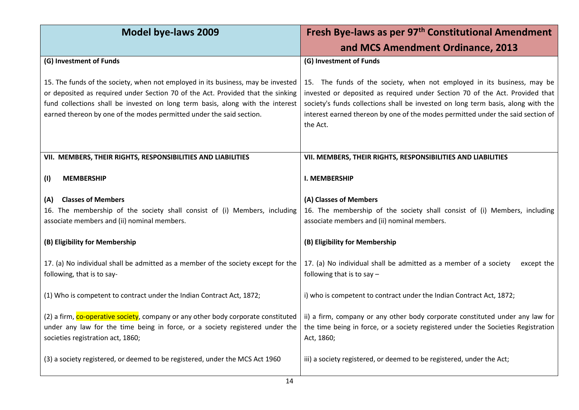| Model bye-laws 2009                                                                                                                                                                                                                                                                                                           | Fresh Bye-laws as per 97 <sup>th</sup> Constitutional Amendment                                                                                                                                                                                                                                                                            |
|-------------------------------------------------------------------------------------------------------------------------------------------------------------------------------------------------------------------------------------------------------------------------------------------------------------------------------|--------------------------------------------------------------------------------------------------------------------------------------------------------------------------------------------------------------------------------------------------------------------------------------------------------------------------------------------|
|                                                                                                                                                                                                                                                                                                                               | and MCS Amendment Ordinance, 2013                                                                                                                                                                                                                                                                                                          |
| (G) Investment of Funds                                                                                                                                                                                                                                                                                                       | (G) Investment of Funds                                                                                                                                                                                                                                                                                                                    |
| 15. The funds of the society, when not employed in its business, may be invested<br>or deposited as required under Section 70 of the Act. Provided that the sinking<br>fund collections shall be invested on long term basis, along with the interest<br>earned thereon by one of the modes permitted under the said section. | 15. The funds of the society, when not employed in its business, may be<br>invested or deposited as required under Section 70 of the Act. Provided that<br>society's funds collections shall be invested on long term basis, along with the<br>interest earned thereon by one of the modes permitted under the said section of<br>the Act. |
| VII. MEMBERS, THEIR RIGHTS, RESPONSIBILITIES AND LIABILITIES                                                                                                                                                                                                                                                                  | VII. MEMBERS, THEIR RIGHTS, RESPONSIBILITIES AND LIABILITIES                                                                                                                                                                                                                                                                               |
| (1)<br><b>MEMBERSHIP</b>                                                                                                                                                                                                                                                                                                      | <b>I. MEMBERSHIP</b>                                                                                                                                                                                                                                                                                                                       |
| <b>Classes of Members</b><br>(A)<br>16. The membership of the society shall consist of (i) Members, including<br>associate members and (ii) nominal members.                                                                                                                                                                  | (A) Classes of Members<br>16. The membership of the society shall consist of (i) Members, including<br>associate members and (ii) nominal members.                                                                                                                                                                                         |
| (B) Eligibility for Membership                                                                                                                                                                                                                                                                                                | (B) Eligibility for Membership                                                                                                                                                                                                                                                                                                             |
| 17. (a) No individual shall be admitted as a member of the society except for the<br>following, that is to say-                                                                                                                                                                                                               | 17. (a) No individual shall be admitted as a member of a society<br>except the<br>following that is to say $-$                                                                                                                                                                                                                             |
| (1) Who is competent to contract under the Indian Contract Act, 1872;                                                                                                                                                                                                                                                         | i) who is competent to contract under the Indian Contract Act, 1872;                                                                                                                                                                                                                                                                       |
| (2) a firm, co-operative society, company or any other body corporate constituted<br>under any law for the time being in force, or a society registered under the<br>societies registration act, 1860;                                                                                                                        | ii) a firm, company or any other body corporate constituted under any law for<br>the time being in force, or a society registered under the Societies Registration<br>Act, 1860;                                                                                                                                                           |
| (3) a society registered, or deemed to be registered, under the MCS Act 1960                                                                                                                                                                                                                                                  | iii) a society registered, or deemed to be registered, under the Act;                                                                                                                                                                                                                                                                      |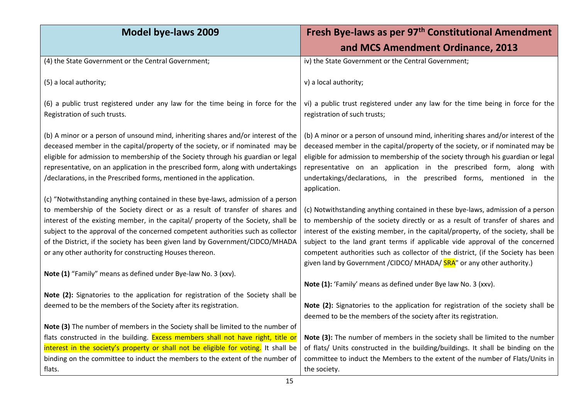| <b>Model bye-laws 2009</b>                                                                                                                                                                                                                                                                                                                                                                                                                                                             | Fresh Bye-laws as per 97 <sup>th</sup> Constitutional Amendment                                                                                                                                                                                                                                                                                                                                                                                                                                        |
|----------------------------------------------------------------------------------------------------------------------------------------------------------------------------------------------------------------------------------------------------------------------------------------------------------------------------------------------------------------------------------------------------------------------------------------------------------------------------------------|--------------------------------------------------------------------------------------------------------------------------------------------------------------------------------------------------------------------------------------------------------------------------------------------------------------------------------------------------------------------------------------------------------------------------------------------------------------------------------------------------------|
|                                                                                                                                                                                                                                                                                                                                                                                                                                                                                        | and MCS Amendment Ordinance, 2013                                                                                                                                                                                                                                                                                                                                                                                                                                                                      |
| (4) the State Government or the Central Government;                                                                                                                                                                                                                                                                                                                                                                                                                                    | iv) the State Government or the Central Government;                                                                                                                                                                                                                                                                                                                                                                                                                                                    |
| (5) a local authority;                                                                                                                                                                                                                                                                                                                                                                                                                                                                 | v) a local authority;                                                                                                                                                                                                                                                                                                                                                                                                                                                                                  |
| (6) a public trust registered under any law for the time being in force for the<br>Registration of such trusts.                                                                                                                                                                                                                                                                                                                                                                        | vi) a public trust registered under any law for the time being in force for the<br>registration of such trusts;                                                                                                                                                                                                                                                                                                                                                                                        |
| (b) A minor or a person of unsound mind, inheriting shares and/or interest of the<br>deceased member in the capital/property of the society, or if nominated may be<br>eligible for admission to membership of the Society through his guardian or legal<br>representative, on an application in the prescribed form, along with undertakings<br>/declarations, in the Prescribed forms, mentioned in the application.                                                                 | (b) A minor or a person of unsound mind, inheriting shares and/or interest of the<br>deceased member in the capital/property of the society, or if nominated may be<br>eligible for admission to membership of the society through his guardian or legal<br>representative on an application in the prescribed form, along with<br>undertakings/declarations, in the prescribed forms, mentioned in the<br>application.                                                                                |
| (c) "Notwithstanding anything contained in these bye-laws, admission of a person<br>to membership of the Society direct or as a result of transfer of shares and<br>interest of the existing member, in the capital/ property of the Society, shall be<br>subject to the approval of the concerned competent authorities such as collector<br>of the District, if the society has been given land by Government/CIDCO/MHADA<br>or any other authority for constructing Houses thereon. | (c) Notwithstanding anything contained in these bye-laws, admission of a person<br>to membership of the society directly or as a result of transfer of shares and<br>interest of the existing member, in the capital/property, of the society, shall be<br>subject to the land grant terms if applicable vide approval of the concerned<br>competent authorities such as collector of the district, (if the Society has been<br>given land by Government / CIDCO/ MHADA/ SRA" or any other authority.) |
| Note (1) "Family" means as defined under Bye-law No. 3 (xxv).                                                                                                                                                                                                                                                                                                                                                                                                                          | Note (1): 'Family' means as defined under Bye law No. 3 (xxv).                                                                                                                                                                                                                                                                                                                                                                                                                                         |
| Note (2): Signatories to the application for registration of the Society shall be<br>deemed to be the members of the Society after its registration.                                                                                                                                                                                                                                                                                                                                   | Note (2): Signatories to the application for registration of the society shall be<br>deemed to be the members of the society after its registration.                                                                                                                                                                                                                                                                                                                                                   |
| Note (3) The number of members in the Society shall be limited to the number of                                                                                                                                                                                                                                                                                                                                                                                                        |                                                                                                                                                                                                                                                                                                                                                                                                                                                                                                        |
| flats constructed in the building. Excess members shall not have right, title or                                                                                                                                                                                                                                                                                                                                                                                                       | Note (3): The number of members in the society shall be limited to the number                                                                                                                                                                                                                                                                                                                                                                                                                          |
| interest in the society's property or shall not be eligible for voting. It shall be<br>binding on the committee to induct the members to the extent of the number of                                                                                                                                                                                                                                                                                                                   | of flats/ Units constructed in the building/buildings. It shall be binding on the<br>committee to induct the Members to the extent of the number of Flats/Units in                                                                                                                                                                                                                                                                                                                                     |
| flats.                                                                                                                                                                                                                                                                                                                                                                                                                                                                                 | the society.                                                                                                                                                                                                                                                                                                                                                                                                                                                                                           |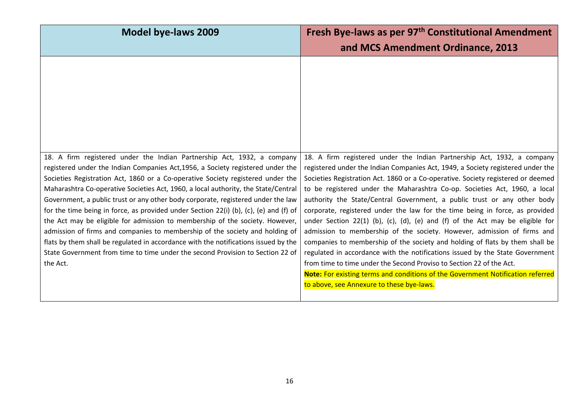| Model bye-laws 2009                                                                                                                                                   | Fresh Bye-laws as per 97 <sup>th</sup> Constitutional Amendment<br>and MCS Amendment Ordinance, 2013                                                          |
|-----------------------------------------------------------------------------------------------------------------------------------------------------------------------|---------------------------------------------------------------------------------------------------------------------------------------------------------------|
|                                                                                                                                                                       |                                                                                                                                                               |
|                                                                                                                                                                       |                                                                                                                                                               |
|                                                                                                                                                                       |                                                                                                                                                               |
|                                                                                                                                                                       |                                                                                                                                                               |
| 18. A firm registered under the Indian Partnership Act, 1932, a company<br>registered under the Indian Companies Act,1956, a Society registered under the             | 18. A firm registered under the Indian Partnership Act, 1932, a company<br>registered under the Indian Companies Act, 1949, a Society registered under the    |
| Societies Registration Act, 1860 or a Co-operative Society registered under the                                                                                       | Societies Registration Act. 1860 or a Co-operative. Society registered or deemed                                                                              |
| Maharashtra Co-operative Societies Act, 1960, a local authority, the State/Central                                                                                    | to be registered under the Maharashtra Co-op. Societies Act, 1960, a local                                                                                    |
| Government, a public trust or any other body corporate, registered under the law                                                                                      | authority the State/Central Government, a public trust or any other body                                                                                      |
| for the time being in force, as provided under Section 22(i) (b), (c), (e) and (f) of<br>the Act may be eligible for admission to membership of the society. However, | corporate, registered under the law for the time being in force, as provided<br>under Section 22(1) (b), (c), (d), (e) and (f) of the Act may be eligible for |
| admission of firms and companies to membership of the society and holding of                                                                                          | admission to membership of the society. However, admission of firms and                                                                                       |
| flats by them shall be regulated in accordance with the notifications issued by the                                                                                   | companies to membership of the society and holding of flats by them shall be                                                                                  |
| State Government from time to time under the second Provision to Section 22 of                                                                                        | regulated in accordance with the notifications issued by the State Government                                                                                 |
| the Act.                                                                                                                                                              | from time to time under the Second Proviso to Section 22 of the Act.<br>Note: For existing terms and conditions of the Government Notification referred       |
|                                                                                                                                                                       | to above, see Annexure to these bye-laws.                                                                                                                     |
|                                                                                                                                                                       |                                                                                                                                                               |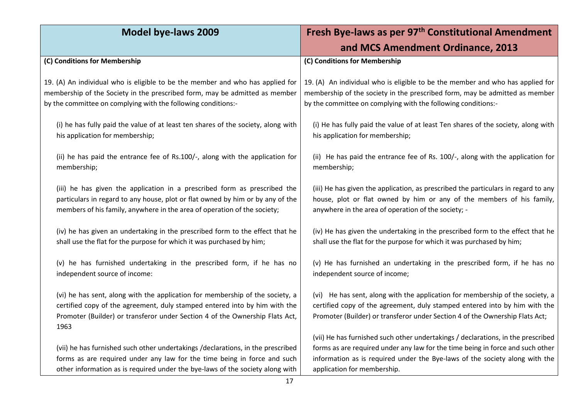| <b>Model bye-laws 2009</b>                                                                                                                                                                                                                          | Fresh Bye-laws as per 97 <sup>th</sup> Constitutional Amendment                                                                                                                                                                                                                  |
|-----------------------------------------------------------------------------------------------------------------------------------------------------------------------------------------------------------------------------------------------------|----------------------------------------------------------------------------------------------------------------------------------------------------------------------------------------------------------------------------------------------------------------------------------|
|                                                                                                                                                                                                                                                     | and MCS Amendment Ordinance, 2013                                                                                                                                                                                                                                                |
| (C) Conditions for Membership                                                                                                                                                                                                                       | (C) Conditions for Membership                                                                                                                                                                                                                                                    |
| 19. (A) An individual who is eligible to be the member and who has applied for                                                                                                                                                                      | 19. (A) An individual who is eligible to be the member and who has applied for                                                                                                                                                                                                   |
| membership of the Society in the prescribed form, may be admitted as member                                                                                                                                                                         | membership of the society in the prescribed form, may be admitted as member                                                                                                                                                                                                      |
| by the committee on complying with the following conditions:-                                                                                                                                                                                       | by the committee on complying with the following conditions:-                                                                                                                                                                                                                    |
| (i) he has fully paid the value of at least ten shares of the society, along with                                                                                                                                                                   | (i) He has fully paid the value of at least Ten shares of the society, along with                                                                                                                                                                                                |
| his application for membership;                                                                                                                                                                                                                     | his application for membership;                                                                                                                                                                                                                                                  |
| (ii) he has paid the entrance fee of Rs.100/-, along with the application for                                                                                                                                                                       | (ii) He has paid the entrance fee of Rs. 100/-, along with the application for                                                                                                                                                                                                   |
| membership;                                                                                                                                                                                                                                         | membership;                                                                                                                                                                                                                                                                      |
| (iii) he has given the application in a prescribed form as prescribed the                                                                                                                                                                           | (iii) He has given the application, as prescribed the particulars in regard to any                                                                                                                                                                                               |
| particulars in regard to any house, plot or flat owned by him or by any of the                                                                                                                                                                      | house, plot or flat owned by him or any of the members of his family,                                                                                                                                                                                                            |
| members of his family, anywhere in the area of operation of the society;                                                                                                                                                                            | anywhere in the area of operation of the society; -                                                                                                                                                                                                                              |
| (iv) he has given an undertaking in the prescribed form to the effect that he                                                                                                                                                                       | (iv) He has given the undertaking in the prescribed form to the effect that he                                                                                                                                                                                                   |
| shall use the flat for the purpose for which it was purchased by him;                                                                                                                                                                               | shall use the flat for the purpose for which it was purchased by him;                                                                                                                                                                                                            |
| (v) he has furnished undertaking in the prescribed form, if he has no                                                                                                                                                                               | (v) He has furnished an undertaking in the prescribed form, if he has no                                                                                                                                                                                                         |
| independent source of income:                                                                                                                                                                                                                       | independent source of income;                                                                                                                                                                                                                                                    |
| (vi) he has sent, along with the application for membership of the society, a<br>certified copy of the agreement, duly stamped entered into by him with the<br>Promoter (Builder) or transferor under Section 4 of the Ownership Flats Act,<br>1963 | (vi) He has sent, along with the application for membership of the society, a<br>certified copy of the agreement, duly stamped entered into by him with the<br>Promoter (Builder) or transferor under Section 4 of the Ownership Flats Act;                                      |
| (vii) he has furnished such other undertakings /declarations, in the prescribed<br>forms as are required under any law for the time being in force and such<br>other information as is required under the bye-laws of the society along with        | (vii) He has furnished such other undertakings / declarations, in the prescribed<br>forms as are required under any law for the time being in force and such other<br>information as is required under the Bye-laws of the society along with the<br>application for membership. |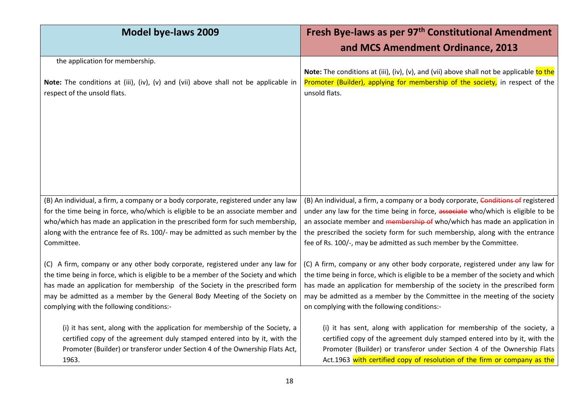| <b>Model bye-laws 2009</b>                                                          | Fresh Bye-laws as per 97 <sup>th</sup> Constitutional Amendment                          |
|-------------------------------------------------------------------------------------|------------------------------------------------------------------------------------------|
|                                                                                     | and MCS Amendment Ordinance, 2013                                                        |
| the application for membership.                                                     | Note: The conditions at (iii), (iv), (v), and (vii) above shall not be applicable to the |
| Note: The conditions at (iii), (iv), (v) and (vii) above shall not be applicable in | Promoter (Builder), applying for membership of the society, in respect of the            |
| respect of the unsold flats.                                                        | unsold flats.                                                                            |
| (B) An individual, a firm, a company or a body corporate, registered under any law  | (B) An individual, a firm, a company or a body corporate, Conditions of registered       |
| for the time being in force, who/which is eligible to be an associate member and    | under any law for the time being in force, associate who/which is eligible to be         |
| who/which has made an application in the prescribed form for such membership,       | an associate member and membership of who/which has made an application in               |
| along with the entrance fee of Rs. 100/- may be admitted as such member by the      | the prescribed the society form for such membership, along with the entrance             |
| Committee.                                                                          | fee of Rs. 100/-, may be admitted as such member by the Committee.                       |
| (C) A firm, company or any other body corporate, registered under any law for       | (C) A firm, company or any other body corporate, registered under any law for            |
| the time being in force, which is eligible to be a member of the Society and which  | the time being in force, which is eligible to be a member of the society and which       |
| has made an application for membership of the Society in the prescribed form        | has made an application for membership of the society in the prescribed form             |
| may be admitted as a member by the General Body Meeting of the Society on           | may be admitted as a member by the Committee in the meeting of the society               |
| complying with the following conditions:-                                           | on complying with the following conditions:-                                             |
| (i) it has sent, along with the application for membership of the Society, a        | (i) it has sent, along with application for membership of the society, a                 |
| certified copy of the agreement duly stamped entered into by it, with the           | certified copy of the agreement duly stamped entered into by it, with the                |
| Promoter (Builder) or transferor under Section 4 of the Ownership Flats Act,        | Promoter (Builder) or transferor under Section 4 of the Ownership Flats                  |
| 1963.                                                                               | Act.1963 with certified copy of resolution of the firm or company as the                 |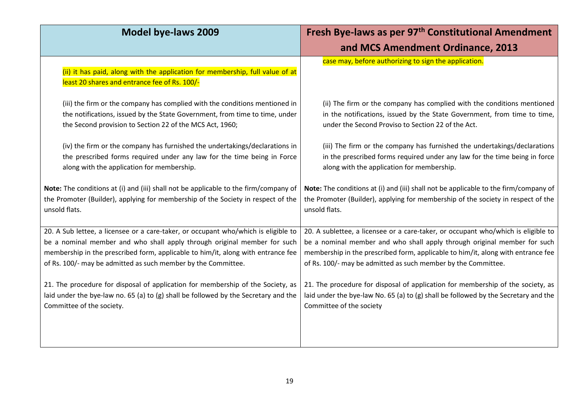| <b>Model bye-laws 2009</b>                                                                                                     | Fresh Bye-laws as per 97 <sup>th</sup> Constitutional Amendment                      |
|--------------------------------------------------------------------------------------------------------------------------------|--------------------------------------------------------------------------------------|
|                                                                                                                                | and MCS Amendment Ordinance, 2013                                                    |
| (ii) it has paid, along with the application for membership, full value of at<br>least 20 shares and entrance fee of Rs. 100/- | case may, before authorizing to sign the application.                                |
| (iii) the firm or the company has complied with the conditions mentioned in                                                    | (ii) The firm or the company has complied with the conditions mentioned              |
| the notifications, issued by the State Government, from time to time, under                                                    | in the notifications, issued by the State Government, from time to time,             |
| the Second provision to Section 22 of the MCS Act, 1960;                                                                       | under the Second Proviso to Section 22 of the Act.                                   |
| (iv) the firm or the company has furnished the undertakings/declarations in                                                    | (iii) The firm or the company has furnished the undertakings/declarations            |
| the prescribed forms required under any law for the time being in Force                                                        | in the prescribed forms required under any law for the time being in force           |
| along with the application for membership.                                                                                     | along with the application for membership.                                           |
| Note: The conditions at (i) and (iii) shall not be applicable to the firm/company of                                           | Note: The conditions at (i) and (iii) shall not be applicable to the firm/company of |
| the Promoter (Builder), applying for membership of the Society in respect of the                                               | the Promoter (Builder), applying for membership of the society in respect of the     |
| unsold flats.                                                                                                                  | unsold flats.                                                                        |
| 20. A Sub lettee, a licensee or a care-taker, or occupant who/which is eligible to                                             | 20. A sublettee, a licensee or a care-taker, or occupant who/which is eligible to    |
| be a nominal member and who shall apply through original member for such                                                       | be a nominal member and who shall apply through original member for such             |
| membership in the prescribed form, applicable to him/it, along with entrance fee                                               | membership in the prescribed form, applicable to him/it, along with entrance fee     |
| of Rs. 100/- may be admitted as such member by the Committee.                                                                  | of Rs. 100/- may be admitted as such member by the Committee.                        |
| 21. The procedure for disposal of application for membership of the Society, as                                                | 21. The procedure for disposal of application for membership of the society, as      |
| laid under the bye-law no. 65 (a) to (g) shall be followed by the Secretary and the                                            | laid under the bye-law No. 65 (a) to (g) shall be followed by the Secretary and the  |
| Committee of the society.                                                                                                      | Committee of the society                                                             |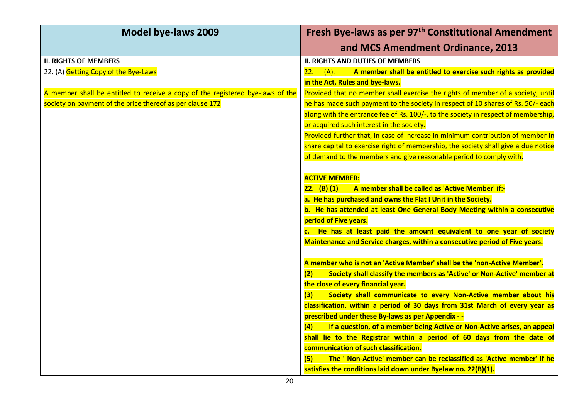| <b>Model bye-laws 2009</b>                                                     | Fresh Bye-laws as per 97 <sup>th</sup> Constitutional Amendment                    |
|--------------------------------------------------------------------------------|------------------------------------------------------------------------------------|
|                                                                                | and MCS Amendment Ordinance, 2013                                                  |
| <b>II. RIGHTS OF MEMBERS</b>                                                   | <b>II. RIGHTS AND DUTIES OF MEMBERS</b>                                            |
| 22. (A) Getting Copy of the Bye-Laws                                           | A member shall be entitled to exercise such rights as provided<br>$(A)$ .<br>22.   |
|                                                                                | in the Act, Rules and bye-laws.                                                    |
| A member shall be entitled to receive a copy of the registered bye-laws of the | Provided that no member shall exercise the rights of member of a society, until    |
| society on payment of the price thereof as per clause 172                      | he has made such payment to the society in respect of 10 shares of Rs. 50/- each   |
|                                                                                | along with the entrance fee of Rs. 100/-, to the society in respect of membership, |
|                                                                                | or acquired such interest in the society.                                          |
|                                                                                | Provided further that, in case of increase in minimum contribution of member in    |
|                                                                                | share capital to exercise right of membership, the society shall give a due notice |
|                                                                                | of demand to the members and give reasonable period to comply with.                |
|                                                                                |                                                                                    |
|                                                                                | <b>ACTIVE MEMBER:</b>                                                              |
|                                                                                | $22.$ (B) (1)<br>A member shall be called as 'Active Member' if:-                  |
|                                                                                | a. He has purchased and owns the Flat I Unit in the Society.                       |
|                                                                                | b. He has attended at least One General Body Meeting within a consecutive          |
|                                                                                | period of Five years.                                                              |
|                                                                                | c. He has at least paid the amount equivalent to one year of society               |
|                                                                                | Maintenance and Service charges, within a consecutive period of Five years.        |
|                                                                                |                                                                                    |
|                                                                                | A member who is not an 'Active Member' shall be the 'non-Active Member'.           |
|                                                                                | Society shall classify the members as 'Active' or Non-Active' member at<br>(2)     |
|                                                                                | the close of every financial year.                                                 |
|                                                                                | Society shall communicate to every Non-Active member about his<br>(3)              |
|                                                                                | classification, within a period of 30 days from 31st March of every year as        |
|                                                                                | prescribed under these By-laws as per Appendix - -                                 |
|                                                                                | If a question, of a member being Active or Non-Active arises, an appeal<br>(4)     |
|                                                                                | shall lie to the Registrar within a period of 60 days from the date of             |
|                                                                                | communication of such classification.                                              |
|                                                                                | The ' Non-Active' member can be reclassified as 'Active member' if he<br>(5)       |
|                                                                                | satisfies the conditions laid down under Byelaw no. 22(B)(1).                      |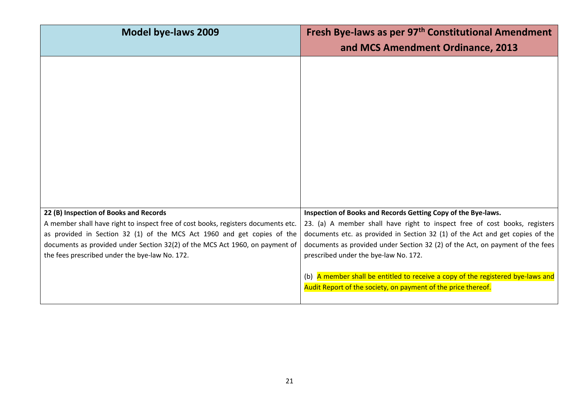| <b>Model bye-laws 2009</b>                                                                                                                                                                                                                                                                                                               | Fresh Bye-laws as per 97 <sup>th</sup> Constitutional Amendment<br>and MCS Amendment Ordinance, 2013                                                                                                                                                                                                                                                                                                                                                                                                       |
|------------------------------------------------------------------------------------------------------------------------------------------------------------------------------------------------------------------------------------------------------------------------------------------------------------------------------------------|------------------------------------------------------------------------------------------------------------------------------------------------------------------------------------------------------------------------------------------------------------------------------------------------------------------------------------------------------------------------------------------------------------------------------------------------------------------------------------------------------------|
|                                                                                                                                                                                                                                                                                                                                          |                                                                                                                                                                                                                                                                                                                                                                                                                                                                                                            |
| 22 (B) Inspection of Books and Records<br>A member shall have right to inspect free of cost books, registers documents etc.<br>as provided in Section 32 (1) of the MCS Act 1960 and get copies of the<br>documents as provided under Section 32(2) of the MCS Act 1960, on payment of<br>the fees prescribed under the bye-law No. 172. | Inspection of Books and Records Getting Copy of the Bye-laws.<br>23. (a) A member shall have right to inspect free of cost books, registers<br>documents etc. as provided in Section 32 (1) of the Act and get copies of the<br>documents as provided under Section 32 (2) of the Act, on payment of the fees<br>prescribed under the bye-law No. 172.<br>(b) A member shall be entitled to receive a copy of the registered bye-laws and<br>Audit Report of the society, on payment of the price thereof. |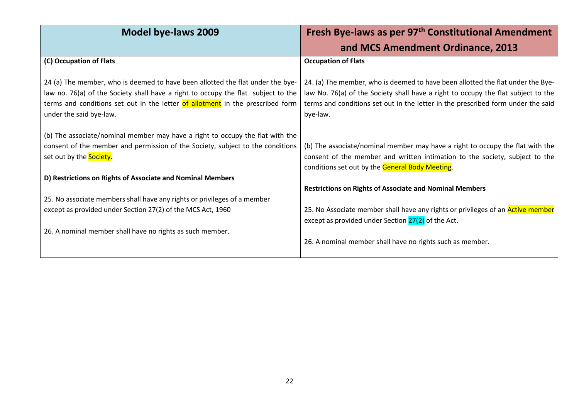| <b>Model bye-laws 2009</b>                                                                                                                                                                                                                                                       | Fresh Bye-laws as per 97 <sup>th</sup> Constitutional Amendment                                                                                                                                                                                                      |
|----------------------------------------------------------------------------------------------------------------------------------------------------------------------------------------------------------------------------------------------------------------------------------|----------------------------------------------------------------------------------------------------------------------------------------------------------------------------------------------------------------------------------------------------------------------|
|                                                                                                                                                                                                                                                                                  | and MCS Amendment Ordinance, 2013                                                                                                                                                                                                                                    |
| (C) Occupation of Flats                                                                                                                                                                                                                                                          | <b>Occupation of Flats</b>                                                                                                                                                                                                                                           |
| 24 (a) The member, who is deemed to have been allotted the flat under the bye-<br>law no. 76(a) of the Society shall have a right to occupy the flat subject to the<br>terms and conditions set out in the letter of allotment in the prescribed form<br>under the said bye-law. | 24. (a) The member, who is deemed to have been allotted the flat under the Bye-<br>law No. 76(a) of the Society shall have a right to occupy the flat subject to the<br>terms and conditions set out in the letter in the prescribed form under the said<br>bye-law. |
| (b) The associate/nominal member may have a right to occupy the flat with the<br>consent of the member and permission of the Society, subject to the conditions<br>set out by the <b>Society</b> .                                                                               | (b) The associate/nominal member may have a right to occupy the flat with the<br>consent of the member and written intimation to the society, subject to the<br>conditions set out by the General Body Meeting.                                                      |
| D) Restrictions on Rights of Associate and Nominal Members                                                                                                                                                                                                                       | <b>Restrictions on Rights of Associate and Nominal Members</b>                                                                                                                                                                                                       |
| 25. No associate members shall have any rights or privileges of a member<br>except as provided under Section 27(2) of the MCS Act, 1960                                                                                                                                          | 25. No Associate member shall have any rights or privileges of an <b>Active member</b><br>except as provided under Section 27(2) of the Act.                                                                                                                         |
| 26. A nominal member shall have no rights as such member.                                                                                                                                                                                                                        | 26. A nominal member shall have no rights such as member.                                                                                                                                                                                                            |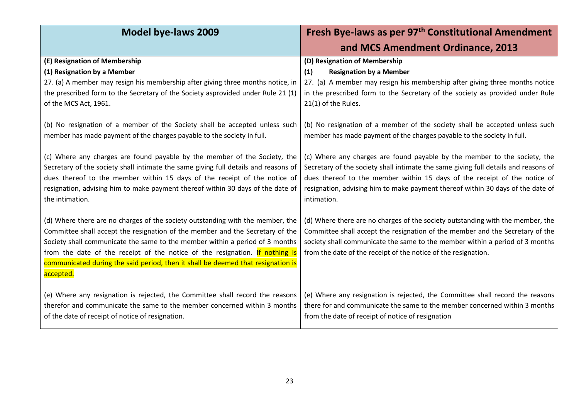| <b>Model bye-laws 2009</b>                                                                         | Fresh Bye-laws as per 97 <sup>th</sup> Constitutional Amendment                                |
|----------------------------------------------------------------------------------------------------|------------------------------------------------------------------------------------------------|
|                                                                                                    | and MCS Amendment Ordinance, 2013                                                              |
| (E) Resignation of Membership                                                                      | (D) Resignation of Membership                                                                  |
| (1) Resignation by a Member                                                                        | <b>Resignation by a Member</b><br>(1)                                                          |
| 27. (a) A member may resign his membership after giving three months notice, in                    | 27. (a) A member may resign his membership after giving three months notice                    |
| the prescribed form to the Secretary of the Society asprovided under Rule 21 (1)                   | in the prescribed form to the Secretary of the society as provided under Rule                  |
| of the MCS Act, 1961.                                                                              | 21(1) of the Rules.                                                                            |
|                                                                                                    |                                                                                                |
| (b) No resignation of a member of the Society shall be accepted unless such                        | (b) No resignation of a member of the society shall be accepted unless such                    |
| member has made payment of the charges payable to the society in full.                             | member has made payment of the charges payable to the society in full.                         |
|                                                                                                    |                                                                                                |
| (c) Where any charges are found payable by the member of the Society, the                          | (c) Where any charges are found payable by the member to the society, the                      |
| Secretary of the society shall intimate the same giving full details and reasons of                | Secretary of the society shall intimate the same giving full details and reasons of            |
| dues thereof to the member within 15 days of the receipt of the notice of                          | dues thereof to the member within 15 days of the receipt of the notice of                      |
| resignation, advising him to make payment thereof within 30 days of the date of<br>the intimation. | resignation, advising him to make payment thereof within 30 days of the date of<br>intimation. |
|                                                                                                    |                                                                                                |
| (d) Where there are no charges of the society outstanding with the member, the                     | (d) Where there are no charges of the society outstanding with the member, the                 |
| Committee shall accept the resignation of the member and the Secretary of the                      | Committee shall accept the resignation of the member and the Secretary of the                  |
| Society shall communicate the same to the member within a period of 3 months                       | society shall communicate the same to the member within a period of 3 months                   |
| from the date of the receipt of the notice of the resignation. If nothing is                       | from the date of the receipt of the notice of the resignation.                                 |
| communicated during the said period, then it shall be deemed that resignation is                   |                                                                                                |
| accepted.                                                                                          |                                                                                                |
|                                                                                                    |                                                                                                |
| (e) Where any resignation is rejected, the Committee shall record the reasons                      | (e) Where any resignation is rejected, the Committee shall record the reasons                  |
| therefor and communicate the same to the member concerned within 3 months                          | there for and communicate the same to the member concerned within 3 months                     |
| of the date of receipt of notice of resignation.                                                   | from the date of receipt of notice of resignation                                              |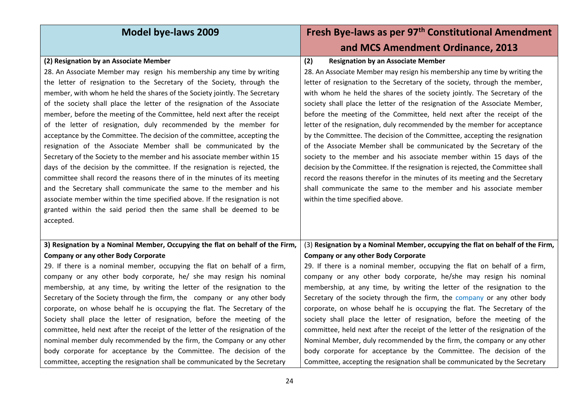| <b>Model bye-laws 2009</b>                                                     | Fresh Bye-laws as per 97 <sup>th</sup> Constitutional Amendment                |
|--------------------------------------------------------------------------------|--------------------------------------------------------------------------------|
|                                                                                | and MCS Amendment Ordinance, 2013                                              |
| (2) Resignation by an Associate Member                                         | (2)<br><b>Resignation by an Associate Member</b>                               |
| 28. An Associate Member may resign his membership any time by writing          | 28. An Associate Member may resign his membership any time by writing the      |
| the letter of resignation to the Secretary of the Society, through the         | letter of resignation to the Secretary of the society, through the member,     |
| member, with whom he held the shares of the Society jointly. The Secretary     | with whom he held the shares of the society jointly. The Secretary of the      |
| of the society shall place the letter of the resignation of the Associate      | society shall place the letter of the resignation of the Associate Member,     |
| member, before the meeting of the Committee, held next after the receipt       | before the meeting of the Committee, held next after the receipt of the        |
| of the letter of resignation, duly recommended by the member for               | letter of the resignation, duly recommended by the member for acceptance       |
| acceptance by the Committee. The decision of the committee, accepting the      | by the Committee. The decision of the Committee, accepting the resignation     |
| resignation of the Associate Member shall be communicated by the               | of the Associate Member shall be communicated by the Secretary of the          |
| Secretary of the Society to the member and his associate member within 15      | society to the member and his associate member within 15 days of the           |
| days of the decision by the committee. If the resignation is rejected, the     | decision by the Committee. If the resignation is rejected, the Committee shall |
| committee shall record the reasons there of in the minutes of its meeting      | record the reasons therefor in the minutes of its meeting and the Secretary    |
| and the Secretary shall communicate the same to the member and his             | shall communicate the same to the member and his associate member              |
| associate member within the time specified above. If the resignation is not    | within the time specified above.                                               |
| granted within the said period then the same shall be deemed to be             |                                                                                |
| accepted.                                                                      |                                                                                |
|                                                                                |                                                                                |
| 3) Resignation by a Nominal Member, Occupying the flat on behalf of the Firm,  | (3) Resignation by a Nominal Member, occupying the flat on behalf of the Firm, |
| <b>Company or any other Body Corporate</b>                                     | <b>Company or any other Body Corporate</b>                                     |
| 29. If there is a nominal member, occupying the flat on behalf of a firm,      | 29. If there is a nominal member, occupying the flat on behalf of a firm,      |
| company or any other body corporate, he/ she may resign his nominal            | company or any other body corporate, he/she may resign his nominal             |
| membership, at any time, by writing the letter of the resignation to the       | membership, at any time, by writing the letter of the resignation to the       |
| Secretary of the Society through the firm, the company or any other body       | Secretary of the society through the firm, the company or any other body       |
| corporate, on whose behalf he is occupying the flat. The Secretary of the      | corporate, on whose behalf he is occupying the flat. The Secretary of the      |
| Society shall place the letter of resignation, before the meeting of the       | society shall place the letter of resignation, before the meeting of the       |
| committee, held next after the receipt of the letter of the resignation of the | committee, held next after the receipt of the letter of the resignation of the |
| nominal member duly recommended by the firm, the Company or any other          | Nominal Member, duly recommended by the firm, the company or any other         |
| body corporate for acceptance by the Committee. The decision of the            | body corporate for acceptance by the Committee. The decision of the            |
| committee, accepting the resignation shall be communicated by the Secretary    | Committee, accepting the resignation shall be communicated by the Secretary    |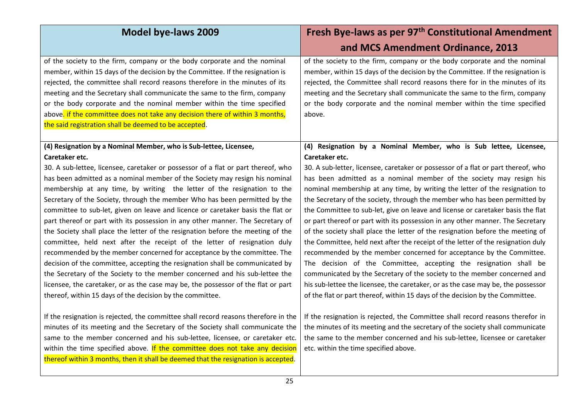| <b>Model bye-laws 2009</b>                                                                                                                                                                                                                                                                                                                                                                                                                                                                                                                                                                                                                                                                                                                                                                                                                                                                                                                                                                                                                                  | Fresh Bye-laws as per 97 <sup>th</sup> Constitutional Amendment                                                                                                                                                                                                                                                                                                                                                                                                                                                                                                                                                                                                                                                                                                                                                                                                                                                                                                                                                                                                |
|-------------------------------------------------------------------------------------------------------------------------------------------------------------------------------------------------------------------------------------------------------------------------------------------------------------------------------------------------------------------------------------------------------------------------------------------------------------------------------------------------------------------------------------------------------------------------------------------------------------------------------------------------------------------------------------------------------------------------------------------------------------------------------------------------------------------------------------------------------------------------------------------------------------------------------------------------------------------------------------------------------------------------------------------------------------|----------------------------------------------------------------------------------------------------------------------------------------------------------------------------------------------------------------------------------------------------------------------------------------------------------------------------------------------------------------------------------------------------------------------------------------------------------------------------------------------------------------------------------------------------------------------------------------------------------------------------------------------------------------------------------------------------------------------------------------------------------------------------------------------------------------------------------------------------------------------------------------------------------------------------------------------------------------------------------------------------------------------------------------------------------------|
|                                                                                                                                                                                                                                                                                                                                                                                                                                                                                                                                                                                                                                                                                                                                                                                                                                                                                                                                                                                                                                                             | and MCS Amendment Ordinance, 2013                                                                                                                                                                                                                                                                                                                                                                                                                                                                                                                                                                                                                                                                                                                                                                                                                                                                                                                                                                                                                              |
| of the society to the firm, company or the body corporate and the nominal<br>member, within 15 days of the decision by the Committee. If the resignation is<br>rejected, the committee shall record reasons therefore in the minutes of its<br>meeting and the Secretary shall communicate the same to the firm, company<br>or the body corporate and the nominal member within the time specified<br>above. if the committee does not take any decision there of within 3 months,<br>the said registration shall be deemed to be accepted.                                                                                                                                                                                                                                                                                                                                                                                                                                                                                                                 | of the society to the firm, company or the body corporate and the nominal<br>member, within 15 days of the decision by the Committee. If the resignation is<br>rejected, the Committee shall record reasons there for in the minutes of its<br>meeting and the Secretary shall communicate the same to the firm, company<br>or the body corporate and the nominal member within the time specified<br>above.                                                                                                                                                                                                                                                                                                                                                                                                                                                                                                                                                                                                                                                   |
| (4) Resignation by a Nominal Member, who is Sub-lettee, Licensee,<br>Caretaker etc.                                                                                                                                                                                                                                                                                                                                                                                                                                                                                                                                                                                                                                                                                                                                                                                                                                                                                                                                                                         | (4) Resignation by a Nominal Member, who is Sub lettee, Licensee,<br>Caretaker etc.                                                                                                                                                                                                                                                                                                                                                                                                                                                                                                                                                                                                                                                                                                                                                                                                                                                                                                                                                                            |
| 30. A sub-lettee, licensee, caretaker or possessor of a flat or part thereof, who<br>has been admitted as a nominal member of the Society may resign his nominal<br>membership at any time, by writing the letter of the resignation to the<br>Secretary of the Society, through the member Who has been permitted by the<br>committee to sub-let, given on leave and licence or caretaker basis the flat or<br>part thereof or part with its possession in any other manner. The Secretary of<br>the Society shall place the letter of the resignation before the meeting of the<br>committee, held next after the receipt of the letter of resignation duly<br>recommended by the member concerned for acceptance by the committee. The<br>decision of the committee, accepting the resignation shall be communicated by<br>the Secretary of the Society to the member concerned and his sub-lettee the<br>licensee, the caretaker, or as the case may be, the possessor of the flat or part<br>thereof, within 15 days of the decision by the committee. | 30. A sub-letter, licensee, caretaker or possessor of a flat or part thereof, who<br>has been admitted as a nominal member of the society may resign his<br>nominal membership at any time, by writing the letter of the resignation to<br>the Secretary of the society, through the member who has been permitted by<br>the Committee to sub-let, give on leave and license or caretaker basis the flat<br>or part thereof or part with its possession in any other manner. The Secretary<br>of the society shall place the letter of the resignation before the meeting of<br>the Committee, held next after the receipt of the letter of the resignation duly<br>recommended by the member concerned for acceptance by the Committee.<br>The decision of the Committee, accepting the resignation shall be<br>communicated by the Secretary of the society to the member concerned and<br>his sub-lettee the licensee, the caretaker, or as the case may be, the possessor<br>of the flat or part thereof, within 15 days of the decision by the Committee. |
| If the resignation is rejected, the committee shall record reasons therefore in the<br>minutes of its meeting and the Secretary of the Society shall communicate the<br>same to the member concerned and his sub-lettee, licensee, or caretaker etc.<br>within the time specified above. If the committee does not take any decision<br>thereof within 3 months, then it shall be deemed that the resignation is accepted.                                                                                                                                                                                                                                                                                                                                                                                                                                                                                                                                                                                                                                  | If the resignation is rejected, the Committee shall record reasons therefor in<br>the minutes of its meeting and the secretary of the society shall communicate<br>the same to the member concerned and his sub-lettee, licensee or caretaker<br>etc. within the time specified above.                                                                                                                                                                                                                                                                                                                                                                                                                                                                                                                                                                                                                                                                                                                                                                         |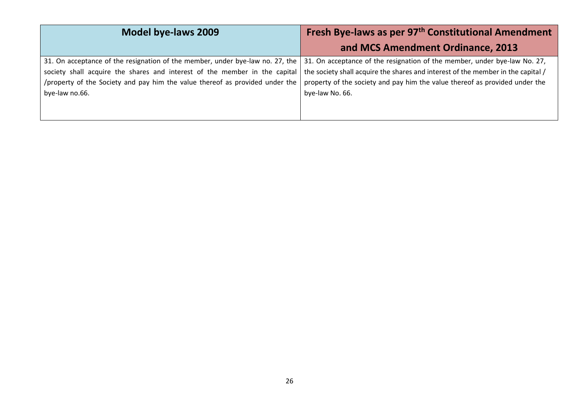| Model bye-laws 2009                                                                                                                                         | Fresh Bye-laws as per 97 <sup>th</sup> Constitutional Amendment |
|-------------------------------------------------------------------------------------------------------------------------------------------------------------|-----------------------------------------------------------------|
|                                                                                                                                                             | and MCS Amendment Ordinance, 2013                               |
| 31. On acceptance of the resignation of the member, under bye-law no. 27, the   31. On acceptance of the resignation of the member, under bye-law No. 27,   |                                                                 |
| society shall acquire the shares and interest of the member in the capital the society shall acquire the shares and interest of the member in the capital / |                                                                 |
| /property of the Society and pay him the value thereof as provided under the   property of the society and pay him the value thereof as provided under the  |                                                                 |
| bye-law no.66.                                                                                                                                              | bye-law No. 66.                                                 |
|                                                                                                                                                             |                                                                 |
|                                                                                                                                                             |                                                                 |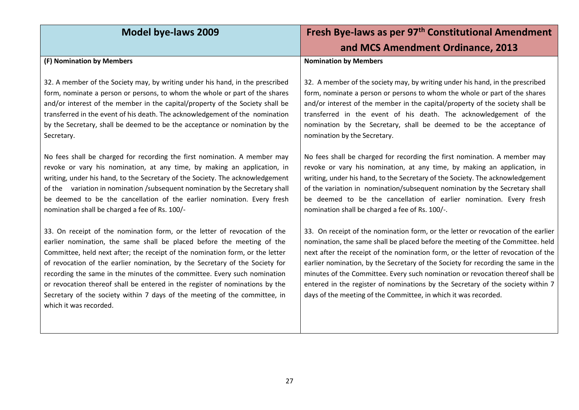| <b>Model bye-laws 2009</b>                                                                                                                                                                                                                                                                                                                                                                                                                                                                                                                                                                | Fresh Bye-laws as per 97 <sup>th</sup> Constitutional Amendment                                                                                                                                                                                                                                                                                                                                                                                                                                                                                                                       |
|-------------------------------------------------------------------------------------------------------------------------------------------------------------------------------------------------------------------------------------------------------------------------------------------------------------------------------------------------------------------------------------------------------------------------------------------------------------------------------------------------------------------------------------------------------------------------------------------|---------------------------------------------------------------------------------------------------------------------------------------------------------------------------------------------------------------------------------------------------------------------------------------------------------------------------------------------------------------------------------------------------------------------------------------------------------------------------------------------------------------------------------------------------------------------------------------|
|                                                                                                                                                                                                                                                                                                                                                                                                                                                                                                                                                                                           | and MCS Amendment Ordinance, 2013                                                                                                                                                                                                                                                                                                                                                                                                                                                                                                                                                     |
| (F) Nomination by Members                                                                                                                                                                                                                                                                                                                                                                                                                                                                                                                                                                 | <b>Nomination by Members</b>                                                                                                                                                                                                                                                                                                                                                                                                                                                                                                                                                          |
| 32. A member of the Society may, by writing under his hand, in the prescribed<br>form, nominate a person or persons, to whom the whole or part of the shares<br>and/or interest of the member in the capital/property of the Society shall be<br>transferred in the event of his death. The acknowledgement of the nomination<br>by the Secretary, shall be deemed to be the acceptance or nomination by the<br>Secretary.                                                                                                                                                                | 32. A member of the society may, by writing under his hand, in the prescribed<br>form, nominate a person or persons to whom the whole or part of the shares<br>and/or interest of the member in the capital/property of the society shall be<br>transferred in the event of his death. The acknowledgement of the<br>nomination by the Secretary, shall be deemed to be the acceptance of<br>nomination by the Secretary.                                                                                                                                                             |
| No fees shall be charged for recording the first nomination. A member may<br>revoke or vary his nomination, at any time, by making an application, in<br>writing, under his hand, to the Secretary of the Society. The acknowledgement<br>of the variation in nomination /subsequent nomination by the Secretary shall<br>be deemed to be the cancellation of the earlier nomination. Every fresh<br>nomination shall be charged a fee of Rs. 100/-                                                                                                                                       | No fees shall be charged for recording the first nomination. A member may<br>revoke or vary his nomination, at any time, by making an application, in<br>writing, under his hand, to the Secretary of the Society. The acknowledgement<br>of the variation in nomination/subsequent nomination by the Secretary shall<br>be deemed to be the cancellation of earlier nomination. Every fresh<br>nomination shall be charged a fee of Rs. 100/-.                                                                                                                                       |
| 33. On receipt of the nomination form, or the letter of revocation of the<br>earlier nomination, the same shall be placed before the meeting of the<br>Committee, held next after; the receipt of the nomination form, or the letter<br>of revocation of the earlier nomination, by the Secretary of the Society for<br>recording the same in the minutes of the committee. Every such nomination<br>or revocation thereof shall be entered in the register of nominations by the<br>Secretary of the society within 7 days of the meeting of the committee, in<br>which it was recorded. | 33. On receipt of the nomination form, or the letter or revocation of the earlier<br>nomination, the same shall be placed before the meeting of the Committee. held<br>next after the receipt of the nomination form, or the letter of revocation of the<br>earlier nomination, by the Secretary of the Society for recording the same in the<br>minutes of the Committee. Every such nomination or revocation thereof shall be<br>entered in the register of nominations by the Secretary of the society within 7<br>days of the meeting of the Committee, in which it was recorded. |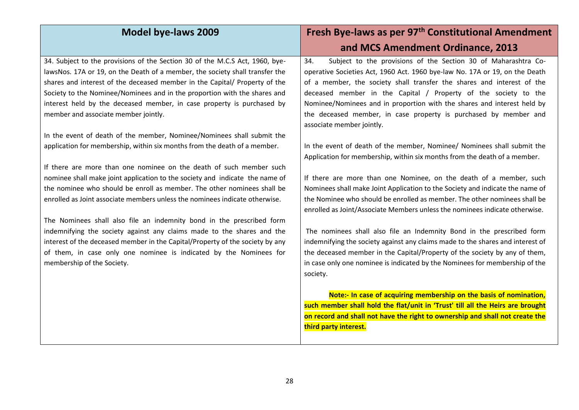| <b>Model bye-laws 2009</b>                                                                                                                                                                                                                                                                                                                                                                                                                | Fresh Bye-laws as per 97 <sup>th</sup> Constitutional Amendment                                                                                                                                                                                                                                                                                                                                                                                  |
|-------------------------------------------------------------------------------------------------------------------------------------------------------------------------------------------------------------------------------------------------------------------------------------------------------------------------------------------------------------------------------------------------------------------------------------------|--------------------------------------------------------------------------------------------------------------------------------------------------------------------------------------------------------------------------------------------------------------------------------------------------------------------------------------------------------------------------------------------------------------------------------------------------|
|                                                                                                                                                                                                                                                                                                                                                                                                                                           | and MCS Amendment Ordinance, 2013                                                                                                                                                                                                                                                                                                                                                                                                                |
| 34. Subject to the provisions of the Section 30 of the M.C.S Act, 1960, bye-<br>lawsNos. 17A or 19, on the Death of a member, the society shall transfer the<br>shares and interest of the deceased member in the Capital/ Property of the<br>Society to the Nominee/Nominees and in the proportion with the shares and<br>interest held by the deceased member, in case property is purchased by<br>member and associate member jointly. | Subject to the provisions of the Section 30 of Maharashtra Co-<br>34.<br>operative Societies Act, 1960 Act. 1960 bye-law No. 17A or 19, on the Death<br>of a member, the society shall transfer the shares and interest of the<br>deceased member in the Capital / Property of the society to the<br>Nominee/Nominees and in proportion with the shares and interest held by<br>the deceased member, in case property is purchased by member and |
| In the event of death of the member, Nominee/Nominees shall submit the<br>application for membership, within six months from the death of a member.                                                                                                                                                                                                                                                                                       | associate member jointly.<br>In the event of death of the member, Nominee/ Nominees shall submit the<br>Application for membership, within six months from the death of a member.                                                                                                                                                                                                                                                                |
| If there are more than one nominee on the death of such member such<br>nominee shall make joint application to the society and indicate the name of<br>the nominee who should be enroll as member. The other nominees shall be<br>enrolled as Joint associate members unless the nominees indicate otherwise.                                                                                                                             | If there are more than one Nominee, on the death of a member, such<br>Nominees shall make Joint Application to the Society and indicate the name of<br>the Nominee who should be enrolled as member. The other nominees shall be<br>enrolled as Joint/Associate Members unless the nominees indicate otherwise.                                                                                                                                  |
| The Nominees shall also file an indemnity bond in the prescribed form<br>indemnifying the society against any claims made to the shares and the<br>interest of the deceased member in the Capital/Property of the society by any<br>of them, in case only one nominee is indicated by the Nominees for<br>membership of the Society.                                                                                                      | The nominees shall also file an Indemnity Bond in the prescribed form<br>indemnifying the society against any claims made to the shares and interest of<br>the deceased member in the Capital/Property of the society by any of them,<br>in case only one nominee is indicated by the Nominees for membership of the<br>society.                                                                                                                 |
|                                                                                                                                                                                                                                                                                                                                                                                                                                           | Note:- In case of acquiring membership on the basis of nomination,<br>such member shall hold the flat/unit in 'Trust' till all the Heirs are brought<br>on record and shall not have the right to ownership and shall not create the<br>third party interest.                                                                                                                                                                                    |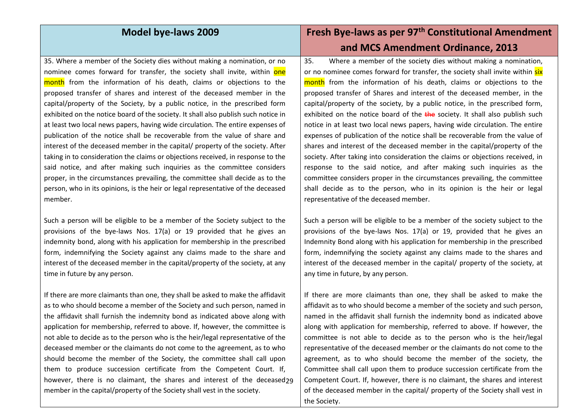35. Where a member of the Society dies without making a nomination, or no nominee comes forward for transfer, the society shall invite, within one month from the information of his death, claims or objections to the proposed transfer of shares and interest of the deceased member in the capital/property of the Society, by a public notice, in the prescribed form exhibited on the notice board of the society. It shall also publish such notice in at least two local news papers, having wide circulation. The entire expenses of publication of the notice shall be recoverable from the value of share and interest of the deceased member in the capital/ property of the society. After taking in to consideration the claims or objections received, in response to the said notice, and after making such inquiries as the committee considers proper, in the circumstances prevailing, the committee shall decide as to the person, who in its opinions, is the heir or legal representative of the deceased member.

Such a person will be eligible to be a member of the Society subject to the provisions of the bye-laws Nos. 17(a) or 19 provided that he gives an indemnity bond, along with his application for membership in the prescribed form, indemnifying the Society against any claims made to the share and interest of the deceased member in the capital/property of the society, at any time in future by any person.

however, there is no claimant, the shares and interest of the deceased29 If there are more claimants than one, they shall be asked to make the affidavit as to who should become a member of the Society and such person, named in the affidavit shall furnish the indemnity bond as indicated above along with application for membership, referred to above. If, however, the committee is not able to decide as to the person who is the heir/legal representative of the deceased member or the claimants do not come to the agreement, as to who should become the member of the Society, the committee shall call upon them to produce succession certificate from the Competent Court. If, member in the capital/property of the Society shall vest in the society.

## **Model bye-laws 2009 Fresh Bye-laws as per 97th Constitutional Amendment and MCS Amendment Ordinance, 2013**

35. Where a member of the society dies without making a nomination, or no nominee comes forward for transfer, the society shall invite within six month from the information of his death, claims or objections to the proposed transfer of Shares and interest of the deceased member, in the capital/property of the society, by a public notice, in the prescribed form, exhibited on the notice board of the  $t$ he society. It shall also publish such notice in at least two local news papers, having wide circulation. The entire expenses of publication of the notice shall be recoverable from the value of shares and interest of the deceased member in the capital/property of the society. After taking into consideration the claims or objections received, in response to the said notice, and after making such inquiries as the committee considers proper in the circumstances prevailing, the committee shall decide as to the person, who in its opinion is the heir or legal representative of the deceased member.

Such a person will be eligible to be a member of the society subject to the provisions of the bye-laws Nos. 17(a) or 19, provided that he gives an Indemnity Bond along with his application for membership in the prescribed form, indemnifying the society against any claims made to the shares and interest of the deceased member in the capital/ property of the society, at any time in future, by any person.

If there are more claimants than one, they shall be asked to make the affidavit as to who should become a member of the society and such person, named in the affidavit shall furnish the indemnity bond as indicated above along with application for membership, referred to above. If however, the committee is not able to decide as to the person who is the heir/legal representative of the deceased member or the claimants do not come to the agreement, as to who should become the member of the society, the Committee shall call upon them to produce succession certificate from the Competent Court. If, however, there is no claimant, the shares and interest of the deceased member in the capital/ property of the Society shall vest in the Society.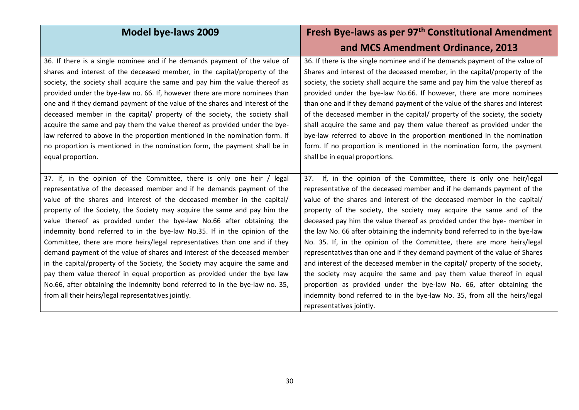| <b>Model bye-laws 2009</b>                                                    | Fresh Bye-laws as per 97 <sup>th</sup> Constitutional Amendment              |
|-------------------------------------------------------------------------------|------------------------------------------------------------------------------|
|                                                                               | and MCS Amendment Ordinance, 2013                                            |
| 36. If there is a single nominee and if he demands payment of the value of    | 36. If there is the single nominee and if he demands payment of the value of |
| shares and interest of the deceased member, in the capital/property of the    | Shares and interest of the deceased member, in the capital/property of the   |
| society, the society shall acquire the same and pay him the value thereof as  | society, the society shall acquire the same and pay him the value thereof as |
| provided under the bye-law no. 66. If, however there are more nominees than   | provided under the bye-law No.66. If however, there are more nominees        |
| one and if they demand payment of the value of the shares and interest of the | than one and if they demand payment of the value of the shares and interest  |
| deceased member in the capital/ property of the society, the society shall    | of the deceased member in the capital/ property of the society, the society  |
| acquire the same and pay them the value thereof as provided under the bye-    | shall acquire the same and pay them value thereof as provided under the      |
| law referred to above in the proportion mentioned in the nomination form. If  | bye-law referred to above in the proportion mentioned in the nomination      |
| no proportion is mentioned in the nomination form, the payment shall be in    | form. If no proportion is mentioned in the nomination form, the payment      |
| equal proportion.                                                             | shall be in equal proportions.                                               |
|                                                                               |                                                                              |
| 37. If, in the opinion of the Committee, there is only one heir / legal       | If, in the opinion of the Committee, there is only one heir/legal<br>37.     |
| representative of the deceased member and if he demands payment of the        | representative of the deceased member and if he demands payment of the       |
| value of the shares and interest of the deceased member in the capital/       | value of the shares and interest of the deceased member in the capital/      |
| property of the Society, the Society may acquire the same and pay him the     | property of the society, the society may acquire the same and of the         |
| value thereof as provided under the bye-law No.66 after obtaining the         | deceased pay him the value thereof as provided under the bye- member in      |
| indemnity bond referred to in the bye-law No.35. If in the opinion of the     | the law No. 66 after obtaining the indemnity bond referred to in the bye-law |
| Committee, there are more heirs/legal representatives than one and if they    | No. 35. If, in the opinion of the Committee, there are more heirs/legal      |
| demand payment of the value of shares and interest of the deceased member     | representatives than one and if they demand payment of the value of Shares   |
| in the capital/property of the Society, the Society may acquire the same and  | and interest of the deceased member in the capital/ property of the society, |
| pay them value thereof in equal proportion as provided under the bye law      | the society may acquire the same and pay them value thereof in equal         |
| No.66, after obtaining the indemnity bond referred to in the bye-law no. 35,  | proportion as provided under the bye-law No. 66, after obtaining the         |
| from all their heirs/legal representatives jointly.                           | indemnity bond referred to in the bye-law No. 35, from all the heirs/legal   |
|                                                                               | representatives jointly.                                                     |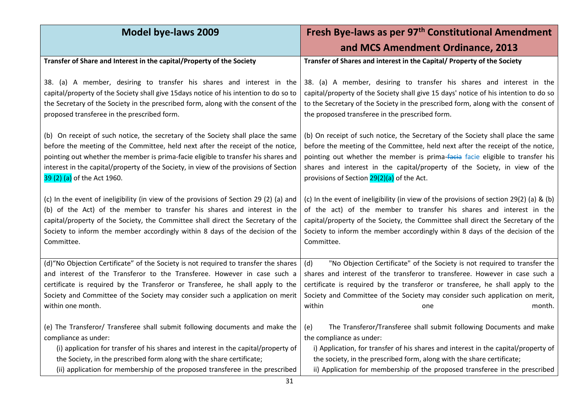| <b>Model bye-laws 2009</b>                                                                                                                                                                                                                                                                                                                                                        | Fresh Bye-laws as per 97 <sup>th</sup> Constitutional Amendment                                                                                                                                                                                                                                                                                                                  |
|-----------------------------------------------------------------------------------------------------------------------------------------------------------------------------------------------------------------------------------------------------------------------------------------------------------------------------------------------------------------------------------|----------------------------------------------------------------------------------------------------------------------------------------------------------------------------------------------------------------------------------------------------------------------------------------------------------------------------------------------------------------------------------|
|                                                                                                                                                                                                                                                                                                                                                                                   | and MCS Amendment Ordinance, 2013                                                                                                                                                                                                                                                                                                                                                |
| Transfer of Share and Interest in the capital/Property of the Society                                                                                                                                                                                                                                                                                                             | Transfer of Shares and interest in the Capital/ Property of the Society                                                                                                                                                                                                                                                                                                          |
| 38. (a) A member, desiring to transfer his shares and interest in the<br>capital/property of the Society shall give 15days notice of his intention to do so to<br>the Secretary of the Society in the prescribed form, along with the consent of the<br>proposed transferee in the prescribed form.                                                                               | 38. (a) A member, desiring to transfer his shares and interest in the<br>capital/property of the Society shall give 15 days' notice of his intention to do so<br>to the Secretary of the Society in the prescribed form, along with the consent of<br>the proposed transferee in the prescribed form.                                                                            |
| (b) On receipt of such notice, the secretary of the Society shall place the same<br>before the meeting of the Committee, held next after the receipt of the notice,<br>pointing out whether the member is prima-facie eligible to transfer his shares and<br>interest in the capital/property of the Society, in view of the provisions of Section<br>39 (2) (a) of the Act 1960. | (b) On receipt of such notice, the Secretary of the Society shall place the same<br>before the meeting of the Committee, held next after the receipt of the notice,<br>pointing out whether the member is prima-facia facie eligible to transfer his<br>shares and interest in the capital/property of the Society, in view of the<br>provisions of Section 29(2)(a) of the Act. |
| (c) In the event of ineligibility (in view of the provisions of Section 29 (2) (a) and<br>(b) of the Act) of the member to transfer his shares and interest in the<br>capital/property of the Society, the Committee shall direct the Secretary of the<br>Society to inform the member accordingly within 8 days of the decision of the<br>Committee.                             | (c) In the event of ineligibility (in view of the provisions of section 29(2) (a) & (b)<br>of the act) of the member to transfer his shares and interest in the<br>capital/property of the Society, the Committee shall direct the Secretary of the<br>Society to inform the member accordingly within 8 days of the decision of the<br>Committee.                               |
| (d)"No Objection Certificate" of the Society is not required to transfer the shares<br>and interest of the Transferor to the Transferee. However in case such a<br>certificate is required by the Transferor or Transferee, he shall apply to the<br>Society and Committee of the Society may consider such a application on merit<br>within one month.                           | "No Objection Certificate" of the Society is not required to transfer the<br>(d)<br>shares and interest of the transferor to transferee. However in case such a<br>certificate is required by the transferor or transferee, he shall apply to the<br>Society and Committee of the Society may consider such application on merit,<br>within<br>month.<br>one                     |
| (e) The Transferor/ Transferee shall submit following documents and make the<br>compliance as under:<br>(i) application for transfer of his shares and interest in the capital/property of<br>the Society, in the prescribed form along with the share certificate;<br>(ii) application for membership of the proposed transferee in the prescribed                               | The Transferor/Transferee shall submit following Documents and make<br>(e)<br>the compliance as under:<br>i) Application, for transfer of his shares and interest in the capital/property of<br>the society, in the prescribed form, along with the share certificate;<br>ii) Application for membership of the proposed transferee in the prescribed                            |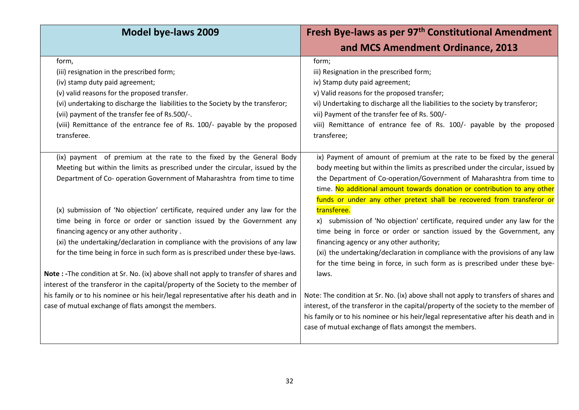| <b>Model bye-laws 2009</b>                                                            | Fresh Bye-laws as per 97 <sup>th</sup> Constitutional Amendment                      |
|---------------------------------------------------------------------------------------|--------------------------------------------------------------------------------------|
|                                                                                       | and MCS Amendment Ordinance, 2013                                                    |
| form,                                                                                 | form;                                                                                |
| (iii) resignation in the prescribed form;                                             | iii) Resignation in the prescribed form;                                             |
| (iv) stamp duty paid agreement;                                                       | iv) Stamp duty paid agreement;                                                       |
| (v) valid reasons for the proposed transfer.                                          | v) Valid reasons for the proposed transfer;                                          |
| (vi) undertaking to discharge the liabilities to the Society by the transferor;       | vi) Undertaking to discharge all the liabilities to the society by transferor;       |
| (vii) payment of the transfer fee of Rs.500/-.                                        | vii) Payment of the transfer fee of Rs. 500/-                                        |
| (viii) Remittance of the entrance fee of Rs. 100/- payable by the proposed            | viii) Remittance of entrance fee of Rs. 100/- payable by the proposed                |
| transferee.                                                                           | transferee;                                                                          |
|                                                                                       |                                                                                      |
| (ix) payment of premium at the rate to the fixed by the General Body                  | ix) Payment of amount of premium at the rate to be fixed by the general              |
| Meeting but within the limits as prescribed under the circular, issued by the         | body meeting but within the limits as prescribed under the circular, issued by       |
| Department of Co- operation Government of Maharashtra from time to time               | the Department of Co-operation/Government of Maharashtra from time to                |
|                                                                                       | time. No additional amount towards donation or contribution to any other             |
|                                                                                       | funds or under any other pretext shall be recovered from transferor or               |
| (x) submission of 'No objection' certificate, required under any law for the          | transferee.                                                                          |
| time being in force or order or sanction issued by the Government any                 | x) submission of 'No objection' certificate, required under any law for the          |
| financing agency or any other authority.                                              | time being in force or order or sanction issued by the Government, any               |
| (xi) the undertaking/declaration in compliance with the provisions of any law         | financing agency or any other authority;                                             |
| for the time being in force in such form as is prescribed under these bye-laws.       | (xi) the undertaking/declaration in compliance with the provisions of any law        |
|                                                                                       | for the time being in force, in such form as is prescribed under these bye-          |
| Note : -The condition at Sr. No. (ix) above shall not apply to transfer of shares and | laws.                                                                                |
| interest of the transferor in the capital/property of the Society to the member of    |                                                                                      |
| his family or to his nominee or his heir/legal representative after his death and in  | Note: The condition at Sr. No. (ix) above shall not apply to transfers of shares and |
| case of mutual exchange of flats amongst the members.                                 | interest, of the transferor in the capital/property of the society to the member of  |
|                                                                                       | his family or to his nominee or his heir/legal representative after his death and in |
|                                                                                       | case of mutual exchange of flats amongst the members.                                |
|                                                                                       |                                                                                      |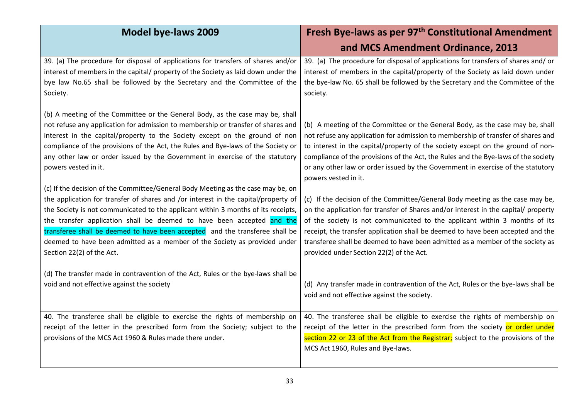| <b>Model bye-laws 2009</b>                                                                                                                                                                                                                                                                                                                                                                                                                                                                                                      | Fresh Bye-laws as per 97 <sup>th</sup> Constitutional Amendment                                                                                                                                                                                                                                                                                                                                                                                                    |
|---------------------------------------------------------------------------------------------------------------------------------------------------------------------------------------------------------------------------------------------------------------------------------------------------------------------------------------------------------------------------------------------------------------------------------------------------------------------------------------------------------------------------------|--------------------------------------------------------------------------------------------------------------------------------------------------------------------------------------------------------------------------------------------------------------------------------------------------------------------------------------------------------------------------------------------------------------------------------------------------------------------|
|                                                                                                                                                                                                                                                                                                                                                                                                                                                                                                                                 | and MCS Amendment Ordinance, 2013                                                                                                                                                                                                                                                                                                                                                                                                                                  |
| 39. (a) The procedure for disposal of applications for transfers of shares and/or<br>interest of members in the capital/ property of the Society as laid down under the<br>bye law No.65 shall be followed by the Secretary and the Committee of the<br>Society.                                                                                                                                                                                                                                                                | 39. (a) The procedure for disposal of applications for transfers of shares and/or<br>interest of members in the capital/property of the Society as laid down under<br>the bye-law No. 65 shall be followed by the Secretary and the Committee of the<br>society.                                                                                                                                                                                                   |
| (b) A meeting of the Committee or the General Body, as the case may be, shall<br>not refuse any application for admission to membership or transfer of shares and<br>interest in the capital/property to the Society except on the ground of non<br>compliance of the provisions of the Act, the Rules and Bye-laws of the Society or<br>any other law or order issued by the Government in exercise of the statutory<br>powers vested in it.                                                                                   | (b) A meeting of the Committee or the General Body, as the case may be, shall<br>not refuse any application for admission to membership of transfer of shares and<br>to interest in the capital/property of the society except on the ground of non-<br>compliance of the provisions of the Act, the Rules and the Bye-laws of the society<br>or any other law or order issued by the Government in exercise of the statutory<br>powers vested in it.              |
| (c) If the decision of the Committee/General Body Meeting as the case may be, on<br>the application for transfer of shares and /or interest in the capital/property of<br>the Society is not communicated to the applicant within 3 months of its receipts,<br>the transfer application shall be deemed to have been accepted and the<br>transferee shall be deemed to have been accepted and the transferee shall be<br>deemed to have been admitted as a member of the Society as provided under<br>Section 22(2) of the Act. | (c) If the decision of the Committee/General Body meeting as the case may be,<br>on the application for transfer of Shares and/or interest in the capital/ property<br>of the society is not communicated to the applicant within 3 months of its<br>receipt, the transfer application shall be deemed to have been accepted and the<br>transferee shall be deemed to have been admitted as a member of the society as<br>provided under Section 22(2) of the Act. |
| (d) The transfer made in contravention of the Act, Rules or the bye-laws shall be<br>void and not effective against the society                                                                                                                                                                                                                                                                                                                                                                                                 | (d) Any transfer made in contravention of the Act, Rules or the bye-laws shall be<br>void and not effective against the society.                                                                                                                                                                                                                                                                                                                                   |
| 40. The transferee shall be eligible to exercise the rights of membership on<br>receipt of the letter in the prescribed form from the Society; subject to the<br>provisions of the MCS Act 1960 & Rules made there under.                                                                                                                                                                                                                                                                                                       | 40. The transferee shall be eligible to exercise the rights of membership on<br>receipt of the letter in the prescribed form from the society or order under<br>section 22 or 23 of the Act from the Registrar; subject to the provisions of the<br>MCS Act 1960, Rules and Bye-laws.                                                                                                                                                                              |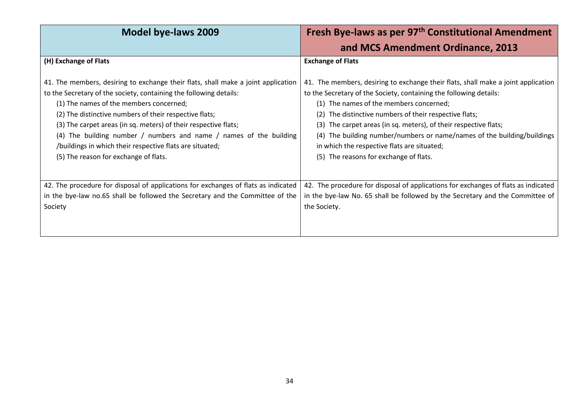| Model bye-laws 2009                                                                                                                                                                                                                                                                                                                                                                                                                                                                                        | Fresh Bye-laws as per 97 <sup>th</sup> Constitutional Amendment                                                                                                                                                                                                                                                                                                                                                                                                                                      |
|------------------------------------------------------------------------------------------------------------------------------------------------------------------------------------------------------------------------------------------------------------------------------------------------------------------------------------------------------------------------------------------------------------------------------------------------------------------------------------------------------------|------------------------------------------------------------------------------------------------------------------------------------------------------------------------------------------------------------------------------------------------------------------------------------------------------------------------------------------------------------------------------------------------------------------------------------------------------------------------------------------------------|
|                                                                                                                                                                                                                                                                                                                                                                                                                                                                                                            | and MCS Amendment Ordinance, 2013                                                                                                                                                                                                                                                                                                                                                                                                                                                                    |
| (H) Exchange of Flats                                                                                                                                                                                                                                                                                                                                                                                                                                                                                      | <b>Exchange of Flats</b>                                                                                                                                                                                                                                                                                                                                                                                                                                                                             |
| 41. The members, desiring to exchange their flats, shall make a joint application<br>to the Secretary of the society, containing the following details:<br>(1) The names of the members concerned;<br>(2) The distinctive numbers of their respective flats;<br>(3) The carpet areas (in sq. meters) of their respective flats;<br>(4) The building number / numbers and name / names of the building<br>/buildings in which their respective flats are situated;<br>(5) The reason for exchange of flats. | 41. The members, desiring to exchange their flats, shall make a joint application<br>to the Secretary of the Society, containing the following details:<br>(1) The names of the members concerned;<br>(2) The distinctive numbers of their respective flats;<br>(3) The carpet areas (in sq. meters), of their respective flats;<br>(4) The building number/numbers or name/names of the building/buildings<br>in which the respective flats are situated;<br>(5) The reasons for exchange of flats. |
| 42. The procedure for disposal of applications for exchanges of flats as indicated<br>in the bye-law no.65 shall be followed the Secretary and the Committee of the<br>Society                                                                                                                                                                                                                                                                                                                             | 42. The procedure for disposal of applications for exchanges of flats as indicated<br>in the bye-law No. 65 shall be followed by the Secretary and the Committee of<br>the Society.                                                                                                                                                                                                                                                                                                                  |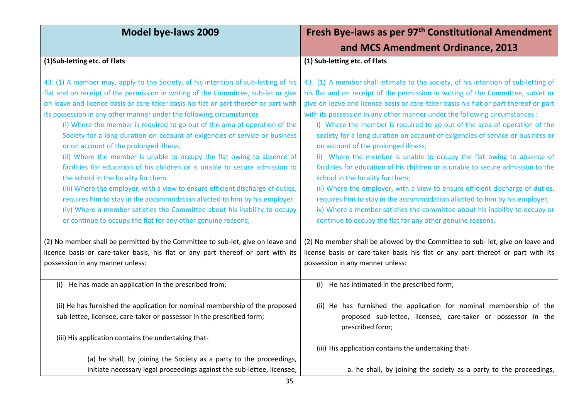| <b>Model bye-laws 2009</b>                                                                                                                                                                                                                                                                                                                                                                                                                                                                                                                                                                                                                                                                                                                                                                                                                                                                                                                                                                                                                                       | Fresh Bye-laws as per 97 <sup>th</sup> Constitutional Amendment                                                                                                                                                                                                                                                                                                                                                                                                                                                                                                                                                                                                                                                                                                                                                                                                                                                                                                                                                                                                   |
|------------------------------------------------------------------------------------------------------------------------------------------------------------------------------------------------------------------------------------------------------------------------------------------------------------------------------------------------------------------------------------------------------------------------------------------------------------------------------------------------------------------------------------------------------------------------------------------------------------------------------------------------------------------------------------------------------------------------------------------------------------------------------------------------------------------------------------------------------------------------------------------------------------------------------------------------------------------------------------------------------------------------------------------------------------------|-------------------------------------------------------------------------------------------------------------------------------------------------------------------------------------------------------------------------------------------------------------------------------------------------------------------------------------------------------------------------------------------------------------------------------------------------------------------------------------------------------------------------------------------------------------------------------------------------------------------------------------------------------------------------------------------------------------------------------------------------------------------------------------------------------------------------------------------------------------------------------------------------------------------------------------------------------------------------------------------------------------------------------------------------------------------|
|                                                                                                                                                                                                                                                                                                                                                                                                                                                                                                                                                                                                                                                                                                                                                                                                                                                                                                                                                                                                                                                                  | and MCS Amendment Ordinance, 2013                                                                                                                                                                                                                                                                                                                                                                                                                                                                                                                                                                                                                                                                                                                                                                                                                                                                                                                                                                                                                                 |
| (1)Sub-letting etc. of Flats                                                                                                                                                                                                                                                                                                                                                                                                                                                                                                                                                                                                                                                                                                                                                                                                                                                                                                                                                                                                                                     | (1) Sub-letting etc. of Flats                                                                                                                                                                                                                                                                                                                                                                                                                                                                                                                                                                                                                                                                                                                                                                                                                                                                                                                                                                                                                                     |
| 43. (1) A member may, apply to the Society, of his intention of sub-letting of his<br>flat and on receipt of the permission in writing of the Committee, sub-let or give<br>on leave and licence basis or care-taker basis his flat or part thereof or part with<br>its possession in any other manner under the following circumstances<br>(i) Where the member is required to go out of the area of operation of the<br>Society for a long duration on account of exigencies of service or business<br>or on account of the prolonged illness;<br>(ii) Where the member is unable to occupy the flat owing to absence of<br>facilities for education of his children or is unable to secure admission to<br>the school in the locality for them.<br>(iii) Where the employer, with a view to ensure efficient discharge of duties,<br>requires him to stay in the accommodation allotted to him by his employer.<br>(iv) Where a member satisfies the Committee about his inability to occupy<br>or continue to occupy the flat for any other genuine reasons; | 43. (1) A member shall intimate to the society, of his intention of sub-letting of<br>his flat and on receipt of the permission in writing of the Committee, sublet or<br>give on leave and license basis or care-taker basis his flat or part thereof or part<br>with its possession in any other manner under the following circumstances :<br>i) Where the member is required to go out of the area of operation of the<br>society for a long duration on account of exigencies of service or business or<br>on account of the prolonged illness;<br>ii) Where the member is unable to occupy the flat owing to absence of<br>facilities for education of his children or is unable to secure admission to the<br>school in the locality for them;<br>iii) Where the employer, with a view to ensure efficient discharge of duties,<br>requires him to stay in the accommodation allotted to him by his employer;<br>iv) Where a member satisfies the committee about his inability to occupy or<br>continue to occupy the flat for any other genuine reasons. |
| (2) No member shall be permitted by the Committee to sub-let, give on leave and<br>licence basis or care-taker basis, his flat or any part thereof or part with its<br>possession in any manner unless:                                                                                                                                                                                                                                                                                                                                                                                                                                                                                                                                                                                                                                                                                                                                                                                                                                                          | (2) No member shall be allowed by the Committee to sub- let, give on leave and<br>license basis or care-taker basis his flat or any part thereof or part with its<br>possession in any manner unless:                                                                                                                                                                                                                                                                                                                                                                                                                                                                                                                                                                                                                                                                                                                                                                                                                                                             |
| (i) He has made an application in the prescribed from;                                                                                                                                                                                                                                                                                                                                                                                                                                                                                                                                                                                                                                                                                                                                                                                                                                                                                                                                                                                                           | (i) He has intimated in the prescribed form;                                                                                                                                                                                                                                                                                                                                                                                                                                                                                                                                                                                                                                                                                                                                                                                                                                                                                                                                                                                                                      |
| (ii) He has furnished the application for nominal membership of the proposed<br>sub-lettee, licensee, care-taker or possessor in the prescribed form;<br>(iii) His application contains the undertaking that-                                                                                                                                                                                                                                                                                                                                                                                                                                                                                                                                                                                                                                                                                                                                                                                                                                                    | (ii) He has furnished the application for nominal membership of the<br>proposed sub-lettee, licensee, care-taker or possessor in the<br>prescribed form;                                                                                                                                                                                                                                                                                                                                                                                                                                                                                                                                                                                                                                                                                                                                                                                                                                                                                                          |
| (a) he shall, by joining the Society as a party to the proceedings,<br>initiate necessary legal proceedings against the sub-lettee, licensee,                                                                                                                                                                                                                                                                                                                                                                                                                                                                                                                                                                                                                                                                                                                                                                                                                                                                                                                    | (iii) His application contains the undertaking that-<br>a. he shall, by joining the society as a party to the proceedings,                                                                                                                                                                                                                                                                                                                                                                                                                                                                                                                                                                                                                                                                                                                                                                                                                                                                                                                                        |
|                                                                                                                                                                                                                                                                                                                                                                                                                                                                                                                                                                                                                                                                                                                                                                                                                                                                                                                                                                                                                                                                  |                                                                                                                                                                                                                                                                                                                                                                                                                                                                                                                                                                                                                                                                                                                                                                                                                                                                                                                                                                                                                                                                   |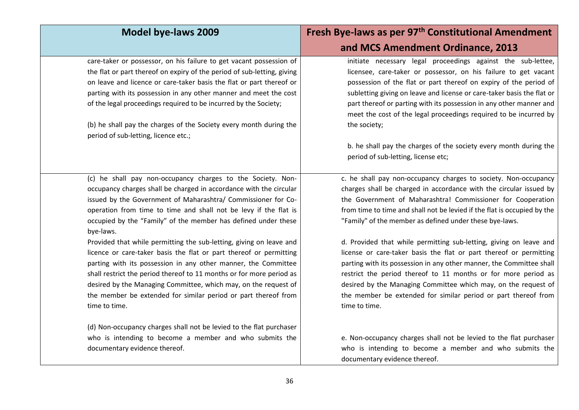| <b>Model bye-laws 2009</b>                                                                                                                                                                                                                                                                                                                                                                                                            | Fresh Bye-laws as per 97 <sup>th</sup> Constitutional Amendment                                                                                                                                                                                                                                                                                                                                                                            |
|---------------------------------------------------------------------------------------------------------------------------------------------------------------------------------------------------------------------------------------------------------------------------------------------------------------------------------------------------------------------------------------------------------------------------------------|--------------------------------------------------------------------------------------------------------------------------------------------------------------------------------------------------------------------------------------------------------------------------------------------------------------------------------------------------------------------------------------------------------------------------------------------|
|                                                                                                                                                                                                                                                                                                                                                                                                                                       | and MCS Amendment Ordinance, 2013                                                                                                                                                                                                                                                                                                                                                                                                          |
| care-taker or possessor, on his failure to get vacant possession of<br>the flat or part thereof on expiry of the period of sub-letting, giving<br>on leave and licence or care-taker basis the flat or part thereof or<br>parting with its possession in any other manner and meet the cost<br>of the legal proceedings required to be incurred by the Society;<br>(b) he shall pay the charges of the Society every month during the | initiate necessary legal proceedings against the sub-lettee,<br>licensee, care-taker or possessor, on his failure to get vacant<br>possession of the flat or part thereof on expiry of the period of<br>subletting giving on leave and license or care-taker basis the flat or<br>part thereof or parting with its possession in any other manner and<br>meet the cost of the legal proceedings required to be incurred by<br>the society; |
| period of sub-letting, licence etc.;                                                                                                                                                                                                                                                                                                                                                                                                  | b. he shall pay the charges of the society every month during the<br>period of sub-letting, license etc;                                                                                                                                                                                                                                                                                                                                   |
| (c) he shall pay non-occupancy charges to the Society. Non-                                                                                                                                                                                                                                                                                                                                                                           | c. he shall pay non-occupancy charges to society. Non-occupancy                                                                                                                                                                                                                                                                                                                                                                            |
| occupancy charges shall be charged in accordance with the circular                                                                                                                                                                                                                                                                                                                                                                    | charges shall be charged in accordance with the circular issued by                                                                                                                                                                                                                                                                                                                                                                         |
| issued by the Government of Maharashtra/ Commissioner for Co-                                                                                                                                                                                                                                                                                                                                                                         | the Government of Maharashtra! Commissioner for Cooperation                                                                                                                                                                                                                                                                                                                                                                                |
| operation from time to time and shall not be levy if the flat is                                                                                                                                                                                                                                                                                                                                                                      | from time to time and shall not be levied if the flat is occupied by the                                                                                                                                                                                                                                                                                                                                                                   |
| occupied by the "Family" of the member has defined under these<br>bye-laws.                                                                                                                                                                                                                                                                                                                                                           | "Family" of the member as defined under these bye-laws.                                                                                                                                                                                                                                                                                                                                                                                    |
| Provided that while permitting the sub-letting, giving on leave and                                                                                                                                                                                                                                                                                                                                                                   | d. Provided that while permitting sub-letting, giving on leave and                                                                                                                                                                                                                                                                                                                                                                         |
| licence or care-taker basis the flat or part thereof or permitting                                                                                                                                                                                                                                                                                                                                                                    | license or care-taker basis the flat or part thereof or permitting                                                                                                                                                                                                                                                                                                                                                                         |
| parting with its possession in any other manner, the Committee                                                                                                                                                                                                                                                                                                                                                                        | parting with its possession in any other manner, the Committee shall                                                                                                                                                                                                                                                                                                                                                                       |
| shall restrict the period thereof to 11 months or for more period as                                                                                                                                                                                                                                                                                                                                                                  | restrict the period thereof to 11 months or for more period as                                                                                                                                                                                                                                                                                                                                                                             |
| desired by the Managing Committee, which may, on the request of                                                                                                                                                                                                                                                                                                                                                                       | desired by the Managing Committee which may, on the request of                                                                                                                                                                                                                                                                                                                                                                             |
| the member be extended for similar period or part thereof from<br>time to time.                                                                                                                                                                                                                                                                                                                                                       | the member be extended for similar period or part thereof from<br>time to time.                                                                                                                                                                                                                                                                                                                                                            |
| (d) Non-occupancy charges shall not be levied to the flat purchaser                                                                                                                                                                                                                                                                                                                                                                   |                                                                                                                                                                                                                                                                                                                                                                                                                                            |
| who is intending to become a member and who submits the<br>documentary evidence thereof.                                                                                                                                                                                                                                                                                                                                              | e. Non-occupancy charges shall not be levied to the flat purchaser<br>who is intending to become a member and who submits the<br>documentary evidence thereof.                                                                                                                                                                                                                                                                             |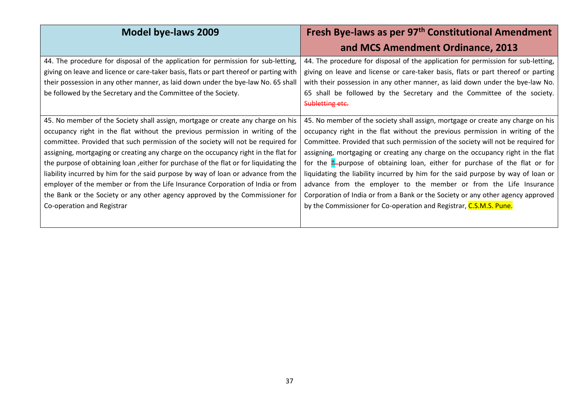| <b>Model bye-laws 2009</b>                                                                                                                                                                                                                                                                                                                                                                                                                                                                                                                                                                                                                                                                                                | Fresh Bye-laws as per 97 <sup>th</sup> Constitutional Amendment<br>and MCS Amendment Ordinance, 2013                                                                                                                                                                                                                                                                                                                                                                                                                                                                                                                                                                                                                                                  |
|---------------------------------------------------------------------------------------------------------------------------------------------------------------------------------------------------------------------------------------------------------------------------------------------------------------------------------------------------------------------------------------------------------------------------------------------------------------------------------------------------------------------------------------------------------------------------------------------------------------------------------------------------------------------------------------------------------------------------|-------------------------------------------------------------------------------------------------------------------------------------------------------------------------------------------------------------------------------------------------------------------------------------------------------------------------------------------------------------------------------------------------------------------------------------------------------------------------------------------------------------------------------------------------------------------------------------------------------------------------------------------------------------------------------------------------------------------------------------------------------|
| 44. The procedure for disposal of the application for permission for sub-letting,<br>giving on leave and licence or care-taker basis, flats or part thereof or parting with<br>their possession in any other manner, as laid down under the bye-law No. 65 shall<br>be followed by the Secretary and the Committee of the Society.                                                                                                                                                                                                                                                                                                                                                                                        | 44. The procedure for disposal of the application for permission for sub-letting,<br>giving on leave and license or care-taker basis, flats or part thereof or parting<br>with their possession in any other manner, as laid down under the bye-law No.<br>65 shall be followed by the Secretary and the Committee of the society.<br>Subletting etc.                                                                                                                                                                                                                                                                                                                                                                                                 |
| 45. No member of the Society shall assign, mortgage or create any charge on his<br>occupancy right in the flat without the previous permission in writing of the<br>committee. Provided that such permission of the society will not be required for<br>assigning, mortgaging or creating any charge on the occupancy right in the flat for<br>the purpose of obtaining loan, either for purchase of the flat or for liquidating the<br>liability incurred by him for the said purpose by way of loan or advance from the<br>employer of the member or from the Life Insurance Corporation of India or from<br>the Bank or the Society or any other agency approved by the Commissioner for<br>Co-operation and Registrar | 45. No member of the society shall assign, mortgage or create any charge on his<br>occupancy right in the flat without the previous permission in writing of the<br>Committee. Provided that such permission of the society will not be required for<br>assigning, mortgaging or creating any charge on the occupancy right in the flat<br>for the $\frac{*}{-}$ purpose of obtaining loan, either for purchase of the flat or for<br>liquidating the liability incurred by him for the said purpose by way of loan or<br>advance from the employer to the member or from the Life Insurance<br>Corporation of India or from a Bank or the Society or any other agency approved<br>by the Commissioner for Co-operation and Registrar, C.S.M.S. Pune. |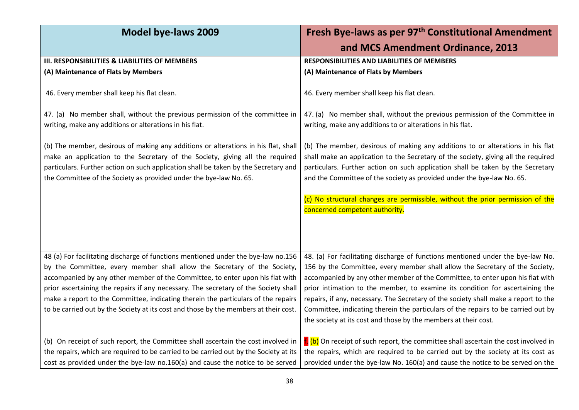| <b>Model bye-laws 2009</b>                                                                                                                                                                                                                                                                                                                                                                                                                                                                                         | Fresh Bye-laws as per 97 <sup>th</sup> Constitutional Amendment                                                                                                                                                                                                                                                                                                                                                                                                                                                                                                                  |
|--------------------------------------------------------------------------------------------------------------------------------------------------------------------------------------------------------------------------------------------------------------------------------------------------------------------------------------------------------------------------------------------------------------------------------------------------------------------------------------------------------------------|----------------------------------------------------------------------------------------------------------------------------------------------------------------------------------------------------------------------------------------------------------------------------------------------------------------------------------------------------------------------------------------------------------------------------------------------------------------------------------------------------------------------------------------------------------------------------------|
|                                                                                                                                                                                                                                                                                                                                                                                                                                                                                                                    | and MCS Amendment Ordinance, 2013                                                                                                                                                                                                                                                                                                                                                                                                                                                                                                                                                |
| III. RESPONSIBILITIES & LIABILITIES OF MEMBERS                                                                                                                                                                                                                                                                                                                                                                                                                                                                     | <b>RESPONSIBILITIES AND LIABILITIES OF MEMBERS</b>                                                                                                                                                                                                                                                                                                                                                                                                                                                                                                                               |
| (A) Maintenance of Flats by Members                                                                                                                                                                                                                                                                                                                                                                                                                                                                                | (A) Maintenance of Flats by Members                                                                                                                                                                                                                                                                                                                                                                                                                                                                                                                                              |
| 46. Every member shall keep his flat clean.                                                                                                                                                                                                                                                                                                                                                                                                                                                                        | 46. Every member shall keep his flat clean.                                                                                                                                                                                                                                                                                                                                                                                                                                                                                                                                      |
| 47. (a) No member shall, without the previous permission of the committee in<br>writing, make any additions or alterations in his flat.                                                                                                                                                                                                                                                                                                                                                                            | 47. (a) No member shall, without the previous permission of the Committee in<br>writing, make any additions to or alterations in his flat.                                                                                                                                                                                                                                                                                                                                                                                                                                       |
| (b) The member, desirous of making any additions or alterations in his flat, shall<br>make an application to the Secretary of the Society, giving all the required<br>particulars. Further action on such application shall be taken by the Secretary and<br>the Committee of the Society as provided under the bye-law No. 65.                                                                                                                                                                                    | (b) The member, desirous of making any additions to or alterations in his flat<br>shall make an application to the Secretary of the society, giving all the required<br>particulars. Further action on such application shall be taken by the Secretary<br>and the Committee of the society as provided under the bye-law No. 65.                                                                                                                                                                                                                                                |
|                                                                                                                                                                                                                                                                                                                                                                                                                                                                                                                    | (c) No structural changes are permissible, without the prior permission of the<br>concerned competent authority.                                                                                                                                                                                                                                                                                                                                                                                                                                                                 |
| 48 (a) For facilitating discharge of functions mentioned under the bye-law no.156<br>by the Committee, every member shall allow the Secretary of the Society,<br>accompanied by any other member of the Committee, to enter upon his flat with<br>prior ascertaining the repairs if any necessary. The secretary of the Society shall<br>make a report to the Committee, indicating therein the particulars of the repairs<br>to be carried out by the Society at its cost and those by the members at their cost. | 48. (a) For facilitating discharge of functions mentioned under the bye-law No.<br>156 by the Committee, every member shall allow the Secretary of the Society,<br>accompanied by any other member of the Committee, to enter upon his flat with<br>prior intimation to the member, to examine its condition for ascertaining the<br>repairs, if any, necessary. The Secretary of the society shall make a report to the<br>Committee, indicating therein the particulars of the repairs to be carried out by<br>the society at its cost and those by the members at their cost. |
| (b) On receipt of such report, the Committee shall ascertain the cost involved in<br>the repairs, which are required to be carried to be carried out by the Society at its<br>cost as provided under the bye-law no.160(a) and cause the notice to be served                                                                                                                                                                                                                                                       | t (b) On receipt of such report, the committee shall ascertain the cost involved in<br>the repairs, which are required to be carried out by the society at its cost as<br>provided under the bye-law No. 160(a) and cause the notice to be served on the                                                                                                                                                                                                                                                                                                                         |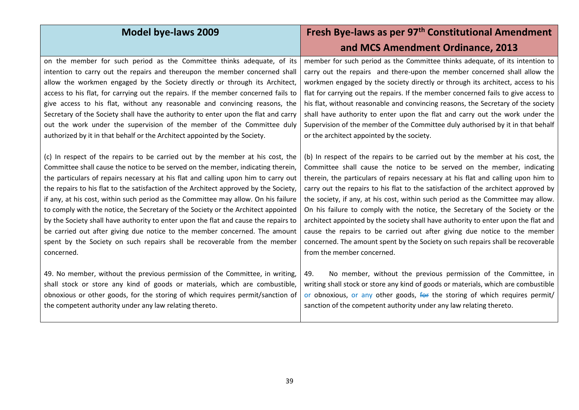| <b>Model bye-laws 2009</b>                                                                                                                                                                                                                                                                               | Fresh Bye-laws as per 97 <sup>th</sup> Constitutional Amendment                                                                                                                                                                                                                                                    |
|----------------------------------------------------------------------------------------------------------------------------------------------------------------------------------------------------------------------------------------------------------------------------------------------------------|--------------------------------------------------------------------------------------------------------------------------------------------------------------------------------------------------------------------------------------------------------------------------------------------------------------------|
|                                                                                                                                                                                                                                                                                                          | and MCS Amendment Ordinance, 2013                                                                                                                                                                                                                                                                                  |
| on the member for such period as the Committee thinks adequate, of its                                                                                                                                                                                                                                   | member for such period as the Committee thinks adequate, of its intention to                                                                                                                                                                                                                                       |
| intention to carry out the repairs and thereupon the member concerned shall                                                                                                                                                                                                                              | carry out the repairs and there-upon the member concerned shall allow the                                                                                                                                                                                                                                          |
| allow the workmen engaged by the Society directly or through its Architect,                                                                                                                                                                                                                              | workmen engaged by the society directly or through its architect, access to his                                                                                                                                                                                                                                    |
| access to his flat, for carrying out the repairs. If the member concerned fails to                                                                                                                                                                                                                       | flat for carrying out the repairs. If the member concerned fails to give access to                                                                                                                                                                                                                                 |
| give access to his flat, without any reasonable and convincing reasons, the                                                                                                                                                                                                                              | his flat, without reasonable and convincing reasons, the Secretary of the society                                                                                                                                                                                                                                  |
| Secretary of the Society shall have the authority to enter upon the flat and carry                                                                                                                                                                                                                       | shall have authority to enter upon the flat and carry out the work under the                                                                                                                                                                                                                                       |
| out the work under the supervision of the member of the Committee duly                                                                                                                                                                                                                                   | Supervision of the member of the Committee duly authorised by it in that behalf                                                                                                                                                                                                                                    |
| authorized by it in that behalf or the Architect appointed by the Society.                                                                                                                                                                                                                               | or the architect appointed by the society.                                                                                                                                                                                                                                                                         |
| (c) In respect of the repairs to be carried out by the member at his cost, the                                                                                                                                                                                                                           | (b) In respect of the repairs to be carried out by the member at his cost, the                                                                                                                                                                                                                                     |
| Committee shall cause the notice to be served on the member, indicating therein,                                                                                                                                                                                                                         | Committee shall cause the notice to be served on the member, indicating                                                                                                                                                                                                                                            |
| the particulars of repairs necessary at his flat and calling upon him to carry out                                                                                                                                                                                                                       | therein, the particulars of repairs necessary at his flat and calling upon him to                                                                                                                                                                                                                                  |
| the repairs to his flat to the satisfaction of the Architect approved by the Society,                                                                                                                                                                                                                    | carry out the repairs to his flat to the satisfaction of the architect approved by                                                                                                                                                                                                                                 |
| if any, at his cost, within such period as the Committee may allow. On his failure                                                                                                                                                                                                                       | the society, if any, at his cost, within such period as the Committee may allow.                                                                                                                                                                                                                                   |
| to comply with the notice, the Secretary of the Society or the Architect appointed                                                                                                                                                                                                                       | On his failure to comply with the notice, the Secretary of the Society or the                                                                                                                                                                                                                                      |
| by the Society shall have authority to enter upon the flat and cause the repairs to                                                                                                                                                                                                                      | architect appointed by the society shall have authority to enter upon the flat and                                                                                                                                                                                                                                 |
| be carried out after giving due notice to the member concerned. The amount                                                                                                                                                                                                                               | cause the repairs to be carried out after giving due notice to the member                                                                                                                                                                                                                                          |
| spent by the Society on such repairs shall be recoverable from the member                                                                                                                                                                                                                                | concerned. The amount spent by the Society on such repairs shall be recoverable                                                                                                                                                                                                                                    |
| concerned.                                                                                                                                                                                                                                                                                               | from the member concerned.                                                                                                                                                                                                                                                                                         |
| 49. No member, without the previous permission of the Committee, in writing,<br>shall stock or store any kind of goods or materials, which are combustible,<br>obnoxious or other goods, for the storing of which requires permit/sanction of<br>the competent authority under any law relating thereto. | No member, without the previous permission of the Committee, in<br>49.<br>writing shall stock or store any kind of goods or materials, which are combustible<br>or obnoxious, or any other goods, for the storing of which requires permit/<br>sanction of the competent authority under any law relating thereto. |

39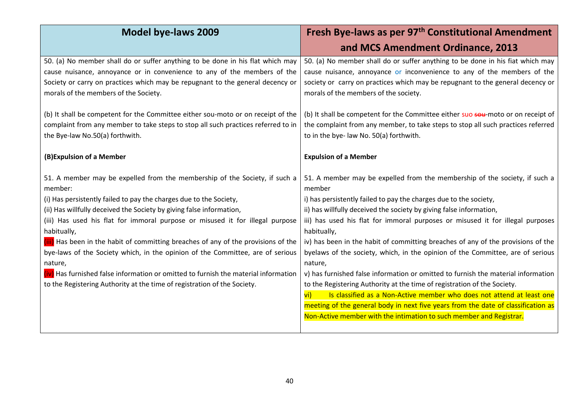| <b>Model bye-laws 2009</b>                                                          | Fresh Bye-laws as per 97 <sup>th</sup> Constitutional Amendment                          |
|-------------------------------------------------------------------------------------|------------------------------------------------------------------------------------------|
|                                                                                     | and MCS Amendment Ordinance, 2013                                                        |
| 50. (a) No member shall do or suffer anything to be done in his flat which may      | 50. (a) No member shall do or suffer anything to be done in his fiat which may           |
| cause nuisance, annoyance or in convenience to any of the members of the            | cause nuisance, annoyance or inconvenience to any of the members of the                  |
| Society or carry on practices which may be repugnant to the general decency or      | society or carry on practices which may be repugnant to the general decency or           |
| morals of the members of the Society.                                               | morals of the members of the society.                                                    |
| (b) It shall be competent for the Committee either sou-moto or on receipt of the    | (b) It shall be competent for the Committee either suo sou-moto or on receipt of         |
| complaint from any member to take steps to stop all such practices referred to in   | the complaint from any member, to take steps to stop all such practices referred         |
| the Bye-law No.50(a) forthwith.                                                     | to in the bye- law No. 50(a) forthwith.                                                  |
|                                                                                     |                                                                                          |
| (B) Expulsion of a Member                                                           | <b>Expulsion of a Member</b>                                                             |
| 51. A member may be expelled from the membership of the Society, if such a          | 51. A member may be expelled from the membership of the society, if such a               |
| member:                                                                             | member                                                                                   |
| (i) Has persistently failed to pay the charges due to the Society,                  | i) has persistently failed to pay the charges due to the society,                        |
| (ii) Has willfully deceived the Society by giving false information,                | ii) has willfully deceived the society by giving false information,                      |
| (iii) Has used his flat for immoral purpose or misused it for illegal purpose       | iii) has used his flat for immoral purposes or misused it for illegal purposes           |
| habitually,                                                                         | habitually,                                                                              |
| (iii) Has been in the habit of committing breaches of any of the provisions of the  | iv) has been in the habit of committing breaches of any of the provisions of the         |
| bye-laws of the Society which, in the opinion of the Committee, are of serious      | byelaws of the society, which, in the opinion of the Committee, are of serious           |
| nature,                                                                             | nature,                                                                                  |
| (iv) Has furnished false information or omitted to furnish the material information | v) has furnished false information or omitted to furnish the material information        |
| to the Registering Authority at the time of registration of the Society.            | to the Registering Authority at the time of registration of the Society.                 |
|                                                                                     | Is classified as a Non-Active member who does not attend at least one<br>$\overline{vi}$ |
|                                                                                     | meeting of the general body in next five years from the date of classification as        |
|                                                                                     | Non-Active member with the intimation to such member and Registrar.                      |
|                                                                                     |                                                                                          |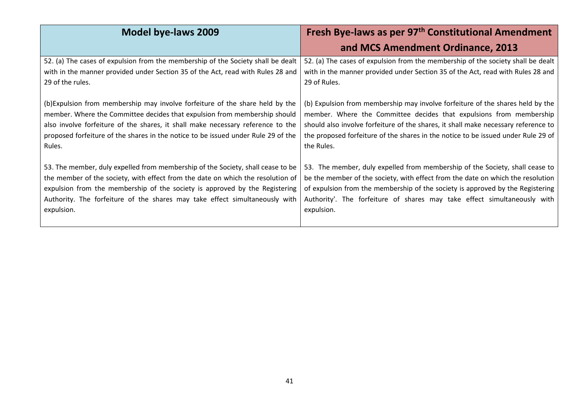| <b>Model bye-laws 2009</b>                                                        | Fresh Bye-laws as per 97 <sup>th</sup> Constitutional Amendment<br>and MCS Amendment Ordinance, 2013 |
|-----------------------------------------------------------------------------------|------------------------------------------------------------------------------------------------------|
| 52. (a) The cases of expulsion from the membership of the Society shall be dealt  | 52. (a) The cases of expulsion from the membership of the society shall be dealt                     |
| with in the manner provided under Section 35 of the Act, read with Rules 28 and   | with in the manner provided under Section 35 of the Act, read with Rules 28 and                      |
| 29 of the rules.                                                                  | 29 of Rules.                                                                                         |
| (b) Expulsion from membership may involve forfeiture of the share held by the     | (b) Expulsion from membership may involve forfeiture of the shares held by the                       |
| member. Where the Committee decides that expulsion from membership should         | member. Where the Committee decides that expulsions from membership                                  |
| also involve forfeiture of the shares, it shall make necessary reference to the   | should also involve forfeiture of the shares, it shall make necessary reference to                   |
| proposed forfeiture of the shares in the notice to be issued under Rule 29 of the | the proposed forfeiture of the shares in the notice to be issued under Rule 29 of                    |
| Rules.                                                                            | the Rules.                                                                                           |
| 53. The member, duly expelled from membership of the Society, shall cease to be   | 53. The member, duly expelled from membership of the Society, shall cease to                         |
| the member of the society, with effect from the date on which the resolution of   | be the member of the society, with effect from the date on which the resolution                      |
| expulsion from the membership of the society is approved by the Registering       | of expulsion from the membership of the society is approved by the Registering                       |
| Authority. The forfeiture of the shares may take effect simultaneously with       | Authority'. The forfeiture of shares may take effect simultaneously with                             |
| expulsion.                                                                        | expulsion.                                                                                           |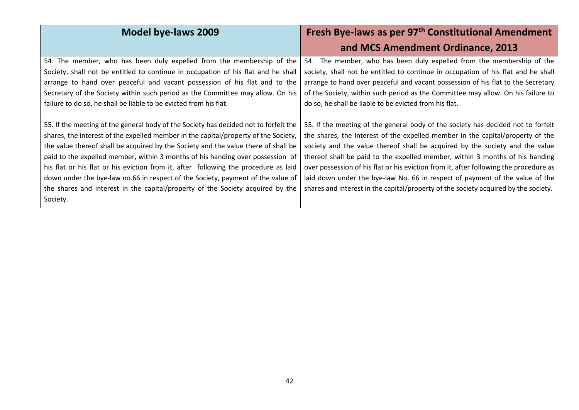| <b>Model bye-laws 2009</b>                                                           | Fresh Bye-laws as per 97 <sup>th</sup> Constitutional Amendment                       |
|--------------------------------------------------------------------------------------|---------------------------------------------------------------------------------------|
|                                                                                      | and MCS Amendment Ordinance, 2013                                                     |
| 54. The member, who has been duly expelled from the membership of the                | 54. The member, who has been duly expelled from the membership of the                 |
| Society, shall not be entitled to continue in occupation of his flat and he shall    | society, shall not be entitled to continue in occupation of his flat and he shall     |
| arrange to hand over peaceful and vacant possession of his flat and to the           | arrange to hand over peaceful and vacant possession of his flat to the Secretary      |
| Secretary of the Society within such period as the Committee may allow. On his       | of the Society, within such period as the Committee may allow. On his failure to      |
| failure to do so, he shall be liable to be evicted from his flat.                    | do so, he shall be liable to be evicted from his flat.                                |
|                                                                                      |                                                                                       |
| 55. If the meeting of the general body of the Society has decided not to forfeit the | 55. If the meeting of the general body of the society has decided not to forfeit      |
| shares, the interest of the expelled member in the capital/property of the Society,  | the shares, the interest of the expelled member in the capital/property of the        |
| the value thereof shall be acquired by the Society and the value there of shall be   | society and the value thereof shall be acquired by the society and the value          |
| paid to the expelled member, within 3 months of his handing over possession of       | thereof shall be paid to the expelled member, within 3 months of his handing          |
| his flat or his flat or his eviction from it, after following the procedure as laid  | over possession of his flat or his eviction from it, after following the procedure as |
| down under the bye-law no.66 in respect of the Society, payment of the value of      | laid down under the bye-law No. 66 in respect of payment of the value of the          |
| the shares and interest in the capital/property of the Society acquired by the       | shares and interest in the capital/property of the society acquired by the society.   |
| Society.                                                                             |                                                                                       |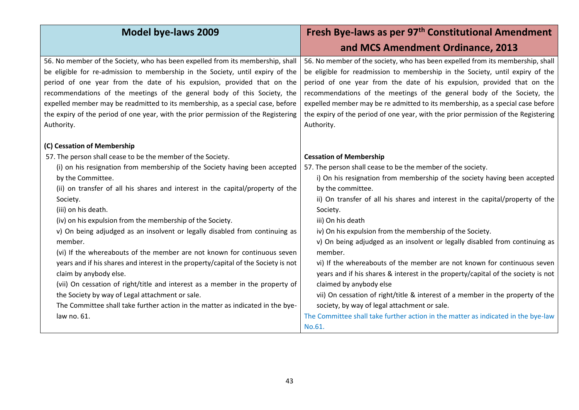| <b>Model bye-laws 2009</b>                                                                                                                                                                                                                                                                                                                                                                                                                                                                                    | Fresh Bye-laws as per 97 <sup>th</sup> Constitutional Amendment                                                                                                                                                                                                                                                                                                                                                                                                                                             |
|---------------------------------------------------------------------------------------------------------------------------------------------------------------------------------------------------------------------------------------------------------------------------------------------------------------------------------------------------------------------------------------------------------------------------------------------------------------------------------------------------------------|-------------------------------------------------------------------------------------------------------------------------------------------------------------------------------------------------------------------------------------------------------------------------------------------------------------------------------------------------------------------------------------------------------------------------------------------------------------------------------------------------------------|
|                                                                                                                                                                                                                                                                                                                                                                                                                                                                                                               | and MCS Amendment Ordinance, 2013                                                                                                                                                                                                                                                                                                                                                                                                                                                                           |
| 56. No member of the Society, who has been expelled from its membership, shall<br>be eligible for re-admission to membership in the Society, until expiry of the<br>period of one year from the date of his expulsion, provided that on the<br>recommendations of the meetings of the general body of this Society, the<br>expelled member may be readmitted to its membership, as a special case, before<br>the expiry of the period of one year, with the prior permission of the Registering<br>Authority. | 56. No member of the society, who has been expelled from its membership, shall<br>be eligible for readmission to membership in the Society, until expiry of the<br>period of one year from the date of his expulsion, provided that on the<br>recommendations of the meetings of the general body of the Society, the<br>expelled member may be re admitted to its membership, as a special case before<br>the expiry of the period of one year, with the prior permission of the Registering<br>Authority. |
| (C) Cessation of Membership                                                                                                                                                                                                                                                                                                                                                                                                                                                                                   |                                                                                                                                                                                                                                                                                                                                                                                                                                                                                                             |
| 57. The person shall cease to be the member of the Society.                                                                                                                                                                                                                                                                                                                                                                                                                                                   | <b>Cessation of Membership</b>                                                                                                                                                                                                                                                                                                                                                                                                                                                                              |
| (i) on his resignation from membership of the Society having been accepted                                                                                                                                                                                                                                                                                                                                                                                                                                    | 57. The person shall cease to be the member of the society.                                                                                                                                                                                                                                                                                                                                                                                                                                                 |
| by the Committee.                                                                                                                                                                                                                                                                                                                                                                                                                                                                                             | i) On his resignation from membership of the society having been accepted                                                                                                                                                                                                                                                                                                                                                                                                                                   |
| (ii) on transfer of all his shares and interest in the capital/property of the                                                                                                                                                                                                                                                                                                                                                                                                                                | by the committee.<br>ii) On transfer of all his shares and interest in the capital/property of the                                                                                                                                                                                                                                                                                                                                                                                                          |
| Society.<br>(iii) on his death.                                                                                                                                                                                                                                                                                                                                                                                                                                                                               | Society.                                                                                                                                                                                                                                                                                                                                                                                                                                                                                                    |
| (iv) on his expulsion from the membership of the Society.                                                                                                                                                                                                                                                                                                                                                                                                                                                     | iii) On his death                                                                                                                                                                                                                                                                                                                                                                                                                                                                                           |
| v) On being adjudged as an insolvent or legally disabled from continuing as                                                                                                                                                                                                                                                                                                                                                                                                                                   | iv) On his expulsion from the membership of the Society.                                                                                                                                                                                                                                                                                                                                                                                                                                                    |
| member.                                                                                                                                                                                                                                                                                                                                                                                                                                                                                                       | v) On being adjudged as an insolvent or legally disabled from continuing as                                                                                                                                                                                                                                                                                                                                                                                                                                 |
| (vi) If the whereabouts of the member are not known for continuous seven                                                                                                                                                                                                                                                                                                                                                                                                                                      | member.                                                                                                                                                                                                                                                                                                                                                                                                                                                                                                     |
| years and if his shares and interest in the property/capital of the Society is not                                                                                                                                                                                                                                                                                                                                                                                                                            | vi) If the whereabouts of the member are not known for continuous seven                                                                                                                                                                                                                                                                                                                                                                                                                                     |
| claim by anybody else.                                                                                                                                                                                                                                                                                                                                                                                                                                                                                        | years and if his shares & interest in the property/capital of the society is not                                                                                                                                                                                                                                                                                                                                                                                                                            |
| (vii) On cessation of right/title and interest as a member in the property of                                                                                                                                                                                                                                                                                                                                                                                                                                 | claimed by anybody else                                                                                                                                                                                                                                                                                                                                                                                                                                                                                     |
| the Society by way of Legal attachment or sale.                                                                                                                                                                                                                                                                                                                                                                                                                                                               | vii) On cessation of right/title & interest of a member in the property of the                                                                                                                                                                                                                                                                                                                                                                                                                              |
| The Committee shall take further action in the matter as indicated in the bye-                                                                                                                                                                                                                                                                                                                                                                                                                                | society, by way of legal attachment or sale.                                                                                                                                                                                                                                                                                                                                                                                                                                                                |
| law no. 61.                                                                                                                                                                                                                                                                                                                                                                                                                                                                                                   | The Committee shall take further action in the matter as indicated in the bye-law                                                                                                                                                                                                                                                                                                                                                                                                                           |
|                                                                                                                                                                                                                                                                                                                                                                                                                                                                                                               | No.61.                                                                                                                                                                                                                                                                                                                                                                                                                                                                                                      |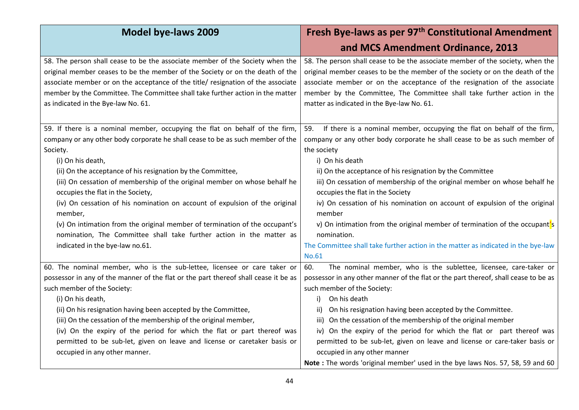| <b>Model bye-laws 2009</b>                                                          | Fresh Bye-laws as per 97 <sup>th</sup> Constitutional Amendment                     |
|-------------------------------------------------------------------------------------|-------------------------------------------------------------------------------------|
|                                                                                     | and MCS Amendment Ordinance, 2013                                                   |
| 58. The person shall cease to be the associate member of the Society when the       | 58. The person shall cease to be the associate member of the society, when the      |
| original member ceases to be the member of the Society or on the death of the       | original member ceases to be the member of the society or on the death of the       |
| associate member or on the acceptance of the title/ resignation of the associate    | associate member or on the acceptance of the resignation of the associate           |
| member by the Committee. The Committee shall take further action in the matter      | member by the Committee, The Committee shall take further action in the             |
| as indicated in the Bye-law No. 61.                                                 | matter as indicated in the Bye-law No. 61.                                          |
|                                                                                     |                                                                                     |
| 59. If there is a nominal member, occupying the flat on behalf of the firm,         | If there is a nominal member, occupying the flat on behalf of the firm,<br>59.      |
| company or any other body corporate he shall cease to be as such member of the      | company or any other body corporate he shall cease to be as such member of          |
| Society.                                                                            | the society                                                                         |
| (i) On his death,                                                                   | i) On his death                                                                     |
| (ii) On the acceptance of his resignation by the Committee,                         | ii) On the acceptance of his resignation by the Committee                           |
| (iii) On cessation of membership of the original member on whose behalf he          | iii) On cessation of membership of the original member on whose behalf he           |
| occupies the flat in the Society,                                                   | occupies the flat in the Society                                                    |
| (iv) On cessation of his nomination on account of expulsion of the original         | iv) On cessation of his nomination on account of expulsion of the original          |
| member,                                                                             | member                                                                              |
| (v) On intimation from the original member of termination of the occupant's         | v) On intimation from the original member of termination of the occupant's          |
| nomination, The Committee shall take further action in the matter as                | nomination.                                                                         |
| indicated in the bye-law no.61.                                                     | The Committee shall take further action in the matter as indicated in the bye-law   |
|                                                                                     | <b>No.61</b>                                                                        |
| 60. The nominal member, who is the sub-lettee, licensee or care taker or            | The nominal member, who is the sublettee, licensee, care-taker or<br>60.            |
| possessor in any of the manner of the flat or the part thereof shall cease it be as | possessor in any other manner of the flat or the part thereof, shall cease to be as |
| such member of the Society:                                                         | such member of the Society:                                                         |
| (i) On his death,                                                                   | On his death<br>i)                                                                  |
| (ii) On his resignation having been accepted by the Committee,                      | On his resignation having been accepted by the Committee.<br>ii)                    |
| (iii) On the cessation of the membership of the original member,                    | On the cessation of the membership of the original member<br>iii)                   |
| (iv) On the expiry of the period for which the flat or part thereof was             | iv) On the expiry of the period for which the flat or part thereof was              |
| permitted to be sub-let, given on leave and license or caretaker basis or           | permitted to be sub-let, given on leave and license or care-taker basis or          |
| occupied in any other manner.                                                       | occupied in any other manner                                                        |
|                                                                                     | Note: The words 'original member' used in the bye laws Nos. 57, 58, 59 and 60       |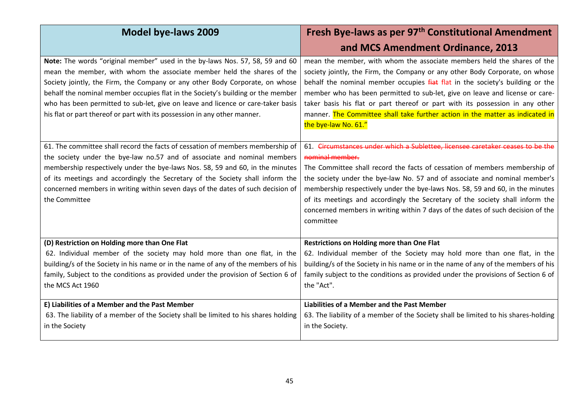| <b>Model bye-laws 2009</b>                                                                                                                                                                                                                                                                                                                                                                                                                                                                 | Fresh Bye-laws as per 97 <sup>th</sup> Constitutional Amendment                                                                                                                                                                                                                                                                                                                                                                                                                                                                 |
|--------------------------------------------------------------------------------------------------------------------------------------------------------------------------------------------------------------------------------------------------------------------------------------------------------------------------------------------------------------------------------------------------------------------------------------------------------------------------------------------|---------------------------------------------------------------------------------------------------------------------------------------------------------------------------------------------------------------------------------------------------------------------------------------------------------------------------------------------------------------------------------------------------------------------------------------------------------------------------------------------------------------------------------|
|                                                                                                                                                                                                                                                                                                                                                                                                                                                                                            | and MCS Amendment Ordinance, 2013                                                                                                                                                                                                                                                                                                                                                                                                                                                                                               |
| Note: The words "original member" used in the by-laws Nos. 57, 58, 59 and 60<br>mean the member, with whom the associate member held the shares of the<br>Society jointly, the Firm, the Company or any other Body Corporate, on whose<br>behalf the nominal member occupies flat in the Society's building or the member<br>who has been permitted to sub-let, give on leave and licence or care-taker basis<br>his flat or part thereof or part with its possession in any other manner. | mean the member, with whom the associate members held the shares of the<br>society jointly, the Firm, the Company or any other Body Corporate, on whose<br>behalf the nominal member occupies fiat flat in the society's building or the<br>member who has been permitted to sub-let, give on leave and license or care-<br>taker basis his flat or part thereof or part with its possession in any other<br>manner. The Committee shall take further action in the matter as indicated in<br>the bye-law No. 61."              |
| 61. The committee shall record the facts of cessation of members membership of<br>the society under the bye-law no.57 and of associate and nominal members<br>membership respectively under the bye-laws Nos. 58, 59 and 60, in the minutes<br>of its meetings and accordingly the Secretary of the Society shall inform the<br>concerned members in writing within seven days of the dates of such decision of<br>the Committee                                                           | 61. Circumstances under which a Sublettee, licensee caretaker ceases to be the<br>nominal member.<br>The Committee shall record the facts of cessation of members membership of<br>the society under the bye-law No. 57 and of associate and nominal member's<br>membership respectively under the bye-laws Nos. 58, 59 and 60, in the minutes<br>of its meetings and accordingly the Secretary of the society shall inform the<br>concerned members in writing within 7 days of the dates of such decision of the<br>committee |
| (D) Restriction on Holding more than One Flat<br>62. Individual member of the society may hold more than one flat, in the<br>building/s of the Society in his name or in the name of any of the members of his<br>family, Subject to the conditions as provided under the provision of Section 6 of<br>the MCS Act 1960                                                                                                                                                                    | <b>Restrictions on Holding more than One Flat</b><br>62. Individual member of the Society may hold more than one flat, in the<br>building/s of the Society in his name or in the name of any of the members of his<br>family subject to the conditions as provided under the provisions of Section 6 of<br>the "Act".                                                                                                                                                                                                           |
| E) Liabilities of a Member and the Past Member<br>63. The liability of a member of the Society shall be limited to his shares holding<br>in the Society                                                                                                                                                                                                                                                                                                                                    | <b>Liabilities of a Member and the Past Member</b><br>63. The liability of a member of the Society shall be limited to his shares-holding<br>in the Society.                                                                                                                                                                                                                                                                                                                                                                    |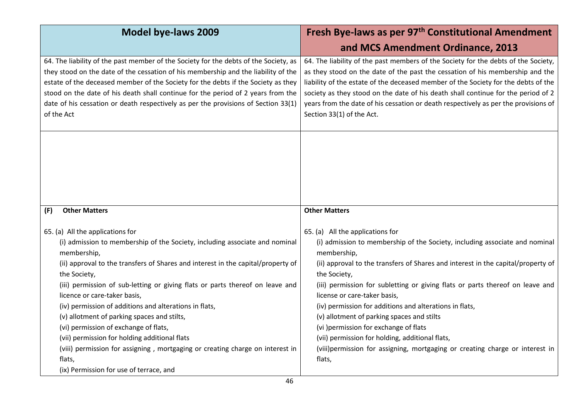| <b>Model bye-laws 2009</b>                                                                                                                                                                                                                                                                                                                                                                                                                              | Fresh Bye-laws as per 97 <sup>th</sup> Constitutional Amendment                                                                                                                                                                                                                                                                                                                                                                                                    |
|---------------------------------------------------------------------------------------------------------------------------------------------------------------------------------------------------------------------------------------------------------------------------------------------------------------------------------------------------------------------------------------------------------------------------------------------------------|--------------------------------------------------------------------------------------------------------------------------------------------------------------------------------------------------------------------------------------------------------------------------------------------------------------------------------------------------------------------------------------------------------------------------------------------------------------------|
|                                                                                                                                                                                                                                                                                                                                                                                                                                                         | and MCS Amendment Ordinance, 2013                                                                                                                                                                                                                                                                                                                                                                                                                                  |
| 64. The liability of the past member of the Society for the debts of the Society, as<br>they stood on the date of the cessation of his membership and the liability of the<br>estate of the deceased member of the Society for the debts if the Society as they<br>stood on the date of his death shall continue for the period of 2 years from the<br>date of his cessation or death respectively as per the provisions of Section 33(1)<br>of the Act | 64. The liability of the past members of the Society for the debts of the Society,<br>as they stood on the date of the past the cessation of his membership and the<br>liability of the estate of the deceased member of the Society for the debts of the<br>society as they stood on the date of his death shall continue for the period of 2<br>years from the date of his cessation or death respectively as per the provisions of<br>Section 33(1) of the Act. |
|                                                                                                                                                                                                                                                                                                                                                                                                                                                         |                                                                                                                                                                                                                                                                                                                                                                                                                                                                    |
| <b>Other Matters</b><br>(F)                                                                                                                                                                                                                                                                                                                                                                                                                             | <b>Other Matters</b>                                                                                                                                                                                                                                                                                                                                                                                                                                               |
| 65. (a) All the applications for                                                                                                                                                                                                                                                                                                                                                                                                                        | 65. (a) All the applications for                                                                                                                                                                                                                                                                                                                                                                                                                                   |
| (i) admission to membership of the Society, including associate and nominal<br>membership,                                                                                                                                                                                                                                                                                                                                                              | (i) admission to membership of the Society, including associate and nominal<br>membership,                                                                                                                                                                                                                                                                                                                                                                         |
| (ii) approval to the transfers of Shares and interest in the capital/property of<br>the Society,                                                                                                                                                                                                                                                                                                                                                        | (ii) approval to the transfers of Shares and interest in the capital/property of<br>the Society,                                                                                                                                                                                                                                                                                                                                                                   |
| (iii) permission of sub-letting or giving flats or parts thereof on leave and<br>licence or care-taker basis,                                                                                                                                                                                                                                                                                                                                           | (iii) permission for subletting or giving flats or parts thereof on leave and<br>license or care-taker basis,                                                                                                                                                                                                                                                                                                                                                      |
| (iv) permission of additions and alterations in flats,                                                                                                                                                                                                                                                                                                                                                                                                  | (iv) permission for additions and alterations in flats,                                                                                                                                                                                                                                                                                                                                                                                                            |
| (v) allotment of parking spaces and stilts,                                                                                                                                                                                                                                                                                                                                                                                                             | (v) allotment of parking spaces and stilts                                                                                                                                                                                                                                                                                                                                                                                                                         |
| (vi) permission of exchange of flats,                                                                                                                                                                                                                                                                                                                                                                                                                   | (vi) permission for exchange of flats                                                                                                                                                                                                                                                                                                                                                                                                                              |
| (vii) permission for holding additional flats                                                                                                                                                                                                                                                                                                                                                                                                           | (vii) permission for holding, additional flats,                                                                                                                                                                                                                                                                                                                                                                                                                    |
| (viii) permission for assigning, mortgaging or creating charge on interest in                                                                                                                                                                                                                                                                                                                                                                           | (viii)permission for assigning, mortgaging or creating charge or interest in                                                                                                                                                                                                                                                                                                                                                                                       |
| flats,                                                                                                                                                                                                                                                                                                                                                                                                                                                  | flats,                                                                                                                                                                                                                                                                                                                                                                                                                                                             |
| (ix) Permission for use of terrace, and                                                                                                                                                                                                                                                                                                                                                                                                                 |                                                                                                                                                                                                                                                                                                                                                                                                                                                                    |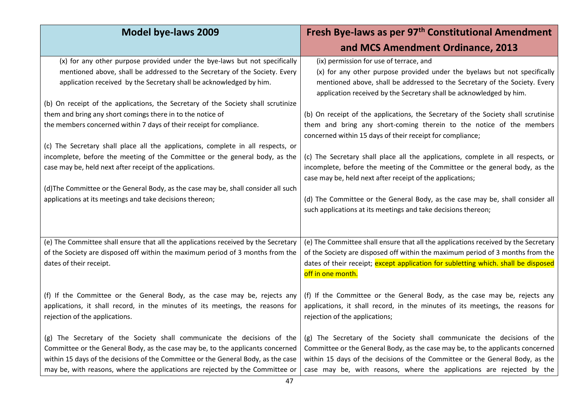| <b>Model bye-laws 2009</b>                                                                                                                                                                                                                                                                                                                                                                                                                                                                                                                                                                                                                                                                                                                                                                                                                   | Fresh Bye-laws as per 97 <sup>th</sup> Constitutional Amendment                                                                                                                                                                                                                                                                                                                                                                                                                                                                                                                                                                                                                                                                                                                                                                                                                       |
|----------------------------------------------------------------------------------------------------------------------------------------------------------------------------------------------------------------------------------------------------------------------------------------------------------------------------------------------------------------------------------------------------------------------------------------------------------------------------------------------------------------------------------------------------------------------------------------------------------------------------------------------------------------------------------------------------------------------------------------------------------------------------------------------------------------------------------------------|---------------------------------------------------------------------------------------------------------------------------------------------------------------------------------------------------------------------------------------------------------------------------------------------------------------------------------------------------------------------------------------------------------------------------------------------------------------------------------------------------------------------------------------------------------------------------------------------------------------------------------------------------------------------------------------------------------------------------------------------------------------------------------------------------------------------------------------------------------------------------------------|
|                                                                                                                                                                                                                                                                                                                                                                                                                                                                                                                                                                                                                                                                                                                                                                                                                                              | and MCS Amendment Ordinance, 2013                                                                                                                                                                                                                                                                                                                                                                                                                                                                                                                                                                                                                                                                                                                                                                                                                                                     |
| (x) for any other purpose provided under the bye-laws but not specifically<br>mentioned above, shall be addressed to the Secretary of the Society. Every<br>application received by the Secretary shall be acknowledged by him.<br>(b) On receipt of the applications, the Secretary of the Society shall scrutinize<br>them and bring any short comings there in to the notice of<br>the members concerned within 7 days of their receipt for compliance.<br>(c) The Secretary shall place all the applications, complete in all respects, or<br>incomplete, before the meeting of the Committee or the general body, as the<br>case may be, held next after receipt of the applications.<br>(d) The Committee or the General Body, as the case may be, shall consider all such<br>applications at its meetings and take decisions thereon; | (ix) permission for use of terrace, and<br>(x) for any other purpose provided under the byelaws but not specifically<br>mentioned above, shall be addressed to the Secretary of the Society. Every<br>application received by the Secretary shall be acknowledged by him.<br>(b) On receipt of the applications, the Secretary of the Society shall scrutinise<br>them and bring any short-coming therein to the notice of the members<br>concerned within 15 days of their receipt for compliance;<br>(c) The Secretary shall place all the applications, complete in all respects, or<br>incomplete, before the meeting of the Committee or the general body, as the<br>case may be, held next after receipt of the applications;<br>(d) The Committee or the General Body, as the case may be, shall consider all<br>such applications at its meetings and take decisions thereon; |
| (e) The Committee shall ensure that all the applications received by the Secretary<br>of the Society are disposed off within the maximum period of 3 months from the<br>dates of their receipt.                                                                                                                                                                                                                                                                                                                                                                                                                                                                                                                                                                                                                                              | (e) The Committee shall ensure that all the applications received by the Secretary<br>of the Society are disposed off within the maximum period of 3 months from the<br>dates of their receipt; except application for subletting which. shall be disposed<br>off in one month.                                                                                                                                                                                                                                                                                                                                                                                                                                                                                                                                                                                                       |
| (f) If the Committee or the General Body, as the case may be, rejects any<br>applications, it shall record, in the minutes of its meetings, the reasons for<br>rejection of the applications.                                                                                                                                                                                                                                                                                                                                                                                                                                                                                                                                                                                                                                                | (f) If the Committee or the General Body, as the case may be, rejects any<br>applications, it shall record, in the minutes of its meetings, the reasons for<br>rejection of the applications;                                                                                                                                                                                                                                                                                                                                                                                                                                                                                                                                                                                                                                                                                         |
| (g) The Secretary of the Society shall communicate the decisions of the<br>Committee or the General Body, as the case may be, to the applicants concerned<br>within 15 days of the decisions of the Committee or the General Body, as the case<br>may be, with reasons, where the applications are rejected by the Committee or                                                                                                                                                                                                                                                                                                                                                                                                                                                                                                              | (g) The Secretary of the Society shall communicate the decisions of the<br>Committee or the General Body, as the case may be, to the applicants concerned<br>within 15 days of the decisions of the Committee or the General Body, as the<br>case may be, with reasons, where the applications are rejected by the                                                                                                                                                                                                                                                                                                                                                                                                                                                                                                                                                                    |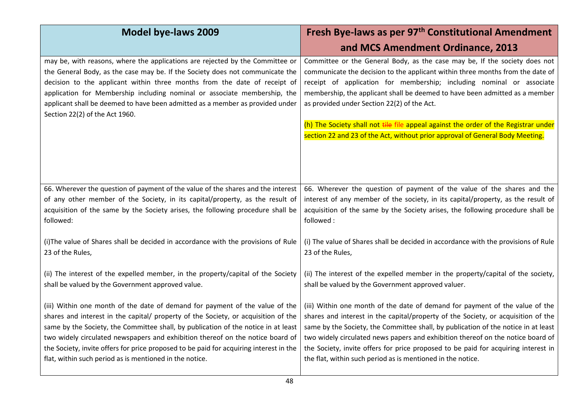| <b>Model bye-laws 2009</b>                                                                                                                                                                                                                                                                                                                                                                                                                  | Fresh Bye-laws as per 97 <sup>th</sup> Constitutional Amendment<br>and MCS Amendment Ordinance, 2013                                                                                                                                                                                                                                                                                                                                                                                                                                        |
|---------------------------------------------------------------------------------------------------------------------------------------------------------------------------------------------------------------------------------------------------------------------------------------------------------------------------------------------------------------------------------------------------------------------------------------------|---------------------------------------------------------------------------------------------------------------------------------------------------------------------------------------------------------------------------------------------------------------------------------------------------------------------------------------------------------------------------------------------------------------------------------------------------------------------------------------------------------------------------------------------|
| may be, with reasons, where the applications are rejected by the Committee or<br>the General Body, as the case may be. If the Society does not communicate the<br>decision to the applicant within three months from the date of receipt of<br>application for Membership including nominal or associate membership, the<br>applicant shall be deemed to have been admitted as a member as provided under<br>Section 22(2) of the Act 1960. | Committee or the General Body, as the case may be, If the society does not<br>communicate the decision to the applicant within three months from the date of<br>receipt of application for membership; including nominal or associate<br>membership, the applicant shall be deemed to have been admitted as a member<br>as provided under Section 22(2) of the Act.<br>(h) The Society shall not tile file appeal against the order of the Registrar under<br>section 22 and 23 of the Act, without prior approval of General Body Meeting. |
| 66. Wherever the question of payment of the value of the shares and the interest                                                                                                                                                                                                                                                                                                                                                            | 66. Wherever the question of payment of the value of the shares and the                                                                                                                                                                                                                                                                                                                                                                                                                                                                     |
| of any other member of the Society, in its capital/property, as the result of                                                                                                                                                                                                                                                                                                                                                               | interest of any member of the society, in its capital/property, as the result of                                                                                                                                                                                                                                                                                                                                                                                                                                                            |
| acquisition of the same by the Society arises, the following procedure shall be                                                                                                                                                                                                                                                                                                                                                             | acquisition of the same by the Society arises, the following procedure shall be                                                                                                                                                                                                                                                                                                                                                                                                                                                             |
| followed:                                                                                                                                                                                                                                                                                                                                                                                                                                   | followed:                                                                                                                                                                                                                                                                                                                                                                                                                                                                                                                                   |
| (i) The value of Shares shall be decided in accordance with the provisions of Rule                                                                                                                                                                                                                                                                                                                                                          | (i) The value of Shares shall be decided in accordance with the provisions of Rule                                                                                                                                                                                                                                                                                                                                                                                                                                                          |
| 23 of the Rules,                                                                                                                                                                                                                                                                                                                                                                                                                            | 23 of the Rules,                                                                                                                                                                                                                                                                                                                                                                                                                                                                                                                            |
| (ii) The interest of the expelled member, in the property/capital of the Society                                                                                                                                                                                                                                                                                                                                                            | (ii) The interest of the expelled member in the property/capital of the society,                                                                                                                                                                                                                                                                                                                                                                                                                                                            |
| shall be valued by the Government approved value.                                                                                                                                                                                                                                                                                                                                                                                           | shall be valued by the Government approved valuer.                                                                                                                                                                                                                                                                                                                                                                                                                                                                                          |
| (iii) Within one month of the date of demand for payment of the value of the                                                                                                                                                                                                                                                                                                                                                                | (iii) Within one month of the date of demand for payment of the value of the                                                                                                                                                                                                                                                                                                                                                                                                                                                                |
| shares and interest in the capital/ property of the Society, or acquisition of the                                                                                                                                                                                                                                                                                                                                                          | shares and interest in the capital/property of the Society, or acquisition of the                                                                                                                                                                                                                                                                                                                                                                                                                                                           |
| same by the Society, the Committee shall, by publication of the notice in at least                                                                                                                                                                                                                                                                                                                                                          | same by the Society, the Committee shall, by publication of the notice in at least                                                                                                                                                                                                                                                                                                                                                                                                                                                          |
| two widely circulated newspapers and exhibition thereof on the notice board of                                                                                                                                                                                                                                                                                                                                                              | two widely circulated news papers and exhibition thereof on the notice board of                                                                                                                                                                                                                                                                                                                                                                                                                                                             |
| the Society, invite offers for price proposed to be paid for acquiring interest in the                                                                                                                                                                                                                                                                                                                                                      | the Society, invite offers for price proposed to be paid for acquiring interest in                                                                                                                                                                                                                                                                                                                                                                                                                                                          |
| flat, within such period as is mentioned in the notice.                                                                                                                                                                                                                                                                                                                                                                                     | the flat, within such period as is mentioned in the notice.                                                                                                                                                                                                                                                                                                                                                                                                                                                                                 |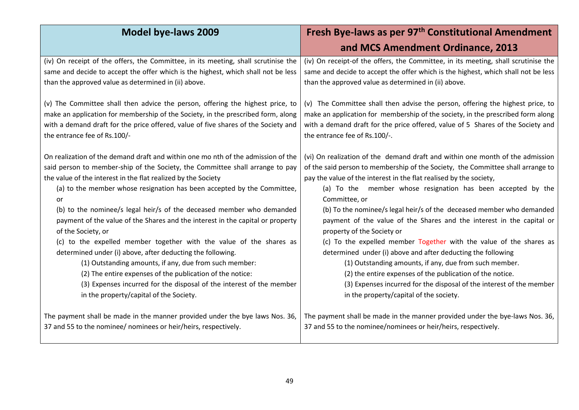| <b>Model bye-laws 2009</b>                                                         | Fresh Bye-laws as per 97 <sup>th</sup> Constitutional Amendment                    |
|------------------------------------------------------------------------------------|------------------------------------------------------------------------------------|
|                                                                                    | and MCS Amendment Ordinance, 2013                                                  |
| (iv) On receipt of the offers, the Committee, in its meeting, shall scrutinise the | (iv) On receipt-of the offers, the Committee, in its meeting, shall scrutinise the |
| same and decide to accept the offer which is the highest, which shall not be less  | same and decide to accept the offer which is the highest, which shall not be less  |
| than the approved value as determined in (ii) above.                               | than the approved value as determined in (ii) above.                               |
| (v) The Committee shall then advice the person, offering the highest price, to     | (v) The Committee shall then advise the person, offering the highest price, to     |
| make an application for membership of the Society, in the prescribed form, along   | make an application for membership of the society, in the prescribed form along    |
| with a demand draft for the price offered, value of five shares of the Society and | with a demand draft for the price offered, value of 5 Shares of the Society and    |
| the entrance fee of Rs.100/-                                                       | the entrance fee of Rs.100/-.                                                      |
| On realization of the demand draft and within one mo nth of the admission of the   | (vi) On realization of the demand draft and within one month of the admission      |
| said person to member-ship of the Society, the Committee shall arrange to pay      | of the said person to membership of the Society, the Committee shall arrange to    |
| the value of the interest in the flat realized by the Society                      | pay the value of the interest in the flat realised by the society,                 |
| (a) to the member whose resignation has been accepted by the Committee,            | (a) To the member whose resignation has been accepted by the                       |
| or                                                                                 | Committee, or                                                                      |
| (b) to the nominee/s legal heir/s of the deceased member who demanded              | (b) To the nominee/s legal heir/s of the deceased member who demanded              |
| payment of the value of the Shares and the interest in the capital or property     | payment of the value of the Shares and the interest in the capital or              |
| of the Society, or                                                                 | property of the Society or                                                         |
| (c) to the expelled member together with the value of the shares as                | (c) To the expelled member Together with the value of the shares as                |
| determined under (i) above, after deducting the following.                         | determined under (i) above and after deducting the following                       |
| (1) Outstanding amounts, if any, due from such member:                             | (1) Outstanding amounts, if any, due from such member.                             |
| (2) The entire expenses of the publication of the notice:                          | (2) the entire expenses of the publication of the notice.                          |
| (3) Expenses incurred for the disposal of the interest of the member               | (3) Expenses incurred for the disposal of the interest of the member               |
| in the property/capital of the Society.                                            | in the property/capital of the society.                                            |
| The payment shall be made in the manner provided under the bye laws Nos. 36,       | The payment shall be made in the manner provided under the bye-laws Nos. 36,       |
| 37 and 55 to the nominee/ nominees or heir/heirs, respectively.                    | 37 and 55 to the nominee/nominees or heir/heirs, respectively.                     |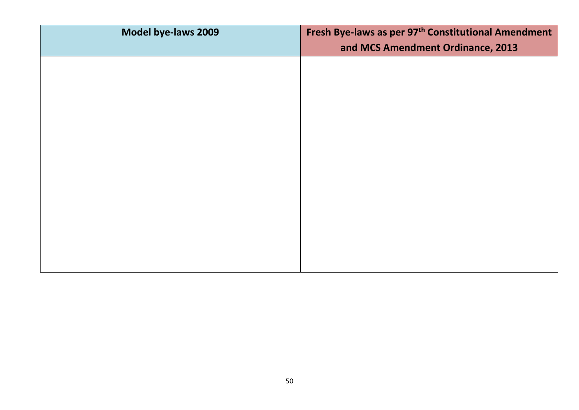| Model bye-laws 2009 | Fresh Bye-laws as per 97 <sup>th</sup> Constitutional Amendment |
|---------------------|-----------------------------------------------------------------|
|                     | and MCS Amendment Ordinance, 2013                               |
|                     |                                                                 |
|                     |                                                                 |
|                     |                                                                 |
|                     |                                                                 |
|                     |                                                                 |
|                     |                                                                 |
|                     |                                                                 |
|                     |                                                                 |
|                     |                                                                 |
|                     |                                                                 |
|                     |                                                                 |
|                     |                                                                 |
|                     |                                                                 |
|                     |                                                                 |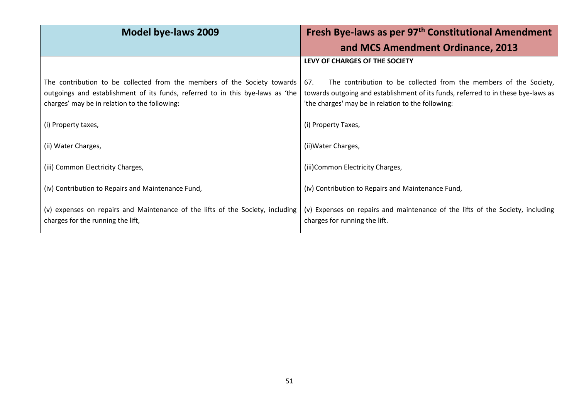| <b>Model bye-laws 2009</b>                                                                                                                                                                                    | Fresh Bye-laws as per 97 <sup>th</sup> Constitutional Amendment                                                                                                                                                     |
|---------------------------------------------------------------------------------------------------------------------------------------------------------------------------------------------------------------|---------------------------------------------------------------------------------------------------------------------------------------------------------------------------------------------------------------------|
|                                                                                                                                                                                                               | and MCS Amendment Ordinance, 2013                                                                                                                                                                                   |
|                                                                                                                                                                                                               | LEVY OF CHARGES OF THE SOCIETY                                                                                                                                                                                      |
| The contribution to be collected from the members of the Society towards  <br>outgoings and establishment of its funds, referred to in this bye-laws as 'the<br>charges' may be in relation to the following: | The contribution to be collected from the members of the Society,<br>67.<br>towards outgoing and establishment of its funds, referred to in these bye-laws as<br>'the charges' may be in relation to the following: |
| (i) Property taxes,                                                                                                                                                                                           | (i) Property Taxes,                                                                                                                                                                                                 |
| (ii) Water Charges,                                                                                                                                                                                           | (ii) Water Charges,                                                                                                                                                                                                 |
| (iii) Common Electricity Charges,                                                                                                                                                                             | (iii) Common Electricity Charges,                                                                                                                                                                                   |
| (iv) Contribution to Repairs and Maintenance Fund,                                                                                                                                                            | (iv) Contribution to Repairs and Maintenance Fund,                                                                                                                                                                  |
| (v) expenses on repairs and Maintenance of the lifts of the Society, including<br>charges for the running the lift,                                                                                           | (v) Expenses on repairs and maintenance of the lifts of the Society, including<br>charges for running the lift.                                                                                                     |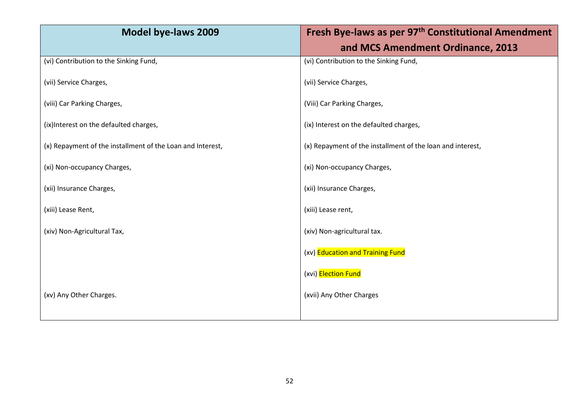| <b>Model bye-laws 2009</b>                                 | Fresh Bye-laws as per 97 <sup>th</sup> Constitutional Amendment |
|------------------------------------------------------------|-----------------------------------------------------------------|
|                                                            | and MCS Amendment Ordinance, 2013                               |
| (vi) Contribution to the Sinking Fund,                     | (vi) Contribution to the Sinking Fund,                          |
| (vii) Service Charges,                                     | (vii) Service Charges,                                          |
| (viii) Car Parking Charges,                                | (Viii) Car Parking Charges,                                     |
| (ix) Interest on the defaulted charges,                    | (ix) Interest on the defaulted charges,                         |
| (x) Repayment of the installment of the Loan and Interest, | (x) Repayment of the installment of the loan and interest,      |
| (xi) Non-occupancy Charges,                                | (xi) Non-occupancy Charges,                                     |
| (xii) Insurance Charges,                                   | (xii) Insurance Charges,                                        |
| (xiii) Lease Rent,                                         | (xiii) Lease rent,                                              |
| (xiv) Non-Agricultural Tax,                                | (xiv) Non-agricultural tax.                                     |
|                                                            | (xv) Education and Training Fund                                |
|                                                            | (xvi) Election Fund                                             |
| (xv) Any Other Charges.                                    | (xvii) Any Other Charges                                        |
|                                                            |                                                                 |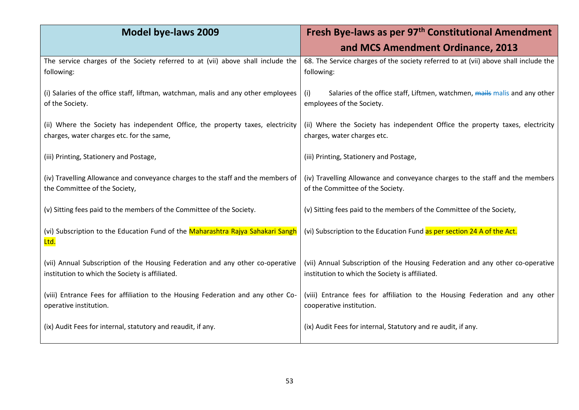| <b>Model bye-laws 2009</b>                                                                                                        | Fresh Bye-laws as per 97 <sup>th</sup> Constitutional Amendment                                                                   |
|-----------------------------------------------------------------------------------------------------------------------------------|-----------------------------------------------------------------------------------------------------------------------------------|
|                                                                                                                                   | and MCS Amendment Ordinance, 2013                                                                                                 |
| The service charges of the Society referred to at (vii) above shall include the<br>following:                                     | 68. The Service charges of the society referred to at (vii) above shall include the<br>following:                                 |
| (i) Salaries of the office staff, liftman, watchman, malis and any other employees<br>of the Society.                             | Salaries of the office staff, Liftmen, watchmen, mails malis and any other<br>(i)<br>employees of the Society.                    |
| (ii) Where the Society has independent Office, the property taxes, electricity<br>charges, water charges etc. for the same,       | (ii) Where the Society has independent Office the property taxes, electricity<br>charges, water charges etc.                      |
| (iii) Printing, Stationery and Postage,                                                                                           | (iii) Printing, Stationery and Postage,                                                                                           |
| (iv) Travelling Allowance and conveyance charges to the staff and the members of<br>the Committee of the Society,                 | (iv) Travelling Allowance and conveyance charges to the staff and the members<br>of the Committee of the Society.                 |
| (v) Sitting fees paid to the members of the Committee of the Society.                                                             | (v) Sitting fees paid to the members of the Committee of the Society,                                                             |
| (vi) Subscription to the Education Fund of the Maharashtra Rajya Sahakari Sangh<br>Ltd.                                           | (vi) Subscription to the Education Fund as per section 24 A of the Act.                                                           |
| (vii) Annual Subscription of the Housing Federation and any other co-operative<br>institution to which the Society is affiliated. | (vii) Annual Subscription of the Housing Federation and any other co-operative<br>institution to which the Society is affiliated. |
| (viii) Entrance Fees for affiliation to the Housing Federation and any other Co-<br>operative institution.                        | (viii) Entrance fees for affiliation to the Housing Federation and any other<br>cooperative institution.                          |
| (ix) Audit Fees for internal, statutory and reaudit, if any.                                                                      | (ix) Audit Fees for internal, Statutory and re audit, if any.                                                                     |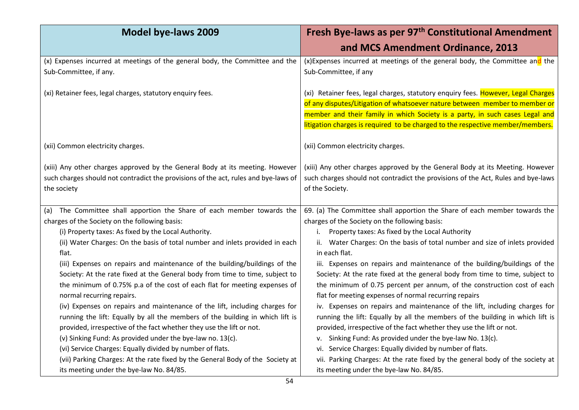| <b>Model bye-laws 2009</b>                                                          | Fresh Bye-laws as per 97 <sup>th</sup> Constitutional Amendment                   |
|-------------------------------------------------------------------------------------|-----------------------------------------------------------------------------------|
|                                                                                     | and MCS Amendment Ordinance, 2013                                                 |
| (x) Expenses incurred at meetings of the general body, the Committee and the        | (x) Expenses incurred at meetings of the general body, the Committee and the      |
| Sub-Committee, if any.                                                              | Sub-Committee, if any                                                             |
| (xi) Retainer fees, legal charges, statutory enquiry fees.                          | (xi) Retainer fees, legal charges, statutory enquiry fees. However, Legal Charges |
|                                                                                     | of any disputes/Litigation of whatsoever nature between member to member or       |
|                                                                                     | member and their family in which Society is a party, in such cases Legal and      |
|                                                                                     | litigation charges is required to be charged to the respective member/members.    |
| (xii) Common electricity charges.                                                   | (xii) Common electricity charges.                                                 |
| (xiii) Any other charges approved by the General Body at its meeting. However       | (xiii) Any other charges approved by the General Body at its Meeting. However     |
| such charges should not contradict the provisions of the act, rules and bye-laws of | such charges should not contradict the provisions of the Act, Rules and bye-laws  |
| the society                                                                         | of the Society.                                                                   |
| The Committee shall apportion the Share of each member towards the                  | 69. (a) The Committee shall apportion the Share of each member towards the        |
| (a)<br>charges of the Society on the following basis:                               | charges of the Society on the following basis:                                    |
| (i) Property taxes: As fixed by the Local Authority.                                | Property taxes: As fixed by the Local Authority<br>İ.                             |
| (ii) Water Charges: On the basis of total number and inlets provided in each        | Water Charges: On the basis of total number and size of inlets provided           |
| flat.                                                                               | in each flat.                                                                     |
| (iii) Expenses on repairs and maintenance of the building/buildings of the          | iii. Expenses on repairs and maintenance of the building/buildings of the         |
| Society: At the rate fixed at the General body from time to time, subject to        | Society: At the rate fixed at the general body from time to time, subject to      |
| the minimum of 0.75% p.a of the cost of each flat for meeting expenses of           | the minimum of 0.75 percent per annum, of the construction cost of each           |
| normal recurring repairs.                                                           | flat for meeting expenses of normal recurring repairs                             |
| (iv) Expenses on repairs and maintenance of the lift, including charges for         | iv. Expenses on repairs and maintenance of the lift, including charges for        |
| running the lift: Equally by all the members of the building in which lift is       | running the lift: Equally by all the members of the building in which lift is     |
| provided, irrespective of the fact whether they use the lift or not.                | provided, irrespective of the fact whether they use the lift or not.              |
| (v) Sinking Fund: As provided under the bye-law no. 13(c).                          | v. Sinking Fund: As provided under the bye-law No. 13(c).                         |
| (vi) Service Charges: Equally divided by number of flats.                           | vi. Service Charges: Equally divided by number of flats.                          |
| (vii) Parking Charges: At the rate fixed by the General Body of the Society at      | vii. Parking Charges: At the rate fixed by the general body of the society at     |
| its meeting under the bye-law No. 84/85.                                            | its meeting under the bye-law No. 84/85.                                          |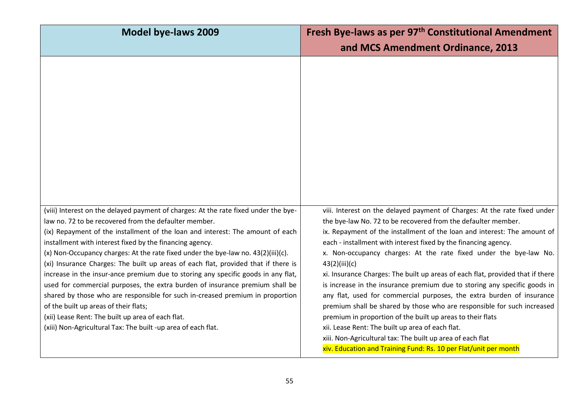| and MCS Amendment Ordinance, 2013                                                                                                                                                                                                                                                                                                                                                                                                                                                                                                                                                                                                                                                                                                                                                                                                                                                                                                     |
|---------------------------------------------------------------------------------------------------------------------------------------------------------------------------------------------------------------------------------------------------------------------------------------------------------------------------------------------------------------------------------------------------------------------------------------------------------------------------------------------------------------------------------------------------------------------------------------------------------------------------------------------------------------------------------------------------------------------------------------------------------------------------------------------------------------------------------------------------------------------------------------------------------------------------------------|
|                                                                                                                                                                                                                                                                                                                                                                                                                                                                                                                                                                                                                                                                                                                                                                                                                                                                                                                                       |
| viii. Interest on the delayed payment of Charges: At the rate fixed under<br>the bye-law No. 72 to be recovered from the defaulter member.<br>ix. Repayment of the installment of the loan and interest: The amount of<br>each - installment with interest fixed by the financing agency.<br>x. Non-occupancy charges: At the rate fixed under the bye-law No.<br>xi. Insurance Charges: The built up areas of each flat, provided that if there<br>is increase in the insurance premium due to storing any specific goods in<br>any flat, used for commercial purposes, the extra burden of insurance<br>premium shall be shared by those who are responsible for such increased<br>premium in proportion of the built up areas to their flats<br>xii. Lease Rent: The built up area of each flat.<br>xiii. Non-Agricultural tax: The built up area of each flat<br>xiv. Education and Training Fund: Rs. 10 per Flat/unit per month |
|                                                                                                                                                                                                                                                                                                                                                                                                                                                                                                                                                                                                                                                                                                                                                                                                                                                                                                                                       |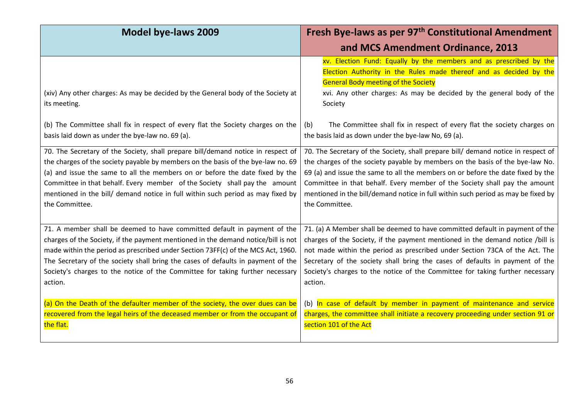| <b>Model bye-laws 2009</b>                                                                                                                                                                                                                                                                                                                                                                                                              | Fresh Bye-laws as per 97 <sup>th</sup> Constitutional Amendment                                                                                                                                                                                                                                                                                                                                                                            |
|-----------------------------------------------------------------------------------------------------------------------------------------------------------------------------------------------------------------------------------------------------------------------------------------------------------------------------------------------------------------------------------------------------------------------------------------|--------------------------------------------------------------------------------------------------------------------------------------------------------------------------------------------------------------------------------------------------------------------------------------------------------------------------------------------------------------------------------------------------------------------------------------------|
|                                                                                                                                                                                                                                                                                                                                                                                                                                         | and MCS Amendment Ordinance, 2013                                                                                                                                                                                                                                                                                                                                                                                                          |
| (xiv) Any other charges: As may be decided by the General body of the Society at<br>its meeting.                                                                                                                                                                                                                                                                                                                                        | xv. Election Fund: Equally by the members and as prescribed by the<br>Election Authority in the Rules made thereof and as decided by the<br><b>General Body meeting of the Society</b><br>xvi. Any other charges: As may be decided by the general body of the<br>Society                                                                                                                                                                  |
| (b) The Committee shall fix in respect of every flat the Society charges on the<br>basis laid down as under the bye-law no. 69 (a).                                                                                                                                                                                                                                                                                                     | The Committee shall fix in respect of every flat the society charges on<br>(b)<br>the basis laid as down under the bye-law No, 69 (a).                                                                                                                                                                                                                                                                                                     |
| 70. The Secretary of the Society, shall prepare bill/demand notice in respect of<br>the charges of the society payable by members on the basis of the bye-law no. 69<br>(a) and issue the same to all the members on or before the date fixed by the<br>Committee in that behalf. Every member of the Society shall pay the amount<br>mentioned in the bill/ demand notice in full within such period as may fixed by<br>the Committee. | 70. The Secretary of the Society, shall prepare bill/ demand notice in respect of<br>the charges of the society payable by members on the basis of the bye-law No.<br>69 (a) and issue the same to all the members on or before the date fixed by the<br>Committee in that behalf. Every member of the Society shall pay the amount<br>mentioned in the bill/demand notice in full within such period as may be fixed by<br>the Committee. |
| 71. A member shall be deemed to have committed default in payment of the<br>charges of the Society, if the payment mentioned in the demand notice/bill is not<br>made within the period as prescribed under Section 73FF(c) of the MCS Act, 1960.<br>The Secretary of the society shall bring the cases of defaults in payment of the<br>Society's charges to the notice of the Committee for taking further necessary<br>action.       | 71. (a) A Member shall be deemed to have committed default in payment of the<br>charges of the Society, if the payment mentioned in the demand notice /bill is<br>not made within the period as prescribed under Section 73CA of the Act. The<br>Secretary of the society shall bring the cases of defaults in payment of the<br>Society's charges to the notice of the Committee for taking further necessary<br>action.                  |
| (a) On the Death of the defaulter member of the society, the over dues can be<br>recovered from the legal heirs of the deceased member or from the occupant of<br>the flat.                                                                                                                                                                                                                                                             | (b) In case of default by member in payment of maintenance and service<br>charges, the committee shall initiate a recovery proceeding under section 91 or<br>section 101 of the Act                                                                                                                                                                                                                                                        |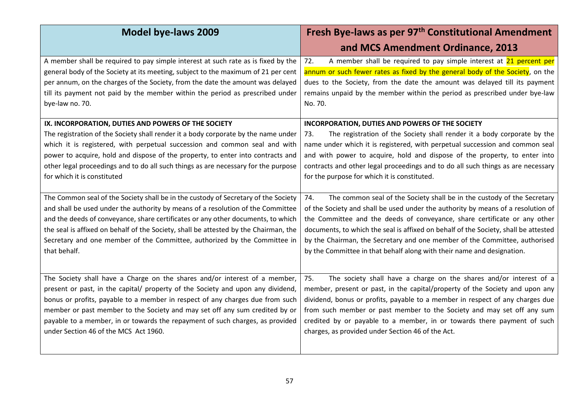| <b>Model bye-laws 2009</b>                                                                                                                                                                                                                                                                                                                                                                                                                              | Fresh Bye-laws as per 97 <sup>th</sup> Constitutional Amendment                                                                                                                                                                                                                                                                                                                                                                                                                                |
|---------------------------------------------------------------------------------------------------------------------------------------------------------------------------------------------------------------------------------------------------------------------------------------------------------------------------------------------------------------------------------------------------------------------------------------------------------|------------------------------------------------------------------------------------------------------------------------------------------------------------------------------------------------------------------------------------------------------------------------------------------------------------------------------------------------------------------------------------------------------------------------------------------------------------------------------------------------|
| A member shall be required to pay simple interest at such rate as is fixed by the<br>general body of the Society at its meeting, subject to the maximum of 21 per cent<br>per annum, on the charges of the Society, from the date the amount was delayed<br>till its payment not paid by the member within the period as prescribed under<br>bye-law no. 70.                                                                                            | and MCS Amendment Ordinance, 2013<br>A member shall be required to pay simple interest at 21 percent per<br>72.<br>annum or such fewer rates as fixed by the general body of the Society, on the<br>dues to the Society, from the date the amount was delayed till its payment<br>remains unpaid by the member within the period as prescribed under bye-law<br>No. 70.                                                                                                                        |
| IX. INCORPORATION, DUTIES AND POWERS OF THE SOCIETY<br>The registration of the Society shall render it a body corporate by the name under<br>which it is registered, with perpetual succession and common seal and with<br>power to acquire, hold and dispose of the property, to enter into contracts and<br>other legal proceedings and to do all such things as are necessary for the purpose<br>for which it is constituted                         | INCORPORATION, DUTIES AND POWERS OF THE SOCIETY<br>The registration of the Society shall render it a body corporate by the<br>73.<br>name under which it is registered, with perpetual succession and common seal<br>and with power to acquire, hold and dispose of the property, to enter into<br>contracts and other legal proceedings and to do all such things as are necessary<br>for the purpose for which it is constituted.                                                            |
| The Common seal of the Society shall be in the custody of Secretary of the Society<br>and shall be used under the authority by means of a resolution of the Committee<br>and the deeds of conveyance, share certificates or any other documents, to which<br>the seal is affixed on behalf of the Society, shall be attested by the Chairman, the<br>Secretary and one member of the Committee, authorized by the Committee in<br>that behalf.          | The common seal of the Society shall be in the custody of the Secretary<br>74.<br>of the Society and shall be used under the authority by means of a resolution of<br>the Committee and the deeds of conveyance, share certificate or any other<br>documents, to which the seal is affixed on behalf of the Society, shall be attested<br>by the Chairman, the Secretary and one member of the Committee, authorised<br>by the Committee in that behalf along with their name and designation. |
| The Society shall have a Charge on the shares and/or interest of a member,<br>present or past, in the capital/ property of the Society and upon any dividend,<br>bonus or profits, payable to a member in respect of any charges due from such<br>member or past member to the Society and may set off any sum credited by or<br>payable to a member, in or towards the repayment of such charges, as provided<br>under Section 46 of the MCS Act 1960. | The society shall have a charge on the shares and/or interest of a<br>75.<br>member, present or past, in the capital/property of the Society and upon any<br>dividend, bonus or profits, payable to a member in respect of any charges due<br>from such member or past member to the Society and may set off any sum<br>credited by or payable to a member, in or towards there payment of such<br>charges, as provided under Section 46 of the Act.                                           |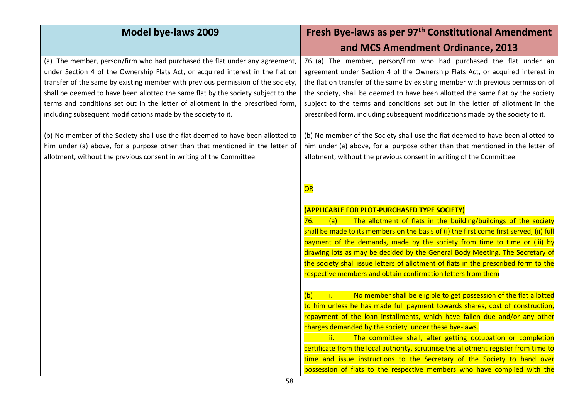| <b>Model bye-laws 2009</b>                                                                                                                                                                                                                                                                                                                                                                                                                                                                                                                                                                                                                                                                                                              | Fresh Bye-laws as per 97 <sup>th</sup> Constitutional Amendment                                                                                                                                                                                                                                                                                                                                                                                                                                                                                                                                                                                                                                                                                                                                                                                                                                                                                                                                                                                                                                                                                                                                 |
|-----------------------------------------------------------------------------------------------------------------------------------------------------------------------------------------------------------------------------------------------------------------------------------------------------------------------------------------------------------------------------------------------------------------------------------------------------------------------------------------------------------------------------------------------------------------------------------------------------------------------------------------------------------------------------------------------------------------------------------------|-------------------------------------------------------------------------------------------------------------------------------------------------------------------------------------------------------------------------------------------------------------------------------------------------------------------------------------------------------------------------------------------------------------------------------------------------------------------------------------------------------------------------------------------------------------------------------------------------------------------------------------------------------------------------------------------------------------------------------------------------------------------------------------------------------------------------------------------------------------------------------------------------------------------------------------------------------------------------------------------------------------------------------------------------------------------------------------------------------------------------------------------------------------------------------------------------|
|                                                                                                                                                                                                                                                                                                                                                                                                                                                                                                                                                                                                                                                                                                                                         | and MCS Amendment Ordinance, 2013                                                                                                                                                                                                                                                                                                                                                                                                                                                                                                                                                                                                                                                                                                                                                                                                                                                                                                                                                                                                                                                                                                                                                               |
| (a) The member, person/firm who had purchased the flat under any agreement,<br>under Section 4 of the Ownership Flats Act, or acquired interest in the flat on<br>transfer of the same by existing member with previous permission of the society,<br>shall be deemed to have been allotted the same flat by the society subject to the<br>terms and conditions set out in the letter of allotment in the prescribed form,<br>including subsequent modifications made by the society to it.<br>(b) No member of the Society shall use the flat deemed to have been allotted to<br>him under (a) above, for a purpose other than that mentioned in the letter of<br>allotment, without the previous consent in writing of the Committee. | 76. (a) The member, person/firm who had purchased the flat under an<br>agreement under Section 4 of the Ownership Flats Act, or acquired interest in<br>the flat on transfer of the same by existing member with previous permission of<br>the society, shall be deemed to have been allotted the same flat by the society<br>subject to the terms and conditions set out in the letter of allotment in the<br>prescribed form, including subsequent modifications made by the society to it.<br>(b) No member of the Society shall use the flat deemed to have been allotted to<br>him under (a) above, for a' purpose other than that mentioned in the letter of<br>allotment, without the previous consent in writing of the Committee.                                                                                                                                                                                                                                                                                                                                                                                                                                                      |
|                                                                                                                                                                                                                                                                                                                                                                                                                                                                                                                                                                                                                                                                                                                                         | OR<br>(APPLICABLE FOR PLOT-PURCHASED TYPE SOCIETY)<br>76.<br>The allotment of flats in the building/buildings of the society<br>(a)<br>shall be made to its members on the basis of (i) the first come first served, (ii) full<br>payment of the demands, made by the society from time to time or (iii) by<br>drawing lots as may be decided by the General Body Meeting. The Secretary of<br>the society shall issue letters of allotment of flats in the prescribed form to the<br>respective members and obtain confirmation letters from them<br>No member shall be eligible to get possession of the flat allotted<br>$\mathbf{i}$ .<br>(b)<br>to him unless he has made full payment towards shares, cost of construction,<br>repayment of the loan installments, which have fallen due and/or any other<br>charges demanded by the society, under these bye-laws.<br>ii.<br>The committee shall, after getting occupation or completion<br>certificate from the local authority, scrutinise the allotment register from time to<br>time and issue instructions to the Secretary of the Society to hand over<br>possession of flats to the respective members who have complied with the |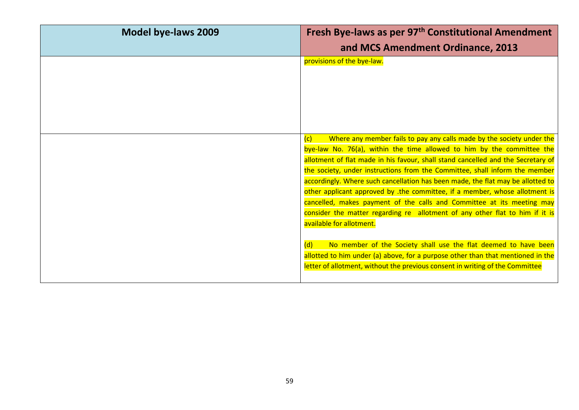| <b>Model bye-laws 2009</b> | Fresh Bye-laws as per 97 <sup>th</sup> Constitutional Amendment<br>and MCS Amendment Ordinance, 2013                                                       |
|----------------------------|------------------------------------------------------------------------------------------------------------------------------------------------------------|
|                            | provisions of the bye-law.                                                                                                                                 |
|                            |                                                                                                                                                            |
|                            |                                                                                                                                                            |
|                            |                                                                                                                                                            |
|                            | Where any member fails to pay any calls made by the society under the<br>(c)                                                                               |
|                            | bye-law No. 76(a), within the time allowed to him by the committee the<br>allotment of flat made in his favour, shall stand cancelled and the Secretary of |
|                            | the society, under instructions from the Committee, shall inform the member                                                                                |
|                            | accordingly. Where such cancellation has been made, the flat may be allotted to                                                                            |
|                            | other applicant approved by .the committee, if a member, whose allotment is                                                                                |
|                            | cancelled, makes payment of the calls and Committee at its meeting may                                                                                     |
|                            | consider the matter regarding re allotment of any other flat to him if it is                                                                               |
|                            | available for allotment.                                                                                                                                   |
|                            | No member of the Society shall use the flat deemed to have been<br>(d)                                                                                     |
|                            | allotted to him under (a) above, for a purpose other than that mentioned in the                                                                            |
|                            | letter of allotment, without the previous consent in writing of the Committee                                                                              |
|                            |                                                                                                                                                            |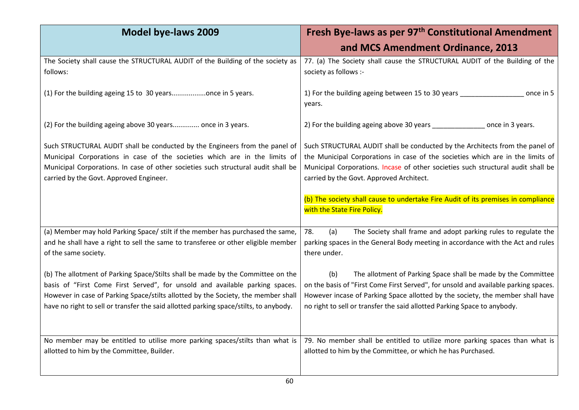| <b>Model bye-laws 2009</b>                                                                                                                                                                                                                                                                                                                    | Fresh Bye-laws as per 97 <sup>th</sup> Constitutional Amendment                                                                                                                                                                                                                                                           |
|-----------------------------------------------------------------------------------------------------------------------------------------------------------------------------------------------------------------------------------------------------------------------------------------------------------------------------------------------|---------------------------------------------------------------------------------------------------------------------------------------------------------------------------------------------------------------------------------------------------------------------------------------------------------------------------|
|                                                                                                                                                                                                                                                                                                                                               | and MCS Amendment Ordinance, 2013                                                                                                                                                                                                                                                                                         |
| The Society shall cause the STRUCTURAL AUDIT of the Building of the society as<br>follows:                                                                                                                                                                                                                                                    | 77. (a) The Society shall cause the STRUCTURAL AUDIT of the Building of the<br>society as follows :-                                                                                                                                                                                                                      |
| (1) For the building ageing 15 to 30 yearsonce in 5 years.                                                                                                                                                                                                                                                                                    | 1) For the building ageing between 15 to 30 years _______________________________<br>once in 5<br>years.                                                                                                                                                                                                                  |
| (2) For the building ageing above 30 years once in 3 years.                                                                                                                                                                                                                                                                                   | 2) For the building ageing above 30 years ________________ once in 3 years.                                                                                                                                                                                                                                               |
| Such STRUCTURAL AUDIT shall be conducted by the Engineers from the panel of<br>Municipal Corporations in case of the societies which are in the limits of<br>Municipal Corporations. In case of other societies such structural audit shall be<br>carried by the Govt. Approved Engineer.                                                     | Such STRUCTURAL AUDIT shall be conducted by the Architects from the panel of<br>the Municipal Corporations in case of the societies which are in the limits of<br>Municipal Corporations. Incase of other societies such structural audit shall be<br>carried by the Govt. Approved Architect.                            |
|                                                                                                                                                                                                                                                                                                                                               | (b) The society shall cause to undertake Fire Audit of its premises in compliance<br>with the State Fire Policy.                                                                                                                                                                                                          |
| (a) Member may hold Parking Space/ stilt if the member has purchased the same,<br>and he shall have a right to sell the same to transferee or other eligible member<br>of the same society.                                                                                                                                                   | 78.<br>(a)<br>The Society shall frame and adopt parking rules to regulate the<br>parking spaces in the General Body meeting in accordance with the Act and rules<br>there under.                                                                                                                                          |
| (b) The allotment of Parking Space/Stilts shall be made by the Committee on the<br>basis of "First Come First Served", for unsold and available parking spaces.<br>However in case of Parking Space/stilts allotted by the Society, the member shall<br>have no right to sell or transfer the said allotted parking space/stilts, to anybody. | The allotment of Parking Space shall be made by the Committee<br>(b)<br>on the basis of "First Come First Served", for unsold and available parking spaces.<br>However incase of Parking Space allotted by the society, the member shall have<br>no right to sell or transfer the said allotted Parking Space to anybody. |
| No member may be entitled to utilise more parking spaces/stilts than what is<br>allotted to him by the Committee, Builder.                                                                                                                                                                                                                    | 79. No member shall be entitled to utilize more parking spaces than what is<br>allotted to him by the Committee, or which he has Purchased.                                                                                                                                                                               |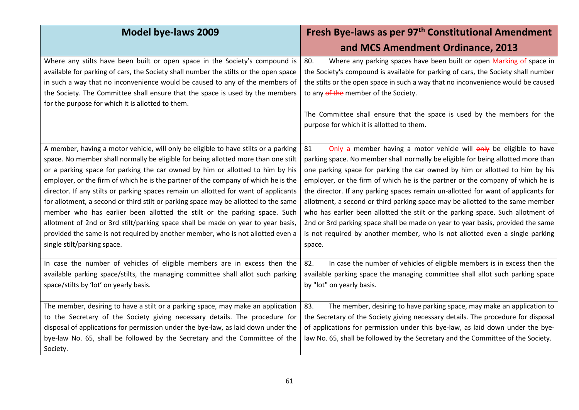| <b>Model bye-laws 2009</b>                                                                                                                                                                                                                                                                                                                                                                                                                                                                                                                                                                                                                                                                                                                                                                                        | Fresh Bye-laws as per 97 <sup>th</sup> Constitutional Amendment<br>and MCS Amendment Ordinance, 2013                                                                                                                                                                                                                                                                                                                                                                                                                                                                                                                                                                                                                                                                 |
|-------------------------------------------------------------------------------------------------------------------------------------------------------------------------------------------------------------------------------------------------------------------------------------------------------------------------------------------------------------------------------------------------------------------------------------------------------------------------------------------------------------------------------------------------------------------------------------------------------------------------------------------------------------------------------------------------------------------------------------------------------------------------------------------------------------------|----------------------------------------------------------------------------------------------------------------------------------------------------------------------------------------------------------------------------------------------------------------------------------------------------------------------------------------------------------------------------------------------------------------------------------------------------------------------------------------------------------------------------------------------------------------------------------------------------------------------------------------------------------------------------------------------------------------------------------------------------------------------|
| Where any stilts have been built or open space in the Society's compound is<br>available for parking of cars, the Society shall number the stilts or the open space<br>in such a way that no inconvenience would be caused to any of the members of<br>the Society. The Committee shall ensure that the space is used by the members<br>for the purpose for which it is allotted to them.                                                                                                                                                                                                                                                                                                                                                                                                                         | Where any parking spaces have been built or open Marking of space in<br>80.<br>the Society's compound is available for parking of cars, the Society shall number<br>the stilts or the open space in such a way that no inconvenience would be caused<br>to any of the member of the Society.<br>The Committee shall ensure that the space is used by the members for the<br>purpose for which it is allotted to them.                                                                                                                                                                                                                                                                                                                                                |
| A member, having a motor vehicle, will only be eligible to have stilts or a parking<br>space. No member shall normally be eligible for being allotted more than one stilt<br>or a parking space for parking the car owned by him or allotted to him by his<br>employer, or the firm of which he is the partner of the company of which he is the<br>director. If any stilts or parking spaces remain un allotted for want of applicants<br>for allotment, a second or third stilt or parking space may be allotted to the same<br>member who has earlier been allotted the stilt or the parking space. Such<br>allotment of 2nd or 3rd stilt/parking space shall be made on year to year basis,<br>provided the same is not required by another member, who is not allotted even a<br>single stilt/parking space. | Only a member having a motor vehicle will only be eligible to have<br>81<br>parking space. No member shall normally be eligible for being allotted more than<br>one parking space for parking the car owned by him or allotted to him by his<br>employer, or the firm of which he is the partner or the company of which he is<br>the director. If any parking spaces remain un-allotted for want of applicants for<br>allotment, a second or third parking space may be allotted to the same member<br>who has earlier been allotted the stilt or the parking space. Such allotment of<br>2nd or 3rd parking space shall be made on year to year basis, provided the same<br>is not required by another member, who is not allotted even a single parking<br>space. |
| In case the number of vehicles of eligible members are in excess then the<br>available parking space/stilts, the managing committee shall allot such parking<br>space/stilts by 'lot' on yearly basis.                                                                                                                                                                                                                                                                                                                                                                                                                                                                                                                                                                                                            | In case the number of vehicles of eligible members is in excess then the<br>82.<br>available parking space the managing committee shall allot such parking space<br>by "lot" on yearly basis.                                                                                                                                                                                                                                                                                                                                                                                                                                                                                                                                                                        |
| The member, desiring to have a stilt or a parking space, may make an application<br>to the Secretary of the Society giving necessary details. The procedure for<br>disposal of applications for permission under the bye-law, as laid down under the<br>bye-law No. 65, shall be followed by the Secretary and the Committee of the<br>Society.                                                                                                                                                                                                                                                                                                                                                                                                                                                                   | 83.<br>The member, desiring to have parking space, may make an application to<br>the Secretary of the Society giving necessary details. The procedure for disposal<br>of applications for permission under this bye-law, as laid down under the bye-<br>law No. 65, shall be followed by the Secretary and the Committee of the Society.                                                                                                                                                                                                                                                                                                                                                                                                                             |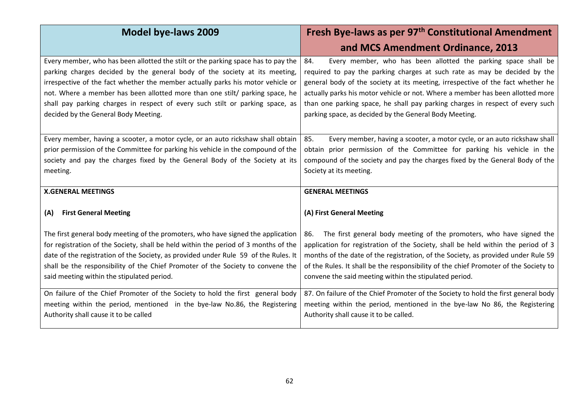| Model bye-laws 2009                                                                                                                                                                                                                                                                                                                                                                                                                                         | Fresh Bye-laws as per 97 <sup>th</sup> Constitutional Amendment                                                                                                                                                                                                                                                                                                                                                                                                    |
|-------------------------------------------------------------------------------------------------------------------------------------------------------------------------------------------------------------------------------------------------------------------------------------------------------------------------------------------------------------------------------------------------------------------------------------------------------------|--------------------------------------------------------------------------------------------------------------------------------------------------------------------------------------------------------------------------------------------------------------------------------------------------------------------------------------------------------------------------------------------------------------------------------------------------------------------|
|                                                                                                                                                                                                                                                                                                                                                                                                                                                             | and MCS Amendment Ordinance, 2013                                                                                                                                                                                                                                                                                                                                                                                                                                  |
| Every member, who has been allotted the stilt or the parking space has to pay the<br>parking charges decided by the general body of the society at its meeting,<br>irrespective of the fact whether the member actually parks his motor vehicle or<br>not. Where a member has been allotted more than one stilt/ parking space, he<br>shall pay parking charges in respect of every such stilt or parking space, as<br>decided by the General Body Meeting. | Every member, who has been allotted the parking space shall be<br>84.<br>required to pay the parking charges at such rate as may be decided by the<br>general body of the society at its meeting, irrespective of the fact whether he<br>actually parks his motor vehicle or not. Where a member has been allotted more<br>than one parking space, he shall pay parking charges in respect of every such<br>parking space, as decided by the General Body Meeting. |
| Every member, having a scooter, a motor cycle, or an auto rickshaw shall obtain<br>prior permission of the Committee for parking his vehicle in the compound of the<br>society and pay the charges fixed by the General Body of the Society at its<br>meeting.                                                                                                                                                                                              | 85.<br>Every member, having a scooter, a motor cycle, or an auto rickshaw shall<br>obtain prior permission of the Committee for parking his vehicle in the<br>compound of the society and pay the charges fixed by the General Body of the<br>Society at its meeting.                                                                                                                                                                                              |
| <b>X.GENERAL MEETINGS</b>                                                                                                                                                                                                                                                                                                                                                                                                                                   | <b>GENERAL MEETINGS</b>                                                                                                                                                                                                                                                                                                                                                                                                                                            |
| <b>First General Meeting</b><br>(A)                                                                                                                                                                                                                                                                                                                                                                                                                         | (A) First General Meeting                                                                                                                                                                                                                                                                                                                                                                                                                                          |
| The first general body meeting of the promoters, who have signed the application<br>for registration of the Society, shall be held within the period of 3 months of the<br>date of the registration of the Society, as provided under Rule 59 of the Rules. It<br>shall be the responsibility of the Chief Promoter of the Society to convene the<br>said meeting within the stipulated period.                                                             | The first general body meeting of the promoters, who have signed the<br>86.<br>application for registration of the Society, shall be held within the period of 3<br>months of the date of the registration, of the Society, as provided under Rule 59<br>of the Rules. It shall be the responsibility of the chief Promoter of the Society to<br>convene the said meeting within the stipulated period.                                                            |
| On failure of the Chief Promoter of the Society to hold the first general body<br>meeting within the period, mentioned in the bye-law No.86, the Registering<br>Authority shall cause it to be called                                                                                                                                                                                                                                                       | 87. On failure of the Chief Promoter of the Society to hold the first general body<br>meeting within the period, mentioned in the bye-law No 86, the Registering<br>Authority shall cause it to be called.                                                                                                                                                                                                                                                         |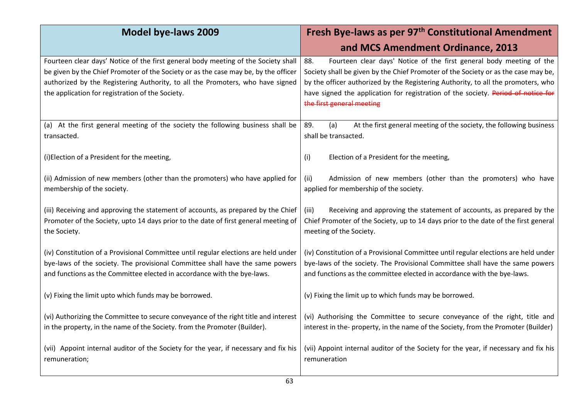| <b>Model bye-laws 2009</b>                                                                                                                                                                                                                                                                                      | Fresh Bye-laws as per 97 <sup>th</sup> Constitutional Amendment                                                                                                                                                                                                                                                                                                          |
|-----------------------------------------------------------------------------------------------------------------------------------------------------------------------------------------------------------------------------------------------------------------------------------------------------------------|--------------------------------------------------------------------------------------------------------------------------------------------------------------------------------------------------------------------------------------------------------------------------------------------------------------------------------------------------------------------------|
|                                                                                                                                                                                                                                                                                                                 | and MCS Amendment Ordinance, 2013                                                                                                                                                                                                                                                                                                                                        |
| Fourteen clear days' Notice of the first general body meeting of the Society shall<br>be given by the Chief Promoter of the Society or as the case may be, by the officer<br>authorized by the Registering Authority, to all the Promoters, who have signed<br>the application for registration of the Society. | 88.<br>Fourteen clear days' Notice of the first general body meeting of the<br>Society shall be given by the Chief Promoter of the Society or as the case may be,<br>by the officer authorized by the Registering Authority, to all the promoters, who<br>have signed the application for registration of the society. Period of notice for<br>the first general meeting |
| (a) At the first general meeting of the society the following business shall be<br>transacted.                                                                                                                                                                                                                  | (a)<br>At the first general meeting of the society, the following business<br>89.<br>shall be transacted.                                                                                                                                                                                                                                                                |
| (i)Election of a President for the meeting,                                                                                                                                                                                                                                                                     | (i)<br>Election of a President for the meeting,                                                                                                                                                                                                                                                                                                                          |
| (ii) Admission of new members (other than the promoters) who have applied for<br>membership of the society.                                                                                                                                                                                                     | Admission of new members (other than the promoters) who have<br>(ii)<br>applied for membership of the society.                                                                                                                                                                                                                                                           |
| (iii) Receiving and approving the statement of accounts, as prepared by the Chief<br>Promoter of the Society, upto 14 days prior to the date of first general meeting of<br>the Society.                                                                                                                        | Receiving and approving the statement of accounts, as prepared by the<br>(iii)<br>Chief Promoter of the Society, up to 14 days prior to the date of the first general<br>meeting of the Society.                                                                                                                                                                         |
| (iv) Constitution of a Provisional Committee until regular elections are held under<br>bye-laws of the society. The provisional Committee shall have the same powers<br>and functions as the Committee elected in accordance with the bye-laws.                                                                 | (iv) Constitution of a Provisional Committee until regular elections are held under<br>bye-laws of the society. The Provisional Committee shall have the same powers<br>and functions as the committee elected in accordance with the bye-laws.                                                                                                                          |
| (v) Fixing the limit upto which funds may be borrowed.                                                                                                                                                                                                                                                          | (v) Fixing the limit up to which funds may be borrowed.                                                                                                                                                                                                                                                                                                                  |
| (vi) Authorizing the Committee to secure conveyance of the right title and interest<br>in the property, in the name of the Society. from the Promoter (Builder).                                                                                                                                                | (vi) Authorising the Committee to secure conveyance of the right, title and<br>interest in the- property, in the name of the Society, from the Promoter (Builder)                                                                                                                                                                                                        |
| (vii) Appoint internal auditor of the Society for the year, if necessary and fix his<br>remuneration;                                                                                                                                                                                                           | (vii) Appoint internal auditor of the Society for the year, if necessary and fix his<br>remuneration                                                                                                                                                                                                                                                                     |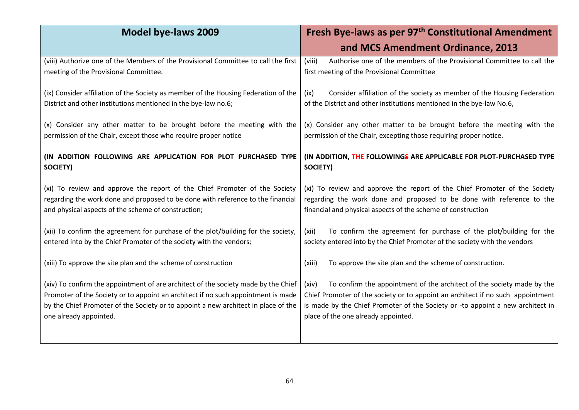| <b>Model bye-laws 2009</b>                                                                                                                                                                                                                                                              | Fresh Bye-laws as per 97 <sup>th</sup> Constitutional Amendment                                                                                                                                                                                                                             |
|-----------------------------------------------------------------------------------------------------------------------------------------------------------------------------------------------------------------------------------------------------------------------------------------|---------------------------------------------------------------------------------------------------------------------------------------------------------------------------------------------------------------------------------------------------------------------------------------------|
|                                                                                                                                                                                                                                                                                         | and MCS Amendment Ordinance, 2013                                                                                                                                                                                                                                                           |
| (viii) Authorize one of the Members of the Provisional Committee to call the first<br>meeting of the Provisional Committee.                                                                                                                                                             | Authorise one of the members of the Provisional Committee to call the<br>(viii)<br>first meeting of the Provisional Committee                                                                                                                                                               |
| (ix) Consider affiliation of the Society as member of the Housing Federation of the<br>District and other institutions mentioned in the bye-law no.6;                                                                                                                                   | Consider affiliation of the society as member of the Housing Federation<br>(ix)<br>of the District and other institutions mentioned in the bye-law No.6,                                                                                                                                    |
| (x) Consider any other matter to be brought before the meeting with the<br>permission of the Chair, except those who require proper notice                                                                                                                                              | (x) Consider any other matter to be brought before the meeting with the<br>permission of the Chair, excepting those requiring proper notice.                                                                                                                                                |
| (IN ADDITION FOLLOWING ARE APPLICATION FOR PLOT PURCHASED TYPE<br>SOCIETY)                                                                                                                                                                                                              | (IN ADDITION, THE FOLLOWINGS ARE APPLICABLE FOR PLOT-PURCHASED TYPE<br>SOCIETY)                                                                                                                                                                                                             |
| (xi) To review and approve the report of the Chief Promoter of the Society<br>regarding the work done and proposed to be done with reference to the financial<br>and physical aspects of the scheme of construction;                                                                    | (xi) To review and approve the report of the Chief Promoter of the Society<br>regarding the work done and proposed to be done with reference to the<br>financial and physical aspects of the scheme of construction                                                                         |
| (xii) To confirm the agreement for purchase of the plot/building for the society,<br>entered into by the Chief Promoter of the society with the vendors;                                                                                                                                | To confirm the agreement for purchase of the plot/building for the<br>(xii)<br>society entered into by the Chief Promoter of the society with the vendors                                                                                                                                   |
| (xiii) To approve the site plan and the scheme of construction                                                                                                                                                                                                                          | To approve the site plan and the scheme of construction.<br>(xiii)                                                                                                                                                                                                                          |
| (xiv) To confirm the appointment of are architect of the society made by the Chief<br>Promoter of the Society or to appoint an architect if no such appointment is made<br>by the Chief Promoter of the Society or to appoint a new architect in place of the<br>one already appointed. | To confirm the appointment of the architect of the society made by the<br>(xiv)<br>Chief Promoter of the society or to appoint an architect if no such appointment<br>is made by the Chief Promoter of the Society or -to appoint a new architect in<br>place of the one already appointed. |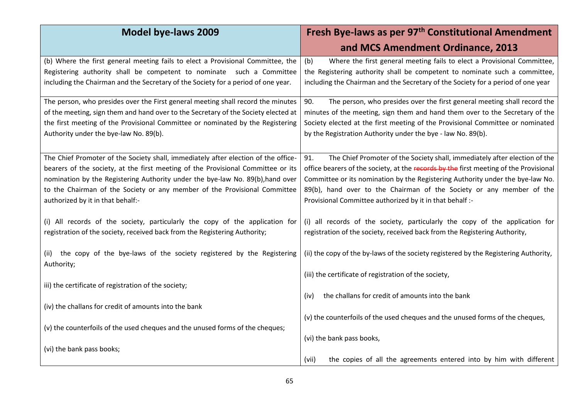| <b>Model bye-laws 2009</b>                                                         | Fresh Bye-laws as per 97 <sup>th</sup> Constitutional Amendment                       |
|------------------------------------------------------------------------------------|---------------------------------------------------------------------------------------|
|                                                                                    | and MCS Amendment Ordinance, 2013                                                     |
| (b) Where the first general meeting fails to elect a Provisional Committee, the    | Where the first general meeting fails to elect a Provisional Committee,<br>(b)        |
| Registering authority shall be competent to nominate such a Committee              | the Registering authority shall be competent to nominate such a committee,            |
| including the Chairman and the Secretary of the Society for a period of one year.  | including the Chairman and the Secretary of the Society for a period of one year      |
| The person, who presides over the First general meeting shall record the minutes   | 90.<br>The person, who presides over the first general meeting shall record the       |
| of the meeting, sign them and hand over to the Secretary of the Society elected at | minutes of the meeting, sign them and hand them over to the Secretary of the          |
| the first meeting of the Provisional Committee or nominated by the Registering     | Society elected at the first meeting of the Provisional Committee or nominated        |
| Authority under the bye-law No. 89(b).                                             | by the Registration Authority under the bye - law No. 89(b).                          |
|                                                                                    |                                                                                       |
| The Chief Promoter of the Society shall, immediately after election of the office- | The Chief Promoter of the Society shall, immediately after election of the<br>91.     |
| bearers of the society, at the first meeting of the Provisional Committee or its   | office bearers of the society, at the records by the first meeting of the Provisional |
| nomination by the Registering Authority under the bye-law No. 89(b), hand over     | Committee or its nomination by the Registering Authority under the bye-law No.        |
| to the Chairman of the Society or any member of the Provisional Committee          | 89(b), hand over to the Chairman of the Society or any member of the                  |
| authorized by it in that behalf:-                                                  | Provisional Committee authorized by it in that behalf :-                              |
|                                                                                    |                                                                                       |
| (i) All records of the society, particularly the copy of the application for       | (i) all records of the society, particularly the copy of the application for          |
| registration of the society, received back from the Registering Authority;         | registration of the society, received back from the Registering Authority,            |
|                                                                                    |                                                                                       |
| (ii) the copy of the bye-laws of the society registered by the Registering         | (ii) the copy of the by-laws of the society registered by the Registering Authority,  |
| Authority;                                                                         |                                                                                       |
|                                                                                    | (iii) the certificate of registration of the society,                                 |
| iii) the certificate of registration of the society;                               |                                                                                       |
|                                                                                    | the challans for credit of amounts into the bank<br>(iv)                              |
| (iv) the challans for credit of amounts into the bank                              |                                                                                       |
|                                                                                    | (v) the counterfoils of the used cheques and the unused forms of the cheques,         |
| (v) the counterfoils of the used cheques and the unused forms of the cheques;      |                                                                                       |
|                                                                                    | (vi) the bank pass books,                                                             |
| (vi) the bank pass books;                                                          |                                                                                       |
|                                                                                    | the copies of all the agreements entered into by him with different<br>(vii)          |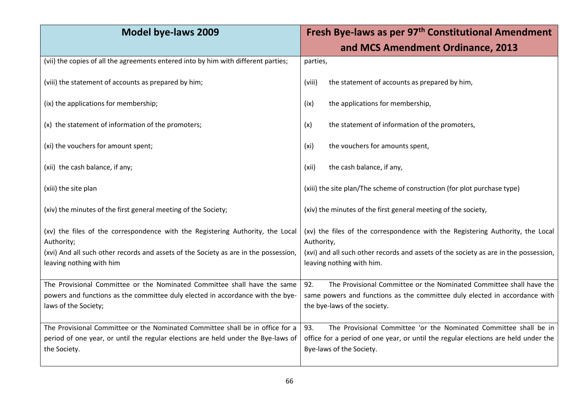| <b>Model bye-laws 2009</b>                                                                                       | Fresh Bye-laws as per 97 <sup>th</sup> Constitutional Amendment                                                   |
|------------------------------------------------------------------------------------------------------------------|-------------------------------------------------------------------------------------------------------------------|
|                                                                                                                  | and MCS Amendment Ordinance, 2013                                                                                 |
| (vii) the copies of all the agreements entered into by him with different parties;                               | parties,                                                                                                          |
| (viii) the statement of accounts as prepared by him;                                                             | the statement of accounts as prepared by him,<br>(viii)                                                           |
| (ix) the applications for membership;                                                                            | the applications for membership,<br>(ix)                                                                          |
| (x) the statement of information of the promoters;                                                               | the statement of information of the promoters,<br>(x)                                                             |
| (xi) the vouchers for amount spent;                                                                              | the vouchers for amounts spent,<br>(xi)                                                                           |
| (xii) the cash balance, if any;                                                                                  | the cash balance, if any,<br>(xii)                                                                                |
| (xiii) the site plan                                                                                             | (xiii) the site plan/The scheme of construction (for plot purchase type)                                          |
| (xiv) the minutes of the first general meeting of the Society;                                                   | (xiv) the minutes of the first general meeting of the society,                                                    |
| (xv) the files of the correspondence with the Registering Authority, the Local<br>Authority;                     | (xv) the files of the correspondence with the Registering Authority, the Local<br>Authority,                      |
| (xvi) And all such other records and assets of the Society as are in the possession,<br>leaving nothing with him | (xvi) and all such other records and assets of the society as are in the possession,<br>leaving nothing with him. |
| The Provisional Committee or the Nominated Committee shall have the same                                         | 92.<br>The Provisional Committee or the Nominated Committee shall have the                                        |
| powers and functions as the committee duly elected in accordance with the bye-<br>laws of the Society;           | same powers and functions as the committee duly elected in accordance with<br>the bye-laws of the society.        |
| The Provisional Committee or the Nominated Committee shall be in office for a                                    | The Provisional Committee 'or the Nominated Committee shall be in<br>93.                                          |
| period of one year, or until the regular elections are held under the Bye-laws of<br>the Society.                | office for a period of one year, or until the regular elections are held under the<br>Bye-laws of the Society.    |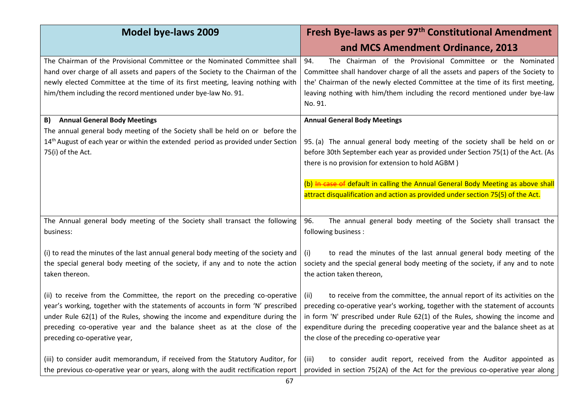| <b>Model bye-laws 2009</b>                                                                                                                                                                                                                                                                                                                                  | Fresh Bye-laws as per 97 <sup>th</sup> Constitutional Amendment                                                                                                                                                                                                                                                                                                                      |
|-------------------------------------------------------------------------------------------------------------------------------------------------------------------------------------------------------------------------------------------------------------------------------------------------------------------------------------------------------------|--------------------------------------------------------------------------------------------------------------------------------------------------------------------------------------------------------------------------------------------------------------------------------------------------------------------------------------------------------------------------------------|
|                                                                                                                                                                                                                                                                                                                                                             | and MCS Amendment Ordinance, 2013                                                                                                                                                                                                                                                                                                                                                    |
| The Chairman of the Provisional Committee or the Nominated Committee shall<br>hand over charge of all assets and papers of the Society to the Chairman of the<br>newly elected Committee at the time of its first meeting, leaving nothing with<br>him/them including the record mentioned under bye-law No. 91.                                            | The Chairman of the Provisional Committee or the Nominated<br>94.<br>Committee shall handover charge of all the assets and papers of the Society to<br>the' Chairman of the newly elected Committee at the time of its first meeting,<br>leaving nothing with him/them including the record mentioned under bye-law<br>No. 91.                                                       |
| <b>Annual General Body Meetings</b><br>B)                                                                                                                                                                                                                                                                                                                   | <b>Annual General Body Meetings</b>                                                                                                                                                                                                                                                                                                                                                  |
| The annual general body meeting of the Society shall be held on or before the<br>14 <sup>th</sup> August of each year or within the extended period as provided under Section<br>75(i) of the Act.                                                                                                                                                          | 95. (a) The annual general body meeting of the society shall be held on or<br>before 30th September each year as provided under Section 75(1) of the Act. (As<br>there is no provision for extension to hold AGBM)                                                                                                                                                                   |
|                                                                                                                                                                                                                                                                                                                                                             | (b) In case of default in calling the Annual General Body Meeting as above shall<br>attract disqualification and action as provided under section 75(5) of the Act.                                                                                                                                                                                                                  |
| The Annual general body meeting of the Society shall transact the following<br>business:                                                                                                                                                                                                                                                                    | 96.<br>The annual general body meeting of the Society shall transact the<br>following business :                                                                                                                                                                                                                                                                                     |
| (i) to read the minutes of the last annual general body meeting of the society and<br>the special general body meeting of the society, if any and to note the action<br>taken thereon.                                                                                                                                                                      | to read the minutes of the last annual general body meeting of the<br>(i)<br>society and the special general body meeting of the society, if any and to note<br>the action taken thereon,                                                                                                                                                                                            |
| (ii) to receive from the Committee, the report on the preceding co-operative<br>year's working, together with the statements of accounts in form 'N' prescribed<br>under Rule 62(1) of the Rules, showing the income and expenditure during the<br>preceding co-operative year and the balance sheet as at the close of the<br>preceding co-operative year, | to receive from the committee, the annual report of its activities on the<br>(ii)<br>preceding co-operative year's working, together with the statement of accounts<br>in form 'N' prescribed under Rule 62(1) of the Rules, showing the income and<br>expenditure during the preceding cooperative year and the balance sheet as at<br>the close of the preceding co-operative year |
| (iii) to consider audit memorandum, if received from the Statutory Auditor, for<br>the previous co-operative year or years, along with the audit rectification report                                                                                                                                                                                       | to consider audit report, received from the Auditor appointed as<br>(iii)<br>provided in section 75(2A) of the Act for the previous co-operative year along                                                                                                                                                                                                                          |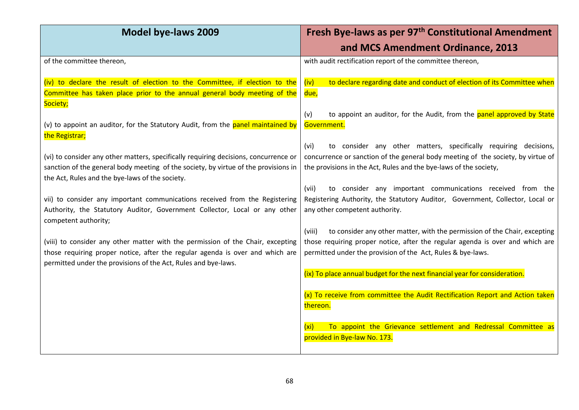| <b>Model bye-laws 2009</b>                                                                                                                                                                                                         | Fresh Bye-laws as per 97 <sup>th</sup> Constitutional Amendment                                                                                                                                                                     |
|------------------------------------------------------------------------------------------------------------------------------------------------------------------------------------------------------------------------------------|-------------------------------------------------------------------------------------------------------------------------------------------------------------------------------------------------------------------------------------|
|                                                                                                                                                                                                                                    | and MCS Amendment Ordinance, 2013                                                                                                                                                                                                   |
| of the committee thereon,                                                                                                                                                                                                          | with audit rectification report of the committee thereon,                                                                                                                                                                           |
| (iv) to declare the result of election to the Committee, if election to the<br>Committee has taken place prior to the annual general body meeting of the                                                                           | to declare regarding date and conduct of election of its Committee when<br>(iv)<br>due,                                                                                                                                             |
| Society;<br>(v) to appoint an auditor, for the Statutory Audit, from the panel maintained by<br>the Registrar;                                                                                                                     | to appoint an auditor, for the Audit, from the panel approved by State<br>(v)<br>Government.                                                                                                                                        |
| (vi) to consider any other matters, specifically requiring decisions, concurrence or<br>sanction of the general body meeting of the society, by virtue of the provisions in<br>the Act, Rules and the bye-laws of the society.     | to consider any other matters, specifically requiring decisions,<br>(vi)<br>concurrence or sanction of the general body meeting of the society, by virtue of<br>the provisions in the Act, Rules and the bye-laws of the society,   |
| vii) to consider any important communications received from the Registering<br>Authority, the Statutory Auditor, Government Collector, Local or any other<br>competent authority;                                                  | to consider any important communications received from the<br>(vii)<br>Registering Authority, the Statutory Auditor, Government, Collector, Local or<br>any other competent authority.                                              |
| (viii) to consider any other matter with the permission of the Chair, excepting<br>those requiring proper notice, after the regular agenda is over and which are<br>permitted under the provisions of the Act, Rules and bye-laws. | (viii)<br>to consider any other matter, with the permission of the Chair, excepting<br>those requiring proper notice, after the regular agenda is over and which are<br>permitted under the provision of the Act, Rules & bye-laws. |
|                                                                                                                                                                                                                                    | (ix) To place annual budget for the next financial year for consideration.<br>(x) To receive from committee the Audit Rectification Report and Action taken<br>thereon.                                                             |
|                                                                                                                                                                                                                                    | To appoint the Grievance settlement and Redressal Committee as<br>(xi)<br>provided in Bye-law No. 173.                                                                                                                              |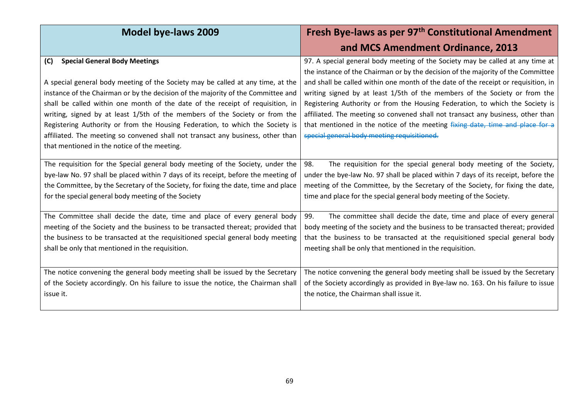| <b>Model bye-laws 2009</b>                                                                                                                                          | Fresh Bye-laws as per 97 <sup>th</sup> Constitutional Amendment                                                                                                    |
|---------------------------------------------------------------------------------------------------------------------------------------------------------------------|--------------------------------------------------------------------------------------------------------------------------------------------------------------------|
|                                                                                                                                                                     | and MCS Amendment Ordinance, 2013                                                                                                                                  |
| <b>Special General Body Meetings</b><br>(C)                                                                                                                         | 97. A special general body meeting of the Society may be called at any time at<br>the instance of the Chairman or by the decision of the majority of the Committee |
| A special general body meeting of the Society may be called at any time, at the<br>instance of the Chairman or by the decision of the majority of the Committee and | and shall be called within one month of the date of the receipt or requisition, in<br>writing signed by at least 1/5th of the members of the Society or from the   |
| shall be called within one month of the date of the receipt of requisition, in                                                                                      | Registering Authority or from the Housing Federation, to which the Society is                                                                                      |
| writing, signed by at least 1/5th of the members of the Society or from the                                                                                         | affiliated. The meeting so convened shall not transact any business, other than                                                                                    |
| Registering Authority or from the Housing Federation, to which the Society is                                                                                       | that mentioned in the notice of the meeting fixing date, time and place for a                                                                                      |
| affiliated. The meeting so convened shall not transact any business, other than<br>that mentioned in the notice of the meeting.                                     | special general body meeting requisitioned.                                                                                                                        |
| The requisition for the Special general body meeting of the Society, under the                                                                                      | The requisition for the special general body meeting of the Society,<br>98.                                                                                        |
| bye-law No. 97 shall be placed within 7 days of its receipt, before the meeting of                                                                                  | under the bye-law No. 97 shall be placed within 7 days of its receipt, before the                                                                                  |
| the Committee, by the Secretary of the Society, for fixing the date, time and place                                                                                 | meeting of the Committee, by the Secretary of the Society, for fixing the date,                                                                                    |
| for the special general body meeting of the Society                                                                                                                 | time and place for the special general body meeting of the Society.                                                                                                |
| The Committee shall decide the date, time and place of every general body                                                                                           | 99.<br>The committee shall decide the date, time and place of every general                                                                                        |
| meeting of the Society and the business to be transacted thereat; provided that                                                                                     | body meeting of the society and the business to be transacted thereat; provided                                                                                    |
| the business to be transacted at the requisitioned special general body meeting                                                                                     | that the business to be transacted at the requisitioned special general body                                                                                       |
| shall be only that mentioned in the requisition.                                                                                                                    | meeting shall be only that mentioned in the requisition.                                                                                                           |
| The notice convening the general body meeting shall be issued by the Secretary                                                                                      | The notice convening the general body meeting shall be issued by the Secretary                                                                                     |
| of the Society accordingly. On his failure to issue the notice, the Chairman shall                                                                                  | of the Society accordingly as provided in Bye-law no. 163. On his failure to issue                                                                                 |
| issue it.                                                                                                                                                           | the notice, the Chairman shall issue it.                                                                                                                           |
|                                                                                                                                                                     |                                                                                                                                                                    |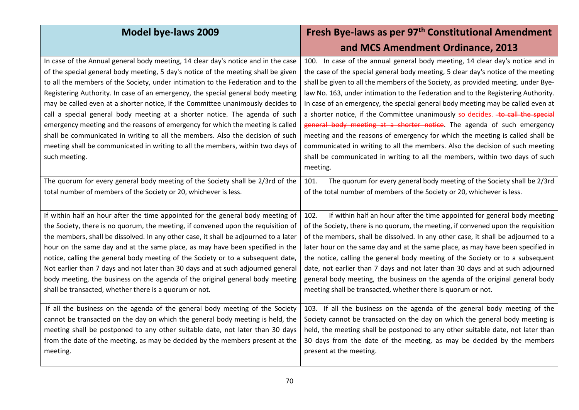| <b>Model bye-laws 2009</b>                                                           | Fresh Bye-laws as per 97 <sup>th</sup> Constitutional Amendment                   |
|--------------------------------------------------------------------------------------|-----------------------------------------------------------------------------------|
|                                                                                      | and MCS Amendment Ordinance, 2013                                                 |
| In case of the Annual general body meeting, 14 clear day's notice and in the case    | 100. In case of the annual general body meeting, 14 clear day's notice and in     |
| of the special general body meeting, 5 day's notice of the meeting shall be given    | the case of the special general body meeting, 5 clear day's notice of the meeting |
| to all the members of the Society, under intimation to the Federation and to the     | shall be given to all the members of the Society, as provided meeting. under Bye- |
| Registering Authority. In case of an emergency, the special general body meeting     | law No. 163, under intimation to the Federation and to the Registering Authority. |
| may be called even at a shorter notice, if the Committee unanimously decides to      | In case of an emergency, the special general body meeting may be called even at   |
| call a special general body meeting at a shorter notice. The agenda of such          | a shorter notice, if the Committee unanimously so decides. to call the special    |
| emergency meeting and the reasons of emergency for which the meeting is called       | general body meeting at a shorter notice. The agenda of such emergency            |
| shall be communicated in writing to all the members. Also the decision of such       | meeting and the reasons of emergency for which the meeting is called shall be     |
| meeting shall be communicated in writing to all the members, within two days of      | communicated in writing to all the members. Also the decision of such meeting     |
| such meeting.                                                                        | shall be communicated in writing to all the members, within two days of such      |
|                                                                                      | meeting.                                                                          |
| The quorum for every general body meeting of the Society shall be 2/3rd of the       | The quorum for every general body meeting of the Society shall be 2/3rd<br>101.   |
| total number of members of the Society or 20, whichever is less.                     | of the total number of members of the Society or 20, whichever is less.           |
|                                                                                      |                                                                                   |
| If within half an hour after the time appointed for the general body meeting of      | If within half an hour after the time appointed for general body meeting<br>102.  |
| the Society, there is no quorum, the meeting, if convened upon the requisition of    | of the Society, there is no quorum, the meeting, if convened upon the requisition |
| the members, shall be dissolved. In any other case, it shall be adjourned to a later | of the members, shall be dissolved. In any other case, it shall be adjourned to a |
| hour on the same day and at the same place, as may have been specified in the        | later hour on the same day and at the same place, as may have been specified in   |
| notice, calling the general body meeting of the Society or to a subsequent date,     | the notice, calling the general body meeting of the Society or to a subsequent    |
| Not earlier than 7 days and not later than 30 days and at such adjourned general     | date, not earlier than 7 days and not later than 30 days and at such adjourned    |
| body meeting, the business on the agenda of the original general body meeting        | general body meeting, the business on the agenda of the original general body     |
| shall be transacted, whether there is a quorum or not.                               | meeting shall be transacted, whether there is quorum or not.                      |
| If all the business on the agenda of the general body meeting of the Society         | 103. If all the business on the agenda of the general body meeting of the         |
| cannot be transacted on the day on which the general body meeting is held, the       | Society cannot be transacted on the day on which the general body meeting is      |
| meeting shall be postponed to any other suitable date, not later than 30 days        | held, the meeting shall be postponed to any other suitable date, not later than   |
| from the date of the meeting, as may be decided by the members present at the        | 30 days from the date of the meeting, as may be decided by the members            |
| meeting.                                                                             | present at the meeting.                                                           |
|                                                                                      |                                                                                   |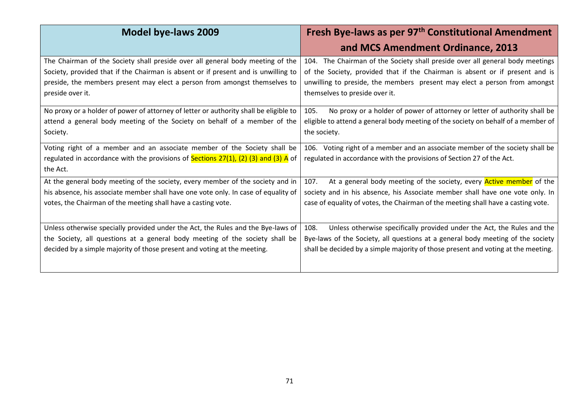| <b>Model bye-laws 2009</b>                                                                 | Fresh Bye-laws as per 97 <sup>th</sup> Constitutional Amendment                     |
|--------------------------------------------------------------------------------------------|-------------------------------------------------------------------------------------|
|                                                                                            | and MCS Amendment Ordinance, 2013                                                   |
| The Chairman of the Society shall preside over all general body meeting of the             | 104. The Chairman of the Society shall preside over all general body meetings       |
| Society, provided that if the Chairman is absent or if present and is unwilling to         | of the Society, provided that if the Chairman is absent or if present and is        |
| preside, the members present may elect a person from amongst themselves to                 | unwilling to preside, the members present may elect a person from amongst           |
| preside over it.                                                                           | themselves to preside over it.                                                      |
| No proxy or a holder of power of attorney of letter or authority shall be eligible to      | No proxy or a holder of power of attorney or letter of authority shall be<br>105.   |
| attend a general body meeting of the Society on behalf of a member of the                  | eligible to attend a general body meeting of the society on behalf of a member of   |
| Society.                                                                                   | the society.                                                                        |
| Voting right of a member and an associate member of the Society shall be                   | 106. Voting right of a member and an associate member of the society shall be       |
| regulated in accordance with the provisions of <b>Sections 27(1), (2) (3) and (3) A</b> of | regulated in accordance with the provisions of Section 27 of the Act.               |
| the Act.                                                                                   |                                                                                     |
| At the general body meeting of the society, every member of the society and in             | At a general body meeting of the society, every <b>Active member</b> of the<br>107. |
| his absence, his associate member shall have one vote only. In case of equality of         | society and in his absence, his Associate member shall have one vote only. In       |
| votes, the Chairman of the meeting shall have a casting vote.                              | case of equality of votes, the Chairman of the meeting shall have a casting vote.   |
|                                                                                            |                                                                                     |
| Unless otherwise specially provided under the Act, the Rules and the Bye-laws of           | Unless otherwise specifically provided under the Act, the Rules and the<br>108.     |
| the Society, all questions at a general body meeting of the society shall be               | Bye-laws of the Society, all questions at a general body meeting of the society     |
| decided by a simple majority of those present and voting at the meeting.                   | shall be decided by a simple majority of those present and voting at the meeting.   |
|                                                                                            |                                                                                     |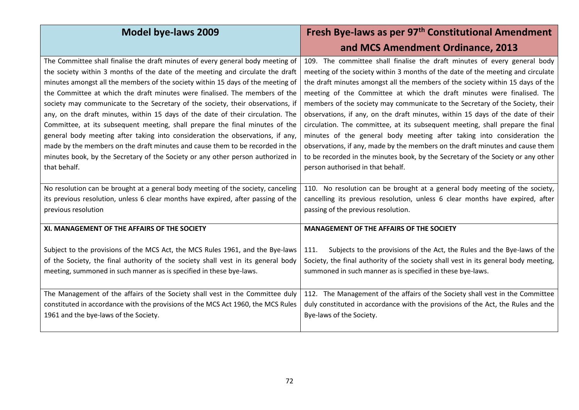| <b>Model bye-laws 2009</b>                                                                                                                                                                                                                                                                                                                                                                                                                                                                                                                                                                                                                                                                                                                                                                                                                                      | Fresh Bye-laws as per 97 <sup>th</sup> Constitutional Amendment                                                                                                                                                                                                                                                                                                                                                                                                                                                                                                                                                                                                                                                                                                                                                                                                      |
|-----------------------------------------------------------------------------------------------------------------------------------------------------------------------------------------------------------------------------------------------------------------------------------------------------------------------------------------------------------------------------------------------------------------------------------------------------------------------------------------------------------------------------------------------------------------------------------------------------------------------------------------------------------------------------------------------------------------------------------------------------------------------------------------------------------------------------------------------------------------|----------------------------------------------------------------------------------------------------------------------------------------------------------------------------------------------------------------------------------------------------------------------------------------------------------------------------------------------------------------------------------------------------------------------------------------------------------------------------------------------------------------------------------------------------------------------------------------------------------------------------------------------------------------------------------------------------------------------------------------------------------------------------------------------------------------------------------------------------------------------|
|                                                                                                                                                                                                                                                                                                                                                                                                                                                                                                                                                                                                                                                                                                                                                                                                                                                                 | and MCS Amendment Ordinance, 2013                                                                                                                                                                                                                                                                                                                                                                                                                                                                                                                                                                                                                                                                                                                                                                                                                                    |
| The Committee shall finalise the draft minutes of every general body meeting of<br>the society within 3 months of the date of the meeting and circulate the draft<br>minutes amongst all the members of the society within 15 days of the meeting of<br>the Committee at which the draft minutes were finalised. The members of the<br>society may communicate to the Secretary of the society, their observations, if<br>any, on the draft minutes, within 15 days of the date of their circulation. The<br>Committee, at its subsequent meeting, shall prepare the final minutes of the<br>general body meeting after taking into consideration the observations, if any,<br>made by the members on the draft minutes and cause them to be recorded in the<br>minutes book, by the Secretary of the Society or any other person authorized in<br>that behalf. | 109. The committee shall finalise the draft minutes of every general body<br>meeting of the society within 3 months of the date of the meeting and circulate<br>the draft minutes amongst all the members of the society within 15 days of the<br>meeting of the Committee at which the draft minutes were finalised. The<br>members of the society may communicate to the Secretary of the Society, their<br>observations, if any, on the draft minutes, within 15 days of the date of their<br>circulation. The committee, at its subsequent meeting, shall prepare the final<br>minutes of the general body meeting after taking into consideration the<br>observations, if any, made by the members on the draft minutes and cause them<br>to be recorded in the minutes book, by the Secretary of the Society or any other<br>person authorised in that behalf. |
| No resolution can be brought at a general body meeting of the society, canceling<br>its previous resolution, unless 6 clear months have expired, after passing of the<br>previous resolution                                                                                                                                                                                                                                                                                                                                                                                                                                                                                                                                                                                                                                                                    | 110. No resolution can be brought at a general body meeting of the society,<br>cancelling its previous resolution, unless 6 clear months have expired, after<br>passing of the previous resolution.                                                                                                                                                                                                                                                                                                                                                                                                                                                                                                                                                                                                                                                                  |
| XI. MANAGEMENT OF THE AFFAIRS OF THE SOCIETY                                                                                                                                                                                                                                                                                                                                                                                                                                                                                                                                                                                                                                                                                                                                                                                                                    | <b>MANAGEMENT OF THE AFFAIRS OF THE SOCIETY</b>                                                                                                                                                                                                                                                                                                                                                                                                                                                                                                                                                                                                                                                                                                                                                                                                                      |
| Subject to the provisions of the MCS Act, the MCS Rules 1961, and the Bye-laws<br>of the Society, the final authority of the society shall vest in its general body<br>meeting, summoned in such manner as is specified in these bye-laws.                                                                                                                                                                                                                                                                                                                                                                                                                                                                                                                                                                                                                      | Subjects to the provisions of the Act, the Rules and the Bye-laws of the<br>111.<br>Society, the final authority of the society shall vest in its general body meeting,<br>summoned in such manner as is specified in these bye-laws.                                                                                                                                                                                                                                                                                                                                                                                                                                                                                                                                                                                                                                |
| The Management of the affairs of the Society shall vest in the Committee duly<br>constituted in accordance with the provisions of the MCS Act 1960, the MCS Rules<br>1961 and the bye-laws of the Society.                                                                                                                                                                                                                                                                                                                                                                                                                                                                                                                                                                                                                                                      | 112. The Management of the affairs of the Society shall vest in the Committee<br>duly constituted in accordance with the provisions of the Act, the Rules and the<br>Bye-laws of the Society.                                                                                                                                                                                                                                                                                                                                                                                                                                                                                                                                                                                                                                                                        |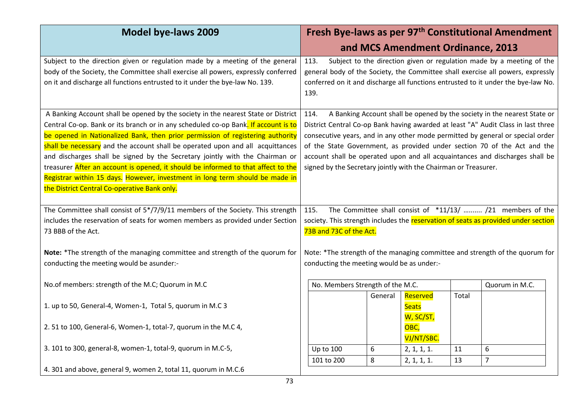| <b>Model bye-laws 2009</b>                                                                                                                                                                                                                                                                                                                                                                                                                                                                                                                                                                                                                       | Fresh Bye-laws as per 97 <sup>th</sup> Constitutional Amendment                                                                                                                                                                                                                                                                                                                                                                                                                        |  |  |  |  |
|--------------------------------------------------------------------------------------------------------------------------------------------------------------------------------------------------------------------------------------------------------------------------------------------------------------------------------------------------------------------------------------------------------------------------------------------------------------------------------------------------------------------------------------------------------------------------------------------------------------------------------------------------|----------------------------------------------------------------------------------------------------------------------------------------------------------------------------------------------------------------------------------------------------------------------------------------------------------------------------------------------------------------------------------------------------------------------------------------------------------------------------------------|--|--|--|--|
|                                                                                                                                                                                                                                                                                                                                                                                                                                                                                                                                                                                                                                                  | and MCS Amendment Ordinance, 2013                                                                                                                                                                                                                                                                                                                                                                                                                                                      |  |  |  |  |
| Subject to the direction given or regulation made by a meeting of the general<br>body of the Society, the Committee shall exercise all powers, expressly conferred<br>on it and discharge all functions entrusted to it under the bye-law No. 139.                                                                                                                                                                                                                                                                                                                                                                                               | Subject to the direction given or regulation made by a meeting of the<br>113.<br>general body of the Society, the Committee shall exercise all powers, expressly<br>conferred on it and discharge all functions entrusted to it under the bye-law No.<br>139.                                                                                                                                                                                                                          |  |  |  |  |
| A Banking Account shall be opened by the society in the nearest State or District<br>Central Co-op. Bank or its branch or in any scheduled co-op Bank. If account is to<br>be opened in Nationalized Bank, then prior permission of registering authority<br>shall be necessary and the account shall be operated upon and all acquittances<br>and discharges shall be signed by the Secretary jointly with the Chairman or<br>treasurer After an account is opened, it should be informed to that affect to the<br>Registrar within 15 days. However, investment in long term should be made in<br>the District Central Co-operative Bank only. | A Banking Account shall be opened by the society in the nearest State or<br>114.<br>District Central Co-op Bank having awarded at least "A" Audit Class in last three<br>consecutive years, and in any other mode permitted by general or special order<br>of the State Government, as provided under section 70 of the Act and the<br>account shall be operated upon and all acquaintances and discharges shall be<br>signed by the Secretary jointly with the Chairman or Treasurer. |  |  |  |  |
| The Committee shall consist of 5*/7/9/11 members of the Society. This strength<br>includes the reservation of seats for women members as provided under Section<br>73 BBB of the Act.                                                                                                                                                                                                                                                                                                                                                                                                                                                            | The Committee shall consist of *11/13/  /21 members of the<br>115.<br>society. This strength includes the reservation of seats as provided under section<br>73B and 73C of the Act.                                                                                                                                                                                                                                                                                                    |  |  |  |  |
| Note: *The strength of the managing committee and strength of the quorum for<br>conducting the meeting would be asunder:-                                                                                                                                                                                                                                                                                                                                                                                                                                                                                                                        | Note: *The strength of the managing committee and strength of the quorum for<br>conducting the meeting would be as under:-                                                                                                                                                                                                                                                                                                                                                             |  |  |  |  |
| No.of members: strength of the M.C; Quorum in M.C                                                                                                                                                                                                                                                                                                                                                                                                                                                                                                                                                                                                | No. Members Strength of the M.C.<br>Quorum in M.C.                                                                                                                                                                                                                                                                                                                                                                                                                                     |  |  |  |  |
| 1. up to 50, General-4, Women-1, Total 5, quorum in M.C 3                                                                                                                                                                                                                                                                                                                                                                                                                                                                                                                                                                                        | Reserved<br>Total<br>General<br><b>Seats</b><br>W, SC/ST,                                                                                                                                                                                                                                                                                                                                                                                                                              |  |  |  |  |
| 2.51 to 100, General-6, Women-1, total-7, quorum in the M.C 4,                                                                                                                                                                                                                                                                                                                                                                                                                                                                                                                                                                                   | OBC,                                                                                                                                                                                                                                                                                                                                                                                                                                                                                   |  |  |  |  |
| 3. 101 to 300, general-8, women-1, total-9, quorum in M.C-5,                                                                                                                                                                                                                                                                                                                                                                                                                                                                                                                                                                                     | VJ/NT/SBC.<br><b>Up to 100</b><br>6<br>6<br>2, 1, 1, 1.<br>11                                                                                                                                                                                                                                                                                                                                                                                                                          |  |  |  |  |
|                                                                                                                                                                                                                                                                                                                                                                                                                                                                                                                                                                                                                                                  | $\overline{7}$<br>101 to 200<br>8<br>2, 1, 1, 1.<br>13                                                                                                                                                                                                                                                                                                                                                                                                                                 |  |  |  |  |
| 4. 301 and above, general 9, women 2, total 11, quorum in M.C.6                                                                                                                                                                                                                                                                                                                                                                                                                                                                                                                                                                                  |                                                                                                                                                                                                                                                                                                                                                                                                                                                                                        |  |  |  |  |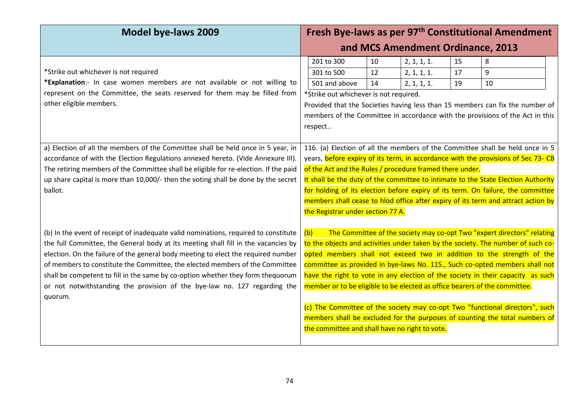| <b>Model bye-laws 2009</b>                                                                                                                                                                                                                                                                                                                                                                                                                                                                                                | Fresh Bye-laws as per 97 <sup>th</sup> Constitutional Amendment                                                                                                                                                                                                                                                                                                                                                                                                                                                                                                                                                                                                                                              |  |  |  |  |  |
|---------------------------------------------------------------------------------------------------------------------------------------------------------------------------------------------------------------------------------------------------------------------------------------------------------------------------------------------------------------------------------------------------------------------------------------------------------------------------------------------------------------------------|--------------------------------------------------------------------------------------------------------------------------------------------------------------------------------------------------------------------------------------------------------------------------------------------------------------------------------------------------------------------------------------------------------------------------------------------------------------------------------------------------------------------------------------------------------------------------------------------------------------------------------------------------------------------------------------------------------------|--|--|--|--|--|
|                                                                                                                                                                                                                                                                                                                                                                                                                                                                                                                           | and MCS Amendment Ordinance, 2013                                                                                                                                                                                                                                                                                                                                                                                                                                                                                                                                                                                                                                                                            |  |  |  |  |  |
| *Strike out whichever is not required                                                                                                                                                                                                                                                                                                                                                                                                                                                                                     | 201 to 300<br>10<br>2, 1, 1, 1.<br>15<br>8<br>2, 1, 1, 1.<br>9<br>301 to 500<br>12<br>17                                                                                                                                                                                                                                                                                                                                                                                                                                                                                                                                                                                                                     |  |  |  |  |  |
| *Explanation:- In case women members are not available or not willing to<br>represent on the Committee, the seats reserved for them may be filled from<br>other eligible members.                                                                                                                                                                                                                                                                                                                                         | 501 and above<br>14<br>2, 1, 1, 1.<br>19<br>10<br>*Strike out whichever is not required.<br>Provided that the Societies having less than 15 members can fix the number of<br>members of the Committee in accordance with the provisions of the Act in this<br>respect                                                                                                                                                                                                                                                                                                                                                                                                                                        |  |  |  |  |  |
| a) Election of all the members of the Committee shall be held once in 5 year, in<br>accordance of with the Election Regulations annexed hereto. (Vide Annexure III).<br>The retiring members of the Committee shall be eligible for re-election. If the paid<br>up share capital is more than 10,000/- then the voting shall be done by the secret<br>ballot.                                                                                                                                                             | 116. (a) Election of all the members of the Committee shall be held once in 5<br>years, before expiry of its term, in accordance with the provisions of Sec 73- CB<br>of the Act and the Rules / procedure framed there under.<br>It shall be the duty of the committee to intimate to the State Election Authority<br>for holding of its election before expiry of its term. On failure, the committee<br>members shall cease to hlod office after expiry of its term and attract action by<br>the Registrar under section 77 A.                                                                                                                                                                            |  |  |  |  |  |
| (b) In the event of receipt of inadequate valid nominations, required to constitute<br>the full Committee, the General body at its meeting shall fill in the vacancies by<br>election. On the failure of the general body meeting to elect the required number<br>of members to constitute the Committee, the elected members of the Committee<br>shall be competent to fill in the same by co-option whether they form thequorum<br>or not notwithstanding the provision of the bye-law no. 127 regarding the<br>quorum. | The Committee of the society may co-opt Two "expert directors" relating<br>(b)<br>to the objects and activities under taken by the society. The number of such co-<br>opted members shall not exceed two in addition to the strength of the<br>committee as provided in bye-laws No. 115., Such co-opted members shall not<br>have the right to vote in any election of the society in their capacity as such<br>member or to be eligible to be elected as office bearers of the committee.<br>(c) The Committee of the society may co-opt Two "functional directors", such<br>members shall be excluded for the purposes of counting the total numbers of<br>the committee and shall have no right to vote. |  |  |  |  |  |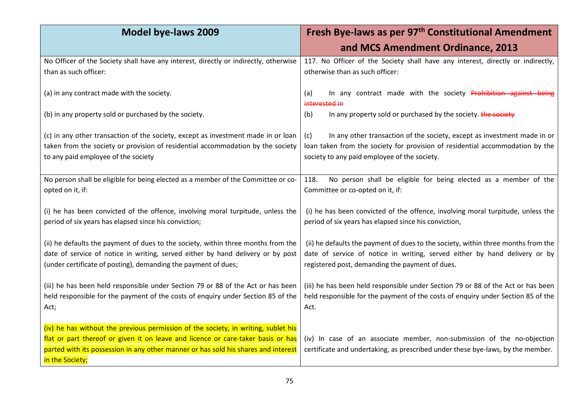| <b>Model bye-laws 2009</b>                                                                                                                                                                                                                                                      | Fresh Bye-laws as per 97 <sup>th</sup> Constitutional Amendment                                                                                                                                                    |  |  |  |
|---------------------------------------------------------------------------------------------------------------------------------------------------------------------------------------------------------------------------------------------------------------------------------|--------------------------------------------------------------------------------------------------------------------------------------------------------------------------------------------------------------------|--|--|--|
|                                                                                                                                                                                                                                                                                 | and MCS Amendment Ordinance, 2013                                                                                                                                                                                  |  |  |  |
| No Officer of the Society shall have any interest, directly or indirectly, otherwise<br>than as such officer:                                                                                                                                                                   | 117. No Officer of the Society shall have any interest, directly or indirectly,<br>otherwise than as such officer:                                                                                                 |  |  |  |
| (a) in any contract made with the society.                                                                                                                                                                                                                                      | In any contract made with the society Prohibition against being<br>(a)<br>interested in                                                                                                                            |  |  |  |
| (b) in any property sold or purchased by the society.                                                                                                                                                                                                                           | In any property sold or purchased by the society. the society<br>(b)                                                                                                                                               |  |  |  |
| (c) in any other transaction of the society, except as investment made in or loan<br>taken from the society or provision of residential accommodation by the society<br>to any paid employee of the society                                                                     | In any other transaction of the society, except as investment made in or<br>(c)<br>loan taken from the society for provision of residential accommodation by the<br>society to any paid employee of the society.   |  |  |  |
| No person shall be eligible for being elected as a member of the Committee or co-<br>opted on it, if:                                                                                                                                                                           | No person shall be eligible for being elected as a member of the<br>118.<br>Committee or co-opted on it, if:                                                                                                       |  |  |  |
| (i) he has been convicted of the offence, involving moral turpitude, unless the<br>period of six years has elapsed since his conviction;                                                                                                                                        | (i) he has been convicted of the offence, involving moral turpitude, unless the<br>period of six years has elapsed since his conviction,                                                                           |  |  |  |
| (ii) he defaults the payment of dues to the society, within three months from the<br>date of service of notice in writing, served either by hand delivery or by post<br>(under certificate of posting), demanding the payment of dues;                                          | (ii) he defaults the payment of dues to the society, within three months from the<br>date of service of notice in writing, served either by hand delivery or by<br>registered post, demanding the payment of dues. |  |  |  |
| (iii) he has been held responsible under Section 79 or 88 of the Act or has been<br>held responsible for the payment of the costs of enquiry under Section 85 of the<br>Act;                                                                                                    | (iii) he has been held responsible under Section 79 or 88 of the Act or has been<br>held responsible for the payment of the costs of enquiry under Section 85 of the<br>Act.                                       |  |  |  |
| (iv) he has without the previous permission of the society, in writing, sublet his<br>flat or part thereof or given it on leave and licence or care-taker basis or has<br>parted with its possession in any other manner or has sold his shares and interest<br>in the Society; | (iv) In case of an associate member, non-submission of the no-objection<br>certificate and undertaking, as prescribed under these bye-laws, by the member.                                                         |  |  |  |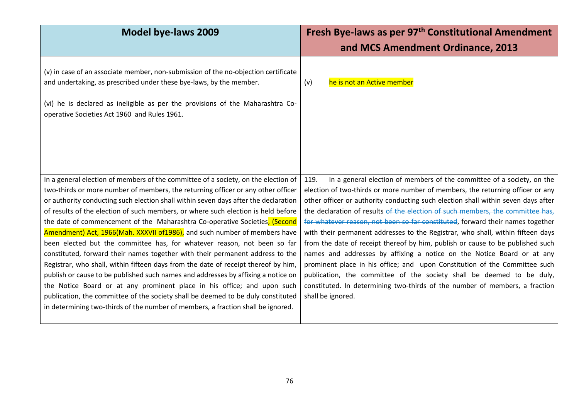| <b>Model bye-laws 2009</b>                                                                                                                                                                                                                                                                                                                                                                                                                                                                                                                                                                                                                                                                                                                                                                                                                                                                                                                                                                                                                                                                                 | Fresh Bye-laws as per 97 <sup>th</sup> Constitutional Amendment<br>and MCS Amendment Ordinance, 2013                                                                                                                                                                                                                                                                                                                                                                                                                                                                                                                                                                                                                                                                                                                                                                                                                                |
|------------------------------------------------------------------------------------------------------------------------------------------------------------------------------------------------------------------------------------------------------------------------------------------------------------------------------------------------------------------------------------------------------------------------------------------------------------------------------------------------------------------------------------------------------------------------------------------------------------------------------------------------------------------------------------------------------------------------------------------------------------------------------------------------------------------------------------------------------------------------------------------------------------------------------------------------------------------------------------------------------------------------------------------------------------------------------------------------------------|-------------------------------------------------------------------------------------------------------------------------------------------------------------------------------------------------------------------------------------------------------------------------------------------------------------------------------------------------------------------------------------------------------------------------------------------------------------------------------------------------------------------------------------------------------------------------------------------------------------------------------------------------------------------------------------------------------------------------------------------------------------------------------------------------------------------------------------------------------------------------------------------------------------------------------------|
| (v) in case of an associate member, non-submission of the no-objection certificate<br>and undertaking, as prescribed under these bye-laws, by the member.<br>(vi) he is declared as ineligible as per the provisions of the Maharashtra Co-<br>operative Societies Act 1960 and Rules 1961.                                                                                                                                                                                                                                                                                                                                                                                                                                                                                                                                                                                                                                                                                                                                                                                                                | he is not an Active member<br>(v)                                                                                                                                                                                                                                                                                                                                                                                                                                                                                                                                                                                                                                                                                                                                                                                                                                                                                                   |
| In a general election of members of the committee of a society, on the election of<br>two-thirds or more number of members, the returning officer or any other officer<br>or authority conducting such election shall within seven days after the declaration<br>of results of the election of such members, or where such election is held before<br>the date of commencement of the Maharashtra Co-operative Societies, (Second<br>Amendment) Act, 1966(Mah. XXXVII of 1986), and such number of members have<br>been elected but the committee has, for whatever reason, not been so far<br>constituted, forward their names together with their permanent address to the<br>Registrar, who shall, within fifteen days from the date of receipt thereof by him,<br>publish or cause to be published such names and addresses by affixing a notice on<br>the Notice Board or at any prominent place in his office; and upon such<br>publication, the committee of the society shall be deemed to be duly constituted<br>in determining two-thirds of the number of members, a fraction shall be ignored. | In a general election of members of the committee of a society, on the<br>119.<br>election of two-thirds or more number of members, the returning officer or any<br>other officer or authority conducting such election shall within seven days after<br>the declaration of results of the election of such members, the committee has,<br>for whatever reason, not been so far constituted, forward their names together<br>with their permanent addresses to the Registrar, who shall, within fifteen days<br>from the date of receipt thereof by him, publish or cause to be published such<br>names and addresses by affixing a notice on the Notice Board or at any<br>prominent place in his office; and upon Constitution of the Committee such<br>publication, the committee of the society shall be deemed to be duly,<br>constituted. In determining two-thirds of the number of members, a fraction<br>shall be ignored. |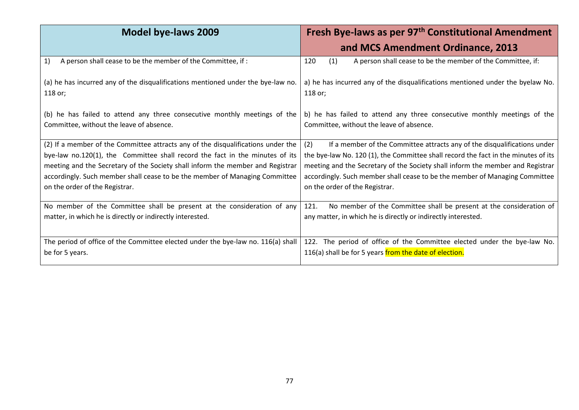| <b>Model bye-laws 2009</b>                                                                                            | Fresh Bye-laws as per 97 <sup>th</sup> Constitutional Amendment                                                      |  |  |
|-----------------------------------------------------------------------------------------------------------------------|----------------------------------------------------------------------------------------------------------------------|--|--|
|                                                                                                                       | and MCS Amendment Ordinance, 2013                                                                                    |  |  |
| 1)<br>A person shall cease to be the member of the Committee, if:                                                     | 120<br>(1)<br>A person shall cease to be the member of the Committee, if:                                            |  |  |
| (a) he has incurred any of the disqualifications mentioned under the bye-law no.<br>118 or;                           | a) he has incurred any of the disqualifications mentioned under the byelaw No.<br>118 or;                            |  |  |
| (b) he has failed to attend any three consecutive monthly meetings of the<br>Committee, without the leave of absence. | b) he has failed to attend any three consecutive monthly meetings of the<br>Committee, without the leave of absence. |  |  |
| (2) If a member of the Committee attracts any of the disqualifications under the                                      | If a member of the Committee attracts any of the disqualifications under<br>(2)                                      |  |  |
| bye-law no.120(1), the Committee shall record the fact in the minutes of its                                          | the bye-law No. 120 (1), the Committee shall record the fact in the minutes of its                                   |  |  |
| meeting and the Secretary of the Society shall inform the member and Registrar                                        | meeting and the Secretary of the Society shall inform the member and Registrar                                       |  |  |
| accordingly. Such member shall cease to be the member of Managing Committee                                           | accordingly. Such member shall cease to be the member of Managing Committee                                          |  |  |
| on the order of the Registrar.                                                                                        | on the order of the Registrar.                                                                                       |  |  |
| No member of the Committee shall be present at the consideration of any                                               | 121.<br>No member of the Committee shall be present at the consideration of                                          |  |  |
| matter, in which he is directly or indirectly interested.                                                             | any matter, in which he is directly or indirectly interested.                                                        |  |  |
| The period of office of the Committee elected under the bye-law no. 116(a) shall                                      | 122.<br>The period of office of the Committee elected under the bye-law No.                                          |  |  |
| be for 5 years.                                                                                                       | 116(a) shall be for 5 years from the date of election.                                                               |  |  |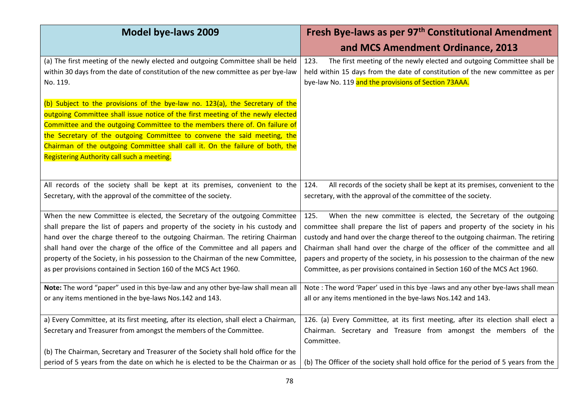| <b>Model bye-laws 2009</b>                                                                                                                                                                                                                                                                                                                                                                                                                                                           | Fresh Bye-laws as per 97 <sup>th</sup> Constitutional Amendment                                                                                                                                                                                                                                                                                                                                                                                                                               |  |  |
|--------------------------------------------------------------------------------------------------------------------------------------------------------------------------------------------------------------------------------------------------------------------------------------------------------------------------------------------------------------------------------------------------------------------------------------------------------------------------------------|-----------------------------------------------------------------------------------------------------------------------------------------------------------------------------------------------------------------------------------------------------------------------------------------------------------------------------------------------------------------------------------------------------------------------------------------------------------------------------------------------|--|--|
|                                                                                                                                                                                                                                                                                                                                                                                                                                                                                      | and MCS Amendment Ordinance, 2013                                                                                                                                                                                                                                                                                                                                                                                                                                                             |  |  |
| (a) The first meeting of the newly elected and outgoing Committee shall be held<br>within 30 days from the date of constitution of the new committee as per bye-law<br>No. 119.                                                                                                                                                                                                                                                                                                      | The first meeting of the newly elected and outgoing Committee shall be<br>123.<br>held within 15 days from the date of constitution of the new committee as per<br>bye-law No. 119 and the provisions of Section 73AAA.                                                                                                                                                                                                                                                                       |  |  |
| (b) Subject to the provisions of the bye-law no. 123(a), the Secretary of the<br>outgoing Committee shall issue notice of the first meeting of the newly elected<br>Committee and the outgoing Committee to the members there of. On failure of<br>the Secretary of the outgoing Committee to convene the said meeting, the<br>Chairman of the outgoing Committee shall call it. On the failure of both, the<br>Registering Authority call such a meeting.                           |                                                                                                                                                                                                                                                                                                                                                                                                                                                                                               |  |  |
| All records of the society shall be kept at its premises, convenient to the<br>Secretary, with the approval of the committee of the society.                                                                                                                                                                                                                                                                                                                                         | All records of the society shall be kept at its premises, convenient to the<br>124.<br>secretary, with the approval of the committee of the society.                                                                                                                                                                                                                                                                                                                                          |  |  |
| When the new Committee is elected, the Secretary of the outgoing Committee<br>shall prepare the list of papers and property of the society in his custody and<br>hand over the charge thereof to the outgoing Chairman. The retiring Chairman<br>shall hand over the charge of the office of the Committee and all papers and<br>property of the Society, in his possession to the Chairman of the new Committee,<br>as per provisions contained in Section 160 of the MCS Act 1960. | When the new committee is elected, the Secretary of the outgoing<br>125.<br>committee shall prepare the list of papers and property of the society in his<br>custody and hand over the charge thereof to the outgoing chairman. The retiring<br>Chairman shall hand over the charge of the officer of the committee and all<br>papers and property of the society, in his possession to the chairman of the new<br>Committee, as per provisions contained in Section 160 of the MCS Act 1960. |  |  |
| Note: The word "paper" used in this bye-law and any other bye-law shall mean all<br>or any items mentioned in the bye-laws Nos.142 and 143.                                                                                                                                                                                                                                                                                                                                          | Note: The word 'Paper' used in this bye -laws and any other bye-laws shall mean<br>all or any items mentioned in the bye-laws Nos.142 and 143.                                                                                                                                                                                                                                                                                                                                                |  |  |
| a) Every Committee, at its first meeting, after its election, shall elect a Chairman,<br>Secretary and Treasurer from amongst the members of the Committee.                                                                                                                                                                                                                                                                                                                          | 126. (a) Every Committee, at its first meeting, after its election shall elect a<br>Chairman. Secretary and Treasure from amongst the members of the<br>Committee.                                                                                                                                                                                                                                                                                                                            |  |  |
| (b) The Chairman, Secretary and Treasurer of the Society shall hold office for the<br>period of 5 years from the date on which he is elected to be the Chairman or as                                                                                                                                                                                                                                                                                                                | (b) The Officer of the society shall hold office for the period of 5 years from the                                                                                                                                                                                                                                                                                                                                                                                                           |  |  |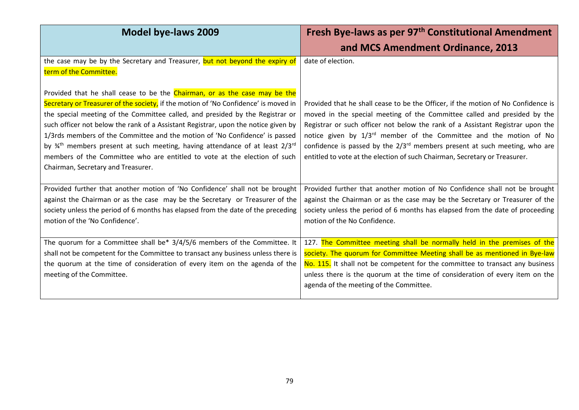| <b>Model bye-laws 2009</b>                                                                                                                                                                                                                                                                                                                                                                                                                                                                                                                                                                                                 | Fresh Bye-laws as per 97 <sup>th</sup> Constitutional Amendment<br>and MCS Amendment Ordinance, 2013                                                                                                                                                                                                                                                                                                                                                                                               |
|----------------------------------------------------------------------------------------------------------------------------------------------------------------------------------------------------------------------------------------------------------------------------------------------------------------------------------------------------------------------------------------------------------------------------------------------------------------------------------------------------------------------------------------------------------------------------------------------------------------------------|----------------------------------------------------------------------------------------------------------------------------------------------------------------------------------------------------------------------------------------------------------------------------------------------------------------------------------------------------------------------------------------------------------------------------------------------------------------------------------------------------|
| the case may be by the Secretary and Treasurer, but not beyond the expiry of<br>term of the Committee.                                                                                                                                                                                                                                                                                                                                                                                                                                                                                                                     | date of election.                                                                                                                                                                                                                                                                                                                                                                                                                                                                                  |
| Provided that he shall cease to be the Chairman, or as the case may be the<br>Secretary or Treasurer of the society, if the motion of 'No Confidence' is moved in<br>the special meeting of the Committee called, and presided by the Registrar or<br>such officer not below the rank of a Assistant Registrar, upon the notice given by<br>1/3rds members of the Committee and the motion of 'No Confidence' is passed<br>by 34th members present at such meeting, having attendance of at least 2/3rd<br>members of the Committee who are entitled to vote at the election of such<br>Chairman, Secretary and Treasurer. | Provided that he shall cease to be the Officer, if the motion of No Confidence is<br>moved in the special meeting of the Committee called and presided by the<br>Registrar or such officer not below the rank of a Assistant Registrar upon the<br>notice given by 1/3 <sup>rd</sup> member of the Committee and the motion of No<br>confidence is passed by the $2/3^{rd}$ members present at such meeting, who are<br>entitled to vote at the election of such Chairman, Secretary or Treasurer. |
| Provided further that another motion of 'No Confidence' shall not be brought<br>against the Chairman or as the case may be the Secretary or Treasurer of the<br>society unless the period of 6 months has elapsed from the date of the preceding<br>motion of the 'No Confidence'.                                                                                                                                                                                                                                                                                                                                         | Provided further that another motion of No Confidence shall not be brought<br>against the Chairman or as the case may be the Secretary or Treasurer of the<br>society unless the period of 6 months has elapsed from the date of proceeding<br>motion of the No Confidence.                                                                                                                                                                                                                        |
| The quorum for a Committee shall be* 3/4/5/6 members of the Committee. It<br>shall not be competent for the Committee to transact any business unless there is<br>the quorum at the time of consideration of every item on the agenda of the<br>meeting of the Committee.                                                                                                                                                                                                                                                                                                                                                  | 127. The Committee meeting shall be normally held in the premises of the<br>society. The quorum for Committee Meeting shall be as mentioned in Bye-law<br>No. 115. It shall not be competent for the committee to transact any business<br>unless there is the quorum at the time of consideration of every item on the<br>agenda of the meeting of the Committee.                                                                                                                                 |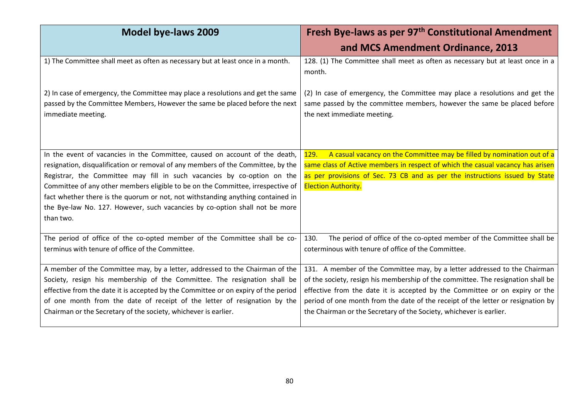| <b>Model bye-laws 2009</b>                                                                                                                                                           | Fresh Bye-laws as per 97 <sup>th</sup> Constitutional Amendment                                                                                                                       |  |  |
|--------------------------------------------------------------------------------------------------------------------------------------------------------------------------------------|---------------------------------------------------------------------------------------------------------------------------------------------------------------------------------------|--|--|
|                                                                                                                                                                                      | and MCS Amendment Ordinance, 2013                                                                                                                                                     |  |  |
| 1) The Committee shall meet as often as necessary but at least once in a month.                                                                                                      | 128. (1) The Committee shall meet as often as necessary but at least once in a<br>month.                                                                                              |  |  |
| 2) In case of emergency, the Committee may place a resolutions and get the same<br>passed by the Committee Members, However the same be placed before the next<br>immediate meeting. | (2) In case of emergency, the Committee may place a resolutions and get the<br>same passed by the committee members, however the same be placed before<br>the next immediate meeting. |  |  |
| In the event of vacancies in the Committee, caused on account of the death,                                                                                                          | A casual vacancy on the Committee may be filled by nomination out of a<br><u>129.</u>                                                                                                 |  |  |
| resignation, disqualification or removal of any members of the Committee, by the                                                                                                     | same class of Active members in respect of which the casual vacancy has arisen                                                                                                        |  |  |
| Registrar, the Committee may fill in such vacancies by co-option on the                                                                                                              | as per provisions of Sec. 73 CB and as per the instructions issued by State                                                                                                           |  |  |
| Committee of any other members eligible to be on the Committee, irrespective of                                                                                                      | <b>Election Authority.</b>                                                                                                                                                            |  |  |
| fact whether there is the quorum or not, not withstanding anything contained in                                                                                                      |                                                                                                                                                                                       |  |  |
| the Bye-law No. 127. However, such vacancies by co-option shall not be more                                                                                                          |                                                                                                                                                                                       |  |  |
| than two.                                                                                                                                                                            |                                                                                                                                                                                       |  |  |
| The period of office of the co-opted member of the Committee shall be co-<br>terminus with tenure of office of the Committee.                                                        | The period of office of the co-opted member of the Committee shall be<br>130.<br>coterminous with tenure of office of the Committee.                                                  |  |  |
| A member of the Committee may, by a letter, addressed to the Chairman of the                                                                                                         | 131. A member of the Committee may, by a letter addressed to the Chairman                                                                                                             |  |  |
| Society, resign his membership of the Committee. The resignation shall be                                                                                                            | of the society, resign his membership of the committee. The resignation shall be                                                                                                      |  |  |
| effective from the date it is accepted by the Committee or on expiry of the period                                                                                                   | effective from the date it is accepted by the Committee or on expiry or the                                                                                                           |  |  |
| of one month from the date of receipt of the letter of resignation by the                                                                                                            | period of one month from the date of the receipt of the letter or resignation by                                                                                                      |  |  |
| Chairman or the Secretary of the society, whichever is earlier.                                                                                                                      | the Chairman or the Secretary of the Society, whichever is earlier.                                                                                                                   |  |  |
|                                                                                                                                                                                      |                                                                                                                                                                                       |  |  |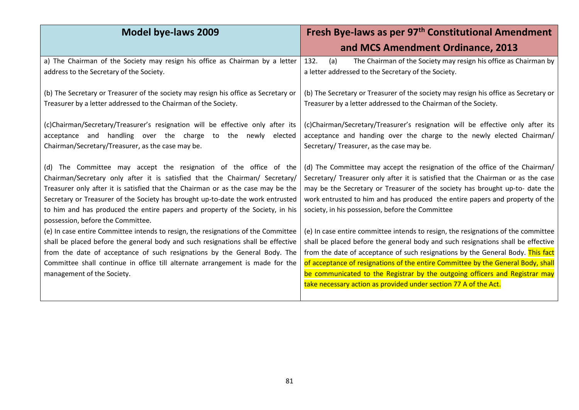| <b>Model bye-laws 2009</b>                                                                                                                                                                                                                                                                                                                                                                                                                    | Fresh Bye-laws as per 97 <sup>th</sup> Constitutional Amendment                                                                                                                                                                                                                                                                                                                                                                                                                                 |  |  |
|-----------------------------------------------------------------------------------------------------------------------------------------------------------------------------------------------------------------------------------------------------------------------------------------------------------------------------------------------------------------------------------------------------------------------------------------------|-------------------------------------------------------------------------------------------------------------------------------------------------------------------------------------------------------------------------------------------------------------------------------------------------------------------------------------------------------------------------------------------------------------------------------------------------------------------------------------------------|--|--|
|                                                                                                                                                                                                                                                                                                                                                                                                                                               | and MCS Amendment Ordinance, 2013                                                                                                                                                                                                                                                                                                                                                                                                                                                               |  |  |
| a) The Chairman of the Society may resign his office as Chairman by a letter<br>address to the Secretary of the Society.                                                                                                                                                                                                                                                                                                                      | (a)<br>132.<br>The Chairman of the Society may resign his office as Chairman by<br>a letter addressed to the Secretary of the Society.                                                                                                                                                                                                                                                                                                                                                          |  |  |
| (b) The Secretary or Treasurer of the society may resign his office as Secretary or<br>Treasurer by a letter addressed to the Chairman of the Society.                                                                                                                                                                                                                                                                                        | (b) The Secretary or Treasurer of the society may resign his office as Secretary or<br>Treasurer by a letter addressed to the Chairman of the Society.                                                                                                                                                                                                                                                                                                                                          |  |  |
| (c)Chairman/Secretary/Treasurer's resignation will be effective only after its<br>acceptance and handling over the charge to the newly elected<br>Chairman/Secretary/Treasurer, as the case may be.                                                                                                                                                                                                                                           | (c)Chairman/Secretary/Treasurer's resignation will be effective only after its<br>acceptance and handing over the charge to the newly elected Chairman/<br>Secretary/ Treasurer, as the case may be.                                                                                                                                                                                                                                                                                            |  |  |
| (d) The Committee may accept the resignation of the office of the<br>Chairman/Secretary only after it is satisfied that the Chairman/ Secretary/<br>Treasurer only after it is satisfied that the Chairman or as the case may be the<br>Secretary or Treasurer of the Society has brought up-to-date the work entrusted<br>to him and has produced the entire papers and property of the Society, in his<br>possession, before the Committee. | (d) The Committee may accept the resignation of the office of the Chairman/<br>Secretary/ Treasurer only after it is satisfied that the Chairman or as the case<br>may be the Secretary or Treasurer of the society has brought up-to- date the<br>work entrusted to him and has produced the entire papers and property of the<br>society, in his possession, before the Committee                                                                                                             |  |  |
| (e) In case entire Committee intends to resign, the resignations of the Committee<br>shall be placed before the general body and such resignations shall be effective<br>from the date of acceptance of such resignations by the General Body. The<br>Committee shall continue in office till alternate arrangement is made for the<br>management of the Society.                                                                             | (e) In case entire committee intends to resign, the resignations of the committee<br>shall be placed before the general body and such resignations shall be effective<br>from the date of acceptance of such resignations by the General Body. This fact<br>of acceptance of resignations of the entire Committee by the General Body, shall<br>be communicated to the Registrar by the outgoing officers and Registrar may<br>take necessary action as provided under section 77 A of the Act. |  |  |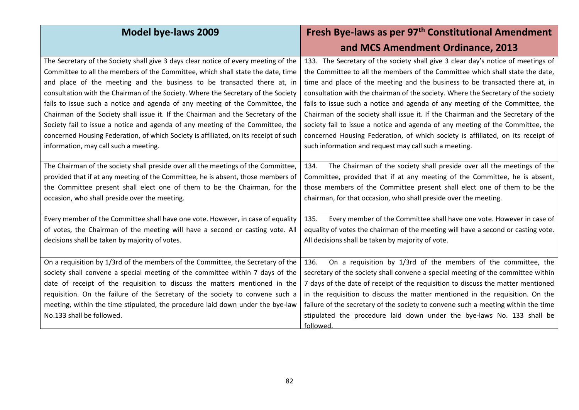| <b>Model bye-laws 2009</b>                                                                                                                                                                                                                                                                                                                                                                                                                                                                                                                                                                                                                                                                                                    | Fresh Bye-laws as per 97 <sup>th</sup> Constitutional Amendment                                                                                                                                                                                                                                                                                                                                                                                                                                                                                                                                                                                                                                                                          |  |  |
|-------------------------------------------------------------------------------------------------------------------------------------------------------------------------------------------------------------------------------------------------------------------------------------------------------------------------------------------------------------------------------------------------------------------------------------------------------------------------------------------------------------------------------------------------------------------------------------------------------------------------------------------------------------------------------------------------------------------------------|------------------------------------------------------------------------------------------------------------------------------------------------------------------------------------------------------------------------------------------------------------------------------------------------------------------------------------------------------------------------------------------------------------------------------------------------------------------------------------------------------------------------------------------------------------------------------------------------------------------------------------------------------------------------------------------------------------------------------------------|--|--|
|                                                                                                                                                                                                                                                                                                                                                                                                                                                                                                                                                                                                                                                                                                                               | and MCS Amendment Ordinance, 2013                                                                                                                                                                                                                                                                                                                                                                                                                                                                                                                                                                                                                                                                                                        |  |  |
| The Secretary of the Society shall give 3 days clear notice of every meeting of the<br>Committee to all the members of the Committee, which shall state the date, time<br>and place of the meeting and the business to be transacted there at, in<br>consultation with the Chairman of the Society. Where the Secretary of the Society<br>fails to issue such a notice and agenda of any meeting of the Committee, the<br>Chairman of the Society shall issue it. If the Chairman and the Secretary of the<br>Society fail to issue a notice and agenda of any meeting of the Committee, the<br>concerned Housing Federation, of which Society is affiliated, on its receipt of such<br>information, may call such a meeting. | 133. The Secretary of the society shall give 3 clear day's notice of meetings of<br>the Committee to all the members of the Committee which shall state the date,<br>time and place of the meeting and the business to be transacted there at, in<br>consultation with the chairman of the society. Where the Secretary of the society<br>fails to issue such a notice and agenda of any meeting of the Committee, the<br>Chairman of the society shall issue it. If the Chairman and the Secretary of the<br>society fail to issue a notice and agenda of any meeting of the Committee, the<br>concerned Housing Federation, of which society is affiliated, on its receipt of<br>such information and request may call such a meeting. |  |  |
| The Chairman of the society shall preside over all the meetings of the Committee,<br>provided that if at any meeting of the Committee, he is absent, those members of<br>the Committee present shall elect one of them to be the Chairman, for the<br>occasion, who shall preside over the meeting.                                                                                                                                                                                                                                                                                                                                                                                                                           | 134.<br>The Chairman of the society shall preside over all the meetings of the<br>Committee, provided that if at any meeting of the Committee, he is absent,<br>those members of the Committee present shall elect one of them to be the<br>chairman, for that occasion, who shall preside over the meeting.                                                                                                                                                                                                                                                                                                                                                                                                                             |  |  |
| Every member of the Committee shall have one vote. However, in case of equality<br>of votes, the Chairman of the meeting will have a second or casting vote. All<br>decisions shall be taken by majority of votes.                                                                                                                                                                                                                                                                                                                                                                                                                                                                                                            | Every member of the Committee shall have one vote. However in case of<br>135.<br>equality of votes the chairman of the meeting will have a second or casting vote.<br>All decisions shall be taken by majority of vote.                                                                                                                                                                                                                                                                                                                                                                                                                                                                                                                  |  |  |
| On a requisition by 1/3rd of the members of the Committee, the Secretary of the<br>society shall convene a special meeting of the committee within 7 days of the<br>date of receipt of the requisition to discuss the matters mentioned in the<br>requisition. On the failure of the Secretary of the society to convene such a<br>meeting, within the time stipulated, the procedure laid down under the bye-law<br>No.133 shall be followed.                                                                                                                                                                                                                                                                                | On a requisition by 1/3rd of the members of the committee, the<br>136.<br>secretary of the society shall convene a special meeting of the committee within<br>7 days of the date of receipt of the requisition to discuss the matter mentioned<br>in the requisition to discuss the matter mentioned in the requisition. On the<br>failure of the secretary of the society to convene such a meeting within the time<br>stipulated the procedure laid down under the bye-laws No. 133 shall be<br>followed.                                                                                                                                                                                                                              |  |  |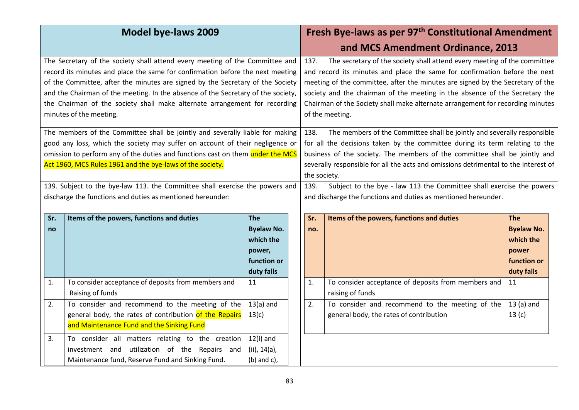| <b>Model bye-laws 2009</b>                                                                                                                                                                                                                                                                                                                                                                                                                    |                                                                                                                                                        |                                                                                     |                                                                                                                                                                                                                                                                                                                                                                                                                              | Fresh Bye-laws as per 97 <sup>th</sup> Constitutional Amendment<br>and MCS Amendment Ordinance, 2013 |                                                                                    |  |  |
|-----------------------------------------------------------------------------------------------------------------------------------------------------------------------------------------------------------------------------------------------------------------------------------------------------------------------------------------------------------------------------------------------------------------------------------------------|--------------------------------------------------------------------------------------------------------------------------------------------------------|-------------------------------------------------------------------------------------|------------------------------------------------------------------------------------------------------------------------------------------------------------------------------------------------------------------------------------------------------------------------------------------------------------------------------------------------------------------------------------------------------------------------------|------------------------------------------------------------------------------------------------------|------------------------------------------------------------------------------------|--|--|
| The Secretary of the society shall attend every meeting of the Committee and<br>record its minutes and place the same for confirmation before the next meeting<br>of the Committee, after the minutes are signed by the Secretary of the Society<br>and the Chairman of the meeting. In the absence of the Secretary of the society,<br>the Chairman of the society shall make alternate arrangement for recording<br>minutes of the meeting. |                                                                                                                                                        | 137.                                                                                | The secretary of the society shall attend every meeting of the committee<br>and record its minutes and place the same for confirmation before the next<br>meeting of the committee, after the minutes are signed by the Secretary of the<br>society and the chairman of the meeting in the absence of the Secretary the<br>Chairman of the Society shall make alternate arrangement for recording minutes<br>of the meeting. |                                                                                                      |                                                                                    |  |  |
| The members of the Committee shall be jointly and severally liable for making<br>good any loss, which the society may suffer on account of their negligence or<br>omission to perform any of the duties and functions cast on them under the MCS<br>Act 1960, MCS Rules 1961 and the bye-laws of the society.                                                                                                                                 |                                                                                                                                                        | 138.                                                                                | The members of the Committee shall be jointly and severally responsible<br>for all the decisions taken by the committee during its term relating to the<br>business of the society. The members of the committee shall be jointly and<br>severally responsible for all the acts and omissions detrimental to the interest of<br>the society.                                                                                 |                                                                                                      |                                                                                    |  |  |
| 139. Subject to the bye-law 113. the Committee shall exercise the powers and<br>discharge the functions and duties as mentioned hereunder:                                                                                                                                                                                                                                                                                                    |                                                                                                                                                        | 139.                                                                                | Subject to the bye - law 113 the Committee shall exercise the powers<br>and discharge the functions and duties as mentioned hereunder.                                                                                                                                                                                                                                                                                       |                                                                                                      |                                                                                    |  |  |
| Sr.<br>no                                                                                                                                                                                                                                                                                                                                                                                                                                     | Items of the powers, functions and duties                                                                                                              | <b>The</b><br><b>Byelaw No.</b><br>which the<br>power,<br>function or<br>duty falls | Sr.<br>no.                                                                                                                                                                                                                                                                                                                                                                                                                   | Items of the powers, functions and duties                                                            | <b>The</b><br><b>Byelaw No.</b><br>which the<br>power<br>function or<br>duty falls |  |  |
| 1.                                                                                                                                                                                                                                                                                                                                                                                                                                            | To consider acceptance of deposits from members and<br>Raising of funds                                                                                | 11                                                                                  | 1.                                                                                                                                                                                                                                                                                                                                                                                                                           | To consider acceptance of deposits from members and<br>raising of funds                              | 11                                                                                 |  |  |
| 2.                                                                                                                                                                                                                                                                                                                                                                                                                                            | To consider and recommend to the meeting of the<br>general body, the rates of contribution of the Repairs<br>and Maintenance Fund and the Sinking Fund | $13(a)$ and<br>13(c)                                                                | 2.                                                                                                                                                                                                                                                                                                                                                                                                                           | To consider and recommend to the meeting of the<br>general body, the rates of contribution           | $13(a)$ and<br>13(c)                                                               |  |  |
| 3.                                                                                                                                                                                                                                                                                                                                                                                                                                            | To consider all matters relating to the creation<br>investment and utilization of the Repairs and<br>Maintenance fund, Reserve Fund and Sinking Fund.  | $12(i)$ and<br>(ii), 14(a),<br>$(b)$ and $c)$ ,                                     |                                                                                                                                                                                                                                                                                                                                                                                                                              |                                                                                                      |                                                                                    |  |  |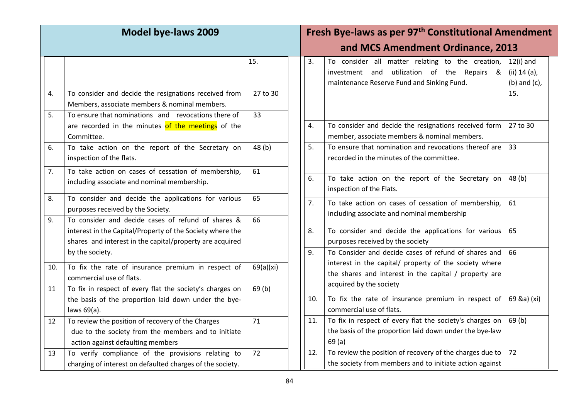| <b>Model bye-laws 2009</b> |                                                                                                                                                                             |                | Fresh Bye-laws as per 97 <sup>th</sup> Constitutional Amendment |     |                                                                                                                                                                                                    |                                                    |
|----------------------------|-----------------------------------------------------------------------------------------------------------------------------------------------------------------------------|----------------|-----------------------------------------------------------------|-----|----------------------------------------------------------------------------------------------------------------------------------------------------------------------------------------------------|----------------------------------------------------|
|                            |                                                                                                                                                                             |                |                                                                 |     | and MCS Amendment Ordinance, 2013                                                                                                                                                                  |                                                    |
|                            |                                                                                                                                                                             | 15.            |                                                                 | 3.  | To consider all matter relating to the creation,<br>utilization of the Repairs &<br>investment and<br>maintenance Reserve Fund and Sinking Fund.                                                   | $12(i)$ and<br>(ii) $14$ (a),<br>$(b)$ and $(c)$ , |
| 4.<br>5.                   | To consider and decide the resignations received from<br>Members, associate members & nominal members.<br>To ensure that nominations and revocations there of               | 27 to 30<br>33 |                                                                 |     |                                                                                                                                                                                                    | 15.                                                |
|                            | are recorded in the minutes of the meetings of the<br>Committee.                                                                                                            |                |                                                                 | 4.  | To consider and decide the resignations received form<br>member, associate members & nominal members.                                                                                              | 27 to 30                                           |
| 6.                         | To take action on the report of the Secretary on<br>inspection of the flats.                                                                                                | 48(b)          |                                                                 | 5.  | To ensure that nomination and revocations thereof are<br>recorded in the minutes of the committee.                                                                                                 | 33                                                 |
| 7.                         | To take action on cases of cessation of membership,<br>including associate and nominal membership.                                                                          | 61             |                                                                 | 6.  | To take action on the report of the Secretary on<br>inspection of the Flats.                                                                                                                       | 48(b)                                              |
| 8.                         | To consider and decide the applications for various<br>purposes received by the Society.                                                                                    | 65             |                                                                 | 7.  | To take action on cases of cessation of membership,<br>including associate and nominal membership                                                                                                  | 61                                                 |
| 9.                         | To consider and decide cases of refund of shares &<br>interest in the Capital/Property of the Society where the<br>shares and interest in the capital/property are acquired | 66             |                                                                 | 8.  | To consider and decide the applications for various<br>purposes received by the society                                                                                                            | 65                                                 |
| 10.                        | by the society.<br>To fix the rate of insurance premium in respect of<br>commercial use of flats.                                                                           | 69(a)(xi)      |                                                                 | 9.  | To Consider and decide cases of refund of shares and<br>interest in the capital/ property of the society where<br>the shares and interest in the capital / property are<br>acquired by the society | 66                                                 |
| 11                         | To fix in respect of every flat the society's charges on<br>the basis of the proportion laid down under the bye-<br>laws 69(a).                                             | 69(b)          |                                                                 | 10. | To fix the rate of insurance premium in respect of<br>commercial use of flats.                                                                                                                     | 69 &a) (xi)                                        |
| 12                         | To review the position of recovery of the Charges<br>due to the society from the members and to initiate<br>action against defaulting members                               | 71             |                                                                 | 11. | To fix in respect of every flat the society's charges on<br>the basis of the proportion laid down under the bye-law<br>69(a)                                                                       | 69(b)                                              |
| 13                         | To verify compliance of the provisions relating to<br>charging of interest on defaulted charges of the society.                                                             | 72             |                                                                 | 12. | To review the position of recovery of the charges due to<br>the society from members and to initiate action against                                                                                | 72                                                 |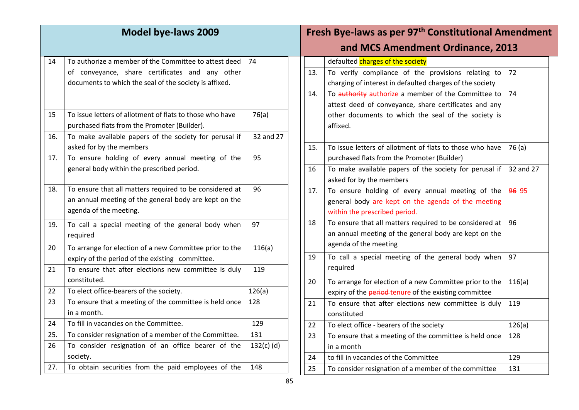| <b>Model bye-laws 2009</b> |                                                                                                                                                                    | Fresh Bye-laws as per 97 <sup>th</sup> Constitutional Amendment |  |            |                                                                                                                                                                                                           |           |
|----------------------------|--------------------------------------------------------------------------------------------------------------------------------------------------------------------|-----------------------------------------------------------------|--|------------|-----------------------------------------------------------------------------------------------------------------------------------------------------------------------------------------------------------|-----------|
|                            |                                                                                                                                                                    |                                                                 |  |            | and MCS Amendment Ordinance, 2013                                                                                                                                                                         |           |
| 14                         | To authorize a member of the Committee to attest deed<br>of conveyance, share certificates and any other<br>documents to which the seal of the society is affixed. | 74                                                              |  | 13.<br>14. | defaulted charges of the society<br>To verify compliance of the provisions relating to<br>charging of interest in defaulted charges of the society<br>To authority authorize a member of the Committee to | 72<br>74  |
| 15                         | To issue letters of allotment of flats to those who have<br>purchased flats from the Promoter (Builder).                                                           | 76(a)                                                           |  |            | attest deed of conveyance, share certificates and any<br>other documents to which the seal of the society is<br>affixed.                                                                                  |           |
| 16.                        | To make available papers of the society for perusal if<br>asked for by the members                                                                                 | 32 and 27<br>95                                                 |  | 15.        | To issue letters of allotment of flats to those who have                                                                                                                                                  | 76(a)     |
| 17.                        | To ensure holding of every annual meeting of the<br>general body within the prescribed period.                                                                     |                                                                 |  | 16         | purchased flats from the Promoter (Builder)<br>To make available papers of the society for perusal if<br>asked for by the members                                                                         | 32 and 27 |
| 18.                        | To ensure that all matters required to be considered at<br>an annual meeting of the general body are kept on the<br>agenda of the meeting.                         | 96                                                              |  | 17.        | To ensure holding of every annual meeting of the<br>general body are kept on the agenda of the meeting<br>within the prescribed period.                                                                   | 96 95     |
| 19.                        | To call a special meeting of the general body when<br>required                                                                                                     | 97                                                              |  | 18         | To ensure that all matters required to be considered at<br>an annual meeting of the general body are kept on the<br>agenda of the meeting                                                                 | 96        |
| 20                         | To arrange for election of a new Committee prior to the<br>expiry of the period of the existing committee.                                                         | 116(a)                                                          |  | 19         | To call a special meeting of the general body when                                                                                                                                                        | 97        |
| 21                         | To ensure that after elections new committee is duly<br>constituted.                                                                                               | 119                                                             |  | 20         | required<br>To arrange for election of a new Committee prior to the                                                                                                                                       | 116(a)    |
| 22                         | To elect office-bearers of the society.                                                                                                                            | 126(a)                                                          |  |            | expiry of the period-tenure of the existing committee                                                                                                                                                     |           |
| 23                         | To ensure that a meeting of the committee is held once<br>in a month.                                                                                              | 128                                                             |  | 21         | To ensure that after elections new committee is duly<br>constituted                                                                                                                                       | 119       |
| 24                         | To fill in vacancies on the Committee.                                                                                                                             | 129                                                             |  | 22         | To elect office - bearers of the society                                                                                                                                                                  | 126(a)    |
| 25.                        | To consider resignation of a member of the Committee.                                                                                                              | 131                                                             |  | 23         | To ensure that a meeting of the committee is held once                                                                                                                                                    | 128       |
| 26                         | To consider resignation of an office bearer of the                                                                                                                 | $132(c)$ (d)                                                    |  |            | in a month                                                                                                                                                                                                |           |
|                            | society.                                                                                                                                                           |                                                                 |  | 24         | to fill in vacancies of the Committee                                                                                                                                                                     | 129       |
| 27.                        | To obtain securities from the paid employees of the                                                                                                                | 148                                                             |  | 25         | To consider resignation of a member of the committee                                                                                                                                                      | 131       |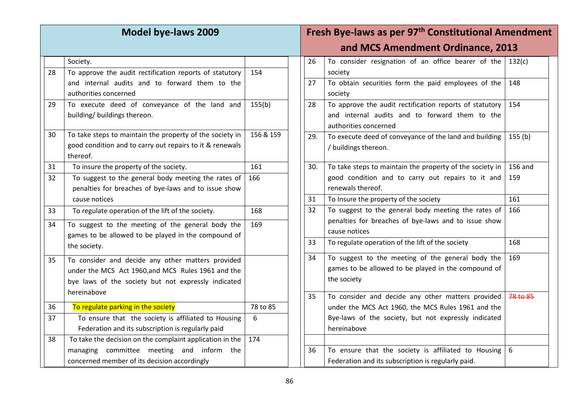| Model bye-laws 2009 |                                                                                                                                  |           | Fresh Bye-laws as per 97 <sup>th</sup> Constitutional Amendment |                                                                                                                                    |          |
|---------------------|----------------------------------------------------------------------------------------------------------------------------------|-----------|-----------------------------------------------------------------|------------------------------------------------------------------------------------------------------------------------------------|----------|
|                     |                                                                                                                                  |           |                                                                 | and MCS Amendment Ordinance, 2013                                                                                                  |          |
|                     | Society.                                                                                                                         |           | 26                                                              | To consider resignation of an office bearer of the                                                                                 | 132(c)   |
| 28                  | To approve the audit rectification reports of statutory                                                                          | 154       |                                                                 | society                                                                                                                            |          |
|                     | and internal audits and to forward them to the<br>authorities concerned                                                          |           | 27                                                              | To obtain securities form the paid employees of the<br>society                                                                     | 148      |
| 29                  | To execute deed of conveyance of the land and<br>building/ buildings thereon.                                                    | 155(b)    | 28                                                              | To approve the audit rectification reports of statutory<br>and internal audits and to forward them to the<br>authorities concerned | 154      |
| 30                  | To take steps to maintain the property of the society in<br>good condition and to carry out repairs to it & renewals<br>thereof. | 156 & 159 | 29.                                                             | To execute deed of conveyance of the land and building<br>/ buildings thereon.                                                     | 155(b)   |
| 31                  | To insure the property of the society.                                                                                           | 161       | 30.                                                             | To take steps to maintain the property of the society in                                                                           | 156 and  |
| 32                  | To suggest to the general body meeting the rates of<br>penalties for breaches of bye-laws and to issue show                      | 166       |                                                                 | good condition and to carry out repairs to it and<br>renewals thereof.                                                             | 159      |
|                     | cause notices                                                                                                                    |           | 31                                                              | To Insure the property of the society                                                                                              | 161      |
| 33                  | To regulate operation of the lift of the society.                                                                                | 168       | 32                                                              | To suggest to the general body meeting the rates of                                                                                | 166      |
| 34                  | To suggest to the meeting of the general body the                                                                                | 169       |                                                                 | penalties for breaches of bye-laws and to issue show<br>cause notices                                                              |          |
|                     | games to be allowed to be played in the compound of<br>the society.                                                              |           | 33                                                              | To regulate operation of the lift of the society                                                                                   | 168      |
| 35                  | To consider and decide any other matters provided                                                                                |           | 34                                                              | To suggest to the meeting of the general body the                                                                                  | 169      |
|                     | under the MCS Act 1960,and MCS Rules 1961 and the                                                                                |           |                                                                 | games to be allowed to be played in the compound of                                                                                |          |
|                     | bye laws of the society but not expressly indicated                                                                              |           |                                                                 | the society                                                                                                                        |          |
|                     | hereinabove                                                                                                                      |           | 35                                                              | To consider and decide any other matters provided                                                                                  | 78 to 85 |
| 36                  | To regulate parking in the society                                                                                               | 78 to 85  |                                                                 | under the MCS Act 1960, the MCS Rules 1961 and the                                                                                 |          |
| 37                  | To ensure that the society is affiliated to Housing                                                                              | 6         |                                                                 | Bye-laws of the society, but not expressly indicated                                                                               |          |
|                     | Federation and its subscription is regularly paid                                                                                |           |                                                                 | hereinabove                                                                                                                        |          |
| 38                  | To take the decision on the complaint application in the                                                                         | 174       |                                                                 |                                                                                                                                    |          |
|                     | managing committee meeting and inform the                                                                                        |           | 36                                                              | To ensure that the society is affiliated to Housing                                                                                | 6        |
|                     | concerned member of its decision accordingly                                                                                     |           |                                                                 | Federation and its subscription is regularly paid.                                                                                 |          |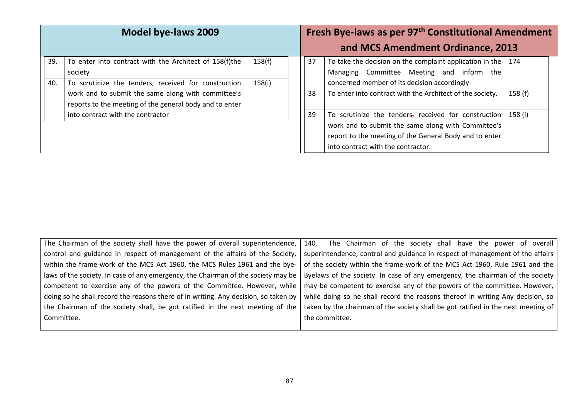|            | Model bye-laws 2009                                                                                                       |                  |    | Fresh Bye-laws as per 97 <sup>th</sup> Constitutional Amendment<br>and MCS Amendment Ordinance, 2013                                                                                                       |         |
|------------|---------------------------------------------------------------------------------------------------------------------------|------------------|----|------------------------------------------------------------------------------------------------------------------------------------------------------------------------------------------------------------|---------|
| 39.<br>40. | To enter into contract with the Architect of 158(f)the<br>society<br>To scrutinize the tenders, received for construction | 158(f)<br>158(i) | 37 | To take the decision on the complaint application in the  <br>Managing Committee Meeting and inform the<br>concerned member of its decision accordingly                                                    | 174     |
|            | work and to submit the same along with committee's<br>reports to the meeting of the general body and to enter             |                  | 38 | To enter into contract with the Architect of the society.                                                                                                                                                  | 158(f)  |
|            | into contract with the contractor                                                                                         |                  | 39 | To scrutinize the tenders, received for construction<br>work and to submit the same along with Committee's<br>report to the meeting of the General Body and to enter<br>into contract with the contractor. | 158 (i) |

| The Chairman of the society shall have the power of overall superintendence, $\vert$ 140. | The Chairman of the society shall have the power of overall                       |
|-------------------------------------------------------------------------------------------|-----------------------------------------------------------------------------------|
| control and guidance in respect of management of the affairs of the Society,              | superintendence, control and guidance in respect of management of the affairs     |
| within the frame-work of the MCS Act 1960, the MCS Rules 1961 and the bye-                | of the society within the frame-work of the MCS Act 1960, Rule 1961 and the       |
| laws of the society. In case of any emergency, the Chairman of the society may be         | Byelaws of the society. In case of any emergency, the chairman of the society     |
| competent to exercise any of the powers of the Committee. However, while                  | may be competent to exercise any of the powers of the committee. However,         |
| doing so he shall record the reasons there of in writing. Any decision, so taken by       | while doing so he shall record the reasons thereof in writing Any decision, so    |
| the Chairman of the society shall, be got ratified in the next meeting of the             | taken by the chairman of the society shall be got ratified in the next meeting of |
| Committee.                                                                                | the committee.                                                                    |
|                                                                                           |                                                                                   |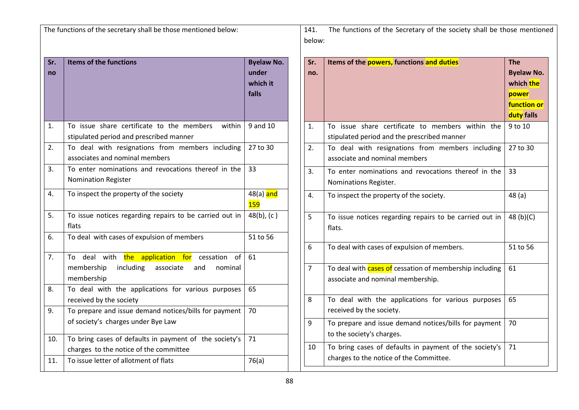The functions of the secretary shall be those mentioned below:

| Sr.<br>no | <b>Items of the functions</b>                                                                                                        | <b>Byelaw No.</b><br>under<br>which it<br>falls |
|-----------|--------------------------------------------------------------------------------------------------------------------------------------|-------------------------------------------------|
| 1.        | To issue share certificate to the members<br>within<br>stipulated period and prescribed manner                                       | 9 and 10                                        |
| 2.        | To deal with resignations from members including<br>associates and nominal members                                                   | 27 to 30                                        |
| 3.        | To enter nominations and revocations thereof in the<br><b>Nomination Register</b>                                                    | 33                                              |
| 4.        | To inspect the property of the society                                                                                               | 48(a) and<br><b>159</b>                         |
| 5.        | To issue notices regarding repairs to be carried out in<br>flats                                                                     | $48(b)$ , (c)                                   |
| 6.        | To deal with cases of expulsion of members                                                                                           | 51 to 56                                        |
| 7.        | the application for<br>deal<br>with<br>cessation<br>of<br>To<br>including<br>associate<br>membership<br>and<br>nominal<br>membership | 61                                              |
| 8.        | To deal with the applications for various purposes<br>received by the society                                                        | 65                                              |
| 9.        | To prepare and issue demand notices/bills for payment<br>of society's charges under Bye Law                                          | 70                                              |
| 10.       | To bring cases of defaults in payment of the society's<br>charges to the notice of the committee                                     | 71                                              |
| 11.       | To issue letter of allotment of flats                                                                                                | 76(a)                                           |

141. The functions of the Secretary of the society shall be those mentioned below:

| Sr. | Items of the powers, functions and duties                      | <b>The</b>         |
|-----|----------------------------------------------------------------|--------------------|
| no. |                                                                | <b>Byelaw No.</b>  |
|     |                                                                | which the          |
|     |                                                                | power              |
|     |                                                                | <b>function or</b> |
|     |                                                                | duty falls         |
| 1.  | To issue share certificate to members within the               | 9 to 10            |
|     | stipulated period and the prescribed manner                    |                    |
| 2.  | To deal with resignations from members including               | 27 to 30           |
|     | associate and nominal members                                  |                    |
| 3.  | To enter nominations and revocations thereof in the            | 33                 |
|     | Nominations Register.                                          |                    |
| 4.  | To inspect the property of the society.                        | 48(a)              |
|     |                                                                |                    |
| 5   | To issue notices regarding repairs to be carried out in        | 48 $(b)(C)$        |
|     | flats.                                                         |                    |
|     |                                                                |                    |
| 6   | To deal with cases of expulsion of members.                    | 51 to 56           |
|     |                                                                |                    |
| 7   | To deal with <b>cases of</b> cessation of membership including | 61                 |
|     | associate and nominal membership.                              |                    |
| 8   | To deal with the applications for various purposes             | 65                 |
|     | received by the society.                                       |                    |
|     |                                                                |                    |
| 9   | To prepare and issue demand notices/bills for payment          | 70                 |
|     | to the society's charges.                                      |                    |
| 10  | To bring cases of defaults in payment of the society's         | 71                 |
|     | charges to the notice of the Committee.                        |                    |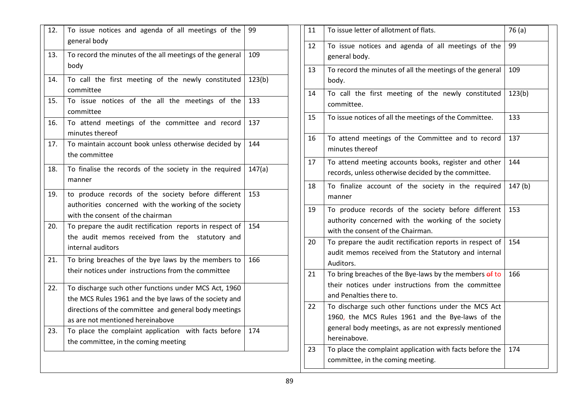| 12. | To issue notices and agenda of all meetings of the<br>general body                                                                                                                                           | 99     |
|-----|--------------------------------------------------------------------------------------------------------------------------------------------------------------------------------------------------------------|--------|
| 13. | To record the minutes of the all meetings of the general<br>body                                                                                                                                             | 109    |
| 14. | To call the first meeting of the newly constituted<br>committee                                                                                                                                              | 123(b) |
| 15. | To issue notices of the all the meetings of the<br>committee                                                                                                                                                 | 133    |
| 16. | To attend meetings of the committee and record<br>minutes thereof                                                                                                                                            | 137    |
| 17. | To maintain account book unless otherwise decided by<br>the committee                                                                                                                                        | 144    |
| 18. | To finalise the records of the society in the required<br>manner                                                                                                                                             | 147(a) |
| 19. | to produce records of the society before different<br>authorities concerned with the working of the society<br>with the consent of the chairman                                                              | 153    |
| 20. | To prepare the audit rectification reports in respect of<br>the audit memos received from the statutory and<br>internal auditors                                                                             | 154    |
| 21. | To bring breaches of the bye laws by the members to<br>their notices under instructions from the committee                                                                                                   | 166    |
| 22. | To discharge such other functions under MCS Act, 1960<br>the MCS Rules 1961 and the bye laws of the society and<br>directions of the committee and general body meetings<br>as are not mentioned hereinabove |        |
| 23. | To place the complaint application with facts before<br>the committee, in the coming meeting                                                                                                                 | 174    |
|     |                                                                                                                                                                                                              |        |

| 11 | To issue letter of allotment of flats.                                                                                                                                           | 76(a)  |
|----|----------------------------------------------------------------------------------------------------------------------------------------------------------------------------------|--------|
| 12 | To issue notices and agenda of all meetings of the<br>general body.                                                                                                              | 99     |
| 13 | To record the minutes of all the meetings of the general<br>body.                                                                                                                | 109    |
| 14 | To call the first meeting of the newly constituted<br>committee.                                                                                                                 | 123(b) |
| 15 | To issue notices of all the meetings of the Committee.                                                                                                                           | 133    |
| 16 | To attend meetings of the Committee and to record<br>minutes thereof                                                                                                             | 137    |
| 17 | To attend meeting accounts books, register and other<br>records, unless otherwise decided by the committee.                                                                      | 144    |
| 18 | To finalize account of the society in the required<br>manner                                                                                                                     | 147(b) |
| 19 | To produce records of the society before different<br>authority concerned with the working of the society<br>with the consent of the Chairman.                                   | 153    |
| 20 | To prepare the audit rectification reports in respect of<br>audit memos received from the Statutory and internal<br>Auditors.                                                    | 154    |
| 21 | To bring breaches of the Bye-laws by the members of to<br>their notices under instructions from the committee<br>and Penalties there to.                                         | 166    |
| 22 | To discharge such other functions under the MCS Act<br>1960, the MCS Rules 1961 and the Bye-laws of the<br>general body meetings, as are not expressly mentioned<br>hereinabove. |        |
| 23 | To place the complaint application with facts before the<br>committee, in the coming meeting.                                                                                    | 174    |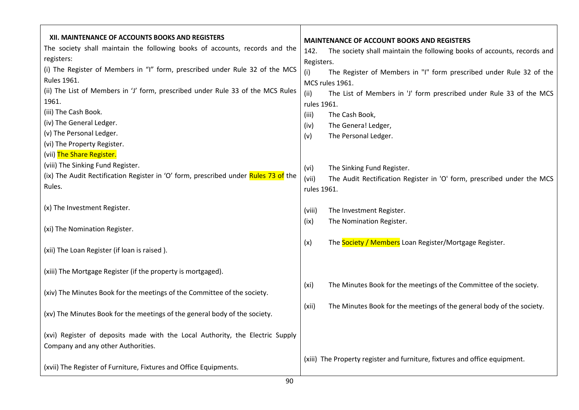| XII. MAINTENANCE OF ACCOUNTS BOOKS AND REGISTERS<br>The society shall maintain the following books of accounts, records and the<br>registers:                   | <b>MAINTENANCE OF ACCOUNT BOOKS AND REGISTERS</b><br>The society shall maintain the following books of accounts, records and<br>142.<br>Registers. |
|-----------------------------------------------------------------------------------------------------------------------------------------------------------------|----------------------------------------------------------------------------------------------------------------------------------------------------|
| (i) The Register of Members in "I" form, prescribed under Rule 32 of the MCS<br>Rules 1961.                                                                     | The Register of Members in "I" form prescribed under Rule 32 of the<br>(i)<br>MCS rules 1961.                                                      |
| (ii) The List of Members in 'J' form, prescribed under Rule 33 of the MCS Rules<br>1961.                                                                        | (iii)<br>The List of Members in 'J' form prescribed under Rule 33 of the MCS<br>rules 1961.                                                        |
| (iii) The Cash Book.                                                                                                                                            | The Cash Book,<br>(iii)                                                                                                                            |
| (iv) The General Ledger.<br>(v) The Personal Ledger.                                                                                                            | The Genera! Ledger,<br>(iv)                                                                                                                        |
| (vi) The Property Register.                                                                                                                                     | The Personal Ledger.<br>(v)                                                                                                                        |
| (vii) The Share Register.<br>(viii) The Sinking Fund Register.<br>(ix) The Audit Rectification Register in 'O' form, prescribed under Rules 73 of the<br>Rules. | The Sinking Fund Register.<br>(vi)<br>(vii)<br>The Audit Rectification Register in 'O' form, prescribed under the MCS<br>rules 1961.               |
| (x) The Investment Register.                                                                                                                                    | The Investment Register.<br>(viii)<br>The Nomination Register.<br>(ix)                                                                             |
| (xi) The Nomination Register.                                                                                                                                   |                                                                                                                                                    |
| (xii) The Loan Register (if loan is raised).                                                                                                                    | The Society / Members Loan Register/Mortgage Register.<br>(x)                                                                                      |
| (xiii) The Mortgage Register (if the property is mortgaged).                                                                                                    |                                                                                                                                                    |
| (xiv) The Minutes Book for the meetings of the Committee of the society.                                                                                        | The Minutes Book for the meetings of the Committee of the society.<br>(xi)                                                                         |
| (xv) The Minutes Book for the meetings of the general body of the society.                                                                                      | The Minutes Book for the meetings of the general body of the society.<br>(xii)                                                                     |
| (xvi) Register of deposits made with the Local Authority, the Electric Supply<br>Company and any other Authorities.                                             |                                                                                                                                                    |
| (xvii) The Register of Furniture, Fixtures and Office Equipments.                                                                                               | (xiii) The Property register and furniture, fixtures and office equipment.                                                                         |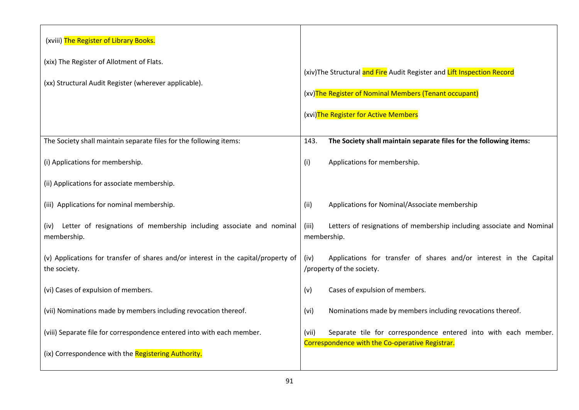| (xviii) The Register of Library Books.                                                             |                                                                                                                             |  |  |
|----------------------------------------------------------------------------------------------------|-----------------------------------------------------------------------------------------------------------------------------|--|--|
| (xix) The Register of Allotment of Flats.                                                          | (xiv)The Structural and Fire Audit Register and Lift Inspection Record                                                      |  |  |
| (xx) Structural Audit Register (wherever applicable).                                              |                                                                                                                             |  |  |
|                                                                                                    | (xv) The Register of Nominal Members (Tenant occupant)                                                                      |  |  |
|                                                                                                    | (xvi)The Register for Active Members                                                                                        |  |  |
| The Society shall maintain separate files for the following items:                                 | The Society shall maintain separate files for the following items:<br>143.                                                  |  |  |
| (i) Applications for membership.                                                                   | Applications for membership.<br>(i)                                                                                         |  |  |
| (ii) Applications for associate membership.                                                        |                                                                                                                             |  |  |
| (iii) Applications for nominal membership.                                                         | Applications for Nominal/Associate membership<br>(ii)                                                                       |  |  |
| (iv) Letter of resignations of membership including associate and nominal<br>membership.           | Letters of resignations of membership including associate and Nominal<br>(iii)<br>membership.                               |  |  |
| (v) Applications for transfer of shares and/or interest in the capital/property of<br>the society. | Applications for transfer of shares and/or interest in the Capital<br>(iv)<br>/property of the society.                     |  |  |
| (vi) Cases of expulsion of members.                                                                | Cases of expulsion of members.<br>(v)                                                                                       |  |  |
| (vii) Nominations made by members including revocation thereof.                                    | Nominations made by members including revocations thereof.<br>(vi)                                                          |  |  |
| (viii) Separate file for correspondence entered into with each member.                             | Separate tile for correspondence entered into with each member.<br>(vii)<br>Correspondence with the Co-operative Registrar. |  |  |
| (ix) Correspondence with the Registering Authority.                                                |                                                                                                                             |  |  |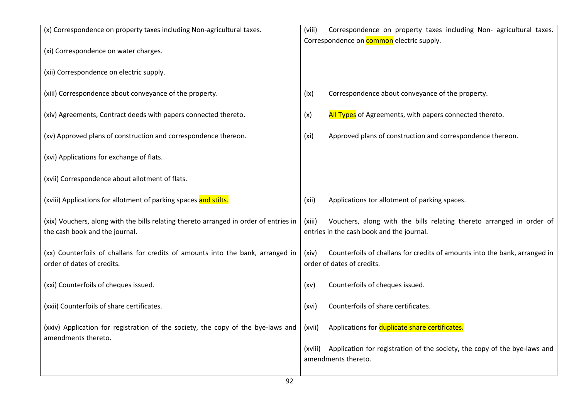| (x) Correspondence on property taxes including Non-agricultural taxes.                                                  | Correspondence on property taxes including Non- agricultural taxes.<br>(viii)                                               |
|-------------------------------------------------------------------------------------------------------------------------|-----------------------------------------------------------------------------------------------------------------------------|
|                                                                                                                         | Correspondence on <b>common</b> electric supply.                                                                            |
| (xi) Correspondence on water charges.                                                                                   |                                                                                                                             |
| (xii) Correspondence on electric supply.                                                                                |                                                                                                                             |
| (xiii) Correspondence about conveyance of the property.                                                                 | Correspondence about conveyance of the property.<br>(ix)                                                                    |
| (xiv) Agreements, Contract deeds with papers connected thereto.                                                         | All Types of Agreements, with papers connected thereto.<br>(x)                                                              |
| (xv) Approved plans of construction and correspondence thereon.                                                         | Approved plans of construction and correspondence thereon.<br>(x <sub>i</sub> )                                             |
| (xvi) Applications for exchange of flats.                                                                               |                                                                                                                             |
| (xvii) Correspondence about allotment of flats.                                                                         |                                                                                                                             |
| (xviii) Applications for allotment of parking spaces and stilts.                                                        | Applications tor allotment of parking spaces.<br>(xii)                                                                      |
| (xix) Vouchers, along with the bills relating thereto arranged in order of entries in<br>the cash book and the journal. | Vouchers, along with the bills relating thereto arranged in order of<br>(xiii)<br>entries in the cash book and the journal. |
| (xx) Counterfoils of challans for credits of amounts into the bank, arranged in<br>order of dates of credits.           | Counterfoils of challans for credits of amounts into the bank, arranged in<br>(xiv)<br>order of dates of credits.           |
| (xxi) Counterfoils of cheques issued.                                                                                   | Counterfoils of cheques issued.<br>(xv)                                                                                     |
| (xxii) Counterfoils of share certificates.                                                                              | Counterfoils of share certificates.<br>(xvi)                                                                                |
| (xxiv) Application for registration of the society, the copy of the bye-laws and<br>amendments thereto.                 | Applications for duplicate share certificates.<br>(xvii)                                                                    |
|                                                                                                                         | Application for registration of the society, the copy of the bye-laws and<br>(xviii)<br>amendments thereto.                 |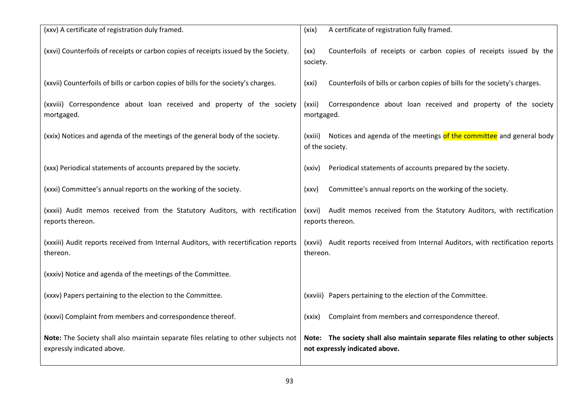| (xxv) A certificate of registration duly framed.                                                                  | A certificate of registration fully framed.<br>(xix)                                                              |
|-------------------------------------------------------------------------------------------------------------------|-------------------------------------------------------------------------------------------------------------------|
| (xxvi) Counterfoils of receipts or carbon copies of receipts issued by the Society.                               | Counterfoils of receipts or carbon copies of receipts issued by the<br>(xx)<br>society.                           |
| (xxvii) Counterfoils of bills or carbon copies of bills for the society's charges.                                | Counterfoils of bills or carbon copies of bills for the society's charges.<br>(xxi)                               |
| (xxviii) Correspondence about loan received and property of the society<br>mortgaged.                             | Correspondence about loan received and property of the society<br>(xxii)<br>mortgaged.                            |
| (xxix) Notices and agenda of the meetings of the general body of the society.                                     | (xxiii) Notices and agenda of the meetings of the committee and general body<br>of the society.                   |
| (xxx) Periodical statements of accounts prepared by the society.                                                  | Periodical statements of accounts prepared by the society.<br>(xxiv)                                              |
| (xxxi) Committee's annual reports on the working of the society.                                                  | Committee's annual reports on the working of the society.<br>(xxV)                                                |
| (xxxii) Audit memos received from the Statutory Auditors, with rectification<br>reports thereon.                  | (xxvi) Audit memos received from the Statutory Auditors, with rectification<br>reports thereon.                   |
| (xxxiii) Audit reports received from Internal Auditors, with recertification reports<br>thereon.                  | (xxvii) Audit reports received from Internal Auditors, with rectification reports<br>thereon.                     |
| (xxxiv) Notice and agenda of the meetings of the Committee.                                                       |                                                                                                                   |
| (xxxv) Papers pertaining to the election to the Committee.                                                        | (xxviii) Papers pertaining to the election of the Committee.                                                      |
| (xxxvi) Complaint from members and correspondence thereof.                                                        | Complaint from members and correspondence thereof.<br>(xxix)                                                      |
| Note: The Society shall also maintain separate files relating to other subjects not<br>expressly indicated above. | Note: The society shall also maintain separate files relating to other subjects<br>not expressly indicated above. |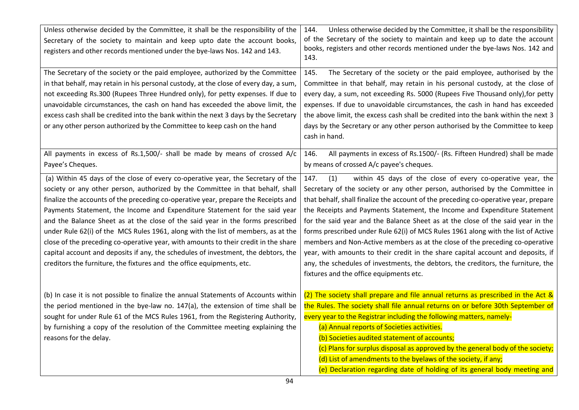| Unless otherwise decided by the Committee, it shall be the responsibility of the<br>Secretary of the society to maintain and keep upto date the account books,<br>registers and other records mentioned under the bye-laws Nos. 142 and 143.                                                                                                                                                                                                                                                                                                                                                                                                                                                                                                                        | Unless otherwise decided by the Committee, it shall be the responsibility<br>144.<br>of the Secretary of the society to maintain and keep up to date the account<br>books, registers and other records mentioned under the bye-laws Nos. 142 and<br>143.                                                                                                                                                                                                                                                                                                                                                                                                                                                                                                                                                   |
|---------------------------------------------------------------------------------------------------------------------------------------------------------------------------------------------------------------------------------------------------------------------------------------------------------------------------------------------------------------------------------------------------------------------------------------------------------------------------------------------------------------------------------------------------------------------------------------------------------------------------------------------------------------------------------------------------------------------------------------------------------------------|------------------------------------------------------------------------------------------------------------------------------------------------------------------------------------------------------------------------------------------------------------------------------------------------------------------------------------------------------------------------------------------------------------------------------------------------------------------------------------------------------------------------------------------------------------------------------------------------------------------------------------------------------------------------------------------------------------------------------------------------------------------------------------------------------------|
| The Secretary of the society or the paid employee, authorized by the Committee<br>in that behalf, may retain in his personal custody, at the close of every day, a sum,<br>not exceeding Rs.300 (Rupees Three Hundred only), for petty expenses. If due to<br>unavoidable circumstances, the cash on hand has exceeded the above limit, the<br>excess cash shall be credited into the bank within the next 3 days by the Secretary<br>or any other person authorized by the Committee to keep cash on the hand                                                                                                                                                                                                                                                      | The Secretary of the society or the paid employee, authorised by the<br>145.<br>Committee in that behalf, may retain in his personal custody, at the close of<br>every day, a sum, not exceeding Rs. 5000 (Rupees Five Thousand only), for petty<br>expenses. If due to unavoidable circumstances, the cash in hand has exceeded<br>the above limit, the excess cash shall be credited into the bank within the next 3<br>days by the Secretary or any other person authorised by the Committee to keep<br>cash in hand.                                                                                                                                                                                                                                                                                   |
| All payments in excess of Rs.1,500/- shall be made by means of crossed A/c<br>Payee's Cheques.                                                                                                                                                                                                                                                                                                                                                                                                                                                                                                                                                                                                                                                                      | All payments in excess of Rs.1500/- (Rs. Fifteen Hundred) shall be made<br>146.<br>by means of crossed A/c payee's cheques.                                                                                                                                                                                                                                                                                                                                                                                                                                                                                                                                                                                                                                                                                |
| (a) Within 45 days of the close of every co-operative year, the Secretary of the<br>society or any other person, authorized by the Committee in that behalf, shall<br>finalize the accounts of the preceding co-operative year, prepare the Receipts and<br>Payments Statement, the Income and Expenditure Statement for the said year<br>and the Balance Sheet as at the close of the said year in the forms prescribed<br>under Rule 62(i) of the MCS Rules 1961, along with the list of members, as at the<br>close of the preceding co-operative year, with amounts to their credit in the share<br>capital account and deposits if any, the schedules of investment, the debtors, the<br>creditors the furniture, the fixtures and the office equipments, etc. | 147.<br>within 45 days of the close of every co-operative year, the<br>(1)<br>Secretary of the society or any other person, authorised by the Committee in<br>that behalf, shall finalize the account of the preceding co-operative year, prepare<br>the Receipts and Payments Statement, the Income and Expenditure Statement<br>for the said year and the Balance Sheet as at the close of the said year in the<br>forms prescribed under Rule 62(i) of MCS Rules 1961 along with the list of Active<br>members and Non-Active members as at the close of the preceding co-operative<br>year, with amounts to their credit in the share capital account and deposits, if<br>any, the schedules of investments, the debtors, the creditors, the furniture, the<br>fixtures and the office equipments etc. |
| (b) In case it is not possible to finalize the annual Statements of Accounts within<br>the period mentioned in the bye-law no. 147(a), the extension of time shall be<br>sought for under Rule 61 of the MCS Rules 1961, from the Registering Authority,<br>by furnishing a copy of the resolution of the Committee meeting explaining the<br>reasons for the delay.                                                                                                                                                                                                                                                                                                                                                                                                | (2) The society shall prepare and file annual returns as prescribed in the Act &<br>the Rules. The society shall file annual returns on or before 30th September of<br>every year to the Registrar including the following matters, namely-<br>(a) Annual reports of Societies activities.<br>(b) Societies audited statement of accounts;<br>(c) Plans for surplus disposal as approved by the general body of the society;<br>(d) List of amendments to the byelaws of the society, if any;<br>(e) Declaration regarding date of holding of its general body meeting and                                                                                                                                                                                                                                 |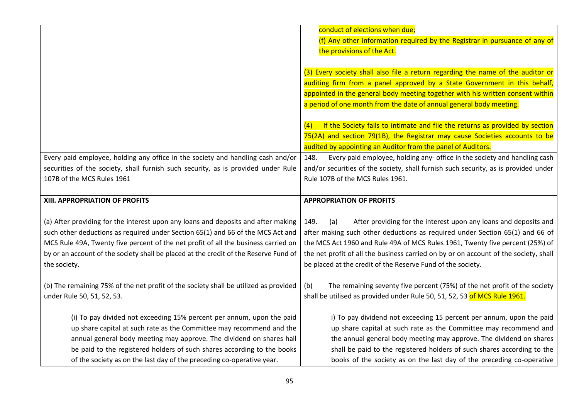|                                                                                                                                                  | conduct of elections when due;                                                                                                                   |
|--------------------------------------------------------------------------------------------------------------------------------------------------|--------------------------------------------------------------------------------------------------------------------------------------------------|
|                                                                                                                                                  | (f) Any other information required by the Registrar in pursuance of any of                                                                       |
|                                                                                                                                                  | the provisions of the Act.                                                                                                                       |
|                                                                                                                                                  |                                                                                                                                                  |
|                                                                                                                                                  | (3) Every society shall also file a return regarding the name of the auditor or                                                                  |
|                                                                                                                                                  | auditing firm from a panel approved by a State Government in this behalf,                                                                        |
|                                                                                                                                                  | appointed in the general body meeting together with his written consent within                                                                   |
|                                                                                                                                                  | a period of one month from the date of annual general body meeting.                                                                              |
|                                                                                                                                                  |                                                                                                                                                  |
|                                                                                                                                                  | If the Society fails to intimate and file the returns as provided by section<br>(4)                                                              |
|                                                                                                                                                  | 75(2A) and section 79(1B), the Registrar may cause Societies accounts to be                                                                      |
|                                                                                                                                                  | audited by appointing an Auditor from the panel of Auditors.                                                                                     |
| Every paid employee, holding any office in the society and handling cash and/or                                                                  | Every paid employee, holding any- office in the society and handling cash<br>148.                                                                |
| securities of the society, shall furnish such security, as is provided under Rule                                                                | and/or securities of the society, shall furnish such security, as is provided under                                                              |
| 107B of the MCS Rules 1961                                                                                                                       | Rule 107B of the MCS Rules 1961.                                                                                                                 |
|                                                                                                                                                  |                                                                                                                                                  |
|                                                                                                                                                  |                                                                                                                                                  |
| XIII. APPROPRIATION OF PROFITS                                                                                                                   | <b>APPROPRIATION OF PROFITS</b>                                                                                                                  |
|                                                                                                                                                  |                                                                                                                                                  |
| (a) After providing for the interest upon any loans and deposits and after making                                                                | After providing for the interest upon any loans and deposits and<br>149.<br>(a)                                                                  |
| such other deductions as required under Section 65(1) and 66 of the MCS Act and                                                                  | after making such other deductions as required under Section 65(1) and 66 of                                                                     |
| MCS Rule 49A, Twenty five percent of the net profit of all the business carried on                                                               | the MCS Act 1960 and Rule 49A of MCS Rules 1961, Twenty five percent (25%) of                                                                    |
| by or an account of the society shall be placed at the credit of the Reserve Fund of                                                             | the net profit of all the business carried on by or on account of the society, shall                                                             |
| the society.                                                                                                                                     | be placed at the credit of the Reserve Fund of the society.                                                                                      |
|                                                                                                                                                  |                                                                                                                                                  |
| (b) The remaining 75% of the net profit of the society shall be utilized as provided                                                             | The remaining seventy five percent (75%) of the net profit of the society<br>(b)                                                                 |
| under Rule 50, 51, 52, 53.                                                                                                                       | shall be utilised as provided under Rule 50, 51, 52, 53 of MCS Rule 1961.                                                                        |
|                                                                                                                                                  |                                                                                                                                                  |
| (i) To pay divided not exceeding 15% percent per annum, upon the paid                                                                            | i) To pay dividend not exceeding 15 percent per annum, upon the paid                                                                             |
| up share capital at such rate as the Committee may recommend and the                                                                             | up share capital at such rate as the Committee may recommend and                                                                                 |
| annual general body meeting may approve. The dividend on shares hall                                                                             | the annual general body meeting may approve. The dividend on shares                                                                              |
| be paid to the registered holders of such shares according to the books<br>of the society as on the last day of the preceding co-operative year. | shall be paid to the registered holders of such shares according to the<br>books of the society as on the last day of the preceding co-operative |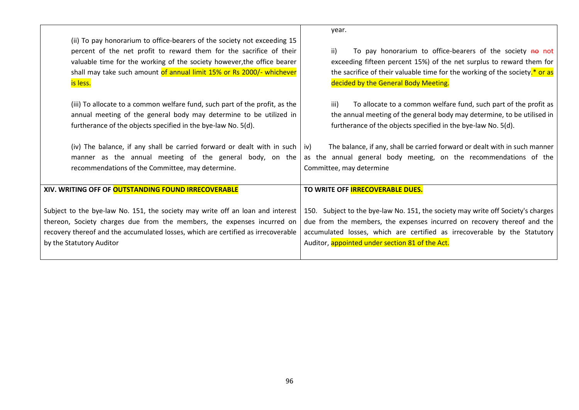|                                                                                                                                                                                                                                                                                                                 | year.                                                                                                                                                                                                                                                                                       |
|-----------------------------------------------------------------------------------------------------------------------------------------------------------------------------------------------------------------------------------------------------------------------------------------------------------------|---------------------------------------------------------------------------------------------------------------------------------------------------------------------------------------------------------------------------------------------------------------------------------------------|
| (ii) To pay honorarium to office-bearers of the society not exceeding 15<br>percent of the net profit to reward them for the sacrifice of their<br>valuable time for the working of the society however, the office bearer<br>shall may take such amount of annual limit 15% or Rs 2000/- whichever<br>is less. | To pay honorarium to office-bearers of the society no not<br>ii)<br>exceeding fifteen percent 15%) of the net surplus to reward them for<br>the sacrifice of their valuable time for the working of the society.* or as<br>decided by the General Body Meeting.                             |
| (iii) To allocate to a common welfare fund, such part of the profit, as the<br>annual meeting of the general body may determine to be utilized in<br>furtherance of the objects specified in the bye-law No. 5(d).                                                                                              | To allocate to a common welfare fund, such part of the profit as<br>iii)<br>the annual meeting of the general body may determine, to be utilised in<br>furtherance of the objects specified in the bye-law No. 5(d).                                                                        |
| (iv) The balance, if any shall be carried forward or dealt with in such<br>manner as the annual meeting of the general body, on the<br>recommendations of the Committee, may determine.                                                                                                                         | The balance, if any, shall be carried forward or dealt with in such manner<br>iv)<br>as the annual general body meeting, on the recommendations of the<br>Committee, may determine                                                                                                          |
| XIV. WRITING OFF OF OUTSTANDING FOUND IRRECOVERABLE                                                                                                                                                                                                                                                             | TO WRITE OFF <b>IRRECOVERABLE DUES.</b>                                                                                                                                                                                                                                                     |
| Subject to the bye-law No. 151, the society may write off an loan and interest<br>thereon, Society charges due from the members, the expenses incurred on<br>recovery thereof and the accumulated losses, which are certified as irrecoverable<br>by the Statutory Auditor                                      | 150. Subject to the bye-law No. 151, the society may write off Society's charges<br>due from the members, the expenses incurred on recovery thereof and the<br>accumulated losses, which are certified as irrecoverable by the Statutory<br>Auditor, appointed under section 81 of the Act. |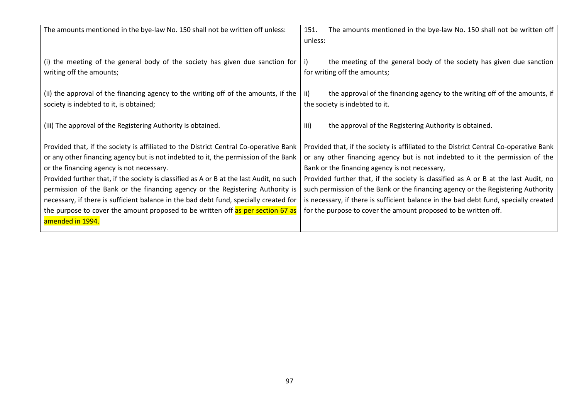| The amounts mentioned in the bye-law No. 150 shall not be written off<br>151.                                                                                                                                                                                                                                                                                                                                                                        |
|------------------------------------------------------------------------------------------------------------------------------------------------------------------------------------------------------------------------------------------------------------------------------------------------------------------------------------------------------------------------------------------------------------------------------------------------------|
| unless:                                                                                                                                                                                                                                                                                                                                                                                                                                              |
| (i) the meeting of the general body of the society has given due sanction for<br>the meeting of the general body of the society has given due sanction<br>-i)<br>for writing off the amounts;                                                                                                                                                                                                                                                        |
| the approval of the financing agency to the writing off of the amounts, if<br>ii)                                                                                                                                                                                                                                                                                                                                                                    |
| the society is indebted to it.                                                                                                                                                                                                                                                                                                                                                                                                                       |
| iii)<br>the approval of the Registering Authority is obtained.                                                                                                                                                                                                                                                                                                                                                                                       |
| Provided that, if the society is affiliated to the District Central Co-operative Bank                                                                                                                                                                                                                                                                                                                                                                |
| or any other financing agency but is not indebted to it the permission of the                                                                                                                                                                                                                                                                                                                                                                        |
| Bank or the financing agency is not necessary,                                                                                                                                                                                                                                                                                                                                                                                                       |
| Provided further that, if the society is classified as A or B at the last Audit, no                                                                                                                                                                                                                                                                                                                                                                  |
| such permission of the Bank or the financing agency or the Registering Authority                                                                                                                                                                                                                                                                                                                                                                     |
| is necessary, if there is sufficient balance in the bad debt fund, specially created                                                                                                                                                                                                                                                                                                                                                                 |
| for the purpose to cover the amount proposed to be written off.                                                                                                                                                                                                                                                                                                                                                                                      |
|                                                                                                                                                                                                                                                                                                                                                                                                                                                      |
| (ii) the approval of the financing agency to the writing off of the amounts, if the<br>Provided that, if the society is affiliated to the District Central Co-operative Bank<br>Provided further that, if the society is classified as A or B at the last Audit, no such<br>necessary, if there is sufficient balance in the bad debt fund, specially created for<br>the purpose to cover the amount proposed to be written off as per section 67 as |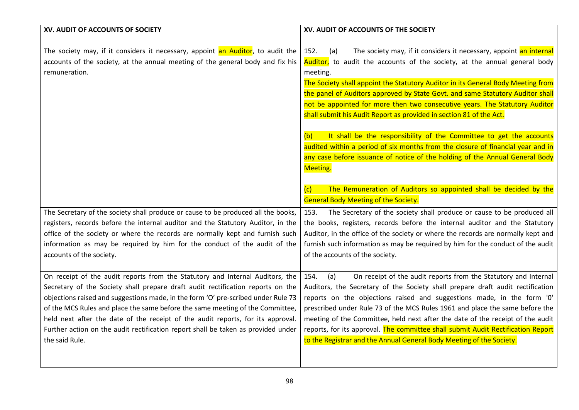| XV. AUDIT OF ACCOUNTS OF SOCIETY                                                                                                                                                                                                                                                                                                                                                                                                                                                                                                 | XV. AUDIT OF ACCOUNTS OF THE SOCIETY                                                                                                                                                                                                                                                                                                                                                                                                                                                                                                                                     |
|----------------------------------------------------------------------------------------------------------------------------------------------------------------------------------------------------------------------------------------------------------------------------------------------------------------------------------------------------------------------------------------------------------------------------------------------------------------------------------------------------------------------------------|--------------------------------------------------------------------------------------------------------------------------------------------------------------------------------------------------------------------------------------------------------------------------------------------------------------------------------------------------------------------------------------------------------------------------------------------------------------------------------------------------------------------------------------------------------------------------|
| The society may, if it considers it necessary, appoint an Auditor, to audit the<br>accounts of the society, at the annual meeting of the general body and fix his<br>remuneration.                                                                                                                                                                                                                                                                                                                                               | The society may, if it considers it necessary, appoint an internal<br>152.<br>(a)<br>Auditor, to audit the accounts of the society, at the annual general body<br>meeting.<br>The Society shall appoint the Statutory Auditor in its General Body Meeting from<br>the panel of Auditors approved by State Govt. and same Statutory Auditor shall<br>not be appointed for more then two consecutive years. The Statutory Auditor<br>shall submit his Audit Report as provided in section 81 of the Act.                                                                   |
|                                                                                                                                                                                                                                                                                                                                                                                                                                                                                                                                  | It shall be the responsibility of the Committee to get the accounts<br>(b)<br>audited within a period of six months from the closure of financial year and in                                                                                                                                                                                                                                                                                                                                                                                                            |
|                                                                                                                                                                                                                                                                                                                                                                                                                                                                                                                                  | any case before issuance of notice of the holding of the Annual General Body                                                                                                                                                                                                                                                                                                                                                                                                                                                                                             |
|                                                                                                                                                                                                                                                                                                                                                                                                                                                                                                                                  | <b>Meeting.</b>                                                                                                                                                                                                                                                                                                                                                                                                                                                                                                                                                          |
|                                                                                                                                                                                                                                                                                                                                                                                                                                                                                                                                  |                                                                                                                                                                                                                                                                                                                                                                                                                                                                                                                                                                          |
|                                                                                                                                                                                                                                                                                                                                                                                                                                                                                                                                  | The Remuneration of Auditors so appointed shall be decided by the<br>(c)                                                                                                                                                                                                                                                                                                                                                                                                                                                                                                 |
|                                                                                                                                                                                                                                                                                                                                                                                                                                                                                                                                  | <b>General Body Meeting of the Society.</b>                                                                                                                                                                                                                                                                                                                                                                                                                                                                                                                              |
| The Secretary of the society shall produce or cause to be produced all the books,                                                                                                                                                                                                                                                                                                                                                                                                                                                | The Secretary of the society shall produce or cause to be produced all<br>153.                                                                                                                                                                                                                                                                                                                                                                                                                                                                                           |
| registers, records before the internal auditor and the Statutory Auditor, in the<br>office of the society or where the records are normally kept and furnish such                                                                                                                                                                                                                                                                                                                                                                | the books, registers, records before the internal auditor and the Statutory<br>Auditor, in the office of the society or where the records are normally kept and                                                                                                                                                                                                                                                                                                                                                                                                          |
| information as may be required by him for the conduct of the audit of the                                                                                                                                                                                                                                                                                                                                                                                                                                                        | furnish such information as may be required by him for the conduct of the audit                                                                                                                                                                                                                                                                                                                                                                                                                                                                                          |
| accounts of the society.                                                                                                                                                                                                                                                                                                                                                                                                                                                                                                         | of the accounts of the society.                                                                                                                                                                                                                                                                                                                                                                                                                                                                                                                                          |
|                                                                                                                                                                                                                                                                                                                                                                                                                                                                                                                                  |                                                                                                                                                                                                                                                                                                                                                                                                                                                                                                                                                                          |
| On receipt of the audit reports from the Statutory and Internal Auditors, the<br>Secretary of the Society shall prepare draft audit rectification reports on the<br>objections raised and suggestions made, in the form 'O' pre-scribed under Rule 73<br>of the MCS Rules and place the same before the same meeting of the Committee,<br>held next after the date of the receipt of the audit reports, for its approval.<br>Further action on the audit rectification report shall be taken as provided under<br>the said Rule. | On receipt of the audit reports from the Statutory and Internal<br>154.<br>(a)<br>Auditors, the Secretary of the Society shall prepare draft audit rectification<br>reports on the objections raised and suggestions made, in the form '0'<br>prescribed under Rule 73 of the MCS Rules 1961 and place the same before the<br>meeting of the Committee, held next after the date of the receipt of the audit<br>reports, for its approval. The committee shall submit Audit Rectification Report<br>to the Registrar and the Annual General Body Meeting of the Society. |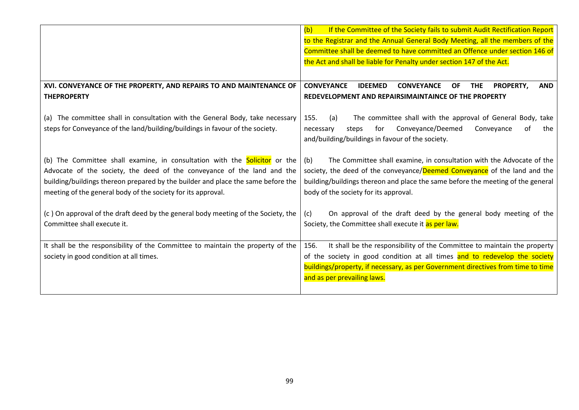|                                                                                                                                                                                                                                                                                                                  | (b)<br>If the Committee of the Society fails to submit Audit Rectification Report<br>to the Registrar and the Annual General Body Meeting, all the members of the                                                                                                                     |
|------------------------------------------------------------------------------------------------------------------------------------------------------------------------------------------------------------------------------------------------------------------------------------------------------------------|---------------------------------------------------------------------------------------------------------------------------------------------------------------------------------------------------------------------------------------------------------------------------------------|
|                                                                                                                                                                                                                                                                                                                  | Committee shall be deemed to have committed an Offence under section 146 of                                                                                                                                                                                                           |
|                                                                                                                                                                                                                                                                                                                  | the Act and shall be liable for Penalty under section 147 of the Act.                                                                                                                                                                                                                 |
|                                                                                                                                                                                                                                                                                                                  |                                                                                                                                                                                                                                                                                       |
| XVI. CONVEYANCE OF THE PROPERTY, AND REPAIRS TO AND MAINTENANCE OF                                                                                                                                                                                                                                               | <b>CONVEYANCE</b><br><b>CONVEYANCE</b><br><b>IDEEMED</b><br><b>THE</b><br><b>PROPERTY,</b><br><b>AND</b><br>OF.                                                                                                                                                                       |
| <b>THEPROPERTY</b>                                                                                                                                                                                                                                                                                               | REDEVELOPMENT AND REPAIRSIMAINTAINCE OF THE PROPERTY                                                                                                                                                                                                                                  |
| (a) The committee shall in consultation with the General Body, take necessary<br>steps for Conveyance of the land/building/buildings in favour of the society.                                                                                                                                                   | The committee shall with the approval of General Body, take<br>155.<br>(a)<br>Conveyance/Deemed<br>for<br>οf<br>the<br>Conveyance<br>steps<br>necessary<br>and/building/buildings in favour of the society.                                                                           |
| (b) The Committee shall examine, in consultation with the <b>Solicitor</b> or the<br>Advocate of the society, the deed of the conveyance of the land and the<br>building/buildings thereon prepared by the builder and place the same before the<br>meeting of the general body of the society for its approval. | The Committee shall examine, in consultation with the Advocate of the<br>(b)<br>society, the deed of the conveyance/Deemed Conveyance of the land and the<br>building/buildings thereon and place the same before the meeting of the general<br>body of the society for its approval. |
| (c) On approval of the draft deed by the general body meeting of the Society, the<br>Committee shall execute it.                                                                                                                                                                                                 | On approval of the draft deed by the general body meeting of the<br>(c)<br>Society, the Committee shall execute it as per law.                                                                                                                                                        |
| It shall be the responsibility of the Committee to maintain the property of the                                                                                                                                                                                                                                  | It shall be the responsibility of the Committee to maintain the property<br>156.                                                                                                                                                                                                      |
| society in good condition at all times.                                                                                                                                                                                                                                                                          | of the society in good condition at all times and to redevelop the society                                                                                                                                                                                                            |
|                                                                                                                                                                                                                                                                                                                  | buildings/property, if necessary, as per Government directives from time to time                                                                                                                                                                                                      |
|                                                                                                                                                                                                                                                                                                                  | and as per prevailing laws.                                                                                                                                                                                                                                                           |
|                                                                                                                                                                                                                                                                                                                  |                                                                                                                                                                                                                                                                                       |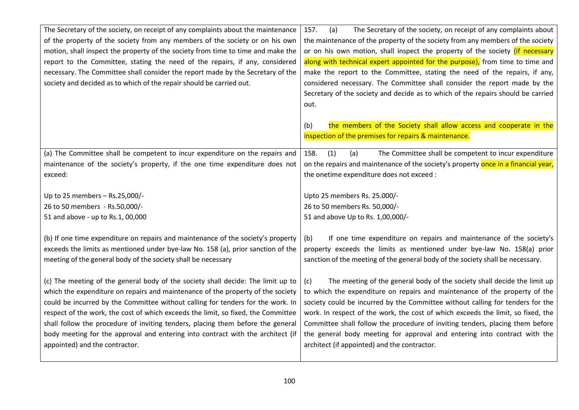| The Secretary of the society, on receipt of any complaints about the maintenance<br>of the property of the society from any members of the society or on his own<br>motion, shall inspect the property of the society from time to time and make the<br>report to the Committee, stating the need of the repairs, if any, considered<br>necessary. The Committee shall consider the report made by the Secretary of the<br>society and decided as to which of the repair should be carried out.                                                     | 157.<br>(a)<br>The Secretary of the society, on receipt of any complaints about<br>the maintenance of the property of the society from any members of the society<br>or on his own motion, shall inspect the property of the society <i>(if necessary</i><br>along with technical expert appointed for the purpose), from time to time and<br>make the report to the Committee, stating the need of the repairs, if any,<br>considered necessary. The Committee shall consider the report made by the<br>Secretary of the society and decide as to which of the repairs should be carried<br>out.<br>the members of the Society shall allow access and cooperate in the<br>(b)<br>inspection of the premises for repairs & maintenance. |
|-----------------------------------------------------------------------------------------------------------------------------------------------------------------------------------------------------------------------------------------------------------------------------------------------------------------------------------------------------------------------------------------------------------------------------------------------------------------------------------------------------------------------------------------------------|-----------------------------------------------------------------------------------------------------------------------------------------------------------------------------------------------------------------------------------------------------------------------------------------------------------------------------------------------------------------------------------------------------------------------------------------------------------------------------------------------------------------------------------------------------------------------------------------------------------------------------------------------------------------------------------------------------------------------------------------|
| (a) The Committee shall be competent to incur expenditure on the repairs and<br>maintenance of the society's property, if the one time expenditure does not<br>exceed:                                                                                                                                                                                                                                                                                                                                                                              | The Committee shall be competent to incur expenditure<br>158.<br>(1)<br>(a)<br>on the repairs and maintenance of the society's property once in a financial year,<br>the onetime expenditure does not exceed :                                                                                                                                                                                                                                                                                                                                                                                                                                                                                                                          |
| Up to 25 members - Rs.25,000/-<br>26 to 50 members - Rs.50,000/-<br>51 and above - up to Rs.1, 00,000                                                                                                                                                                                                                                                                                                                                                                                                                                               | Upto 25 members Rs. 25.000/-<br>26 to 50 members Rs. 50,000/-<br>51 and above Up to Rs. 1,00,000/-                                                                                                                                                                                                                                                                                                                                                                                                                                                                                                                                                                                                                                      |
| (b) If one time expenditure on repairs and maintenance of the society's property<br>exceeds the limits as mentioned under bye-law No. 158 (a), prior sanction of the<br>meeting of the general body of the society shall be necessary                                                                                                                                                                                                                                                                                                               | If one time expenditure on repairs and maintenance of the society's<br>(b)<br>property exceeds the limits as mentioned under bye-law No. 158(a) prior<br>sanction of the meeting of the general body of the society shall be necessary.                                                                                                                                                                                                                                                                                                                                                                                                                                                                                                 |
| (c) The meeting of the general body of the society shall decide: The limit up to<br>which the expenditure on repairs and maintenance of the property of the society<br>could be incurred by the Committee without calling for tenders for the work. In<br>respect of the work, the cost of which exceeds the limit, so fixed, the Committee<br>shall follow the procedure of inviting tenders, placing them before the general<br>body meeting for the approval and entering into contract with the architect (if<br>appointed) and the contractor. | The meeting of the general body of the society shall decide the limit up<br>(c)<br>to which the expenditure on repairs and maintenance of the property of the<br>society could be incurred by the Committee without calling for tenders for the<br>work. In respect of the work, the cost of which exceeds the limit, so fixed, the<br>Committee shall follow the procedure of inviting tenders, placing them before<br>the general body meeting for approval and entering into contract with the<br>architect (if appointed) and the contractor.                                                                                                                                                                                       |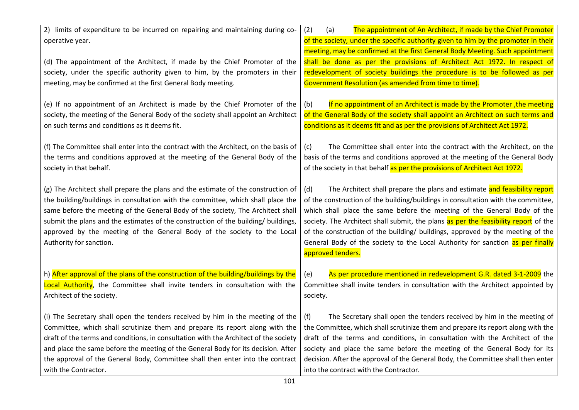| 2) limits of expenditure to be incurred on repairing and maintaining during co-      | (2)<br>(a)<br>The appointment of An Architect, if made by the Chief Promoter        |
|--------------------------------------------------------------------------------------|-------------------------------------------------------------------------------------|
| operative year.                                                                      | of the society, under the specific authority given to him by the promoter in their  |
|                                                                                      | meeting, may be confirmed at the first General Body Meeting. Such appointment       |
| (d) The appointment of the Architect, if made by the Chief Promoter of the           | shall be done as per the provisions of Architect Act 1972. In respect of            |
| society, under the specific authority given to him, by the promoters in their        | redevelopment of society buildings the procedure is to be followed as per           |
| meeting, may be confirmed at the first General Body meeting.                         | Government Resolution (as amended from time to time).                               |
| (e) If no appointment of an Architect is made by the Chief Promoter of the           | If no appointment of an Architect is made by the Promoter, the meeting<br>(b)       |
| society, the meeting of the General Body of the society shall appoint an Architect   | of the General Body of the society shall appoint an Architect on such terms and     |
| on such terms and conditions as it deems fit.                                        | conditions as it deems fit and as per the provisions of Architect Act 1972.         |
| (f) The Committee shall enter into the contract with the Architect, on the basis of  | The Committee shall enter into the contract with the Architect, on the<br>(c)       |
| the terms and conditions approved at the meeting of the General Body of the          | basis of the terms and conditions approved at the meeting of the General Body       |
| society in that behalf.                                                              | of the society in that behalf as per the provisions of Architect Act 1972.          |
|                                                                                      |                                                                                     |
| (g) The Architect shall prepare the plans and the estimate of the construction of    | The Architect shall prepare the plans and estimate and feasibility report<br>(d)    |
| the building/buildings in consultation with the committee, which shall place the     | of the construction of the building/buildings in consultation with the committee,   |
| same before the meeting of the General Body of the society, The Architect shall      | which shall place the same before the meeting of the General Body of the            |
| submit the plans and the estimates of the construction of the building/ buildings,   | society. The Architect shall submit, the plans as per the feasibility report of the |
| approved by the meeting of the General Body of the society to the Local              | of the construction of the building/ buildings, approved by the meeting of the      |
| Authority for sanction.                                                              | General Body of the society to the Local Authority for sanction as per finally      |
|                                                                                      | approved tenders.                                                                   |
|                                                                                      |                                                                                     |
| h) After approval of the plans of the construction of the building/buildings by the  | As per procedure mentioned in redevelopment G.R. dated 3-1-2009 the<br>(e)          |
| Local Authority, the Committee shall invite tenders in consultation with the         | Committee shall invite tenders in consultation with the Architect appointed by      |
| Architect of the society.                                                            | society.                                                                            |
| (i) The Secretary shall open the tenders received by him in the meeting of the       | The Secretary shall open the tenders received by him in the meeting of<br>(f)       |
| Committee, which shall scrutinize them and prepare its report along with the         | the Committee, which shall scrutinize them and prepare its report along with the    |
| draft of the terms and conditions, in consultation with the Architect of the society | draft of the terms and conditions, in consultation with the Architect of the        |
| and place the same before the meeting of the General Body for its decision. After    | society and place the same before the meeting of the General Body for its           |
| the approval of the General Body, Committee shall then enter into the contract       | decision. After the approval of the General Body, the Committee shall then enter    |
| with the Contractor.                                                                 | into the contract with the Contractor.                                              |
| 101                                                                                  |                                                                                     |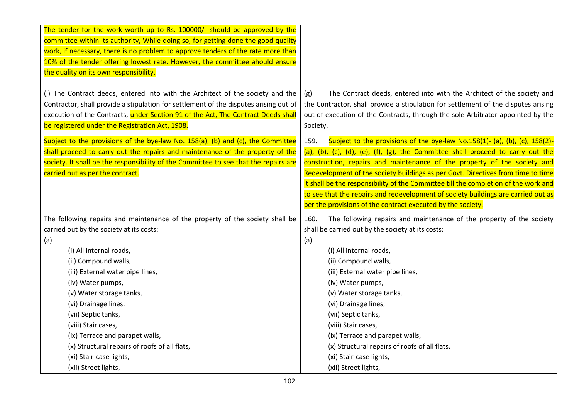| The tender for the work worth up to Rs. 100000/- should be approved by the<br>committee within its authority, While doing so, for getting done the good quality                                                                                                                                                 |                                                                                                                                                                                                                                                                                                                                                                                                                                                                                                                   |
|-----------------------------------------------------------------------------------------------------------------------------------------------------------------------------------------------------------------------------------------------------------------------------------------------------------------|-------------------------------------------------------------------------------------------------------------------------------------------------------------------------------------------------------------------------------------------------------------------------------------------------------------------------------------------------------------------------------------------------------------------------------------------------------------------------------------------------------------------|
| work, if necessary, there is no problem to approve tenders of the rate more than                                                                                                                                                                                                                                |                                                                                                                                                                                                                                                                                                                                                                                                                                                                                                                   |
| 10% of the tender offering lowest rate. However, the committee ahould ensure                                                                                                                                                                                                                                    |                                                                                                                                                                                                                                                                                                                                                                                                                                                                                                                   |
| the quality on its own responsibility.                                                                                                                                                                                                                                                                          |                                                                                                                                                                                                                                                                                                                                                                                                                                                                                                                   |
| (j) The Contract deeds, entered into with the Architect of the society and the<br>Contractor, shall provide a stipulation for settlement of the disputes arising out of<br>execution of the Contracts, under Section 91 of the Act, The Contract Deeds shall<br>be registered under the Registration Act, 1908. | The Contract deeds, entered into with the Architect of the society and<br>(g)<br>the Contractor, shall provide a stipulation for settlement of the disputes arising<br>out of execution of the Contracts, through the sole Arbitrator appointed by the<br>Society.                                                                                                                                                                                                                                                |
| Subject to the provisions of the bye-law No. 158(a), (b) and (c), the Committee<br>shall proceed to carry out the repairs and maintenance of the property of the<br>society. It shall be the responsibility of the Committee to see that the repairs are<br>carried out as per the contract.                    | Subject to the provisions of the bye-law No.158(1)- (a), (b), (c), 158(2)-<br>159.<br>(a), (b), (c), (d), (e), (f), (g), the Committee shall proceed to carry out the<br>construction, repairs and maintenance of the property of the society and<br>Redevelopment of the society buildings as per Govt. Directives from time to time<br>It shall be the responsibility of the Committee till the completion of the work and<br>to see that the repairs and redevelopment of society buildings are carried out as |
|                                                                                                                                                                                                                                                                                                                 | per the provisions of the contract executed by the society.                                                                                                                                                                                                                                                                                                                                                                                                                                                       |
| The following repairs and maintenance of the property of the society shall be                                                                                                                                                                                                                                   | The following repairs and maintenance of the property of the society<br>160.                                                                                                                                                                                                                                                                                                                                                                                                                                      |
| carried out by the society at its costs:                                                                                                                                                                                                                                                                        | shall be carried out by the society at its costs:                                                                                                                                                                                                                                                                                                                                                                                                                                                                 |
| (a)                                                                                                                                                                                                                                                                                                             | (a)                                                                                                                                                                                                                                                                                                                                                                                                                                                                                                               |
| (i) All internal roads,                                                                                                                                                                                                                                                                                         | (i) All internal roads,                                                                                                                                                                                                                                                                                                                                                                                                                                                                                           |
| (ii) Compound walls,                                                                                                                                                                                                                                                                                            | (ii) Compound walls,                                                                                                                                                                                                                                                                                                                                                                                                                                                                                              |
| (iii) External water pipe lines,                                                                                                                                                                                                                                                                                | (iii) External water pipe lines,                                                                                                                                                                                                                                                                                                                                                                                                                                                                                  |
| (iv) Water pumps,                                                                                                                                                                                                                                                                                               | (iv) Water pumps,                                                                                                                                                                                                                                                                                                                                                                                                                                                                                                 |
| (v) Water storage tanks,                                                                                                                                                                                                                                                                                        | (v) Water storage tanks,                                                                                                                                                                                                                                                                                                                                                                                                                                                                                          |
| (vi) Drainage lines,                                                                                                                                                                                                                                                                                            | (vi) Drainage lines,                                                                                                                                                                                                                                                                                                                                                                                                                                                                                              |
| (vii) Septic tanks,                                                                                                                                                                                                                                                                                             | (vii) Septic tanks,                                                                                                                                                                                                                                                                                                                                                                                                                                                                                               |
| (viii) Stair cases,                                                                                                                                                                                                                                                                                             | (viii) Stair cases,                                                                                                                                                                                                                                                                                                                                                                                                                                                                                               |
| (ix) Terrace and parapet walls,                                                                                                                                                                                                                                                                                 | (ix) Terrace and parapet walls,                                                                                                                                                                                                                                                                                                                                                                                                                                                                                   |
| (x) Structural repairs of roofs of all flats,                                                                                                                                                                                                                                                                   | (x) Structural repairs of roofs of all flats,                                                                                                                                                                                                                                                                                                                                                                                                                                                                     |
| (xi) Stair-case lights,<br>(xii) Street lights,                                                                                                                                                                                                                                                                 | (xi) Stair-case lights,<br>(xii) Street lights,                                                                                                                                                                                                                                                                                                                                                                                                                                                                   |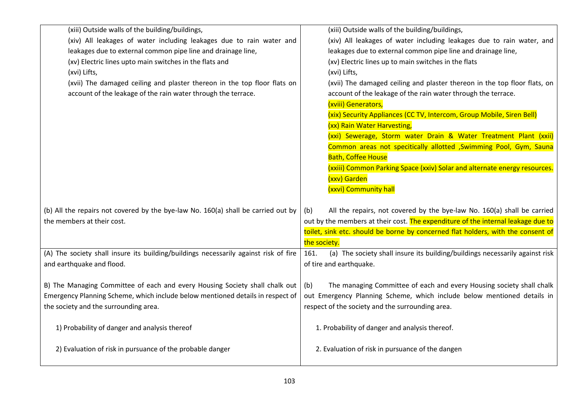| (xiii) Outside walls of the building/buildings,                                      | (xiii) Outside walls of the building/buildings,                                      |
|--------------------------------------------------------------------------------------|--------------------------------------------------------------------------------------|
| (xiv) All leakages of water including leakages due to rain water and                 | (xiv) All leakages of water including leakages due to rain water, and                |
| leakages due to external common pipe line and drainage line,                         | leakages due to external common pipe line and drainage line,                         |
| (xv) Electric lines upto main switches in the flats and                              | (xv) Electric lines up to main switches in the flats                                 |
| (xvi) Lifts,                                                                         | (xvi) Lifts,                                                                         |
| (xvii) The damaged ceiling and plaster thereon in the top floor flats on             | (xvii) The damaged ceiling and plaster thereon in the top floor flats, on            |
| account of the leakage of the rain water through the terrace.                        | account of the leakage of the rain water through the terrace.                        |
|                                                                                      | (xviii) Generators,                                                                  |
|                                                                                      | (xix) Security Appliances (CC TV, Intercom, Group Mobile, Siren Bell)                |
|                                                                                      | (xx) Rain Water Harvesting,                                                          |
|                                                                                      | (xxi) Sewerage, Storm water Drain & Water Treatment Plant (xxii)                     |
|                                                                                      | Common areas not specitically allotted, Swimming Pool, Gym, Sauna                    |
|                                                                                      | <b>Bath, Coffee House</b>                                                            |
|                                                                                      | (xxiii) Common Parking Space (xxiv) Solar and alternate energy resources.            |
|                                                                                      | (xxv) Garden                                                                         |
|                                                                                      | (xxvi) Community hall                                                                |
|                                                                                      |                                                                                      |
| (b) All the repairs not covered by the bye-law No. 160(a) shall be carried out by    | All the repairs, not covered by the bye-law No. 160(a) shall be carried<br>(b)       |
| the members at their cost.                                                           | out by the members at their cost. The expenditure of the internal leakage due to     |
|                                                                                      | toilet, sink etc. should be borne by concerned flat holders, with the consent of     |
|                                                                                      | the society.                                                                         |
| (A) The society shall insure its building/buildings necessarily against risk of fire | (a) The society shall insure its building/buildings necessarily against risk<br>161. |
| and earthquake and flood.                                                            | of tire and earthquake.                                                              |
|                                                                                      |                                                                                      |
| B) The Managing Committee of each and every Housing Society shall chalk out          | The managing Committee of each and every Housing society shall chalk<br>(b)          |
| Emergency Planning Scheme, which include below mentioned details in respect of       | out Emergency Planning Scheme, which include below mentioned details in              |
| the society and the surrounding area.                                                | respect of the society and the surrounding area.                                     |
|                                                                                      |                                                                                      |
| 1) Probability of danger and analysis thereof                                        | 1. Probability of danger and analysis thereof.                                       |
|                                                                                      |                                                                                      |
| 2) Evaluation of risk in pursuance of the probable danger                            | 2. Evaluation of risk in pursuance of the dangen                                     |
|                                                                                      |                                                                                      |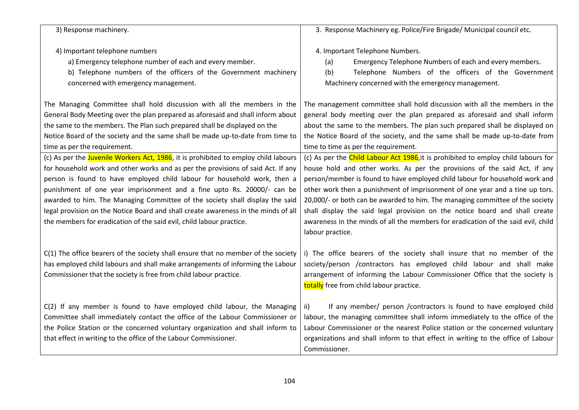| 3) Response machinery.                                                                                                                                                                                                                                                                                                                                                                                                                                                                                                                                                      | 3. Response Machinery eg. Police/Fire Brigade/ Municipal council etc.                                                                                                                                                                                                                                                                                                                                                                                                                                                                                                                                   |
|-----------------------------------------------------------------------------------------------------------------------------------------------------------------------------------------------------------------------------------------------------------------------------------------------------------------------------------------------------------------------------------------------------------------------------------------------------------------------------------------------------------------------------------------------------------------------------|---------------------------------------------------------------------------------------------------------------------------------------------------------------------------------------------------------------------------------------------------------------------------------------------------------------------------------------------------------------------------------------------------------------------------------------------------------------------------------------------------------------------------------------------------------------------------------------------------------|
| 4) Important telephone numbers<br>a) Emergency telephone number of each and every member.<br>b) Telephone numbers of the officers of the Government machinery<br>concerned with emergency management.                                                                                                                                                                                                                                                                                                                                                                       | 4. Important Telephone Numbers.<br>Emergency Telephone Numbers of each and every members.<br>(a)<br>Telephone Numbers of the officers of the Government<br>(b)<br>Machinery concerned with the emergency management.                                                                                                                                                                                                                                                                                                                                                                                    |
| The Managing Committee shall hold discussion with all the members in the<br>General Body Meeting over the plan prepared as aforesaid and shall inform about<br>the same to the members. The Plan such prepared shall be displayed on the<br>Notice Board of the society and the same shall be made up-to-date from time to<br>time as per the requirement.                                                                                                                                                                                                                  | The management committee shall hold discussion with all the members in the<br>general body meeting over the plan prepared as aforesaid and shall inform<br>about the same to the members. The plan such prepared shall be displayed on<br>the Notice Board of the society, and the same shall be made up-to-date from<br>time to time as per the requirement.                                                                                                                                                                                                                                           |
| (c) As per the Juvenile Workers Act, 1986, it is prohibited to employ child labours<br>for household work and other works and as per the provisions of said Act. If any<br>person is found to have employed child labour for household work, then a<br>punishment of one year imprisonment and a fine upto Rs. 20000/- can be<br>awarded to him. The Managing Committee of the society shall display the said<br>legal provision on the Notice Board and shall create awareness in the minds of all<br>the members for eradication of the said evil, child labour practice. | (c) As per the Child Labour Act 1986, it is prohibited to employ child labours for<br>house hold and other works. As per the provisions of the said Act, if any<br>person/member is found to have employed child labour for household work and<br>other work then a punishment of imprisonment of one year and a tine up tors.<br>20,000/- or both can be awarded to him. The managing committee of the society<br>shall display the said legal provision on the notice board and shall create<br>awareness in the minds of all the members for eradication of the said evil, child<br>labour practice. |
| C(1) The office bearers of the society shall ensure that no member of the society<br>has employed child labours and shall make arrangements of informing the Labour<br>Commissioner that the society is free from child labour practice.                                                                                                                                                                                                                                                                                                                                    | i) The office bearers of the society shall insure that no member of the<br>society/person /contractors has employed child labour and shall make<br>arrangement of informing the Labour Commissioner Office that the society is<br>totally free from child labour practice.                                                                                                                                                                                                                                                                                                                              |
| C(2) If any member is found to have employed child labour, the Managing<br>Committee shall immediately contact the office of the Labour Commissioner or<br>the Police Station or the concerned voluntary organization and shall inform to<br>that effect in writing to the office of the Labour Commissioner.                                                                                                                                                                                                                                                               | If any member/ person / contractors is found to have employed child<br>ii)<br>labour, the managing committee shall inform immediately to the office of the<br>Labour Commissioner or the nearest Police station or the concerned voluntary<br>organizations and shall inform to that effect in writing to the office of Labour<br>Commissioner.                                                                                                                                                                                                                                                         |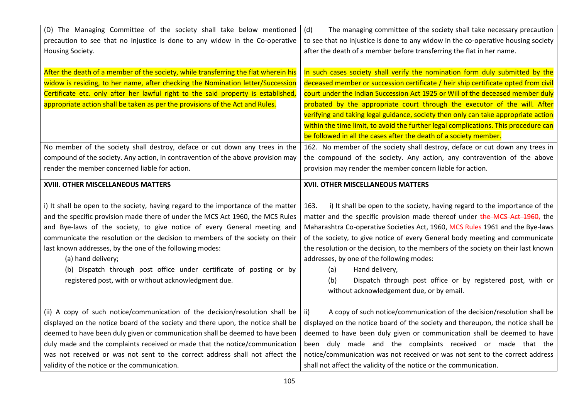| (D) The Managing Committee of the society shall take below mentioned                | (d)<br>The managing committee of the society shall take necessary precaution        |
|-------------------------------------------------------------------------------------|-------------------------------------------------------------------------------------|
| precaution to see that no injustice is done to any widow in the Co-operative        | to see that no injustice is done to any widow in the co-operative housing society   |
| Housing Society.                                                                    | after the death of a member before transferring the flat in her name.               |
|                                                                                     |                                                                                     |
| After the death of a member of the society, while transferring the flat wherein his | In such cases society shall verify the nomination form duly submitted by the        |
| widow is residing, to her name, after checking the Nomination letter/Succession     | deceased member or succession certificate / heir ship certificate opted from civil  |
| Certificate etc. only after her lawful right to the said property is established,   | court under the Indian Succession Act 1925 or Will of the deceased member duly      |
| appropriate action shall be taken as per the provisions of the Act and Rules.       | probated by the appropriate court through the executor of the will. After           |
|                                                                                     | verifying and taking legal guidance, society then only can take appropriate action  |
|                                                                                     | within the time limit, to avoid the further legal complications. This procedure can |
|                                                                                     | be followed in all the cases after the death of a society member.                   |
| No member of the society shall destroy, deface or cut down any trees in the         | 162. No member of the society shall destroy, deface or cut down any trees in        |
| compound of the society. Any action, in contravention of the above provision may    | the compound of the society. Any action, any contravention of the above             |
| render the member concerned liable for action.                                      | provision may render the member concern liable for action.                          |
| XVIII. OTHER MISCELLANEOUS MATTERS                                                  | XVII. OTHER MISCELLANEOUS MATTERS                                                   |
|                                                                                     |                                                                                     |
| i) It shall be open to the society, having regard to the importance of the matter   | i) It shall be open to the society, having regard to the importance of the<br>163.  |
| and the specific provision made there of under the MCS Act 1960, the MCS Rules      | matter and the specific provision made thereof under the MCS Act 1960, the          |
| and Bye-laws of the society, to give notice of every General meeting and            | Maharashtra Co-operative Societies Act, 1960, MCS Rules 1961 and the Bye-laws       |
| communicate the resolution or the decision to members of the society on their       | of the society, to give notice of every General body meeting and communicate        |
| last known addresses, by the one of the following modes:                            | the resolution or the decision, to the members of the society on their last known   |
| (a) hand delivery;                                                                  | addresses, by one of the following modes:                                           |
| (b) Dispatch through post office under certificate of posting or by                 | Hand delivery,<br>(a)                                                               |
| registered post, with or without acknowledgment due.                                | Dispatch through post office or by registered post, with or<br>(b)                  |
|                                                                                     | without acknowledgement due, or by email.                                           |
|                                                                                     |                                                                                     |
| (ii) A copy of such notice/communication of the decision/resolution shall be        | A copy of such notice/communication of the decision/resolution shall be<br>ii)      |
| displayed on the notice board of the society and there upon, the notice shall be    | displayed on the notice board of the society and thereupon, the notice shall be     |
| deemed to have been duly given or communication shall be deemed to have been        | deemed to have been duly given or communication shall be deemed to have             |
| duly made and the complaints received or made that the notice/communication         | been duly made and the complaints received or made that the                         |
| was not received or was not sent to the correct address shall not affect the        | notice/communication was not received or was not sent to the correct address        |
| validity of the notice or the communication.                                        | shall not affect the validity of the notice or the communication.                   |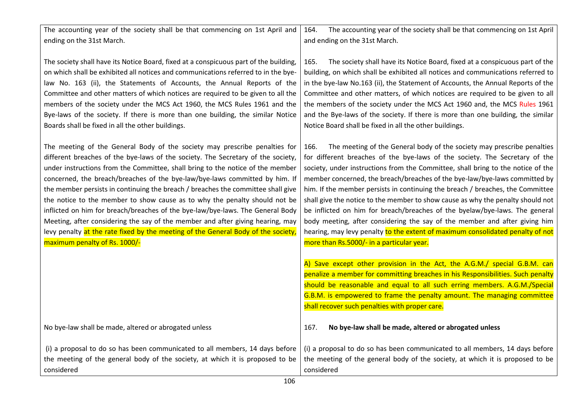The accounting year of the society shall be that commencing on 1st April and ending on the 31st March. The society shall have its Notice Board, fixed at a conspicuous part of the building, on which shall be exhibited all notices and communications referred to in the byelaw No. 163 (ii), the Statements of Accounts, the Annual Reports of the Committee and other matters of which notices are required to be given to all the members of the society under the MCS Act 1960, the MCS Rules 1961 and the Bye-laws of the society. If there is more than one building, the similar Notice Boards shall be fixed in all the other buildings. The meeting of the General Body of the society may prescribe penalties for different breaches of the bye-laws of the society. The Secretary of the society, under instructions from the Committee, shall bring to the notice of the member concerned, the breach/breaches of the bye-law/bye-laws committed by him. If the member persists in continuing the breach / breaches the committee shall give the notice to the member to show cause as to why the penalty should not be inflicted on him for breach/breaches of the bye-law/bye-laws. The General Body Meeting, after considering the say of the member and after giving hearing, may levy penalty at the rate fixed by the meeting of the General Body of the society maximum penalty of Rs. 1000/- No bye-law shall be made, altered or abrogated unless (i) a proposal to do so has been communicated to all members, 14 days before the meeting of the general body of the society, at which it is proposed to be considered 164. The accounting year of the society shall be that commencing on 1st April and ending on the 31st March. 165. The society shall have its Notice Board, fixed at a conspicuous part of the building, on which shall be exhibited all notices and communications referred to in the bye-law No.163 (ii), the Statement of Accounts, the Annual Reports of the Committee and other matters, of which notices are required to be given to all the members of the society under the MCS Act 1960 and, the MCS Rules 1961 and the Bye-laws of the society. If there is more than one building, the similar Notice Board shall be fixed in all the other buildings. 166. The meeting of the General body of the society may prescribe penalties for different breaches of the bye-laws of the society. The Secretary of the society, under instructions from the Committee, shall bring to the notice of the member concerned, the breach/breaches of the bye-law/bye-laws committed by him. If the member persists in continuing the breach / breaches, the Committee shall give the notice to the member to show cause as why the penalty should not be inflicted on him for breach/breaches of the byelaw/bye-laws. The general body meeting, after considering the say of the member and after giving him hearing, may levy penalty to the extent of maximum consolidated penalty of not more than Rs.5000/- in a particular year. A) Save except other provision in the Act, the A.G.M./ special G.B.M. can penalize a member for committing breaches in his Responsibilities. Such penalty should be reasonable and equal to all such erring members. A.G.M./Special G.B.M. is empowered to frame the penalty amount. The managing committee shall recover such penalties with proper care. 167. **No bye-law shall be made, altered or abrogated unless**  (i) a proposal to do so has been communicated to all members, 14 days before the meeting of the general body of the society, at which it is proposed to be considered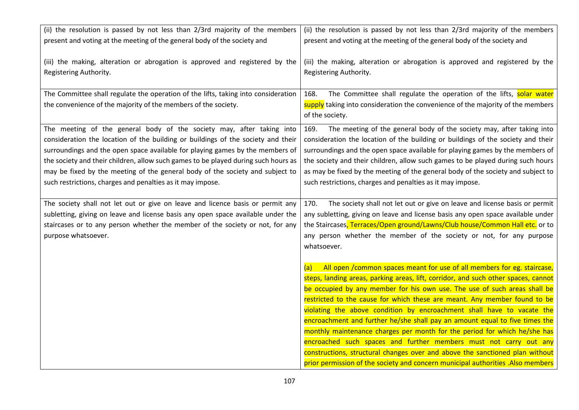| (ii) the resolution is passed by not less than 2/3rd majority of the members       | (ii) the resolution is passed by not less than 2/3rd majority of the members       |
|------------------------------------------------------------------------------------|------------------------------------------------------------------------------------|
| present and voting at the meeting of the general body of the society and           | present and voting at the meeting of the general body of the society and           |
|                                                                                    |                                                                                    |
| (iii) the making, alteration or abrogation is approved and registered by the       | (iii) the making, alteration or abrogation is approved and registered by the       |
| Registering Authority.                                                             | Registering Authority.                                                             |
|                                                                                    |                                                                                    |
| The Committee shall regulate the operation of the lifts, taking into consideration | The Committee shall regulate the operation of the lifts, solar water<br>168.       |
| the convenience of the majority of the members of the society.                     | supply taking into consideration the convenience of the majority of the members    |
|                                                                                    | of the society.                                                                    |
| The meeting of the general body of the society may, after taking into              | The meeting of the general body of the society may, after taking into<br>169.      |
| consideration the location of the building or buildings of the society and their   | consideration the location of the building or buildings of the society and their   |
| surroundings and the open space available for playing games by the members of      | surroundings and the open space available for playing games by the members of      |
| the society and their children, allow such games to be played during such hours as | the society and their children, allow such games to be played during such hours    |
| may be fixed by the meeting of the general body of the society and subject to      | as may be fixed by the meeting of the general body of the society and subject to   |
| such restrictions, charges and penalties as it may impose.                         | such restrictions, charges and penalties as it may impose.                         |
|                                                                                    |                                                                                    |
| The society shall not let out or give on leave and licence basis or permit any     | The society shall not let out or give on leave and license basis or permit<br>170. |
| subletting, giving on leave and license basis any open space available under the   | any subletting, giving on leave and license basis any open space available under   |
| staircases or to any person whether the member of the society or not, for any      | the Staircases, Terraces/Open ground/Lawns/Club house/Common Hall etc. or to       |
| purpose whatsoever.                                                                | any person whether the member of the society or not, for any purpose               |
|                                                                                    | whatsoever.                                                                        |
|                                                                                    |                                                                                    |
|                                                                                    | All open / common spaces meant for use of all members for eg. staircase,<br>(a)    |
|                                                                                    | steps, landing areas, parking areas, lift, corridor, and such other spaces, cannot |
|                                                                                    | be occupied by any member for his own use. The use of such areas shall be          |
|                                                                                    | restricted to the cause for which these are meant. Any member found to be          |
|                                                                                    | violating the above condition by encroachment shall have to vacate the             |
|                                                                                    | encroachment and further he/she shall pay an amount equal to five times the        |
|                                                                                    | monthly maintenance charges per month for the period for which he/she has          |
|                                                                                    | encroached such spaces and further members must not carry out any                  |
|                                                                                    | constructions, structural changes over and above the sanctioned plan without       |
|                                                                                    | prior permission of the society and concern municipal authorities .Also members    |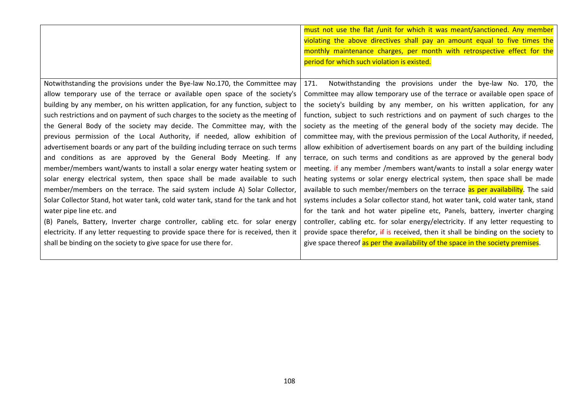|                                                                                       | must not use the flat /unit for which it was meant/sanctioned. Any member          |
|---------------------------------------------------------------------------------------|------------------------------------------------------------------------------------|
|                                                                                       | violating the above directives shall pay an amount equal to five times the         |
|                                                                                       | monthly maintenance charges, per month with retrospective effect for the           |
|                                                                                       | period for which such violation is existed.                                        |
|                                                                                       |                                                                                    |
| Notwithstanding the provisions under the Bye-law No.170, the Committee may            | Notwithstanding the provisions under the bye-law No. 170, the<br>171.              |
| allow temporary use of the terrace or available open space of the society's           | Committee may allow temporary use of the terrace or available open space of        |
| building by any member, on his written application, for any function, subject to      | the society's building by any member, on his written application, for any          |
| such restrictions and on payment of such charges to the society as the meeting of     | function, subject to such restrictions and on payment of such charges to the       |
| the General Body of the society may decide. The Committee may, with the               | society as the meeting of the general body of the society may decide. The          |
| previous permission of the Local Authority, if needed, allow exhibition of            | committee may, with the previous permission of the Local Authority, if needed,     |
| advertisement boards or any part of the building including terrace on such terms      | allow exhibition of advertisement boards on any part of the building including     |
| and conditions as are approved by the General Body Meeting. If any                    | terrace, on such terms and conditions as are approved by the general body          |
| member/members want/wants to install a solar energy water heating system or           | meeting. if any member /members want/wants to install a solar energy water         |
| solar energy electrical system, then space shall be made available to such            | heating systems or solar energy electrical system, then space shall be made        |
| member/members on the terrace. The said system include A) Solar Collector,            | available to such member/members on the terrace as per availability. The said      |
| Solar Collector Stand, hot water tank, cold water tank, stand for the tank and hot    | systems includes a Solar collector stand, hot water tank, cold water tank, stand   |
| water pipe line etc. and                                                              | for the tank and hot water pipeline etc, Panels, battery, inverter charging        |
| (B) Panels, Battery, Inverter charge controller, cabling etc. for solar energy        | controller, cabling etc. for solar energy/electricity. If any letter requesting to |
| electricity. If any letter requesting to provide space there for is received, then it | provide space therefor, if is received, then it shall be binding on the society to |
| shall be binding on the society to give space for use there for.                      | give space thereof as per the availability of the space in the society premises.   |
|                                                                                       |                                                                                    |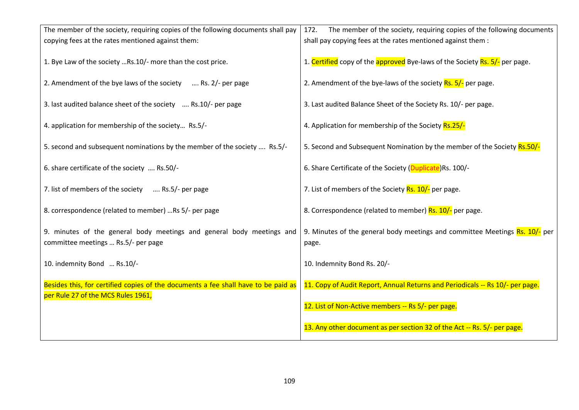| The member of the society, requiring copies of the following documents shall pay                                         | The member of the society, requiring copies of the following documents<br>172.       |
|--------------------------------------------------------------------------------------------------------------------------|--------------------------------------------------------------------------------------|
| copying fees at the rates mentioned against them:                                                                        | shall pay copying fees at the rates mentioned against them :                         |
| 1. Bye Law of the society Rs.10/- more than the cost price.                                                              | 1. Certified copy of the approved Bye-laws of the Society Rs. 5/- per page.          |
| 2. Amendment of the bye laws of the society<br>$$ Rs. $2/-$ per page                                                     | 2. Amendment of the bye-laws of the society Rs. 5/- per page.                        |
| 3. last audited balance sheet of the society  Rs.10/- per page                                                           | 3. Last audited Balance Sheet of the Society Rs. 10/- per page.                      |
| 4. application for membership of the society Rs.5/-                                                                      | 4. Application for membership of the Society Rs.25/-                                 |
| 5. second and subsequent nominations by the member of the society  Rs.5/-                                                | 5. Second and Subsequent Nomination by the member of the Society Rs.50/-             |
| 6. share certificate of the society  Rs.50/-                                                                             | 6. Share Certificate of the Society (Duplicate)Rs. 100/-                             |
| 7. list of members of the society  Rs.5/- per page                                                                       | 7. List of members of the Society Rs. 10/- per page.                                 |
| 8. correspondence (related to member) Rs 5/- per page                                                                    | 8. Correspondence (related to member) Rs. 10/- per page.                             |
| 9. minutes of the general body meetings and general body meetings and<br>committee meetings  Rs.5/- per page             | 9. Minutes of the general body meetings and committee Meetings Rs. 10/- per<br>page. |
| 10. indemnity Bond  Rs.10/-                                                                                              | 10. Indemnity Bond Rs. 20/-                                                          |
| Besides this, for certified copies of the documents a fee shall have to be paid as<br>per Rule 27 of the MCS Rules 1961, | 11. Copy of Audit Report, Annual Returns and Periodicals -- Rs 10/- per page.        |
|                                                                                                                          | 12. List of Non-Active members -- Rs 5/- per page.                                   |
|                                                                                                                          | 13. Any other document as per section 32 of the Act -- Rs. 5/- per page.             |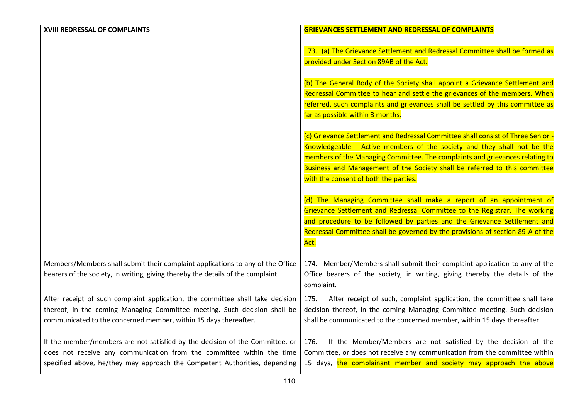| XVIII REDRESSAL OF COMPLAINTS                                                          | <b>GRIEVANCES SETTLEMENT AND REDRESSAL OF COMPLAINTS</b>                         |
|----------------------------------------------------------------------------------------|----------------------------------------------------------------------------------|
|                                                                                        |                                                                                  |
|                                                                                        | 173. (a) The Grievance Settlement and Redressal Committee shall be formed as     |
|                                                                                        | provided under Section 89AB of the Act.                                          |
|                                                                                        |                                                                                  |
|                                                                                        | (b) The General Body of the Society shall appoint a Grievance Settlement and     |
|                                                                                        | Redressal Committee to hear and settle the grievances of the members. When       |
|                                                                                        | referred, such complaints and grievances shall be settled by this committee as   |
|                                                                                        | far as possible within 3 months.                                                 |
|                                                                                        |                                                                                  |
|                                                                                        | (c) Grievance Settlement and Redressal Committee shall consist of Three Senior - |
|                                                                                        | Knowledgeable - Active members of the society and they shall not be the          |
|                                                                                        | members of the Managing Committee. The complaints and grievances relating to     |
|                                                                                        | Business and Management of the Society shall be referred to this committee       |
|                                                                                        | with the consent of both the parties.                                            |
|                                                                                        |                                                                                  |
|                                                                                        | (d) The Managing Committee shall make a report of an appointment of              |
|                                                                                        | Grievance Settlement and Redressal Committee to the Registrar. The working       |
|                                                                                        | and procedure to be followed by parties and the Grievance Settlement and         |
|                                                                                        | Redressal Committee shall be governed by the provisions of section 89-A of the   |
| Act.                                                                                   |                                                                                  |
|                                                                                        |                                                                                  |
| Members/Members shall submit their complaint applications to any of the Office         | 174. Member/Members shall submit their complaint application to any of the       |
| bearers of the society, in writing, giving thereby the details of the complaint.       | Office bearers of the society, in writing, giving thereby the details of the     |
| complaint.                                                                             |                                                                                  |
| After receipt of such complaint application, the committee shall take decision<br>175. | After receipt of such, complaint application, the committee shall take           |
| thereof, in the coming Managing Committee meeting. Such decision shall be              | decision thereof, in the coming Managing Committee meeting. Such decision        |
| communicated to the concerned member, within 15 days thereafter.                       | shall be communicated to the concerned member, within 15 days thereafter.        |
|                                                                                        |                                                                                  |
| If the member/members are not satisfied by the decision of the Committee, or<br>176.   | If the Member/Members are not satisfied by the decision of the                   |
| does not receive any communication from the committee within the time                  | Committee, or does not receive any communication from the committee within       |
| specified above, he/they may approach the Competent Authorities, depending             | 15 days, the complainant member and society may approach the above               |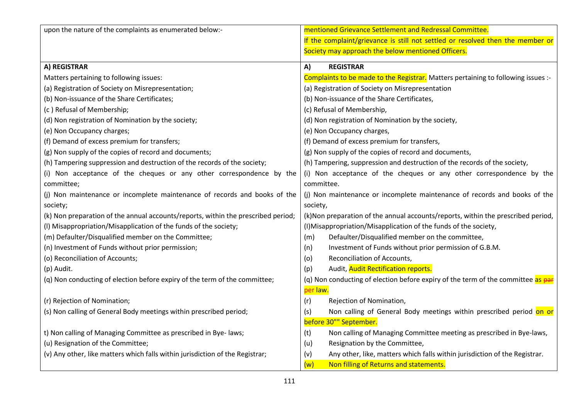| upon the nature of the complaints as enumerated below:-                           | mentioned Grievance Settlement and Redressal Committee.                           |
|-----------------------------------------------------------------------------------|-----------------------------------------------------------------------------------|
|                                                                                   | If the complaint/grievance is still not settled or resolved then the member or    |
|                                                                                   | Society may approach the below mentioned Officers.                                |
|                                                                                   |                                                                                   |
| A) REGISTRAR                                                                      | A)<br><b>REGISTRAR</b>                                                            |
| Matters pertaining to following issues:                                           | Complaints to be made to the Registrar. Matters pertaining to following issues :- |
| (a) Registration of Society on Misrepresentation;                                 | (a) Registration of Society on Misrepresentation                                  |
| (b) Non-issuance of the Share Certificates;                                       | (b) Non-issuance of the Share Certificates,                                       |
| (c) Refusal of Membership;                                                        | (c) Refusal of Membership,                                                        |
| (d) Non registration of Nomination by the society;                                | (d) Non registration of Nomination by the society,                                |
| (e) Non Occupancy charges;                                                        | (e) Non Occupancy charges,                                                        |
| (f) Demand of excess premium for transfers;                                       | (f) Demand of excess premium for transfers,                                       |
| (g) Non supply of the copies of record and documents;                             | (g) Non supply of the copies of record and documents,                             |
| (h) Tampering suppression and destruction of the records of the society;          | (h) Tampering, suppression and destruction of the records of the society,         |
| (i) Non acceptance of the cheques or any other correspondence by the              | (i) Non acceptance of the cheques or any other correspondence by the              |
| committee;                                                                        | committee.                                                                        |
| (j) Non maintenance or incomplete maintenance of records and books of the         | (j) Non maintenance or incomplete maintenance of records and books of the         |
| society;                                                                          | society,                                                                          |
| (k) Non preparation of the annual accounts/reports, within the prescribed period; | (k) Non preparation of the annual accounts/reports, within the prescribed period, |
| (I) Misappropriation/Misapplication of the funds of the society;                  | (I) Misappropriation/Misapplication of the funds of the society,                  |
| (m) Defaulter/Disqualified member on the Committee;                               | Defaulter/Disqualified member on the committee,<br>(m)                            |
| (n) Investment of Funds without prior permission;                                 | Investment of Funds without prior permission of G.B.M.<br>(n)                     |
| (o) Reconciliation of Accounts;                                                   | Reconciliation of Accounts,<br>(o)                                                |
| (p) Audit.                                                                        | Audit, Audit Rectification reports.<br>(p)                                        |
| (q) Non conducting of election before expiry of the term of the committee;        | (q) Non conducting of election before expiry of the term of the committee as par  |
|                                                                                   | per law.                                                                          |
| (r) Rejection of Nomination;                                                      | (r)<br>Rejection of Nomination,                                                   |
| (s) Non calling of General Body meetings within prescribed period;                | Non calling of General Body meetings within prescribed period on or<br>(s)        |
|                                                                                   | before 30"" September.                                                            |
| t) Non calling of Managing Committee as prescribed in Bye-laws;                   | Non calling of Managing Committee meeting as prescribed in Bye-laws,<br>(t)       |
| (u) Resignation of the Committee;                                                 | Resignation by the Committee,<br>(u)                                              |
| (v) Any other, like matters which falls within jurisdiction of the Registrar;     | Any other, like, matters which falls within jurisdiction of the Registrar.<br>(v) |
|                                                                                   | (w)<br>Non filling of Returns and statements.                                     |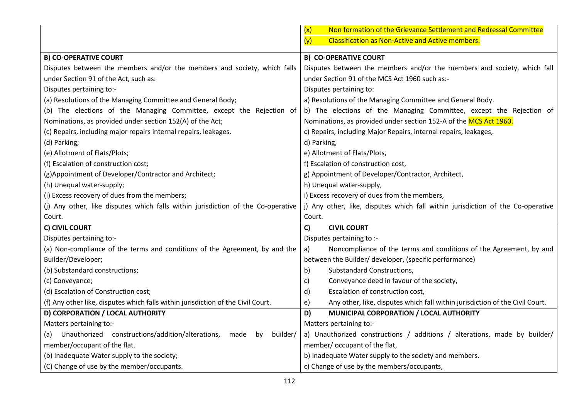|                                                                                   | Non formation of the Grievance Settlement and Redressal Committee<br>(x)           |
|-----------------------------------------------------------------------------------|------------------------------------------------------------------------------------|
|                                                                                   | <b>Classification as Non-Active and Active members.</b><br>(y)                     |
| <b>B) CO-OPERATIVE COURT</b>                                                      | <b>B) CO-OPERATIVE COURT</b>                                                       |
| Disputes between the members and/or the members and society, which falls          | Disputes between the members and/or the members and society, which fall            |
| under Section 91 of the Act, such as:                                             | under Section 91 of the MCS Act 1960 such as:-                                     |
| Disputes pertaining to:-                                                          | Disputes pertaining to:                                                            |
| (a) Resolutions of the Managing Committee and General Body;                       | a) Resolutions of the Managing Committee and General Body.                         |
| (b) The elections of the Managing Committee, except the Rejection of              | b) The elections of the Managing Committee, except the Rejection of                |
| Nominations, as provided under section 152(A) of the Act;                         | Nominations, as provided under section 152-A of the MCS Act 1960.                  |
| (c) Repairs, including major repairs internal repairs, leakages.                  | c) Repairs, including Major Repairs, internal repairs, leakages,                   |
| (d) Parking;                                                                      | d) Parking,                                                                        |
| (e) Allotment of Flats/Plots;                                                     | e) Allotment of Flats/Plots,                                                       |
| (f) Escalation of construction cost;                                              | f) Escalation of construction cost,                                                |
| (g)Appointment of Developer/Contractor and Architect;                             | g) Appointment of Developer/Contractor, Architect,                                 |
| (h) Unequal water-supply;                                                         | h) Unequal water-supply,                                                           |
| (i) Excess recovery of dues from the members;                                     | i) Excess recovery of dues from the members,                                       |
| (j) Any other, like disputes which falls within jurisdiction of the Co-operative  | j) Any other, like, disputes which fall within jurisdiction of the Co-operative    |
| Court.                                                                            | Court.                                                                             |
| C) CIVIL COURT                                                                    | C)<br><b>CIVIL COURT</b>                                                           |
| Disputes pertaining to:-                                                          | Disputes pertaining to :-                                                          |
| (a) Non-compliance of the terms and conditions of the Agreement, by and the       | Noncompliance of the terms and conditions of the Agreement, by and<br>a)           |
| Builder/Developer;                                                                | between the Builder/ developer, (specific performance)                             |
| (b) Substandard constructions;                                                    | b)<br>Substandard Constructions,                                                   |
| (c) Conveyance;                                                                   | Conveyance deed in favour of the society,<br>c)                                    |
| (d) Escalation of Construction cost;                                              | Escalation of construction cost,<br>d)                                             |
| (f) Any other like, disputes which falls within jurisdiction of the Civil Court.  | Any other, like, disputes which fall within jurisdiction of the Civil Court.<br>e) |
| D) CORPORATION / LOCAL AUTHORITY                                                  | D)<br>MUNICIPAL CORPORATION / LOCAL AUTHORITY                                      |
| Matters pertaining to:-                                                           | Matters pertaining to:-                                                            |
| Unauthorized constructions/addition/alterations,<br>made<br>builder/<br>(a)<br>by | a) Unauthorized constructions / additions / alterations, made by builder/          |
| member/occupant of the flat.                                                      | member/ occupant of the flat,                                                      |
| (b) Inadequate Water supply to the society;                                       | b) Inadequate Water supply to the society and members.                             |
| (C) Change of use by the member/occupants.                                        | c) Change of use by the members/occupants,                                         |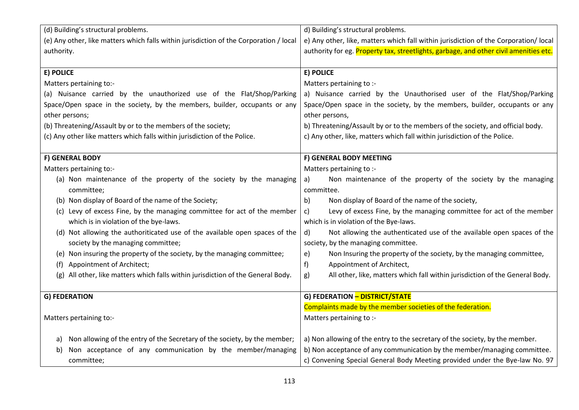| (d) Building's structural problems.                                                    | d) Building's structural problems.                                                    |
|----------------------------------------------------------------------------------------|---------------------------------------------------------------------------------------|
| (e) Any other, like matters which falls within jurisdiction of the Corporation / local | e) Any other, like, matters which fall within jurisdiction of the Corporation/ local  |
| authority.                                                                             | authority for eg. Property tax, streetlights, garbage, and other civil amenities etc. |
|                                                                                        |                                                                                       |
| E) POLICE                                                                              | <b>E) POLICE</b>                                                                      |
| Matters pertaining to:-                                                                | Matters pertaining to :-                                                              |
| (a) Nuisance carried by the unauthorized use of the Flat/Shop/Parking                  | a) Nuisance carried by the Unauthorised user of the Flat/Shop/Parking                 |
| Space/Open space in the society, by the members, builder, occupants or any             | Space/Open space in the society, by the members, builder, occupants or any            |
| other persons;                                                                         | other persons,                                                                        |
| (b) Threatening/Assault by or to the members of the society;                           | b) Threatening/Assault by or to the members of the society, and official body.        |
| (c) Any other like matters which falls within jurisdiction of the Police.              | c) Any other, like, matters which fall within jurisdiction of the Police.             |
|                                                                                        |                                                                                       |
| F) GENERAL BODY                                                                        | F) GENERAL BODY MEETING                                                               |
| Matters pertaining to:-                                                                | Matters pertaining to :-                                                              |
| (a) Non maintenance of the property of the society by the managing                     | Non maintenance of the property of the society by the managing<br>a)                  |
| committee;                                                                             | committee.                                                                            |
| (b) Non display of Board of the name of the Society;                                   | Non display of Board of the name of the society,<br>b)                                |
| (c) Levy of excess Fine, by the managing committee for act of the member               | Levy of excess Fine, by the managing committee for act of the member<br>C)            |
| which is in violation of the bye-laws.                                                 | which is in violation of the Bye-laws.                                                |
| (d) Not allowing the authoriticated use of the available open spaces of the            | Not allowing the authenticated use of the available open spaces of the<br>d)          |
| society by the managing committee;                                                     | society, by the managing committee.                                                   |
| (e) Non insuring the property of the society, by the managing committee;               | Non Insuring the property of the society, by the managing committee,<br>e)            |
| Appointment of Architect;<br>(f)                                                       | Appointment of Architect,<br>f)                                                       |
| All other, like matters which falls within jurisdiction of the General Body.<br>(g)    | All other, like, matters which fall within jurisdiction of the General Body.<br>g)    |
|                                                                                        |                                                                                       |
| <b>G) FEDERATION</b>                                                                   | G) FEDERATION - DISTRICT/STATE                                                        |
|                                                                                        | Complaints made by the member societies of the federation.                            |
| Matters pertaining to:-                                                                | Matters pertaining to :-                                                              |
|                                                                                        |                                                                                       |
| Non allowing of the entry of the Secretary of the society, by the member;<br>a)        | a) Non allowing of the entry to the secretary of the society, by the member.          |
| Non acceptance of any communication by the member/managing<br>b)                       | b) Non acceptance of any communication by the member/managing committee.              |
| committee;                                                                             | c) Convening Special General Body Meeting provided under the Bye-law No. 97           |